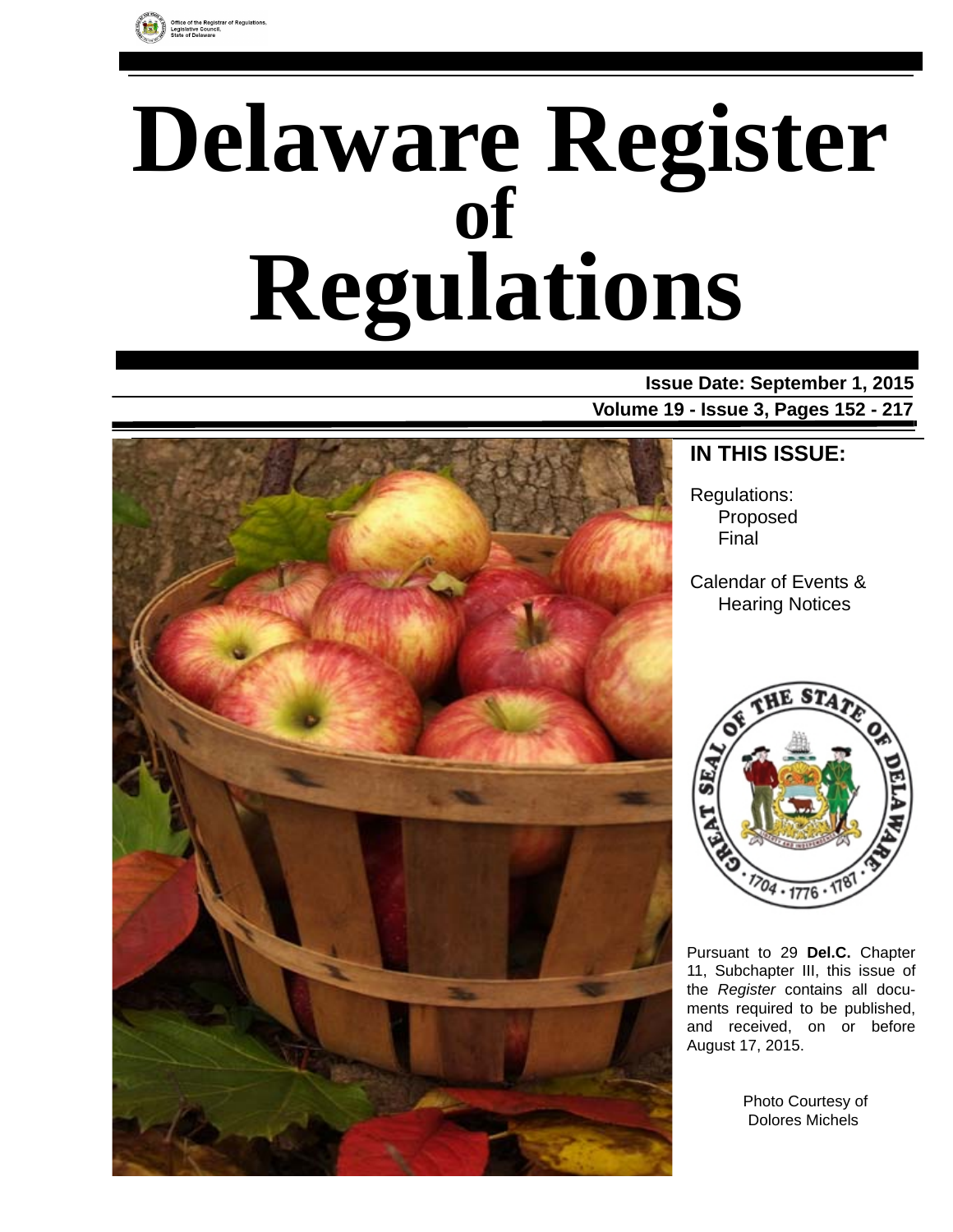

# **Delaware Register Regulations of**

**Issue Date: September 1, 2015 Volume 19 - Issue 3, Pages 152 - 217**



### **IN THIS ISSUE:**

Regulations: Proposed Final

Calendar of Events & Hearing Notices



Pursuant to 29 **Del.C.** Chapter 11, Subchapter III, this issue of the *Register* contains all documents required to be published, and received, on or before August 17, 2015.

> Photo Courtesy of Dolores Michels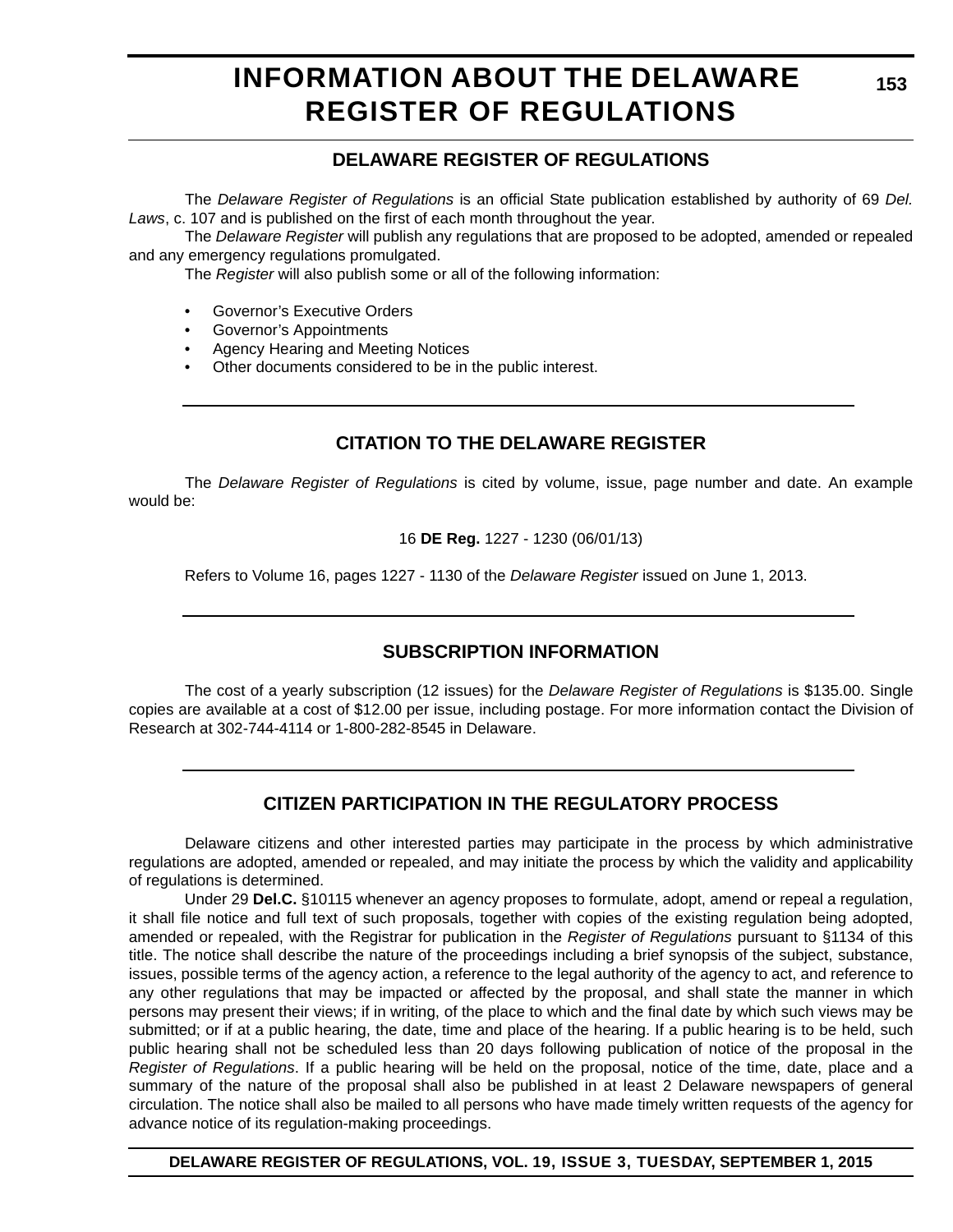# **INFORMATION ABOUT THE DELAWARE REGISTER OF REGULATIONS**

### **DELAWARE REGISTER OF REGULATIONS**

The *Delaware Register of Regulations* is an official State publication established by authority of 69 *Del. Laws*, c. 107 and is published on the first of each month throughout the year.

The *Delaware Register* will publish any regulations that are proposed to be adopted, amended or repealed and any emergency regulations promulgated.

The *Register* will also publish some or all of the following information:

- Governor's Executive Orders
- Governor's Appointments
- Agency Hearing and Meeting Notices
- Other documents considered to be in the public interest.

### **CITATION TO THE DELAWARE REGISTER**

The *Delaware Register of Regulations* is cited by volume, issue, page number and date. An example would be:

16 **DE Reg.** 1227 - 1230 (06/01/13)

Refers to Volume 16, pages 1227 - 1130 of the *Delaware Register* issued on June 1, 2013.

### **SUBSCRIPTION INFORMATION**

The cost of a yearly subscription (12 issues) for the *Delaware Register of Regulations* is \$135.00. Single copies are available at a cost of \$12.00 per issue, including postage. For more information contact the Division of Research at 302-744-4114 or 1-800-282-8545 in Delaware.

### **CITIZEN PARTICIPATION IN THE REGULATORY PROCESS**

Delaware citizens and other interested parties may participate in the process by which administrative regulations are adopted, amended or repealed, and may initiate the process by which the validity and applicability of regulations is determined.

Under 29 **Del.C.** §10115 whenever an agency proposes to formulate, adopt, amend or repeal a regulation, it shall file notice and full text of such proposals, together with copies of the existing regulation being adopted, amended or repealed, with the Registrar for publication in the *Register of Regulations* pursuant to §1134 of this title. The notice shall describe the nature of the proceedings including a brief synopsis of the subject, substance, issues, possible terms of the agency action, a reference to the legal authority of the agency to act, and reference to any other regulations that may be impacted or affected by the proposal, and shall state the manner in which persons may present their views; if in writing, of the place to which and the final date by which such views may be submitted; or if at a public hearing, the date, time and place of the hearing. If a public hearing is to be held, such public hearing shall not be scheduled less than 20 days following publication of notice of the proposal in the *Register of Regulations*. If a public hearing will be held on the proposal, notice of the time, date, place and a summary of the nature of the proposal shall also be published in at least 2 Delaware newspapers of general circulation. The notice shall also be mailed to all persons who have made timely written requests of the agency for advance notice of its regulation-making proceedings.

**DELAWARE REGISTER OF REGULATIONS, VOL. 19, ISSUE 3, TUESDAY, SEPTEMBER 1, 2015**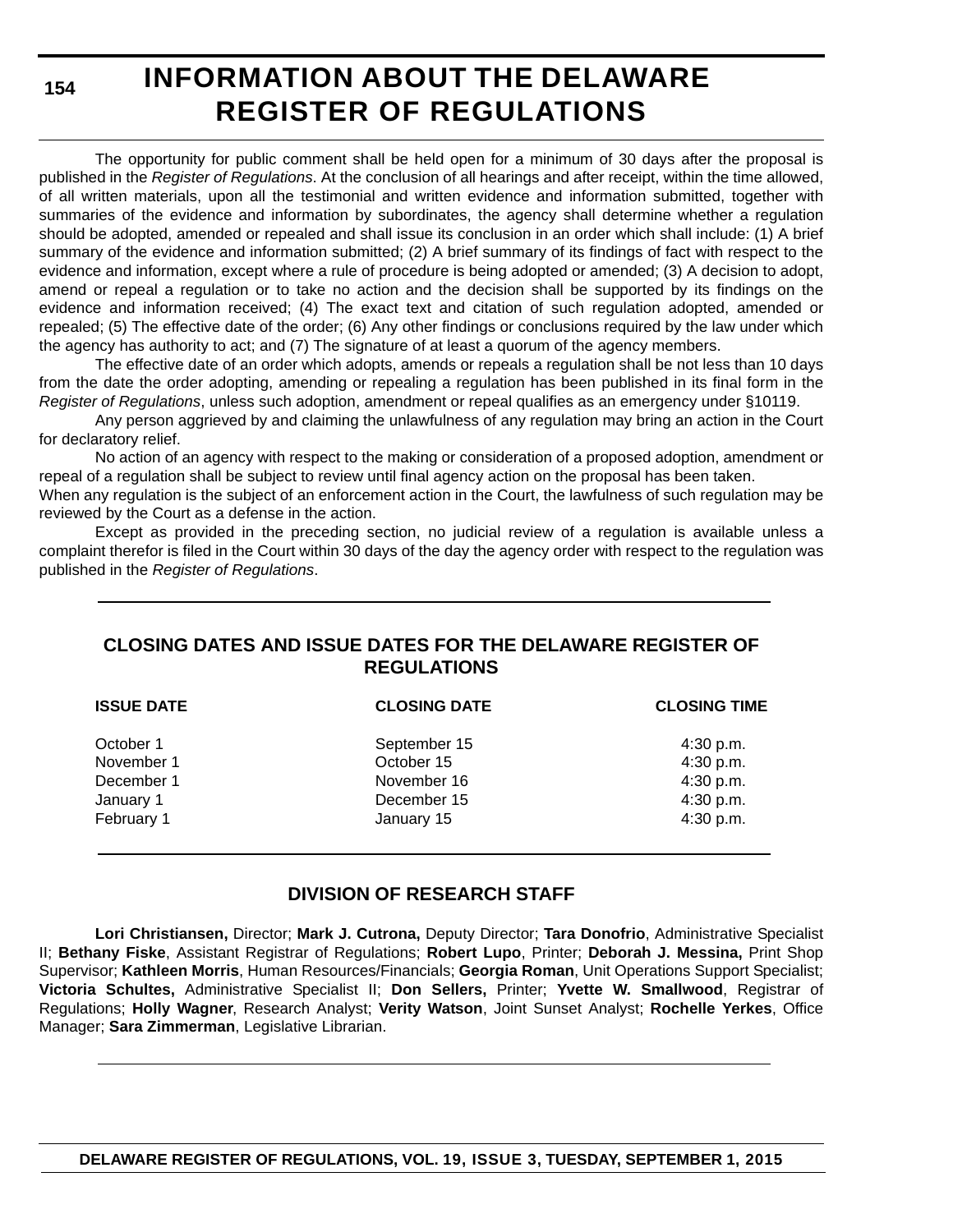**154**

# **INFORMATION ABOUT THE DELAWARE REGISTER OF REGULATIONS**

The opportunity for public comment shall be held open for a minimum of 30 days after the proposal is published in the *Register of Regulations*. At the conclusion of all hearings and after receipt, within the time allowed, of all written materials, upon all the testimonial and written evidence and information submitted, together with summaries of the evidence and information by subordinates, the agency shall determine whether a regulation should be adopted, amended or repealed and shall issue its conclusion in an order which shall include: (1) A brief summary of the evidence and information submitted; (2) A brief summary of its findings of fact with respect to the evidence and information, except where a rule of procedure is being adopted or amended; (3) A decision to adopt, amend or repeal a regulation or to take no action and the decision shall be supported by its findings on the evidence and information received; (4) The exact text and citation of such regulation adopted, amended or repealed; (5) The effective date of the order; (6) Any other findings or conclusions required by the law under which the agency has authority to act; and (7) The signature of at least a quorum of the agency members.

The effective date of an order which adopts, amends or repeals a regulation shall be not less than 10 days from the date the order adopting, amending or repealing a regulation has been published in its final form in the *Register of Regulations*, unless such adoption, amendment or repeal qualifies as an emergency under §10119.

Any person aggrieved by and claiming the unlawfulness of any regulation may bring an action in the Court for declaratory relief.

No action of an agency with respect to the making or consideration of a proposed adoption, amendment or repeal of a regulation shall be subject to review until final agency action on the proposal has been taken.

When any regulation is the subject of an enforcement action in the Court, the lawfulness of such regulation may be reviewed by the Court as a defense in the action.

Except as provided in the preceding section, no judicial review of a regulation is available unless a complaint therefor is filed in the Court within 30 days of the day the agency order with respect to the regulation was published in the *Register of Regulations*.

### **CLOSING DATES AND ISSUE DATES FOR THE DELAWARE REGISTER OF REGULATIONS**

| <b>ISSUE DATE</b> | <b>CLOSING DATE</b> | <b>CLOSING TIME</b> |
|-------------------|---------------------|---------------------|
| October 1         | September 15        | $4:30$ p.m.         |
| November 1        | October 15          | 4:30 p.m.           |
| December 1        | November 16         | 4:30 p.m.           |
| January 1         | December 15         | 4:30 p.m.           |
| February 1        | January 15          | 4:30 p.m.           |

#### **DIVISION OF RESEARCH STAFF**

**Lori Christiansen,** Director; **Mark J. Cutrona,** Deputy Director; **Tara Donofrio**, Administrative Specialist II; **Bethany Fiske**, Assistant Registrar of Regulations; **Robert Lupo**, Printer; **Deborah J. Messina,** Print Shop Supervisor; **Kathleen Morris**, Human Resources/Financials; **Georgia Roman**, Unit Operations Support Specialist; **Victoria Schultes,** Administrative Specialist II; **Don Sellers,** Printer; **Yvette W. Smallwood**, Registrar of Regulations; **Holly Wagner**, Research Analyst; **Verity Watson**, Joint Sunset Analyst; **Rochelle Yerkes**, Office Manager; **Sara Zimmerman**, Legislative Librarian.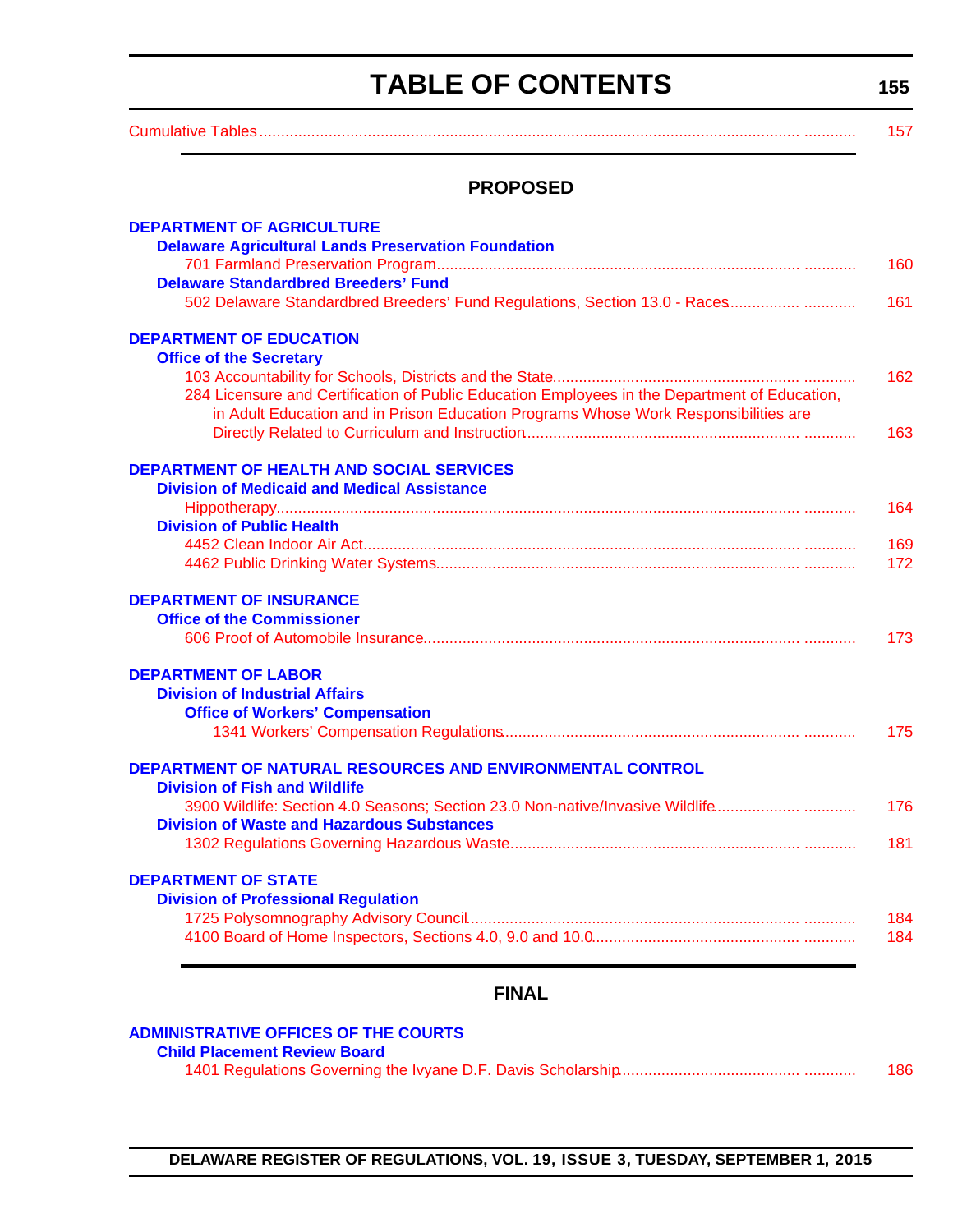# **TABLE OF CONTENTS**

**155**

<span id="page-3-0"></span>

| <b>PROPOSED</b>                                                                               |  |
|-----------------------------------------------------------------------------------------------|--|
| <b>DEPARTMENT OF AGRICULTURE</b>                                                              |  |
| <b>Delaware Agricultural Lands Preservation Foundation</b>                                    |  |
|                                                                                               |  |
| <b>Delaware Standardbred Breeders' Fund</b>                                                   |  |
| 502 Delaware Standardbred Breeders' Fund Regulations, Section 13.0 - Races                    |  |
| <b>DEPARTMENT OF EDUCATION</b>                                                                |  |
| <b>Office of the Secretary</b>                                                                |  |
|                                                                                               |  |
| 284 Licensure and Certification of Public Education Employees in the Department of Education, |  |
| in Adult Education and in Prison Education Programs Whose Work Responsibilities are           |  |
|                                                                                               |  |
| DEPARTMENT OF HEALTH AND SOCIAL SERVICES                                                      |  |
| <b>Division of Medicaid and Medical Assistance</b>                                            |  |
|                                                                                               |  |
| <b>Division of Public Health</b>                                                              |  |
|                                                                                               |  |
|                                                                                               |  |
| <b>DEPARTMENT OF INSURANCE</b>                                                                |  |
| <b>Office of the Commissioner</b>                                                             |  |
|                                                                                               |  |
| <b>DEPARTMENT OF LABOR</b>                                                                    |  |
| <b>Division of Industrial Affairs</b>                                                         |  |
| <b>Office of Workers' Compensation</b>                                                        |  |
|                                                                                               |  |
| DEPARTMENT OF NATURAL RESOURCES AND ENVIRONMENTAL CONTROL                                     |  |
| <b>Division of Fish and Wildlife</b>                                                          |  |
| 3900 Wildlife: Section 4.0 Seasons; Section 23.0 Non-native/Invasive Wildlife                 |  |
| <b>Division of Waste and Hazardous Substances</b>                                             |  |
|                                                                                               |  |
| <b>DEPARTMENT OF STATE</b>                                                                    |  |
| <b>Division of Professional Regulation</b>                                                    |  |
|                                                                                               |  |
|                                                                                               |  |

### **FINAL**

| <b>ADMINISTRATIVE OFFICES OF THE COURTS</b> |     |
|---------------------------------------------|-----|
| <b>Child Placement Review Board</b>         |     |
|                                             | 186 |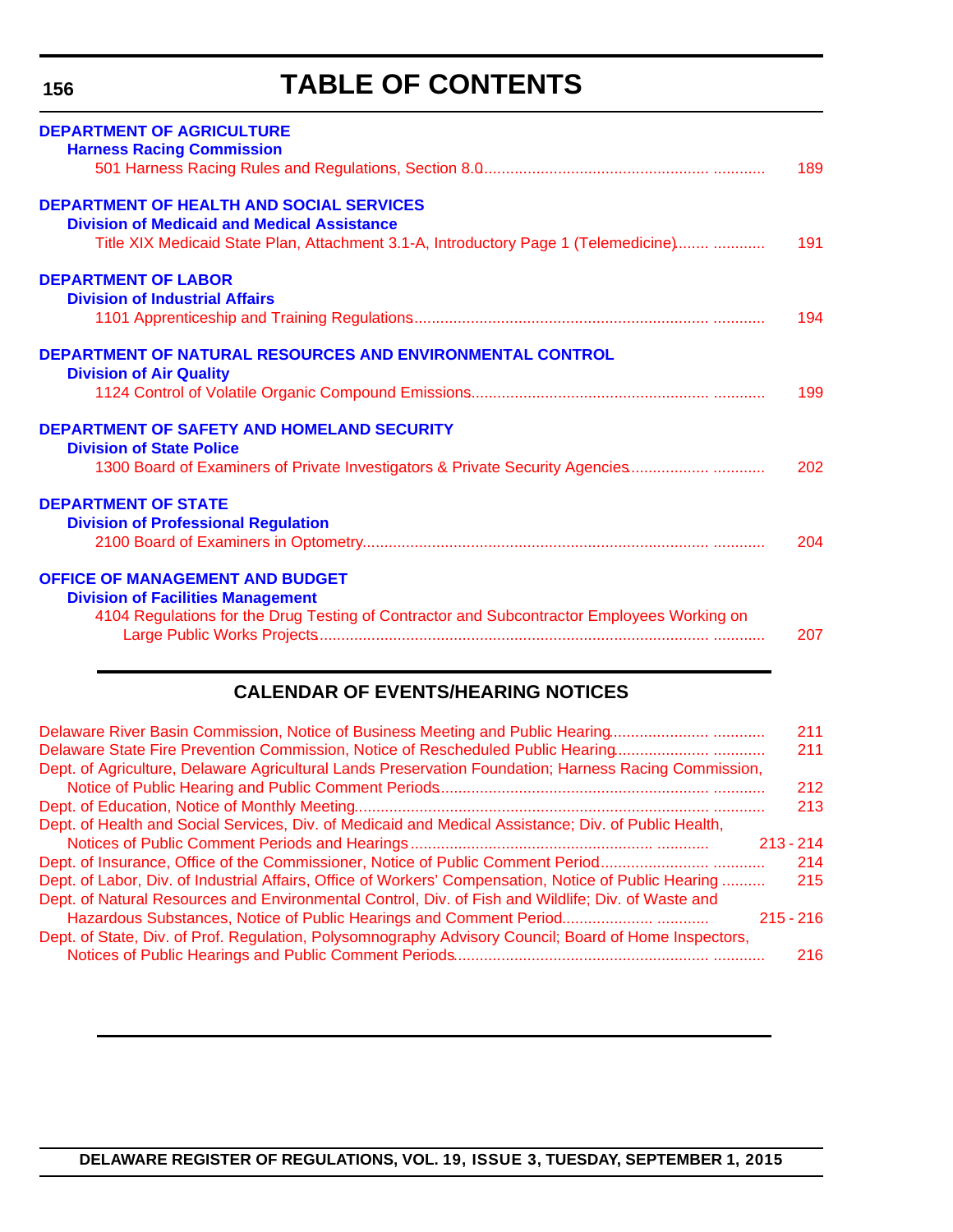# **TABLE OF CONTENTS**

<span id="page-4-0"></span>

| <b>DEPARTMENT OF AGRICULTURE</b><br><b>Harness Racing Commission</b>                                                                                                                         | 189 |
|----------------------------------------------------------------------------------------------------------------------------------------------------------------------------------------------|-----|
| <b>DEPARTMENT OF HEALTH AND SOCIAL SERVICES</b><br><b>Division of Medicaid and Medical Assistance</b><br>Title XIX Medicaid State Plan, Attachment 3.1-A, Introductory Page 1 (Telemedicine) | 191 |
| <b>DEPARTMENT OF LABOR</b><br><b>Division of Industrial Affairs</b>                                                                                                                          | 194 |
| <b>DEPARTMENT OF NATURAL RESOURCES AND ENVIRONMENTAL CONTROL</b><br><b>Division of Air Quality</b>                                                                                           | 199 |
| <b>DEPARTMENT OF SAFETY AND HOMELAND SECURITY</b><br><b>Division of State Police</b><br>1300 Board of Examiners of Private Investigators & Private Security Agencies                         | 202 |
| <b>DEPARTMENT OF STATE</b><br><b>Division of Professional Regulation</b>                                                                                                                     | 204 |
| <b>OFFICE OF MANAGEMENT AND BUDGET</b><br><b>Division of Facilities Management</b><br>4104 Regulations for the Drug Testing of Contractor and Subcontractor Employees Working on             | 207 |

### **CALENDAR OF EVENTS/HEARING NOTICES**

| Delaware River Basin Commission, Notice of Business Meeting and Public Hearing                        | 211         |
|-------------------------------------------------------------------------------------------------------|-------------|
| Delaware State Fire Prevention Commission, Notice of Rescheduled Public Hearing                       | 211         |
| Dept. of Agriculture, Delaware Agricultural Lands Preservation Foundation; Harness Racing Commission, |             |
|                                                                                                       | 212         |
|                                                                                                       | 213         |
| Dept. of Health and Social Services, Div. of Medicaid and Medical Assistance; Div. of Public Health,  |             |
|                                                                                                       | $213 - 214$ |
| Dept. of Insurance, Office of the Commissioner, Notice of Public Comment Period                       | 214         |
| Dept. of Labor, Div. of Industrial Affairs, Office of Workers' Compensation, Notice of Public Hearing | 215         |
| Dept. of Natural Resources and Environmental Control, Div. of Fish and Wildlife; Div. of Waste and    |             |
| Hazardous Substances, Notice of Public Hearings and Comment Period                                    | $215 - 216$ |
| Dept. of State, Div. of Prof. Regulation, Polysomnography Advisory Council; Board of Home Inspectors, |             |
|                                                                                                       | 216         |
|                                                                                                       |             |

**DELAWARE REGISTER OF REGULATIONS, VOL. 19, ISSUE 3, TUESDAY, SEPTEMBER 1, 2015**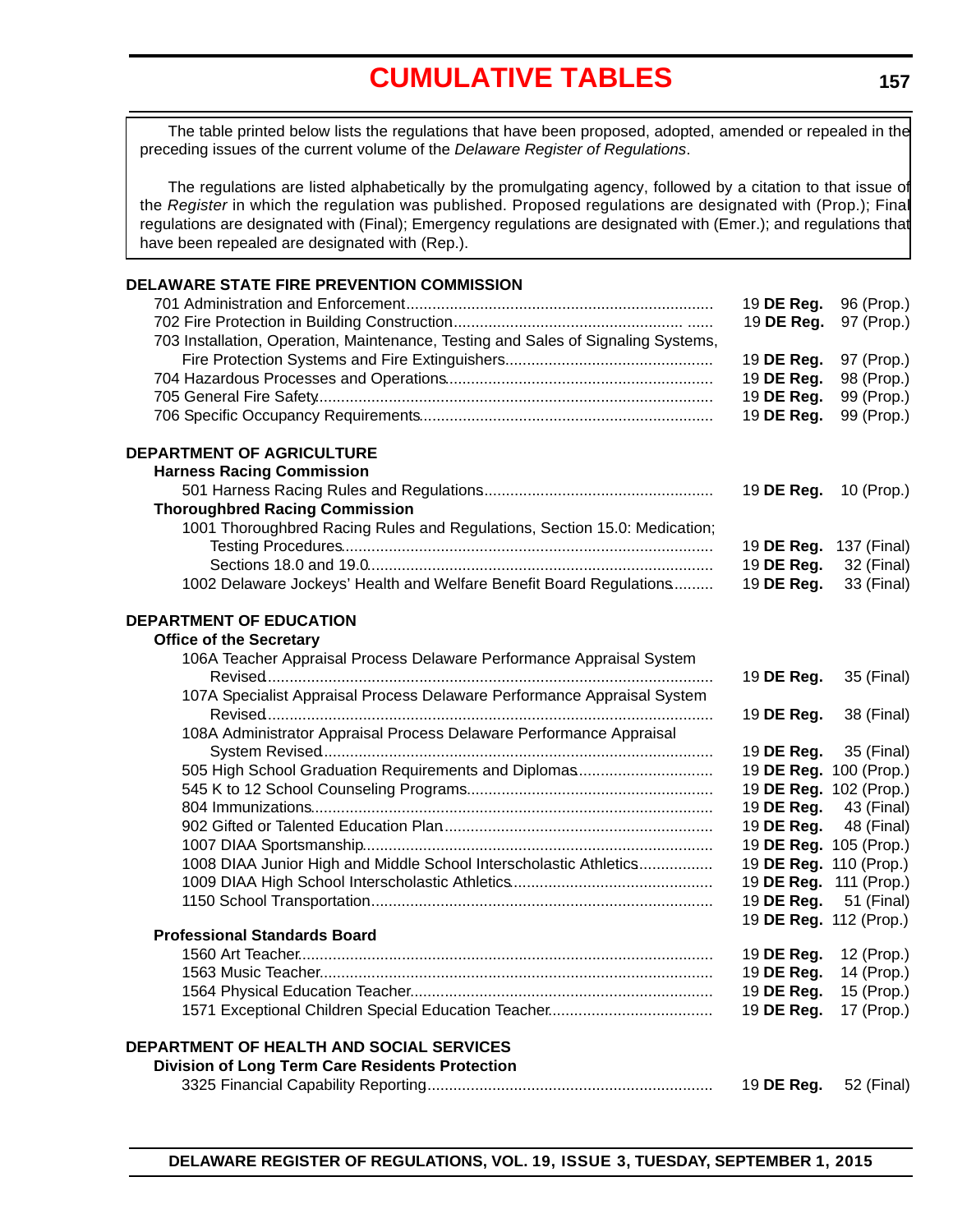# **[CUMULATIVE TABLES](#page-3-0)**

<span id="page-5-0"></span>The table printed below lists the regulations that have been proposed, adopted, amended or repealed in the preceding issues of the current volume of the *Delaware Register of Regulations*.

The regulations are listed alphabetically by the promulgating agency, followed by a citation to that issue of the *Register* in which the regulation was published. Proposed regulations are designated with (Prop.); Final regulations are designated with (Final); Emergency regulations are designated with (Emer.); and regulations that have been repealed are designated with (Rep.).

| DELAWARE STATE FIRE PREVENTION COMMISSION                                         |                        |                        |
|-----------------------------------------------------------------------------------|------------------------|------------------------|
|                                                                                   | 19 DE Reg.             | 96 (Prop.)             |
|                                                                                   | 19 DE Reg.             | 97 (Prop.)             |
| 703 Installation, Operation, Maintenance, Testing and Sales of Signaling Systems, |                        |                        |
|                                                                                   | 19 DE Reg.             | 97 (Prop.)             |
|                                                                                   | 19 DE Reg.             | 98 (Prop.)             |
|                                                                                   | 19 DE Reg.             | 99 (Prop.)             |
|                                                                                   | 19 DE Reg.             | 99 (Prop.)             |
| <b>DEPARTMENT OF AGRICULTURE</b>                                                  |                        |                        |
| <b>Harness Racing Commission</b>                                                  |                        |                        |
|                                                                                   | 19 DE Reg.             | 10 (Prop.)             |
| <b>Thoroughbred Racing Commission</b>                                             |                        |                        |
| 1001 Thoroughbred Racing Rules and Regulations, Section 15.0: Medication;         |                        |                        |
|                                                                                   | 19 DE Reg.             | 137 (Final)            |
|                                                                                   | 19 DE Reg.             | 32 (Final)             |
| 1002 Delaware Jockeys' Health and Welfare Benefit Board Regulations               | 19 DE Reg.             | 33 (Final)             |
|                                                                                   |                        |                        |
| <b>DEPARTMENT OF EDUCATION</b>                                                    |                        |                        |
| <b>Office of the Secretary</b>                                                    |                        |                        |
| 106A Teacher Appraisal Process Delaware Performance Appraisal System              |                        |                        |
|                                                                                   | 19 DE Reg.             | 35 (Final)             |
| 107A Specialist Appraisal Process Delaware Performance Appraisal System           |                        |                        |
|                                                                                   | 19 DE Reg.             | 38 (Final)             |
| 108A Administrator Appraisal Process Delaware Performance Appraisal               |                        |                        |
|                                                                                   | 19 DE Reg.             | 35 (Final)             |
| 505 High School Graduation Requirements and Diplomas                              |                        | 19 DE Reg. 100 (Prop.) |
|                                                                                   |                        | 19 DE Reg. 102 (Prop.) |
|                                                                                   | 19 DE Reg.             | 43 (Final)             |
|                                                                                   | 19 DE Reg.             | 48 (Final)             |
|                                                                                   | 19 DE Reg. 105 (Prop.) |                        |
| 1008 DIAA Junior High and Middle School Interscholastic Athletics                 | 19 DE Reg. 110 (Prop.) |                        |
|                                                                                   | 19 DE Reg. 111 (Prop.) |                        |
|                                                                                   | 19 DE Reg.             | 51 (Final)             |
|                                                                                   | 19 DE Reg. 112 (Prop.) |                        |
| <b>Professional Standards Board</b>                                               |                        |                        |
|                                                                                   | 19 DE Reg. 12 (Prop.)  |                        |
|                                                                                   |                        | 19 DE Reg. 14 (Prop.)  |
|                                                                                   | 19 DE Reg.             | 15 (Prop.)             |
|                                                                                   | 19 DE Reg.             | 17 (Prop.)             |
| <b>DEPARTMENT OF HEALTH AND SOCIAL SERVICES</b>                                   |                        |                        |
| <b>Division of Long Term Care Residents Protection</b>                            |                        |                        |
|                                                                                   | 19 DE Reg.             | 52 (Final)             |
|                                                                                   |                        |                        |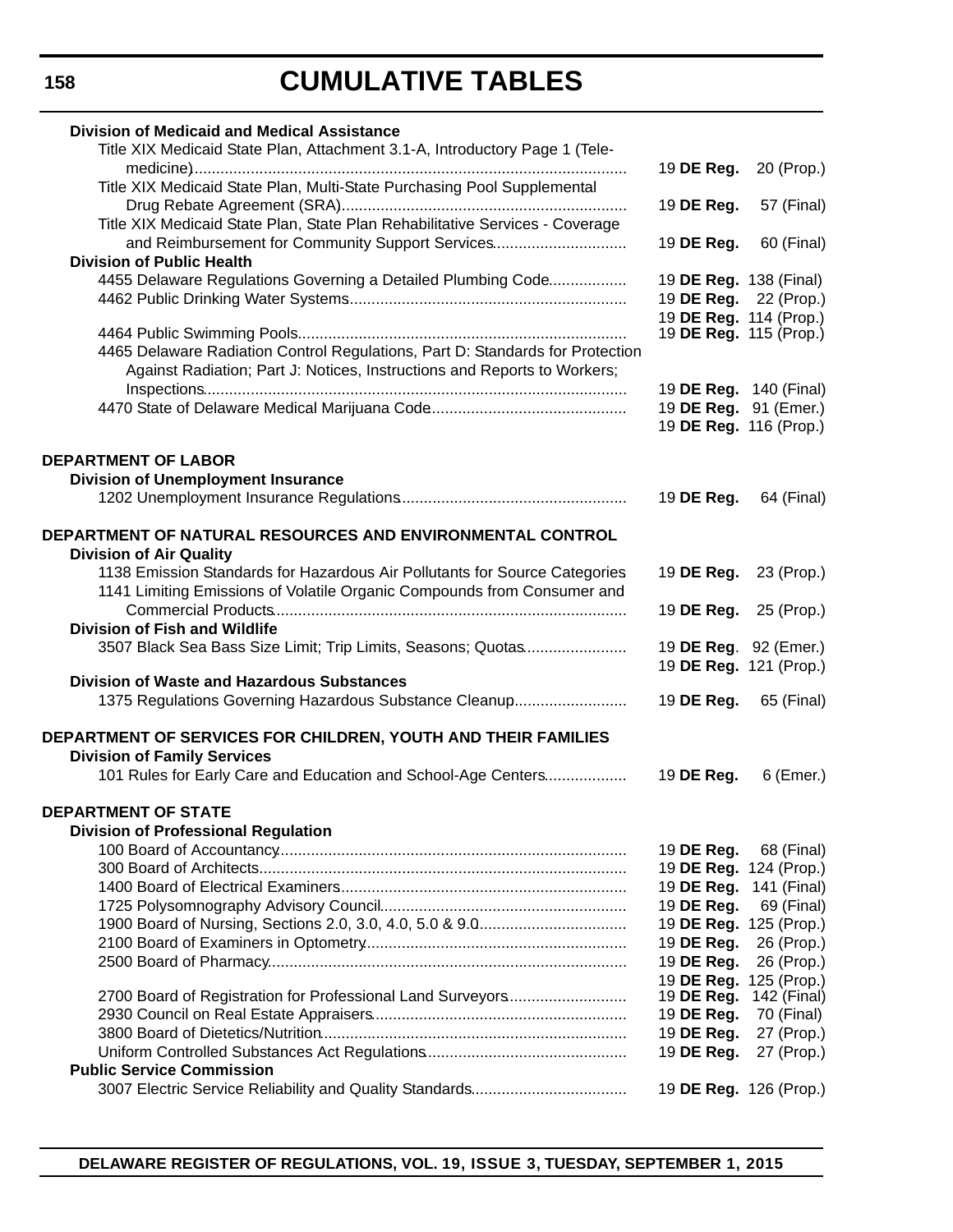# **CUMULATIVE TABLES**

| <b>Division of Medicaid and Medical Assistance</b>                            |                               |             |
|-------------------------------------------------------------------------------|-------------------------------|-------------|
| Title XIX Medicaid State Plan, Attachment 3.1-A, Introductory Page 1 (Tele-   | 19 DE Reg.                    | 20 (Prop.)  |
| Title XIX Medicaid State Plan, Multi-State Purchasing Pool Supplemental       |                               |             |
| Title XIX Medicaid State Plan, State Plan Rehabilitative Services - Coverage  | 19 DE Reg.                    | 57 (Final)  |
| and Reimbursement for Community Support Services                              | 19 DE Reg.                    | 60 (Final)  |
| <b>Division of Public Health</b>                                              |                               |             |
| 4455 Delaware Regulations Governing a Detailed Plumbing Code                  | 19 DE Reg. 138 (Final)        |             |
|                                                                               | 19 DE Reg. 22 (Prop.)         |             |
|                                                                               | 19 DE Reg. 114 (Prop.)        |             |
|                                                                               | 19 DE Reg. 115 (Prop.)        |             |
| 4465 Delaware Radiation Control Regulations, Part D: Standards for Protection |                               |             |
| Against Radiation; Part J: Notices, Instructions and Reports to Workers;      |                               |             |
|                                                                               | 19 <b>DE Reg.</b> 140 (Final) |             |
|                                                                               | 19 DE Reg. 91 (Emer.)         |             |
|                                                                               | 19 DE Reg. 116 (Prop.)        |             |
| <b>DEPARTMENT OF LABOR</b>                                                    |                               |             |
| <b>Division of Unemployment Insurance</b>                                     |                               |             |
|                                                                               | 19 DE Reg.                    | 64 (Final)  |
|                                                                               |                               |             |
| DEPARTMENT OF NATURAL RESOURCES AND ENVIRONMENTAL CONTROL                     |                               |             |
| <b>Division of Air Quality</b>                                                |                               |             |
| 1138 Emission Standards for Hazardous Air Pollutants for Source Categories    | 19 DE Reg.                    | 23 (Prop.)  |
| 1141 Limiting Emissions of Volatile Organic Compounds from Consumer and       |                               |             |
|                                                                               | 19 DE Reg.                    | 25 (Prop.)  |
| <b>Division of Fish and Wildlife</b>                                          |                               |             |
| 3507 Black Sea Bass Size Limit; Trip Limits, Seasons; Quotas                  | 19 DE Reg. 92 (Emer.)         |             |
|                                                                               | 19 DE Reg. 121 (Prop.)        |             |
| <b>Division of Waste and Hazardous Substances</b>                             |                               |             |
| 1375 Regulations Governing Hazardous Substance Cleanup                        | 19 DE Reg.                    | 65 (Final)  |
| DEPARTMENT OF SERVICES FOR CHILDREN, YOUTH AND THEIR FAMILIES                 |                               |             |
| <b>Division of Family Services</b>                                            |                               |             |
| 101 Rules for Early Care and Education and School-Age Centers                 | 19 DE Reg.                    | 6 (Emer.)   |
|                                                                               |                               |             |
| <b>DEPARTMENT OF STATE</b>                                                    |                               |             |
| <b>Division of Professional Regulation</b>                                    |                               |             |
|                                                                               | 19 DE Reg.                    | 68 (Final)  |
|                                                                               | 19 DE Reg. 124 (Prop.)        |             |
|                                                                               | 19 DE Reg.                    | 141 (Final) |
|                                                                               | 19 DE Reg.                    | 69 (Final)  |
|                                                                               | 19 DE Reg. 125 (Prop.)        |             |
|                                                                               | 19 DE Reg.                    | 26 (Prop.)  |
|                                                                               | 19 DE Reg.                    | 26 (Prop.)  |
|                                                                               | 19 DE Reg. 125 (Prop.)        |             |
| 2700 Board of Registration for Professional Land Surveyors                    | 19 DE Reg.                    | 142 (Final) |
|                                                                               | 19 DE Reg.                    | 70 (Final)  |
|                                                                               | 19 DE Reg.                    | 27 (Prop.)  |
|                                                                               | 19 DE Reg.                    | 27 (Prop.)  |
| <b>Public Service Commission</b>                                              |                               |             |
|                                                                               | 19 DE Reg. 126 (Prop.)        |             |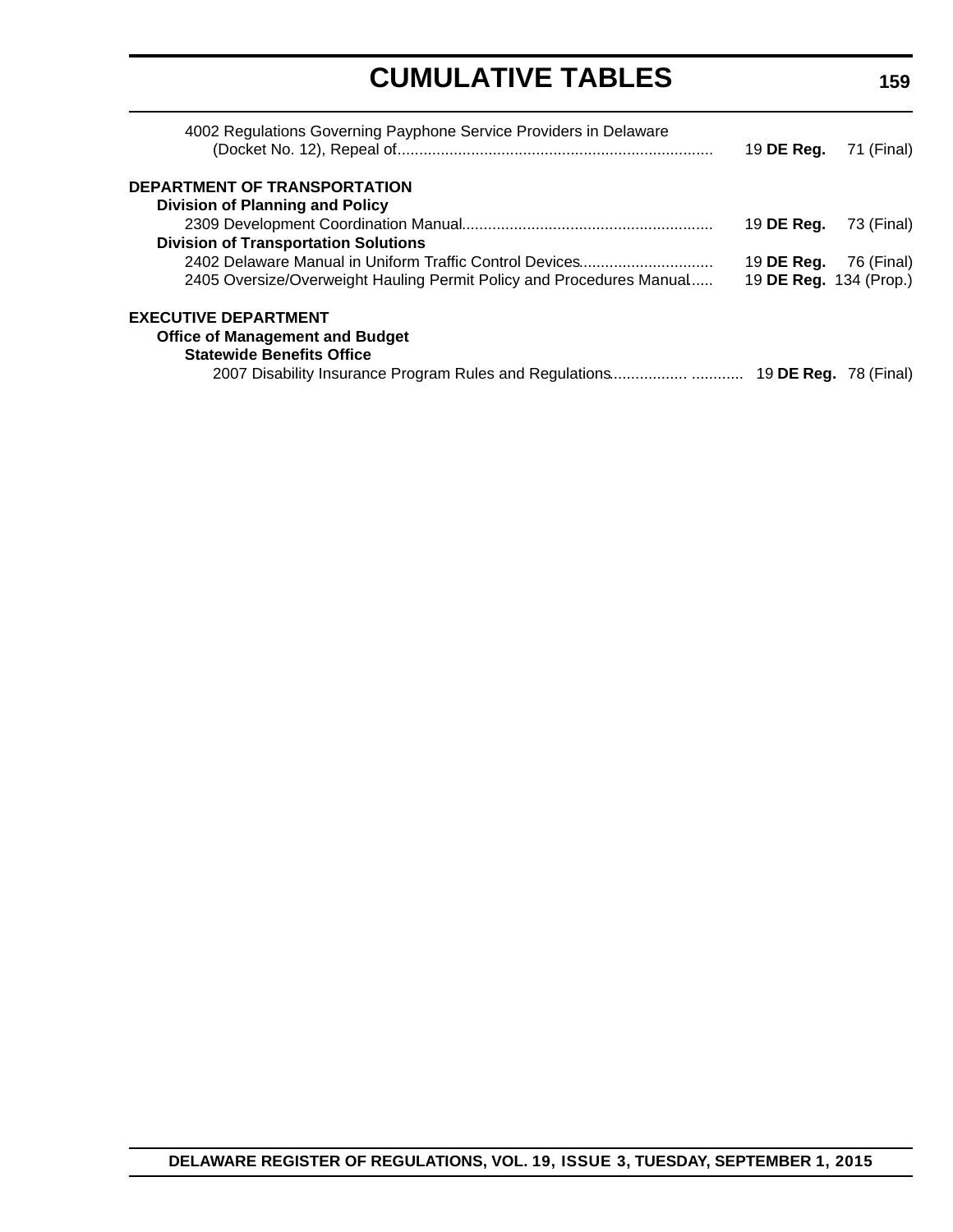# **CUMULATIVE TABLES**

| 4002 Regulations Governing Payphone Service Providers in Delaware    | 19 <b>DE Reg.</b> 71 (Final) |            |
|----------------------------------------------------------------------|------------------------------|------------|
| <b>DEPARTMENT OF TRANSPORTATION</b>                                  |                              |            |
| <b>Division of Planning and Policy</b>                               |                              |            |
|                                                                      | 19 DE Reg.                   | 73 (Final) |
| <b>Division of Transportation Solutions</b>                          |                              |            |
| 2402 Delaware Manual in Uniform Traffic Control Devices              | 19 DE Reg.                   | 76 (Final) |
| 2405 Oversize/Overweight Hauling Permit Policy and Procedures Manual | 19 DE Reg. 134 (Prop.)       |            |
| <b>EXECUTIVE DEPARTMENT</b>                                          |                              |            |
| <b>Office of Management and Budget</b>                               |                              |            |
| <b>Statewide Benefits Office</b>                                     |                              |            |
|                                                                      |                              |            |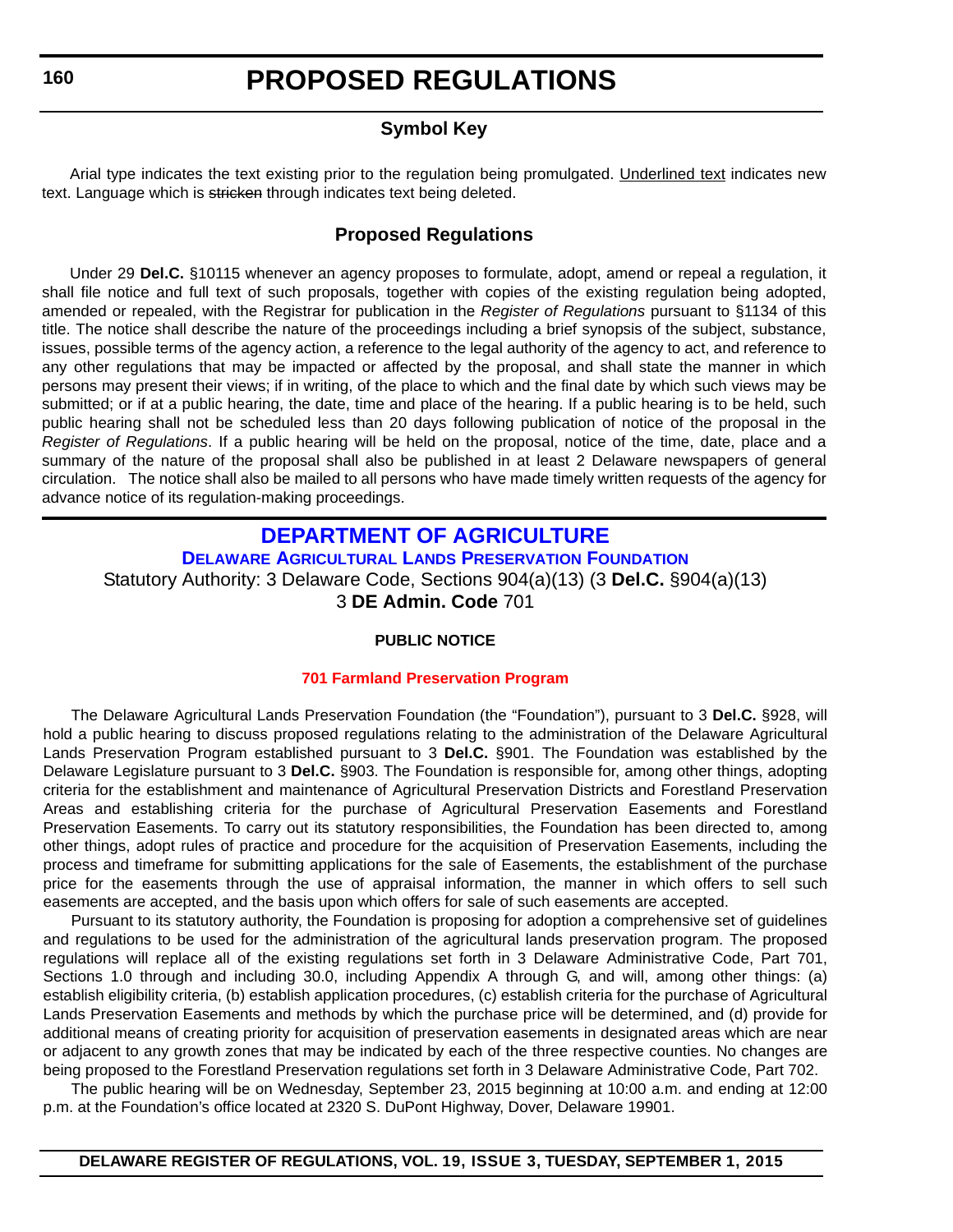### **Symbol Key**

<span id="page-8-0"></span>Arial type indicates the text existing prior to the regulation being promulgated. Underlined text indicates new text. Language which is stricken through indicates text being deleted.

#### **Proposed Regulations**

Under 29 **Del.C.** §10115 whenever an agency proposes to formulate, adopt, amend or repeal a regulation, it shall file notice and full text of such proposals, together with copies of the existing regulation being adopted, amended or repealed, with the Registrar for publication in the *Register of Regulations* pursuant to §1134 of this title. The notice shall describe the nature of the proceedings including a brief synopsis of the subject, substance, issues, possible terms of the agency action, a reference to the legal authority of the agency to act, and reference to any other regulations that may be impacted or affected by the proposal, and shall state the manner in which persons may present their views; if in writing, of the place to which and the final date by which such views may be submitted; or if at a public hearing, the date, time and place of the hearing. If a public hearing is to be held, such public hearing shall not be scheduled less than 20 days following publication of notice of the proposal in the *Register of Regulations*. If a public hearing will be held on the proposal, notice of the time, date, place and a summary of the nature of the proposal shall also be published in at least 2 Delaware newspapers of general circulation. The notice shall also be mailed to all persons who have made timely written requests of the agency for advance notice of its regulation-making proceedings.

### **DEPARTMENT OF AGRICULTURE**

**[DELAWARE AGRICULTURAL LANDS PRESERVATION FOUNDATION](http://dda.delaware.gov/aglands/index.shtml)** Statutory Authority: 3 Delaware Code, Sections 904(a)(13) (3 **Del.C.** §904(a)(13) 3 **DE Admin. Code** 701

#### **PUBLIC NOTICE**

#### **[701 Farmland Preservation Program](#page-3-0)**

The Delaware Agricultural Lands Preservation Foundation (the "Foundation"), pursuant to 3 **Del.C.** §928, will hold a public hearing to discuss proposed regulations relating to the administration of the Delaware Agricultural Lands Preservation Program established pursuant to 3 **Del.C.** §901. The Foundation was established by the Delaware Legislature pursuant to 3 **Del.C.** §903. The Foundation is responsible for, among other things, adopting criteria for the establishment and maintenance of Agricultural Preservation Districts and Forestland Preservation Areas and establishing criteria for the purchase of Agricultural Preservation Easements and Forestland Preservation Easements. To carry out its statutory responsibilities, the Foundation has been directed to, among other things, adopt rules of practice and procedure for the acquisition of Preservation Easements, including the process and timeframe for submitting applications for the sale of Easements, the establishment of the purchase price for the easements through the use of appraisal information, the manner in which offers to sell such easements are accepted, and the basis upon which offers for sale of such easements are accepted.

Pursuant to its statutory authority, the Foundation is proposing for adoption a comprehensive set of guidelines and regulations to be used for the administration of the agricultural lands preservation program. The proposed regulations will replace all of the existing regulations set forth in 3 Delaware Administrative Code, Part 701, Sections 1.0 through and including 30.0, including Appendix A through G, and will, among other things: (a) establish eligibility criteria, (b) establish application procedures, (c) establish criteria for the purchase of Agricultural Lands Preservation Easements and methods by which the purchase price will be determined, and (d) provide for additional means of creating priority for acquisition of preservation easements in designated areas which are near or adjacent to any growth zones that may be indicated by each of the three respective counties. No changes are being proposed to the Forestland Preservation regulations set forth in 3 Delaware Administrative Code, Part 702.

The public hearing will be on Wednesday, September 23, 2015 beginning at 10:00 a.m. and ending at 12:00 p.m. at the Foundation's office located at 2320 S. DuPont Highway, Dover, Delaware 19901.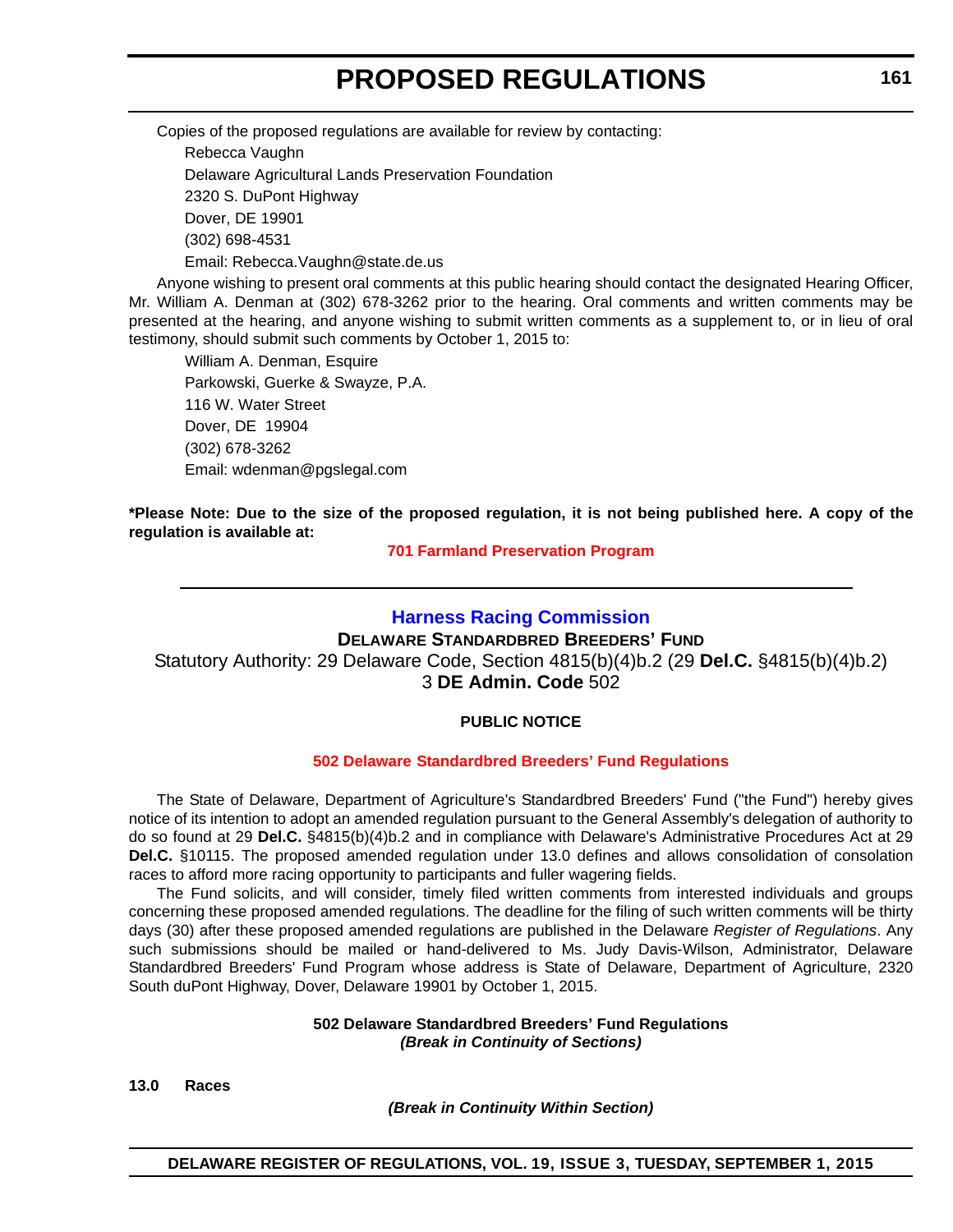<span id="page-9-0"></span>Copies of the proposed regulations are available for review by contacting:

Rebecca Vaughn Delaware Agricultural Lands Preservation Foundation 2320 S. DuPont Highway Dover, DE 19901 (302) 698-4531 Email: Rebecca.Vaughn@state.de.us

Anyone wishing to present oral comments at this public hearing should contact the designated Hearing Officer, Mr. William A. Denman at (302) 678-3262 prior to the hearing. Oral comments and written comments may be presented at the hearing, and anyone wishing to submit written comments as a supplement to, or in lieu of oral testimony, should submit such comments by October 1, 2015 to:

William A. Denman, Esquire Parkowski, Guerke & Swayze, P.A. 116 W. Water Street Dover, DE 19904 (302) 678-3262 Email: wdenman@pgslegal.com

**\*Please Note: Due to the size of the proposed regulation, it is not being published here. A copy of the regulation is available at:**

**[701 Farmland Preservation Program](http://regulations.delaware.gov/register/september2015/proposed/19 DE Reg 160 09-01-15.htm)**

#### **[Harness Racing Commission](http://desbf.delaware.gov/)**

**DELAWARE STANDARDBRED BREEDERS' FUND** Statutory Authority: 29 Delaware Code, Section 4815(b)(4)b.2 (29 **Del.C.** §4815(b)(4)b.2) 3 **DE Admin. Code** 502

#### **PUBLIC NOTICE**

#### **502 Delaware [Standardbred Breeders' Fund Regulations](#page-3-0)**

The State of Delaware, Department of Agriculture's Standardbred Breeders' Fund ("the Fund") hereby gives notice of its intention to adopt an amended regulation pursuant to the General Assembly's delegation of authority to do so found at 29 **Del.C.** §4815(b)(4)b.2 and in compliance with Delaware's Administrative Procedures Act at 29 **Del.C.** §10115. The proposed amended regulation under 13.0 defines and allows consolidation of consolation races to afford more racing opportunity to participants and fuller wagering fields.

The Fund solicits, and will consider, timely filed written comments from interested individuals and groups concerning these proposed amended regulations. The deadline for the filing of such written comments will be thirty days (30) after these proposed amended regulations are published in the Delaware *Register of Regulations*. Any such submissions should be mailed or hand-delivered to Ms. Judy Davis-Wilson, Administrator, Delaware Standardbred Breeders' Fund Program whose address is State of Delaware, Department of Agriculture, 2320 South duPont Highway, Dover, Delaware 19901 by October 1, 2015.

#### **502 Delaware Standardbred Breeders' Fund Regulations** *(Break in Continuity of Sections)*

**13.0 Races**

*(Break in Continuity Within Section)*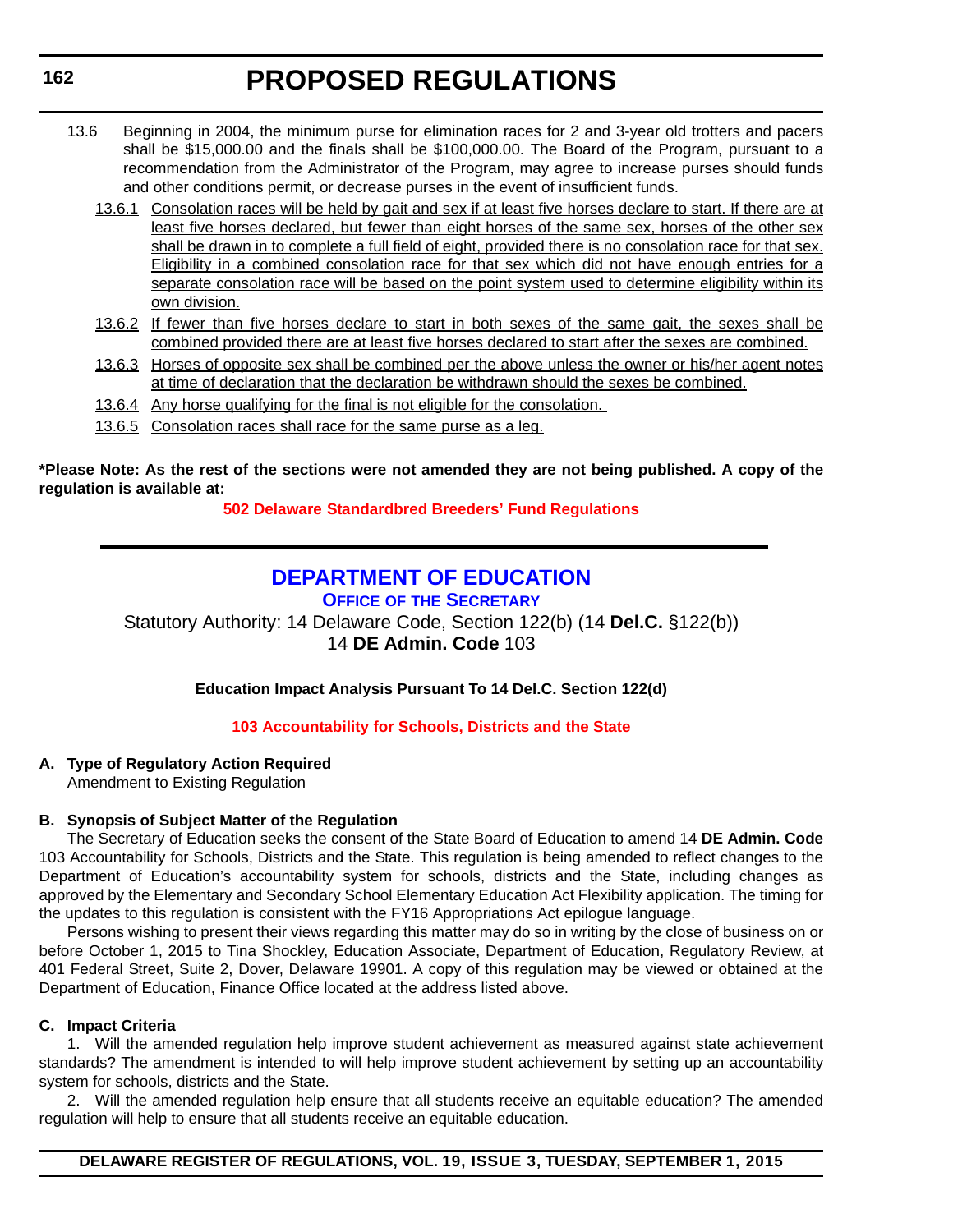- <span id="page-10-0"></span>13.6 Beginning in 2004, the minimum purse for elimination races for 2 and 3-year old trotters and pacers shall be \$15,000.00 and the finals shall be \$100,000.00. The Board of the Program, pursuant to a recommendation from the Administrator of the Program, may agree to increase purses should funds and other conditions permit, or decrease purses in the event of insufficient funds.
	- 13.6.1 Consolation races will be held by gait and sex if at least five horses declare to start. If there are at least five horses declared, but fewer than eight horses of the same sex, horses of the other sex shall be drawn in to complete a full field of eight, provided there is no consolation race for that sex. Eligibility in a combined consolation race for that sex which did not have enough entries for a separate consolation race will be based on the point system used to determine eligibility within its own division.
	- 13.6.2 If fewer than five horses declare to start in both sexes of the same gait, the sexes shall be combined provided there are at least five horses declared to start after the sexes are combined.
	- 13.6.3 Horses of opposite sex shall be combined per the above unless the owner or his/her agent notes at time of declaration that the declaration be withdrawn should the sexes be combined.
	- 13.6.4 Any horse qualifying for the final is not eligible for the consolation.
	- 13.6.5 Consolation races shall race for the same purse as a leg.

**\*Please Note: As the rest of the sections were not amended they are not being published. A copy of the regulation is available at:**

**[502 Delaware](http://regulations.delaware.gov/register/september2015/proposed/19 DE Reg 161 09-01-15.htm) Standardbred Breeders' Fund Regulations**

### **[DEPARTMENT OF EDUCATION](http://www.doe.k12.de.us/site/default.aspx?PageID=1)**

**OFFICE OF THE SECRETARY**

Statutory Authority: 14 Delaware Code, Section 122(b) (14 **Del.C.** §122(b)) 14 **DE Admin. Code** 103

**Education Impact Analysis Pursuant To 14 Del.C. Section 122(d)**

#### **[103 Accountability for Schools, Districts and the State](#page-3-0)**

#### **A. Type of Regulatory Action Required**

Amendment to Existing Regulation

#### **B. Synopsis of Subject Matter of the Regulation**

The Secretary of Education seeks the consent of the State Board of Education to amend 14 **DE Admin. Code** 103 Accountability for Schools, Districts and the State. This regulation is being amended to reflect changes to the Department of Education's accountability system for schools, districts and the State, including changes as approved by the Elementary and Secondary School Elementary Education Act Flexibility application. The timing for the updates to this regulation is consistent with the FY16 Appropriations Act epilogue language.

Persons wishing to present their views regarding this matter may do so in writing by the close of business on or before October 1, 2015 to Tina Shockley, Education Associate, Department of Education, Regulatory Review, at 401 Federal Street, Suite 2, Dover, Delaware 19901. A copy of this regulation may be viewed or obtained at the Department of Education, Finance Office located at the address listed above.

#### **C. Impact Criteria**

1. Will the amended regulation help improve student achievement as measured against state achievement standards? The amendment is intended to will help improve student achievement by setting up an accountability system for schools, districts and the State.

2. Will the amended regulation help ensure that all students receive an equitable education? The amended regulation will help to ensure that all students receive an equitable education.

#### **DELAWARE REGISTER OF REGULATIONS, VOL. 19, ISSUE 3, TUESDAY, SEPTEMBER 1, 2015**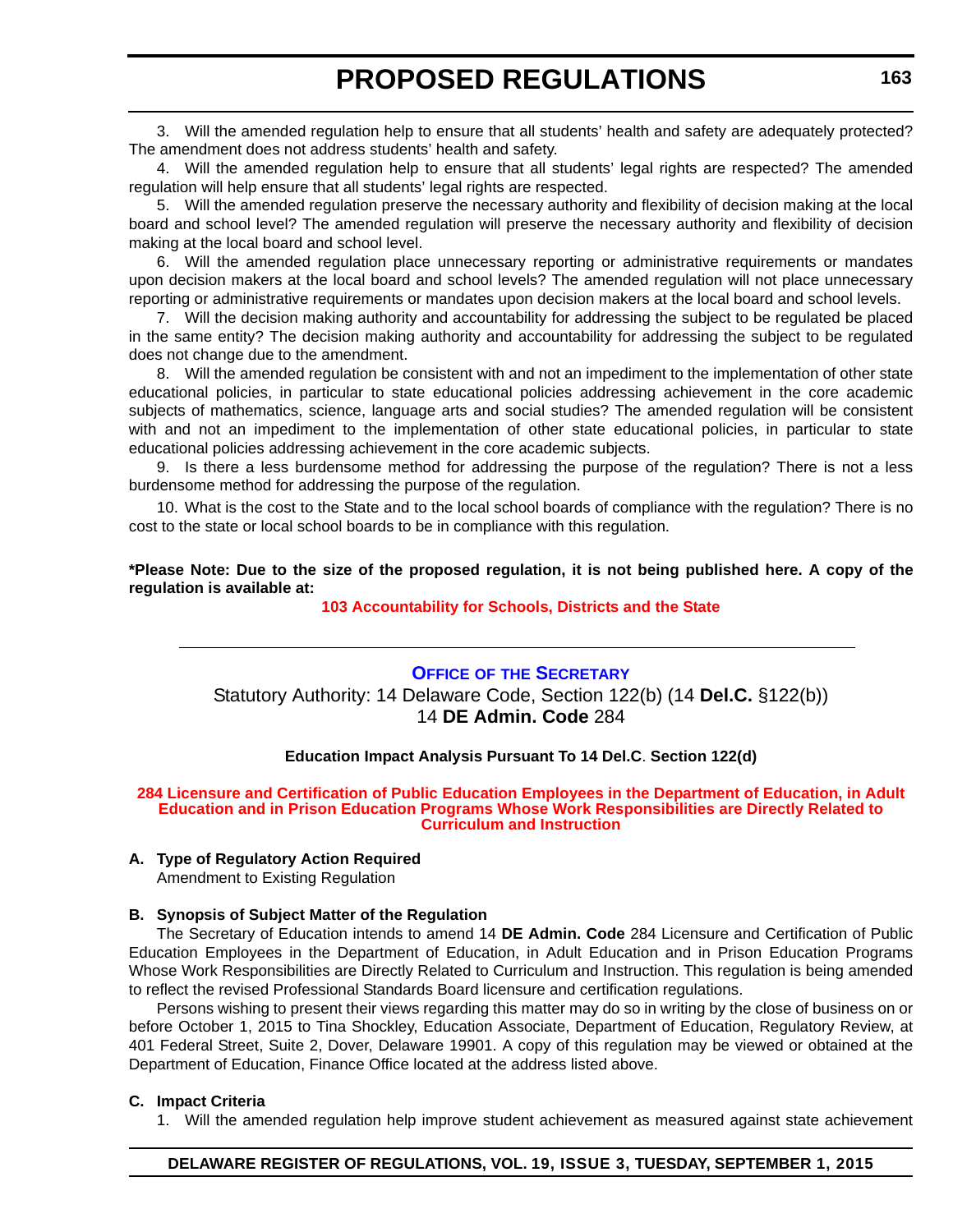<span id="page-11-0"></span>3. Will the amended regulation help to ensure that all students' health and safety are adequately protected? The amendment does not address students' health and safety.

4. Will the amended regulation help to ensure that all students' legal rights are respected? The amended regulation will help ensure that all students' legal rights are respected.

5. Will the amended regulation preserve the necessary authority and flexibility of decision making at the local board and school level? The amended regulation will preserve the necessary authority and flexibility of decision making at the local board and school level.

6. Will the amended regulation place unnecessary reporting or administrative requirements or mandates upon decision makers at the local board and school levels? The amended regulation will not place unnecessary reporting or administrative requirements or mandates upon decision makers at the local board and school levels.

7. Will the decision making authority and accountability for addressing the subject to be regulated be placed in the same entity? The decision making authority and accountability for addressing the subject to be regulated does not change due to the amendment.

8. Will the amended regulation be consistent with and not an impediment to the implementation of other state educational policies, in particular to state educational policies addressing achievement in the core academic subjects of mathematics, science, language arts and social studies? The amended regulation will be consistent with and not an impediment to the implementation of other state educational policies, in particular to state educational policies addressing achievement in the core academic subjects.

9. Is there a less burdensome method for addressing the purpose of the regulation? There is not a less burdensome method for addressing the purpose of the regulation.

10. What is the cost to the State and to the local school boards of compliance with the regulation? There is no cost to the state or local school boards to be in compliance with this regulation.

**\*Please Note: Due to the size of the proposed regulation, it is not being published here. A copy of the regulation is available at:**

#### **[103 Accountability for Schools, Districts and the State](http://regulations.delaware.gov/register/september2015/proposed/19 DE Reg 162 09-01-15.htm)**

#### **OFFICE OF [THE SECRETARY](http://www.doe.k12.de.us/site/default.aspx?PageID=1)** Statutory Authority: 14 Delaware Code, Section 122(b) (14 **Del.C.** §122(b)) 14 **DE Admin. Code** 284

#### **Education Impact Analysis Pursuant To 14 Del.C**. **Section 122(d)**

#### **[284 Licensure and Certification of Public Education Employees in the Department of Education, in Adult](#page-3-0)  Education and in Prison Education Programs Whose Work Responsibilities are Directly Related to Curriculum and Instruction**

#### **A. Type of Regulatory Action Required**

Amendment to Existing Regulation

#### **B. Synopsis of Subject Matter of the Regulation**

The Secretary of Education intends to amend 14 **DE Admin. Code** 284 Licensure and Certification of Public Education Employees in the Department of Education, in Adult Education and in Prison Education Programs Whose Work Responsibilities are Directly Related to Curriculum and Instruction. This regulation is being amended to reflect the revised Professional Standards Board licensure and certification regulations.

Persons wishing to present their views regarding this matter may do so in writing by the close of business on or before October 1, 2015 to Tina Shockley, Education Associate, Department of Education, Regulatory Review, at 401 Federal Street, Suite 2, Dover, Delaware 19901. A copy of this regulation may be viewed or obtained at the Department of Education, Finance Office located at the address listed above.

#### **C. Impact Criteria**

1. Will the amended regulation help improve student achievement as measured against state achievement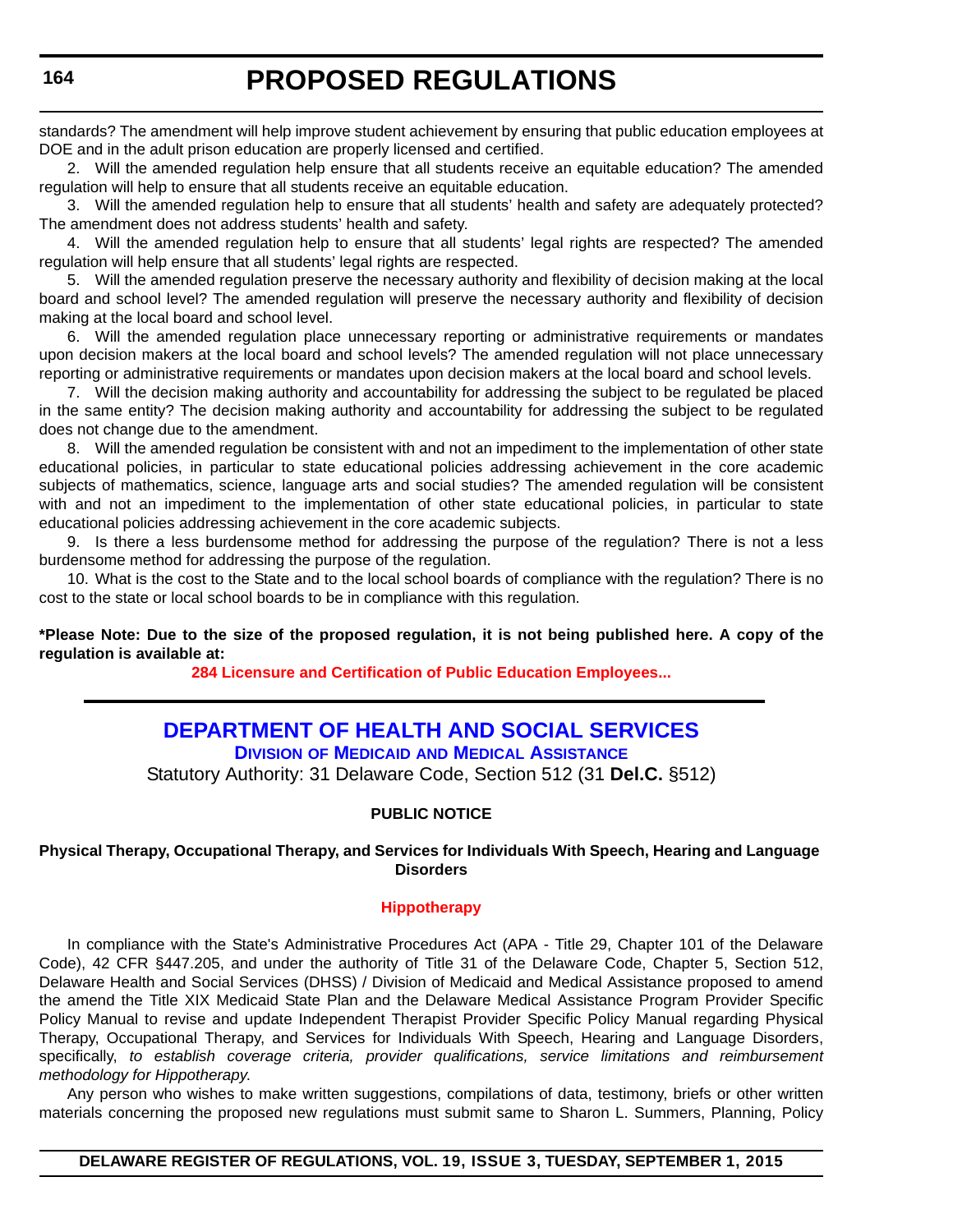<span id="page-12-0"></span>standards? The amendment will help improve student achievement by ensuring that public education employees at DOE and in the adult prison education are properly licensed and certified.

2. Will the amended regulation help ensure that all students receive an equitable education? The amended regulation will help to ensure that all students receive an equitable education.

3. Will the amended regulation help to ensure that all students' health and safety are adequately protected? The amendment does not address students' health and safety.

4. Will the amended regulation help to ensure that all students' legal rights are respected? The amended regulation will help ensure that all students' legal rights are respected.

5. Will the amended regulation preserve the necessary authority and flexibility of decision making at the local board and school level? The amended regulation will preserve the necessary authority and flexibility of decision making at the local board and school level.

6. Will the amended regulation place unnecessary reporting or administrative requirements or mandates upon decision makers at the local board and school levels? The amended regulation will not place unnecessary reporting or administrative requirements or mandates upon decision makers at the local board and school levels.

7. Will the decision making authority and accountability for addressing the subject to be regulated be placed in the same entity? The decision making authority and accountability for addressing the subject to be regulated does not change due to the amendment.

8. Will the amended regulation be consistent with and not an impediment to the implementation of other state educational policies, in particular to state educational policies addressing achievement in the core academic subjects of mathematics, science, language arts and social studies? The amended regulation will be consistent with and not an impediment to the implementation of other state educational policies, in particular to state educational policies addressing achievement in the core academic subjects.

9. Is there a less burdensome method for addressing the purpose of the regulation? There is not a less burdensome method for addressing the purpose of the regulation.

10. What is the cost to the State and to the local school boards of compliance with the regulation? There is no cost to the state or local school boards to be in compliance with this regulation.

**\*Please Note: Due to the size of the proposed regulation, it is not being published here. A copy of the regulation is available at:**

**[284 Licensure and Certification of Public Education Employees...](http://regulations.delaware.gov/register/september2015/proposed/19 DE Reg 163 09-01-15.htm)**

### **[DEPARTMENT OF HEALTH AND SOCIAL SERVICES](http://www.dhss.delaware.gov/dhss/dmma/)**

**DIVISION OF MEDICAID AND MEDICAL ASSISTANCE**

Statutory Authority: 31 Delaware Code, Section 512 (31 **Del.C.** §512)

#### **PUBLIC NOTICE**

#### **Physical Therapy, Occupational Therapy, and Services for Individuals With Speech, Hearing and Language Disorders**

#### **[Hippotherapy](#page-3-0)**

In compliance with the State's Administrative Procedures Act (APA - Title 29, Chapter 101 of the Delaware Code), 42 CFR §447.205, and under the authority of Title 31 of the Delaware Code, Chapter 5, Section 512, Delaware Health and Social Services (DHSS) / Division of Medicaid and Medical Assistance proposed to amend the amend the Title XIX Medicaid State Plan and the Delaware Medical Assistance Program Provider Specific Policy Manual to revise and update Independent Therapist Provider Specific Policy Manual regarding Physical Therapy, Occupational Therapy, and Services for Individuals With Speech, Hearing and Language Disorders, specifically, *to establish coverage criteria, provider qualifications, service limitations and reimbursement methodology for Hippotherapy*.

Any person who wishes to make written suggestions, compilations of data, testimony, briefs or other written materials concerning the proposed new regulations must submit same to Sharon L. Summers, Planning, Policy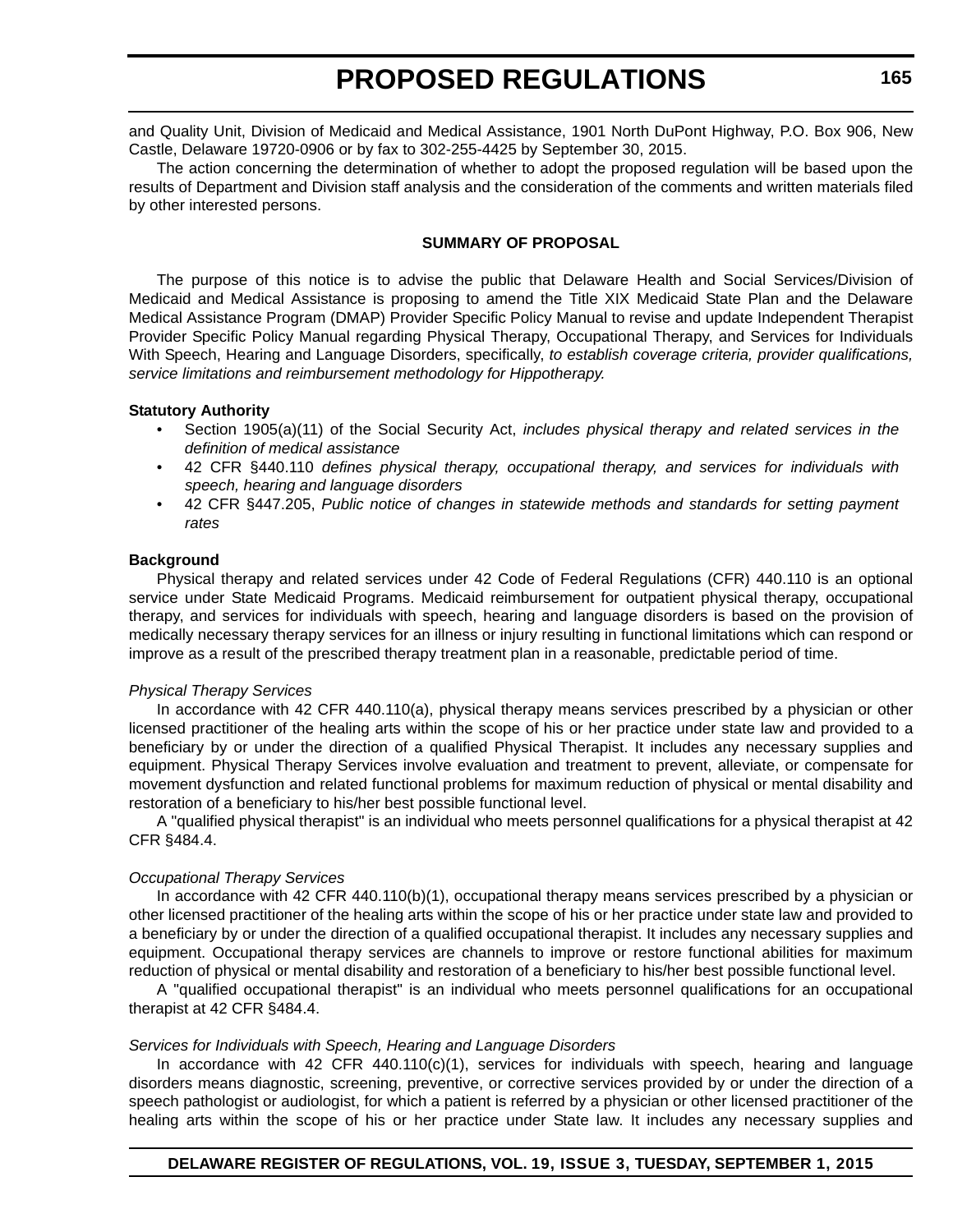and Quality Unit, Division of Medicaid and Medical Assistance, 1901 North DuPont Highway, P.O. Box 906, New Castle, Delaware 19720-0906 or by fax to 302-255-4425 by September 30, 2015.

The action concerning the determination of whether to adopt the proposed regulation will be based upon the results of Department and Division staff analysis and the consideration of the comments and written materials filed by other interested persons.

#### **SUMMARY OF PROPOSAL**

The purpose of this notice is to advise the public that Delaware Health and Social Services/Division of Medicaid and Medical Assistance is proposing to amend the Title XIX Medicaid State Plan and the Delaware Medical Assistance Program (DMAP) Provider Specific Policy Manual to revise and update Independent Therapist Provider Specific Policy Manual regarding Physical Therapy, Occupational Therapy, and Services for Individuals With Speech, Hearing and Language Disorders, specifically, *to establish coverage criteria, provider qualifications, service limitations and reimbursement methodology for Hippotherapy.*

#### **Statutory Authority**

- Section 1905(a)(11) of the Social Security Act, *includes physical therapy and related services in the definition of medical assistance*
- 42 CFR §440.110 *defines physical therapy, occupational therapy, and services for individuals with speech, hearing and language disorders*
- 42 CFR §447.205, *Public notice of changes in statewide methods and standards for setting payment rates*

#### **Background**

Physical therapy and related services under 42 Code of Federal Regulations (CFR) 440.110 is an optional service under State Medicaid Programs. Medicaid reimbursement for outpatient physical therapy, occupational therapy, and services for individuals with speech, hearing and language disorders is based on the provision of medically necessary therapy services for an illness or injury resulting in functional limitations which can respond or improve as a result of the prescribed therapy treatment plan in a reasonable, predictable period of time.

#### *Physical Therapy Services*

In accordance with 42 CFR 440.110(a), physical therapy means services prescribed by a physician or other licensed practitioner of the healing arts within the scope of his or her practice under state law and provided to a beneficiary by or under the direction of a qualified Physical Therapist. It includes any necessary supplies and equipment. Physical Therapy Services involve evaluation and treatment to prevent, alleviate, or compensate for movement dysfunction and related functional problems for maximum reduction of physical or mental disability and restoration of a beneficiary to his/her best possible functional level.

A "qualified physical therapist" is an individual who meets personnel qualifications for a physical therapist at 42 CFR §484.4.

#### *Occupational Therapy Services*

In accordance with 42 CFR 440.110(b)(1), occupational therapy means services prescribed by a physician or other licensed practitioner of the healing arts within the scope of his or her practice under state law and provided to a beneficiary by or under the direction of a qualified occupational therapist. It includes any necessary supplies and equipment. Occupational therapy services are channels to improve or restore functional abilities for maximum reduction of physical or mental disability and restoration of a beneficiary to his/her best possible functional level.

A "qualified occupational therapist" is an individual who meets personnel qualifications for an occupational therapist at 42 CFR §484.4.

#### *Services for Individuals with Speech, Hearing and Language Disorders*

In accordance with 42 CFR 440.110(c)(1), services for individuals with speech, hearing and language disorders means diagnostic, screening, preventive, or corrective services provided by or under the direction of a speech pathologist or audiologist, for which a patient is referred by a physician or other licensed practitioner of the healing arts within the scope of his or her practice under State law. It includes any necessary supplies and

#### **DELAWARE REGISTER OF REGULATIONS, VOL. 19, ISSUE 3, TUESDAY, SEPTEMBER 1, 2015**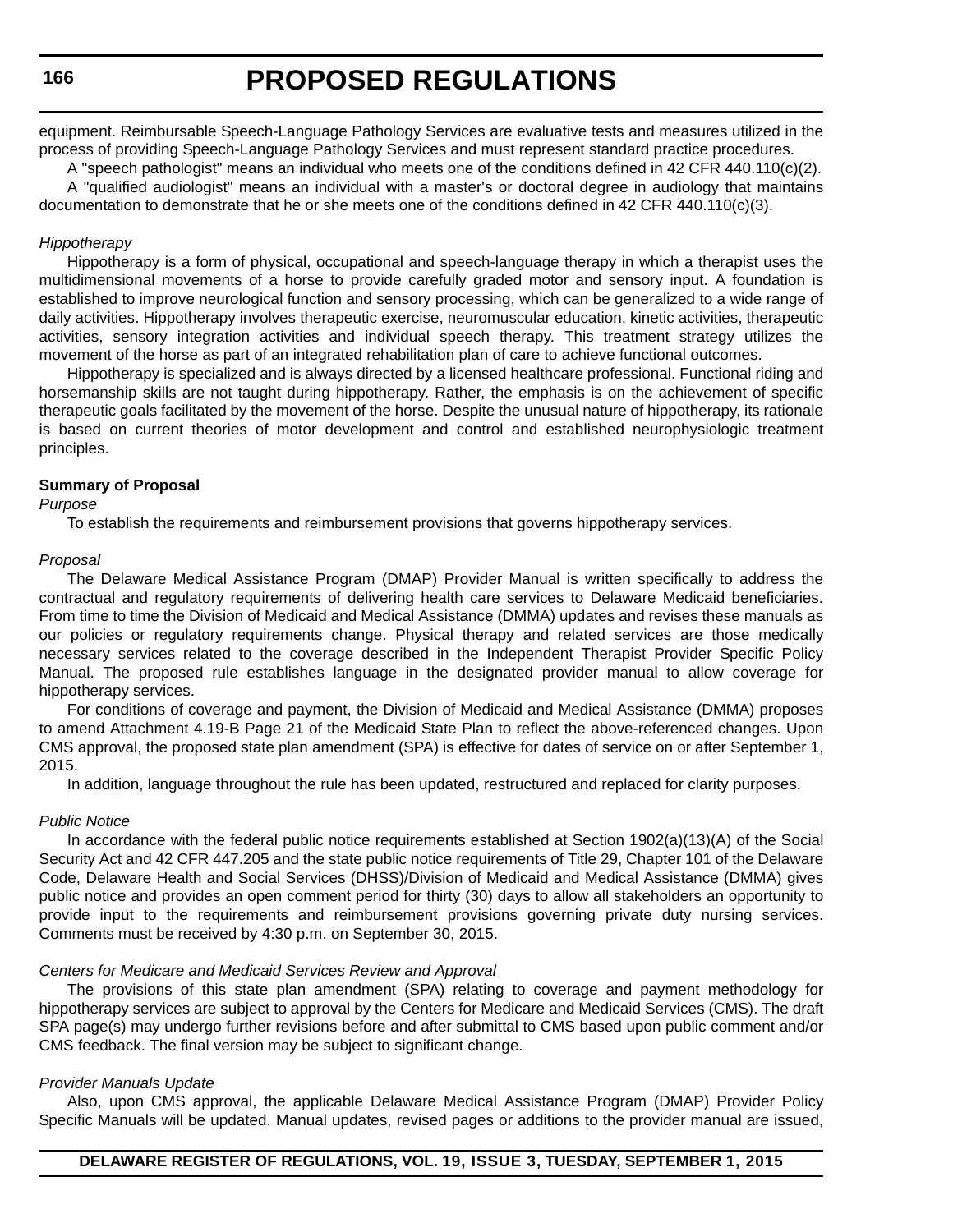**166**

equipment. Reimbursable Speech-Language Pathology Services are evaluative tests and measures utilized in the process of providing Speech-Language Pathology Services and must represent standard practice procedures.

A "speech pathologist" means an individual who meets one of the conditions defined in 42 CFR 440.110(c)(2). A "qualified audiologist" means an individual with a master's or doctoral degree in audiology that maintains documentation to demonstrate that he or she meets one of the conditions defined in 42 CFR 440.110(c)(3).

#### *Hippotherapy*

Hippotherapy is a form of physical, occupational and speech-language therapy in which a therapist uses the multidimensional movements of a horse to provide carefully graded motor and sensory input. A foundation is established to improve neurological function and sensory processing, which can be generalized to a wide range of daily activities. Hippotherapy involves therapeutic exercise, neuromuscular education, kinetic activities, therapeutic activities, sensory integration activities and individual speech therapy. This treatment strategy utilizes the movement of the horse as part of an integrated rehabilitation plan of care to achieve functional outcomes.

Hippotherapy is specialized and is always directed by a licensed healthcare professional. Functional riding and horsemanship skills are not taught during hippotherapy. Rather, the emphasis is on the achievement of specific therapeutic goals facilitated by the movement of the horse. Despite the unusual nature of hippotherapy, its rationale is based on current theories of motor development and control and established neurophysiologic treatment principles.

#### **Summary of Proposal**

*Purpose*

To establish the requirements and reimbursement provisions that governs hippotherapy services.

#### *Proposal*

The Delaware Medical Assistance Program (DMAP) Provider Manual is written specifically to address the contractual and regulatory requirements of delivering health care services to Delaware Medicaid beneficiaries. From time to time the Division of Medicaid and Medical Assistance (DMMA) updates and revises these manuals as our policies or regulatory requirements change. Physical therapy and related services are those medically necessary services related to the coverage described in the Independent Therapist Provider Specific Policy Manual. The proposed rule establishes language in the designated provider manual to allow coverage for hippotherapy services.

For conditions of coverage and payment, the Division of Medicaid and Medical Assistance (DMMA) proposes to amend Attachment 4.19-B Page 21 of the Medicaid State Plan to reflect the above-referenced changes. Upon CMS approval, the proposed state plan amendment (SPA) is effective for dates of service on or after September 1, 2015.

In addition, language throughout the rule has been updated, restructured and replaced for clarity purposes.

#### *Public Notice*

In accordance with the federal public notice requirements established at Section 1902(a)(13)(A) of the Social Security Act and 42 CFR 447.205 and the state public notice requirements of Title 29, Chapter 101 of the Delaware Code, Delaware Health and Social Services (DHSS)/Division of Medicaid and Medical Assistance (DMMA) gives public notice and provides an open comment period for thirty (30) days to allow all stakeholders an opportunity to provide input to the requirements and reimbursement provisions governing private duty nursing services. Comments must be received by 4:30 p.m. on September 30, 2015.

#### *Centers for Medicare and Medicaid Services Review and Approval*

The provisions of this state plan amendment (SPA) relating to coverage and payment methodology for hippotherapy services are subject to approval by the Centers for Medicare and Medicaid Services (CMS). The draft SPA page(s) may undergo further revisions before and after submittal to CMS based upon public comment and/or CMS feedback. The final version may be subject to significant change.

#### *Provider Manuals Update*

Also, upon CMS approval, the applicable Delaware Medical Assistance Program (DMAP) Provider Policy Specific Manuals will be updated. Manual updates, revised pages or additions to the provider manual are issued,

#### **DELAWARE REGISTER OF REGULATIONS, VOL. 19, ISSUE 3, TUESDAY, SEPTEMBER 1, 2015**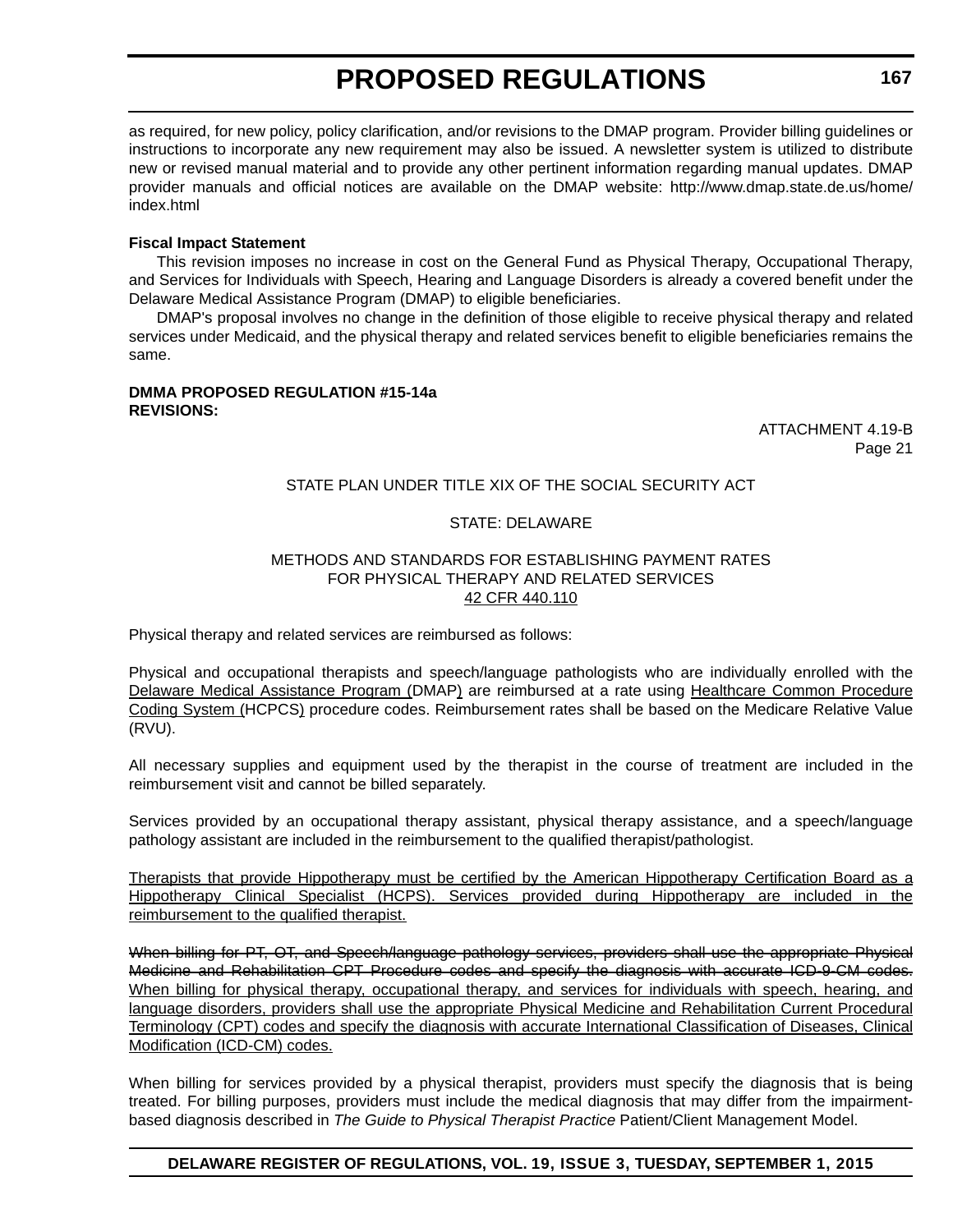as required, for new policy, policy clarification, and/or revisions to the DMAP program. Provider billing guidelines or instructions to incorporate any new requirement may also be issued. A newsletter system is utilized to distribute new or revised manual material and to provide any other pertinent information regarding manual updates. DMAP provider manuals and official notices are available on the DMAP website: http://www.dmap.state.de.us/home/ index.html

#### **Fiscal Impact Statement**

This revision imposes no increase in cost on the General Fund as Physical Therapy, Occupational Therapy, and Services for Individuals with Speech, Hearing and Language Disorders is already a covered benefit under the Delaware Medical Assistance Program (DMAP) to eligible beneficiaries.

DMAP's proposal involves no change in the definition of those eligible to receive physical therapy and related services under Medicaid, and the physical therapy and related services benefit to eligible beneficiaries remains the same.

#### **DMMA PROPOSED REGULATION #15-14a REVISIONS:**

ATTACHMENT 4.19-B Page 21

#### STATE PLAN UNDER TITLE XIX OF THE SOCIAL SECURITY ACT

#### STATE: DELAWARE

#### METHODS AND STANDARDS FOR ESTABLISHING PAYMENT RATES FOR PHYSICAL THERAPY AND RELATED SERVICES 42 CFR 440.110

Physical therapy and related services are reimbursed as follows:

Physical and occupational therapists and speech/language pathologists who are individually enrolled with the Delaware Medical Assistance Program (DMAP) are reimbursed at a rate using Healthcare Common Procedure Coding System (HCPCS) procedure codes. Reimbursement rates shall be based on the Medicare Relative Value (RVU).

All necessary supplies and equipment used by the therapist in the course of treatment are included in the reimbursement visit and cannot be billed separately.

Services provided by an occupational therapy assistant, physical therapy assistance, and a speech/language pathology assistant are included in the reimbursement to the qualified therapist/pathologist.

Therapists that provide Hippotherapy must be certified by the American Hippotherapy Certification Board as a Hippotherapy Clinical Specialist (HCPS). Services provided during Hippotherapy are included in the reimbursement to the qualified therapist.

When billing for PT, OT, and Speech/language pathology services, providers shall use the appropriate Physical Medicine and Rehabilitation CPT Procedure codes and specify the diagnosis with accurate ICD-9-CM codes. When billing for physical therapy, occupational therapy, and services for individuals with speech, hearing, and language disorders, providers shall use the appropriate Physical Medicine and Rehabilitation Current Procedural Terminology (CPT) codes and specify the diagnosis with accurate International Classification of Diseases, Clinical Modification (ICD-CM) codes.

When billing for services provided by a physical therapist, providers must specify the diagnosis that is being treated. For billing purposes, providers must include the medical diagnosis that may differ from the impairmentbased diagnosis described in *The Guide to Physical Therapist Practice* Patient/Client Management Model.

#### **DELAWARE REGISTER OF REGULATIONS, VOL. 19, ISSUE 3, TUESDAY, SEPTEMBER 1, 2015**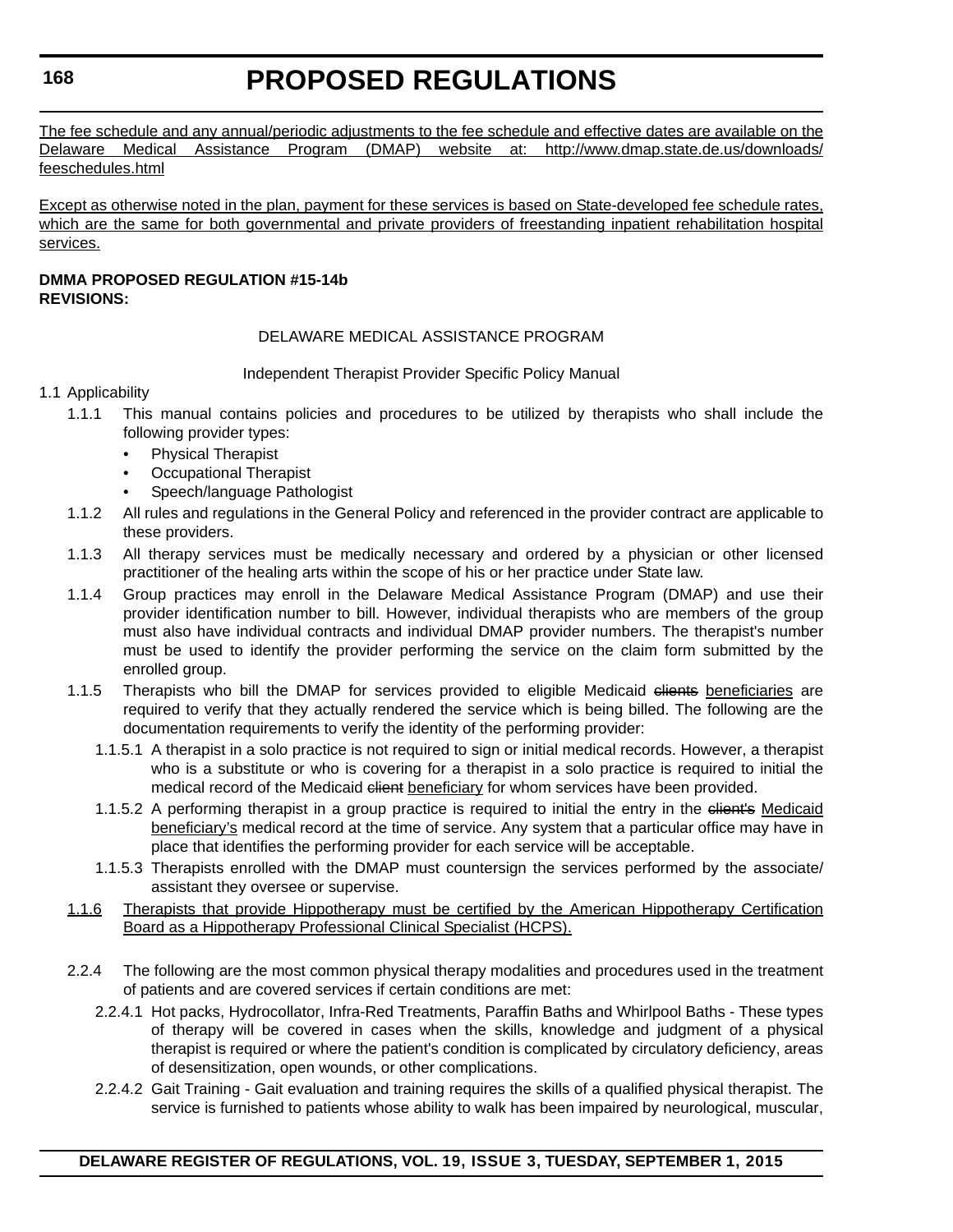The fee schedule and any annual/periodic adjustments to the fee schedule and effective dates are available on the Delaware Medical Assistance Program (DMAP) website at: http://www.dmap.state.de.us/downloads/ feeschedules.html

Except as otherwise noted in the plan, payment for these services is based on State-developed fee schedule rates, which are the same for both governmental and private providers of freestanding inpatient rehabilitation hospital services.

#### **DMMA PROPOSED REGULATION #15-14b REVISIONS:**

#### DELAWARE MEDICAL ASSISTANCE PROGRAM

Independent Therapist Provider Specific Policy Manual

#### 1.1 Applicability

- 1.1.1 This manual contains policies and procedures to be utilized by therapists who shall include the following provider types:
	- Physical Therapist
	- Occupational Therapist
	- Speech/language Pathologist
- 1.1.2 All rules and regulations in the General Policy and referenced in the provider contract are applicable to these providers.
- 1.1.3 All therapy services must be medically necessary and ordered by a physician or other licensed practitioner of the healing arts within the scope of his or her practice under State law.
- 1.1.4 Group practices may enroll in the Delaware Medical Assistance Program (DMAP) and use their provider identification number to bill. However, individual therapists who are members of the group must also have individual contracts and individual DMAP provider numbers. The therapist's number must be used to identify the provider performing the service on the claim form submitted by the enrolled group.
- 1.1.5 Therapists who bill the DMAP for services provided to eligible Medicaid clients beneficiaries are required to verify that they actually rendered the service which is being billed. The following are the documentation requirements to verify the identity of the performing provider:
	- 1.1.5.1 A therapist in a solo practice is not required to sign or initial medical records. However, a therapist who is a substitute or who is covering for a therapist in a solo practice is required to initial the medical record of the Medicaid client beneficiary for whom services have been provided.
	- 1.1.5.2 A performing therapist in a group practice is required to initial the entry in the elient's Medicaid beneficiary's medical record at the time of service. Any system that a particular office may have in place that identifies the performing provider for each service will be acceptable.
	- 1.1.5.3 Therapists enrolled with the DMAP must countersign the services performed by the associate/ assistant they oversee or supervise.
- 1.1.6 Therapists that provide Hippotherapy must be certified by the American Hippotherapy Certification Board as a Hippotherapy Professional Clinical Specialist (HCPS).
- 2.2.4 The following are the most common physical therapy modalities and procedures used in the treatment of patients and are covered services if certain conditions are met:
	- 2.2.4.1 Hot packs, Hydrocollator, Infra-Red Treatments, Paraffin Baths and Whirlpool Baths These types of therapy will be covered in cases when the skills, knowledge and judgment of a physical therapist is required or where the patient's condition is complicated by circulatory deficiency, areas of desensitization, open wounds, or other complications.
	- 2.2.4.2 Gait Training Gait evaluation and training requires the skills of a qualified physical therapist. The service is furnished to patients whose ability to walk has been impaired by neurological, muscular,

**168**

#### **DELAWARE REGISTER OF REGULATIONS, VOL. 19, ISSUE 3, TUESDAY, SEPTEMBER 1, 2015**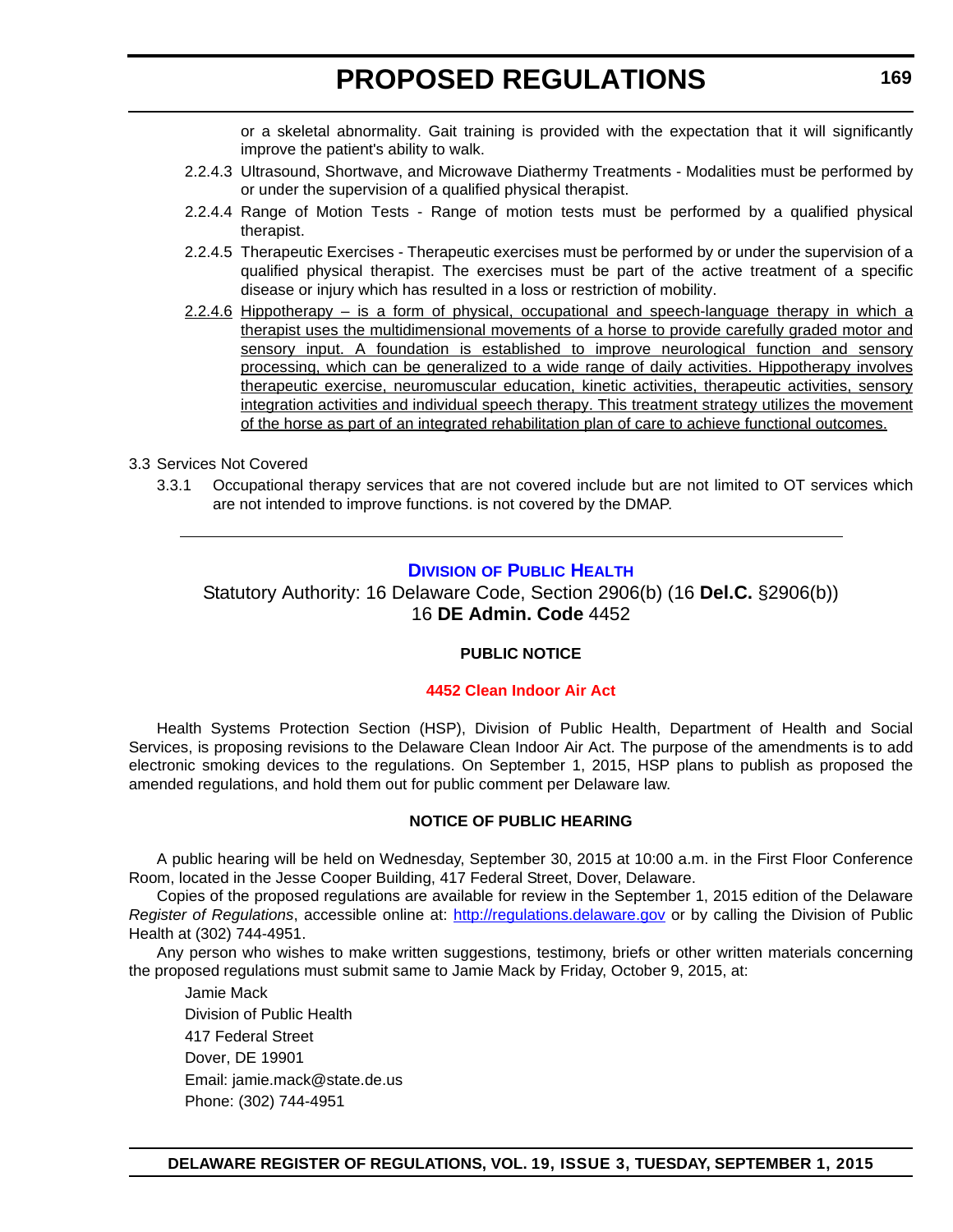or a skeletal abnormality. Gait training is provided with the expectation that it will significantly improve the patient's ability to walk.

- <span id="page-17-0"></span>2.2.4.3 Ultrasound, Shortwave, and Microwave Diathermy Treatments - Modalities must be performed by or under the supervision of a qualified physical therapist.
- 2.2.4.4 Range of Motion Tests Range of motion tests must be performed by a qualified physical therapist.
- 2.2.4.5 Therapeutic Exercises Therapeutic exercises must be performed by or under the supervision of a qualified physical therapist. The exercises must be part of the active treatment of a specific disease or injury which has resulted in a loss or restriction of mobility.
- $2.2.4.6$  Hippotherapy is a form of physical, occupational and speech-language therapy in which a therapist uses the multidimensional movements of a horse to provide carefully graded motor and sensory input. A foundation is established to improve neurological function and sensory processing, which can be generalized to a wide range of daily activities. Hippotherapy involves therapeutic exercise, neuromuscular education, kinetic activities, therapeutic activities, sensory integration activities and individual speech therapy. This treatment strategy utilizes the movement of the horse as part of an integrated rehabilitation plan of care to achieve functional outcomes.

#### 3.3 Services Not Covered

3.3.1 Occupational therapy services that are not covered include but are not limited to OT services which are not intended to improve functions. is not covered by the DMAP.

#### **DIVISION [OF PUBLIC HEALTH](http://www.dhss.delaware.gov/dhss/dph/index.html)**

Statutory Authority: 16 Delaware Code, Section 2906(b) (16 **Del.C.** §2906(b)) 16 **DE Admin. Code** 4452

#### **PUBLIC NOTICE**

#### **[4452 Clean Indoor Air Act](#page-3-0)**

Health Systems Protection Section (HSP), Division of Public Health, Department of Health and Social Services, is proposing revisions to the Delaware Clean Indoor Air Act. The purpose of the amendments is to add electronic smoking devices to the regulations. On September 1, 2015, HSP plans to publish as proposed the amended regulations, and hold them out for public comment per Delaware law.

#### **NOTICE OF PUBLIC HEARING**

A public hearing will be held on Wednesday, September 30, 2015 at 10:00 a.m. in the First Floor Conference Room, located in the Jesse Cooper Building, 417 Federal Street, Dover, Delaware.

Copies of the proposed regulations are available for review in the September 1, 2015 edition of the Delaware *Register of Regulations*, accessible online at: <http://regulations.delaware.gov>or by calling the Division of Public Health at (302) 744-4951.

Any person who wishes to make written suggestions, testimony, briefs or other written materials concerning the proposed regulations must submit same to Jamie Mack by Friday, October 9, 2015, at:

Jamie Mack Division of Public Health 417 Federal Street Dover, DE 19901 Email: jamie.mack@state.de.us Phone: (302) 744-4951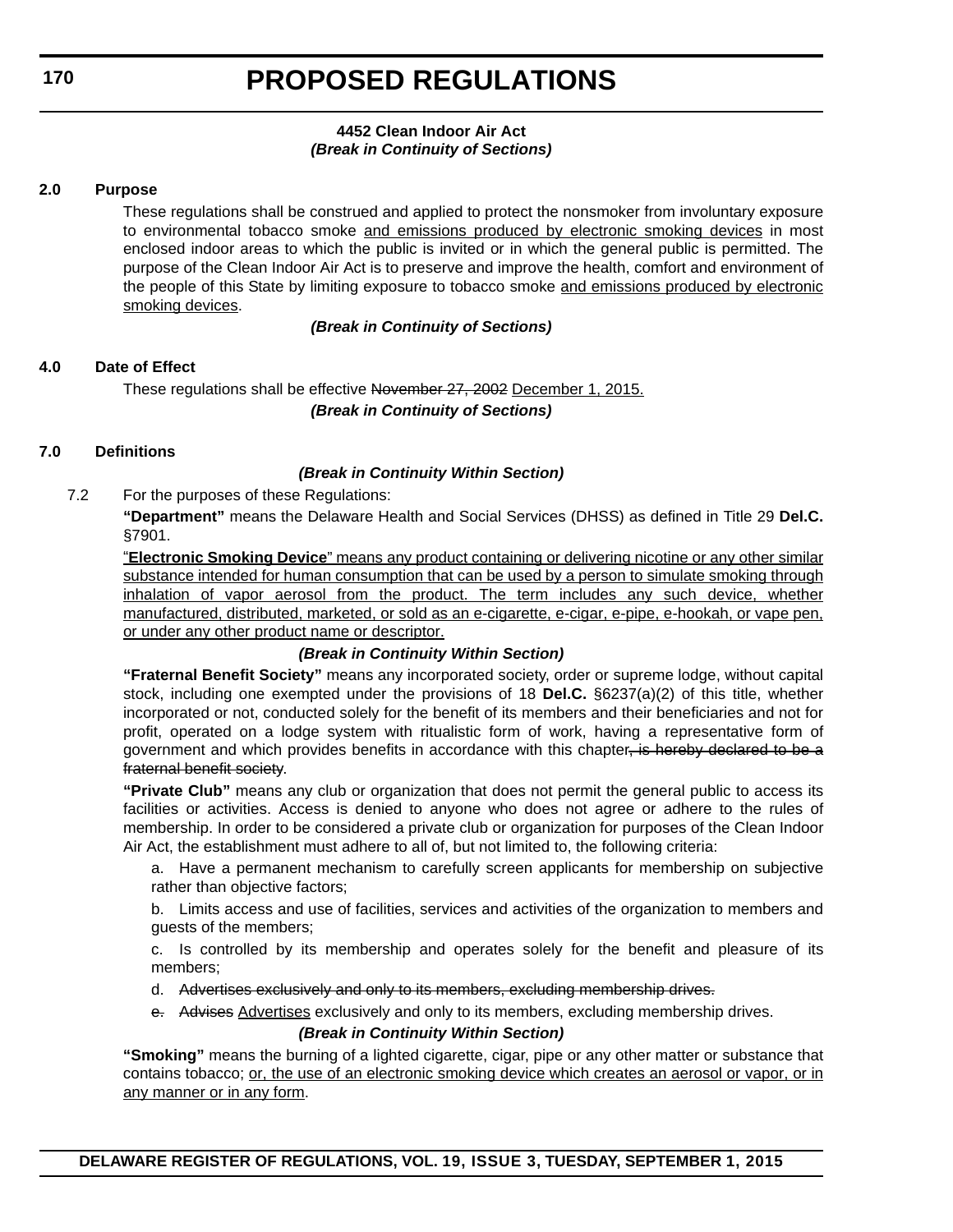#### **4452 Clean Indoor Air Act** *(Break in Continuity of Sections)*

#### **2.0 Purpose**

These regulations shall be construed and applied to protect the nonsmoker from involuntary exposure to environmental tobacco smoke and emissions produced by electronic smoking devices in most enclosed indoor areas to which the public is invited or in which the general public is permitted. The purpose of the Clean Indoor Air Act is to preserve and improve the health, comfort and environment of the people of this State by limiting exposure to tobacco smoke and emissions produced by electronic smoking devices.

#### *(Break in Continuity of Sections)*

#### **4.0 Date of Effect**

These regulations shall be effective November 27, 2002 December 1, 2015. *(Break in Continuity of Sections)*

#### **7.0 Definitions**

#### *(Break in Continuity Within Section)*

7.2 For the purposes of these Regulations:

**"Department"** means the Delaware Health and Social Services (DHSS) as defined in Title 29 **Del.C.** §7901.

"**Electronic Smoking Device**" means any product containing or delivering nicotine or any other similar substance intended for human consumption that can be used by a person to simulate smoking through inhalation of vapor aerosol from the product. The term includes any such device, whether manufactured, distributed, marketed, or sold as an e-cigarette, e-cigar, e-pipe, e-hookah, or vape pen, or under any other product name or descriptor.

#### *(Break in Continuity Within Section)*

**"Fraternal Benefit Society"** means any incorporated society, order or supreme lodge, without capital stock, including one exempted under the provisions of 18 **Del.C.** §6237(a)(2) of this title, whether incorporated or not, conducted solely for the benefit of its members and their beneficiaries and not for profit, operated on a lodge system with ritualistic form of work, having a representative form of government and which provides benefits in accordance with this chapter, is hereby declared to be a fraternal benefit society.

**"Private Club"** means any club or organization that does not permit the general public to access its facilities or activities. Access is denied to anyone who does not agree or adhere to the rules of membership. In order to be considered a private club or organization for purposes of the Clean Indoor Air Act, the establishment must adhere to all of, but not limited to, the following criteria:

a. Have a permanent mechanism to carefully screen applicants for membership on subjective rather than objective factors;

b. Limits access and use of facilities, services and activities of the organization to members and guests of the members;

c. Is controlled by its membership and operates solely for the benefit and pleasure of its members;

- d. Advertises exclusively and only to its members, excluding membership drives.
- e. Advises Advertises exclusively and only to its members, excluding membership drives.

#### *(Break in Continuity Within Section)*

**"Smoking"** means the burning of a lighted cigarette, cigar, pipe or any other matter or substance that contains tobacco; or, the use of an electronic smoking device which creates an aerosol or vapor, or in any manner or in any form.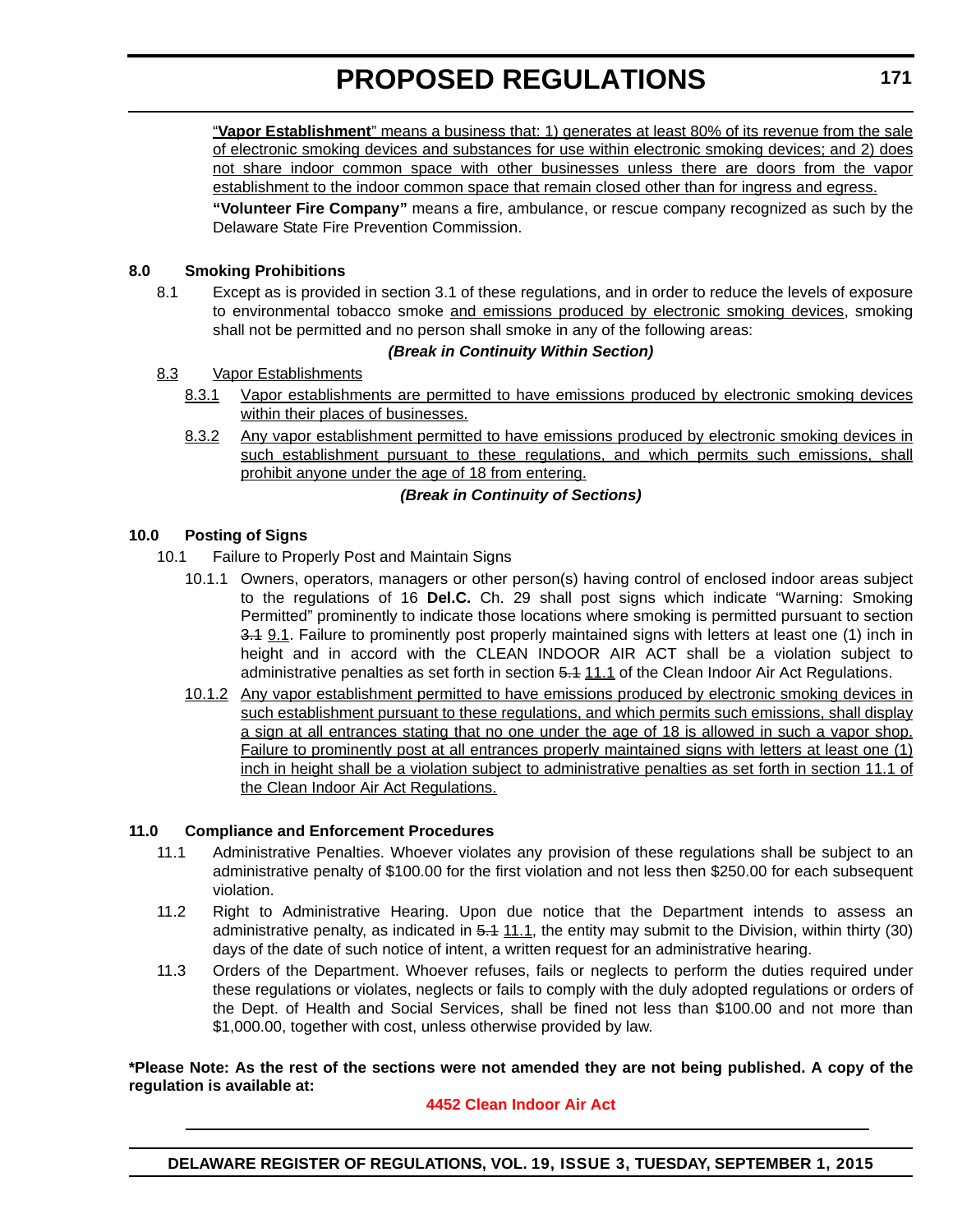"**Vapor Establishment**" means a business that: 1) generates at least 80% of its revenue from the sale of electronic smoking devices and substances for use within electronic smoking devices; and 2) does not share indoor common space with other businesses unless there are doors from the vapor establishment to the indoor common space that remain closed other than for ingress and egress.

**"Volunteer Fire Company"** means a fire, ambulance, or rescue company recognized as such by the Delaware State Fire Prevention Commission.

#### **8.0 Smoking Prohibitions**

8.1 Except as is provided in section 3.1 of these regulations, and in order to reduce the levels of exposure to environmental tobacco smoke and emissions produced by electronic smoking devices, smoking shall not be permitted and no person shall smoke in any of the following areas:

#### *(Break in Continuity Within Section)*

- 8.3 Vapor Establishments
	- 8.3.1 Vapor establishments are permitted to have emissions produced by electronic smoking devices within their places of businesses.
	- 8.3.2 Any vapor establishment permitted to have emissions produced by electronic smoking devices in such establishment pursuant to these regulations, and which permits such emissions, shall prohibit anyone under the age of 18 from entering.

#### *(Break in Continuity of Sections)*

#### **10.0 Posting of Signs**

- 10.1 Failure to Properly Post and Maintain Signs
	- 10.1.1 Owners, operators, managers or other person(s) having control of enclosed indoor areas subject to the regulations of 16 **Del.C.** Ch. 29 shall post signs which indicate "Warning: Smoking Permitted" prominently to indicate those locations where smoking is permitted pursuant to section 3.4 9.1. Failure to prominently post properly maintained signs with letters at least one (1) inch in height and in accord with the CLEAN INDOOR AIR ACT shall be a violation subject to administrative penalties as set forth in section 5.1 11.1 of the Clean Indoor Air Act Regulations.
	- 10.1.2 Any vapor establishment permitted to have emissions produced by electronic smoking devices in such establishment pursuant to these regulations, and which permits such emissions, shall display a sign at all entrances stating that no one under the age of 18 is allowed in such a vapor shop. Failure to prominently post at all entrances properly maintained signs with letters at least one (1) inch in height shall be a violation subject to administrative penalties as set forth in section 11.1 of the Clean Indoor Air Act Regulations.

#### **11.0 Compliance and Enforcement Procedures**

- 11.1 Administrative Penalties. Whoever violates any provision of these regulations shall be subject to an administrative penalty of \$100.00 for the first violation and not less then \$250.00 for each subsequent violation.
- 11.2 Right to Administrative Hearing. Upon due notice that the Department intends to assess an administrative penalty, as indicated in  $5.1$  11.1, the entity may submit to the Division, within thirty (30) days of the date of such notice of intent, a written request for an administrative hearing.
- 11.3 Orders of the Department. Whoever refuses, fails or neglects to perform the duties required under these regulations or violates, neglects or fails to comply with the duly adopted regulations or orders of the Dept. of Health and Social Services, shall be fined not less than \$100.00 and not more than \$1,000.00, together with cost, unless otherwise provided by law.

**\*Please Note: As the rest of the sections were not amended they are not being published. A copy of the regulation is available at:**

#### **[4452 Clean Indoor Air Act](http://regulations.delaware.gov/register/september2015/proposed/19 DE Reg 169 09-01-15.htm)**

**DELAWARE REGISTER OF REGULATIONS, VOL. 19, ISSUE 3, TUESDAY, SEPTEMBER 1, 2015**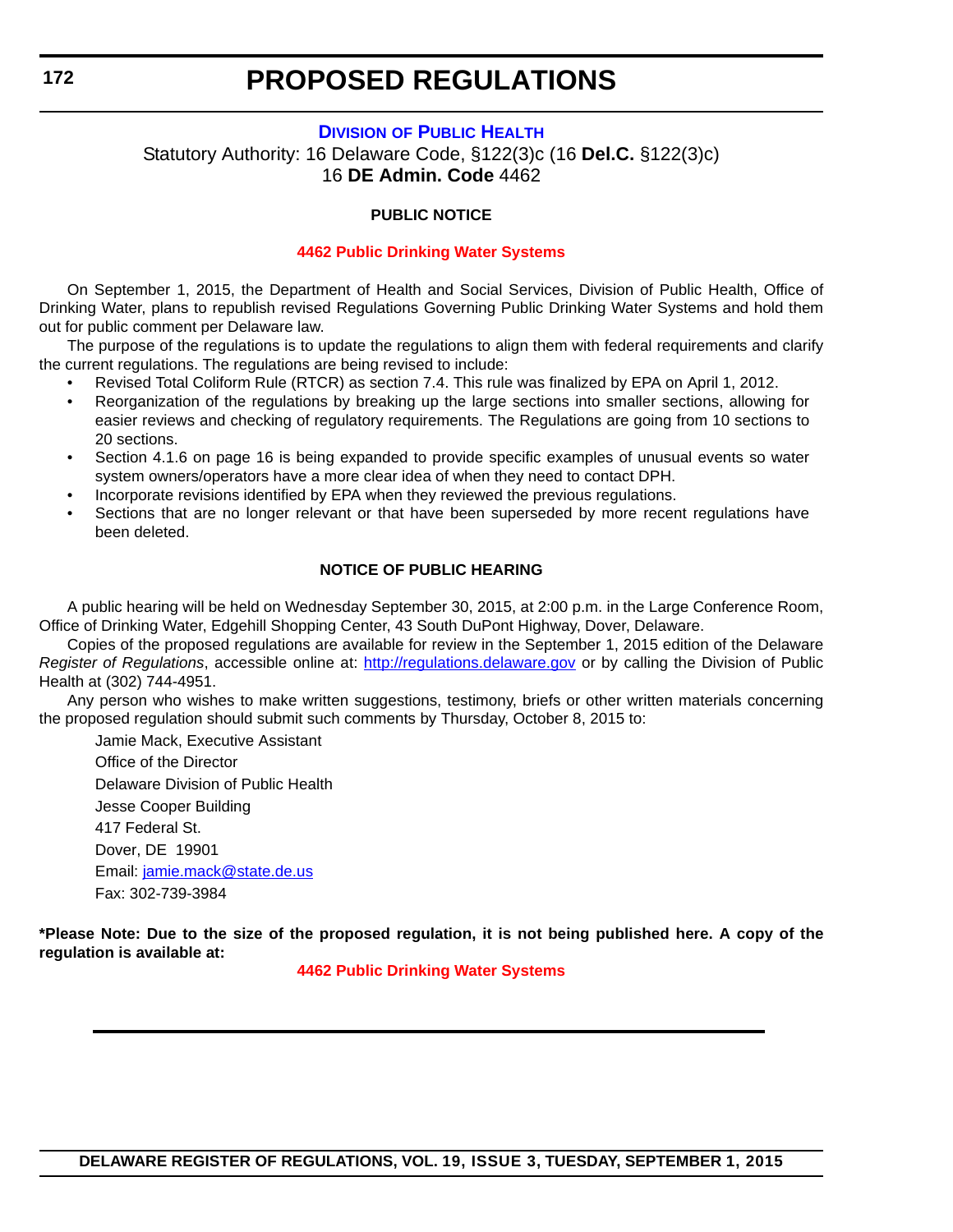#### **DIVISION [OF PUBLIC HEALTH](http://www.dhss.delaware.gov/dhss/dph/index.html)**

<span id="page-20-0"></span>Statutory Authority: 16 Delaware Code, §122(3)c (16 **Del.C.** §122(3)c) 16 **DE Admin. Code** 4462

#### **PUBLIC NOTICE**

#### **[4462 Public Drinking Water Systems](#page-3-0)**

On September 1, 2015, the Department of Health and Social Services, Division of Public Health, Office of Drinking Water, plans to republish revised Regulations Governing Public Drinking Water Systems and hold them out for public comment per Delaware law.

The purpose of the regulations is to update the regulations to align them with federal requirements and clarify the current regulations. The regulations are being revised to include:

- Revised Total Coliform Rule (RTCR) as section 7.4. This rule was finalized by EPA on April 1, 2012.
- Reorganization of the regulations by breaking up the large sections into smaller sections, allowing for easier reviews and checking of regulatory requirements. The Regulations are going from 10 sections to 20 sections.
- Section 4.1.6 on page 16 is being expanded to provide specific examples of unusual events so water system owners/operators have a more clear idea of when they need to contact DPH.
- Incorporate revisions identified by EPA when they reviewed the previous regulations.
- Sections that are no longer relevant or that have been superseded by more recent regulations have been deleted.

#### **NOTICE OF PUBLIC HEARING**

A public hearing will be held on Wednesday September 30, 2015, at 2:00 p.m. in the Large Conference Room, Office of Drinking Water, Edgehill Shopping Center, 43 South DuPont Highway, Dover, Delaware.

Copies of the proposed regulations are available for review in the September 1, 2015 edition of the Delaware *Register of Regulations*, accessible online at: http://regulations.delaware.gov or by calling the Division of Public Health at (302) 744-4951.

Any person who wishes to make written suggestions, testimony, briefs or other written materials concerning the proposed regulation should submit such comments by Thursday, October 8, 2015 to:

Jamie Mack, Executive Assistant Office of the Director Delaware Division of Public Health Jesse Cooper Building 417 Federal St. Dover, DE 19901 Email: [jamie.mack@state.de.us](mailto:jamie.mack@state.de.us) Fax: 302-739-3984

**\*Please Note: Due to the size of the proposed regulation, it is not being published here. A copy of the regulation is available at:**

**[4462 Public Drinking Water Systems](http://regulations.delaware.gov/register/september2015/proposed/19 DE Reg 172 09-01-15.htm)**

**DELAWARE REGISTER OF REGULATIONS, VOL. 19, ISSUE 3, TUESDAY, SEPTEMBER 1, 2015**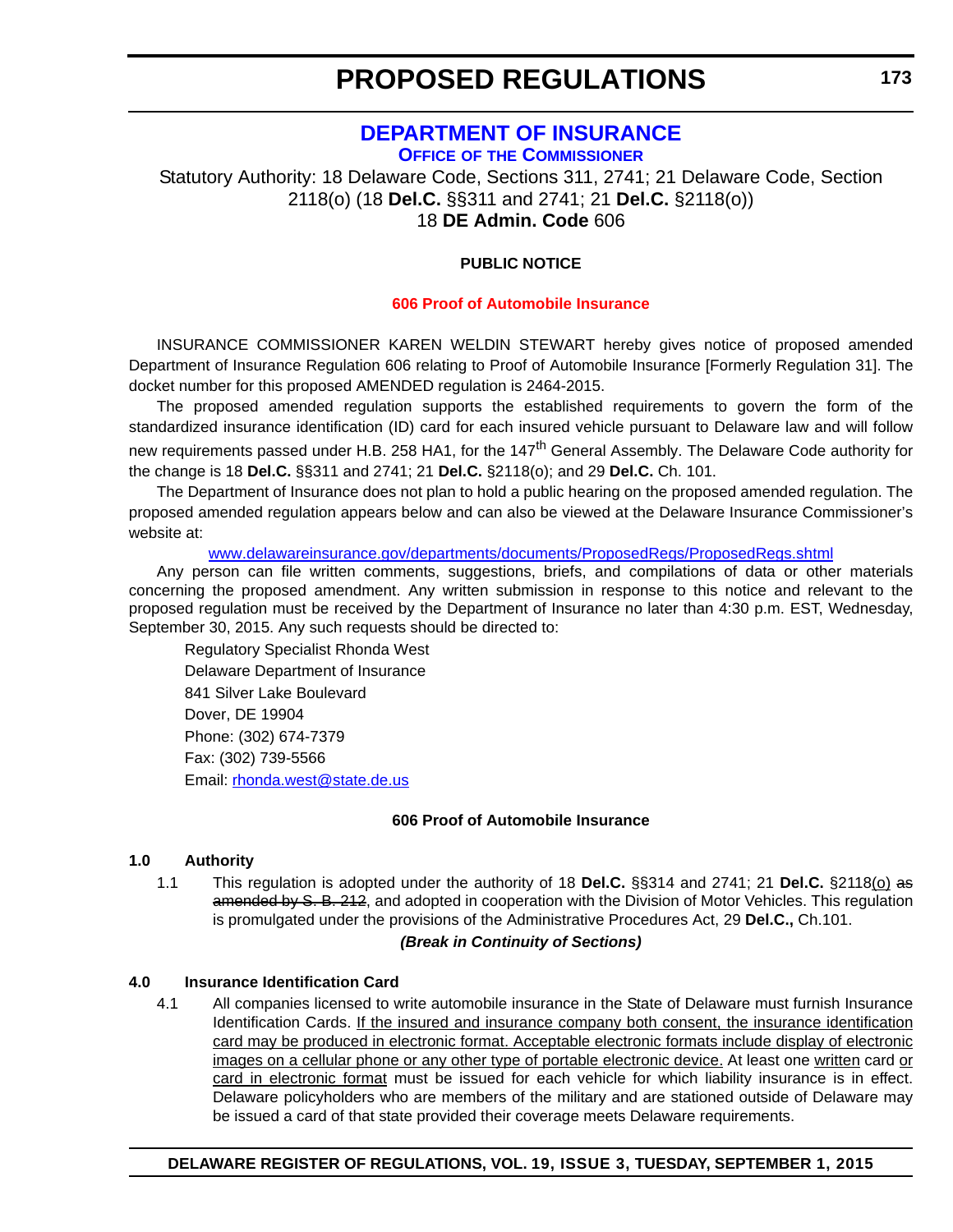### **[DEPARTMENT OF INSURANCE](http://www.delawareinsurance.gov/)**

**OFFICE OF THE COMMISSIONER**

<span id="page-21-0"></span>Statutory Authority: 18 Delaware Code, Sections 311, 2741; 21 Delaware Code, Section 2118(o) (18 **Del.C.** §§311 and 2741; 21 **Del.C.** §2118(o)) 18 **DE Admin. Code** 606

#### **PUBLIC NOTICE**

#### **[606 Proof of Automobile Insurance](#page-3-0)**

INSURANCE COMMISSIONER KAREN WELDIN STEWART hereby gives notice of proposed amended Department of Insurance Regulation 606 relating to Proof of Automobile Insurance [Formerly Regulation 31]. The docket number for this proposed AMENDED regulation is 2464-2015.

The proposed amended regulation supports the established requirements to govern the form of the standardized insurance identification (ID) card for each insured vehicle pursuant to Delaware law and will follow new requirements passed under H.B. 258 HA1, for the 147<sup>th</sup> General Assembly. The Delaware Code authority for the change is 18 **Del.C.** §§311 and 2741; 21 **Del.C.** §2118(o); and 29 **Del.C.** Ch. 101.

The Department of Insurance does not plan to hold a public hearing on the proposed amended regulation. The proposed amended regulation appears below and can also be viewed at the Delaware Insurance Commissioner's website at:

[www.delawareinsurance.gov/departments/documents/ProposedRegs/ProposedRegs.shtml](http://www.delawareinsurance.gov/departments/documents/ProposedRegs/ProposedRegs.shtml)

Any person can file written comments, suggestions, briefs, and compilations of data or other materials concerning the proposed amendment. Any written submission in response to this notice and relevant to the proposed regulation must be received by the Department of Insurance no later than 4:30 p.m. EST, Wednesday, September 30, 2015. Any such requests should be directed to:

Regulatory Specialist Rhonda West Delaware Department of Insurance 841 Silver Lake Boulevard Dover, DE 19904 Phone: (302) 674-7379 Fax: (302) 739-5566 Email: r[honda.west@state.de.us](mailto:rhonda.west@state.de.us)

#### **606 Proof of Automobile Insurance**

#### **1.0 Authority**

1.1 This regulation is adopted under the authority of 18 **Del.C.** §§314 and 2741; 21 **Del.C.** §2118(o) as amended by S. B. 212, and adopted in cooperation with the Division of Motor Vehicles. This regulation is promulgated under the provisions of the Administrative Procedures Act, 29 **Del.C.,** Ch.101.

#### *(Break in Continuity of Sections)*

#### **4.0 Insurance Identification Card**

4.1 All companies licensed to write automobile insurance in the State of Delaware must furnish Insurance Identification Cards. If the insured and insurance company both consent, the insurance identification card may be produced in electronic format. Acceptable electronic formats include display of electronic images on a cellular phone or any other type of portable electronic device. At least one written card or card in electronic format must be issued for each vehicle for which liability insurance is in effect. Delaware policyholders who are members of the military and are stationed outside of Delaware may be issued a card of that state provided their coverage meets Delaware requirements.

#### **DELAWARE REGISTER OF REGULATIONS, VOL. 19, ISSUE 3, TUESDAY, SEPTEMBER 1, 2015**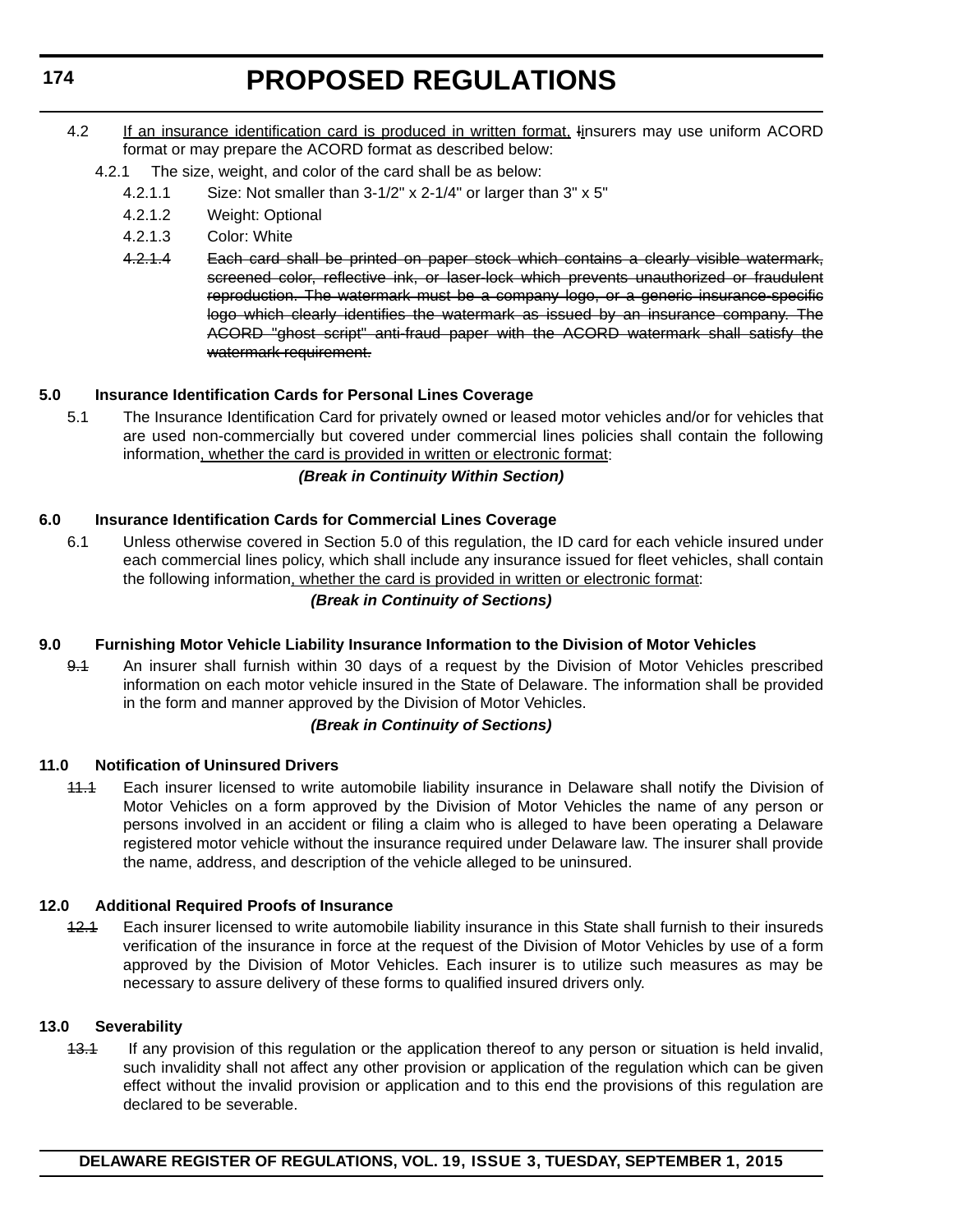- 4.2 If an insurance identification card is produced in written format, Iinsurers may use uniform ACORD format or may prepare the ACORD format as described below:
	- 4.2.1 The size, weight, and color of the card shall be as below:
		- 4.2.1.1 Size: Not smaller than 3-1/2" x 2-1/4" or larger than 3" x 5"
		- 4.2.1.2 Weight: Optional
		- 4.2.1.3 Color: White
		- 4.2.1.4 Each card shall be printed on paper stock which contains a clearly visible watermark, screened color, reflective ink, or laser-lock which prevents unauthorized or fraudulent reproduction. The watermark must be a company logo, or a generic insurance-specific logo which clearly identifies the watermark as issued by an insurance company. The ACORD "ghost script" anti-fraud paper with the ACORD watermark shall satisfy the watermark requirement.

#### **5.0 Insurance Identification Cards for Personal Lines Coverage**

5.1 The Insurance Identification Card for privately owned or leased motor vehicles and/or for vehicles that are used non-commercially but covered under commercial lines policies shall contain the following information, whether the card is provided in written or electronic format:

#### *(Break in Continuity Within Section)*

#### **6.0 Insurance Identification Cards for Commercial Lines Coverage**

6.1 Unless otherwise covered in Section 5.0 of this regulation, the ID card for each vehicle insured under each commercial lines policy, which shall include any insurance issued for fleet vehicles, shall contain the following information, whether the card is provided in written or electronic format:

#### *(Break in Continuity of Sections)*

#### **9.0 Furnishing Motor Vehicle Liability Insurance Information to the Division of Motor Vehicles**

9.1 An insurer shall furnish within 30 days of a request by the Division of Motor Vehicles prescribed information on each motor vehicle insured in the State of Delaware. The information shall be provided in the form and manner approved by the Division of Motor Vehicles.

#### *(Break in Continuity of Sections)*

#### **11.0 Notification of Uninsured Drivers**

11.1 Each insurer licensed to write automobile liability insurance in Delaware shall notify the Division of Motor Vehicles on a form approved by the Division of Motor Vehicles the name of any person or persons involved in an accident or filing a claim who is alleged to have been operating a Delaware registered motor vehicle without the insurance required under Delaware law. The insurer shall provide the name, address, and description of the vehicle alleged to be uninsured.

#### **12.0 Additional Required Proofs of Insurance**

12.1 Each insurer licensed to write automobile liability insurance in this State shall furnish to their insureds verification of the insurance in force at the request of the Division of Motor Vehicles by use of a form approved by the Division of Motor Vehicles. Each insurer is to utilize such measures as may be necessary to assure delivery of these forms to qualified insured drivers only.

#### **13.0 Severability**

13.1 If any provision of this regulation or the application thereof to any person or situation is held invalid, such invalidity shall not affect any other provision or application of the regulation which can be given effect without the invalid provision or application and to this end the provisions of this regulation are declared to be severable.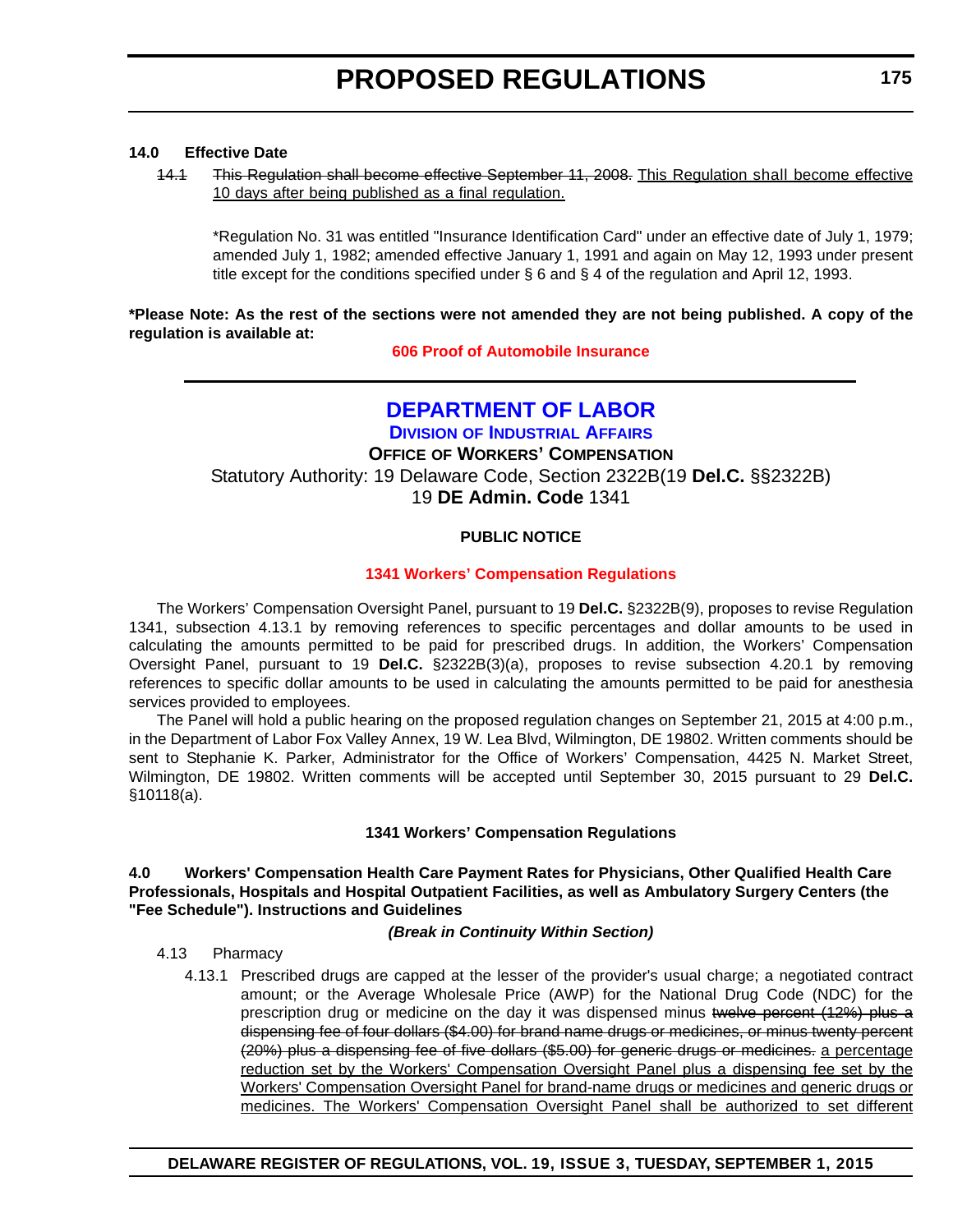#### <span id="page-23-0"></span>**14.0 Effective Date**

14.1 This Regulation shall become effective September 11, 2008. This Regulation shall become effective 10 days after being published as a final regulation.

\*Regulation No. 31 was entitled "Insurance Identification Card" under an effective date of July 1, 1979; amended July 1, 1982; amended effective January 1, 1991 and again on May 12, 1993 under present title except for the conditions specified under § 6 and § 4 of the regulation and April 12, 1993.

**\*Please Note: As the rest of the sections were not amended they are not being published. A copy of the regulation is available at:**

**[606 Proof of Automobile Insurance](http://regulations.delaware.gov/register/september2015/proposed/19 DE Reg 173 09-01-15.htm)**

### **[DEPARTMENT OF LABOR](http://dia.delawareworks.com/workers-comp/)**

**DIVISION OF INDUSTRIAL AFFAIRS OFFICE OF WORKERS' COMPENSATION** Statutory Authority: 19 Delaware Code, Section 2322B(19 **Del.C.** §§2322B) 19 **DE Admin. Code** 1341

#### **PUBLIC NOTICE**

#### **[1341 Workers' Compensation Regulations](#page-3-0)**

The Workers' Compensation Oversight Panel, pursuant to 19 **Del.C.** §2322B(9), proposes to revise Regulation 1341, subsection 4.13.1 by removing references to specific percentages and dollar amounts to be used in calculating the amounts permitted to be paid for prescribed drugs. In addition, the Workers' Compensation Oversight Panel, pursuant to 19 **Del.C.** §2322B(3)(a), proposes to revise subsection 4.20.1 by removing references to specific dollar amounts to be used in calculating the amounts permitted to be paid for anesthesia services provided to employees.

The Panel will hold a public hearing on the proposed regulation changes on September 21, 2015 at 4:00 p.m., in the Department of Labor Fox Valley Annex, 19 W. Lea Blvd, Wilmington, DE 19802. Written comments should be sent to Stephanie K. Parker, Administrator for the Office of Workers' Compensation, 4425 N. Market Street, Wilmington, DE 19802. Written comments will be accepted until September 30, 2015 pursuant to 29 **Del.C.** §10118(a).

#### **1341 Workers' Compensation Regulations**

#### **4.0 Workers' Compensation Health Care Payment Rates for Physicians, Other Qualified Health Care Professionals, Hospitals and Hospital Outpatient Facilities, as well as Ambulatory Surgery Centers (the "Fee Schedule"). Instructions and Guidelines**

#### *(Break in Continuity Within Section)*

- 4.13 Pharmacy
	- 4.13.1 Prescribed drugs are capped at the lesser of the provider's usual charge; a negotiated contract amount; or the Average Wholesale Price (AWP) for the National Drug Code (NDC) for the prescription drug or medicine on the day it was dispensed minus twelve percent (12%) plus a dispensing fee of four dollars (\$4.00) for brand name drugs or medicines, or minus twenty percent (20%) plus a dispensing fee of five dollars (\$5.00) for generic drugs or medicines. a percentage reduction set by the Workers' Compensation Oversight Panel plus a dispensing fee set by the Workers' Compensation Oversight Panel for brand-name drugs or medicines and generic drugs or medicines. The Workers' Compensation Oversight Panel shall be authorized to set different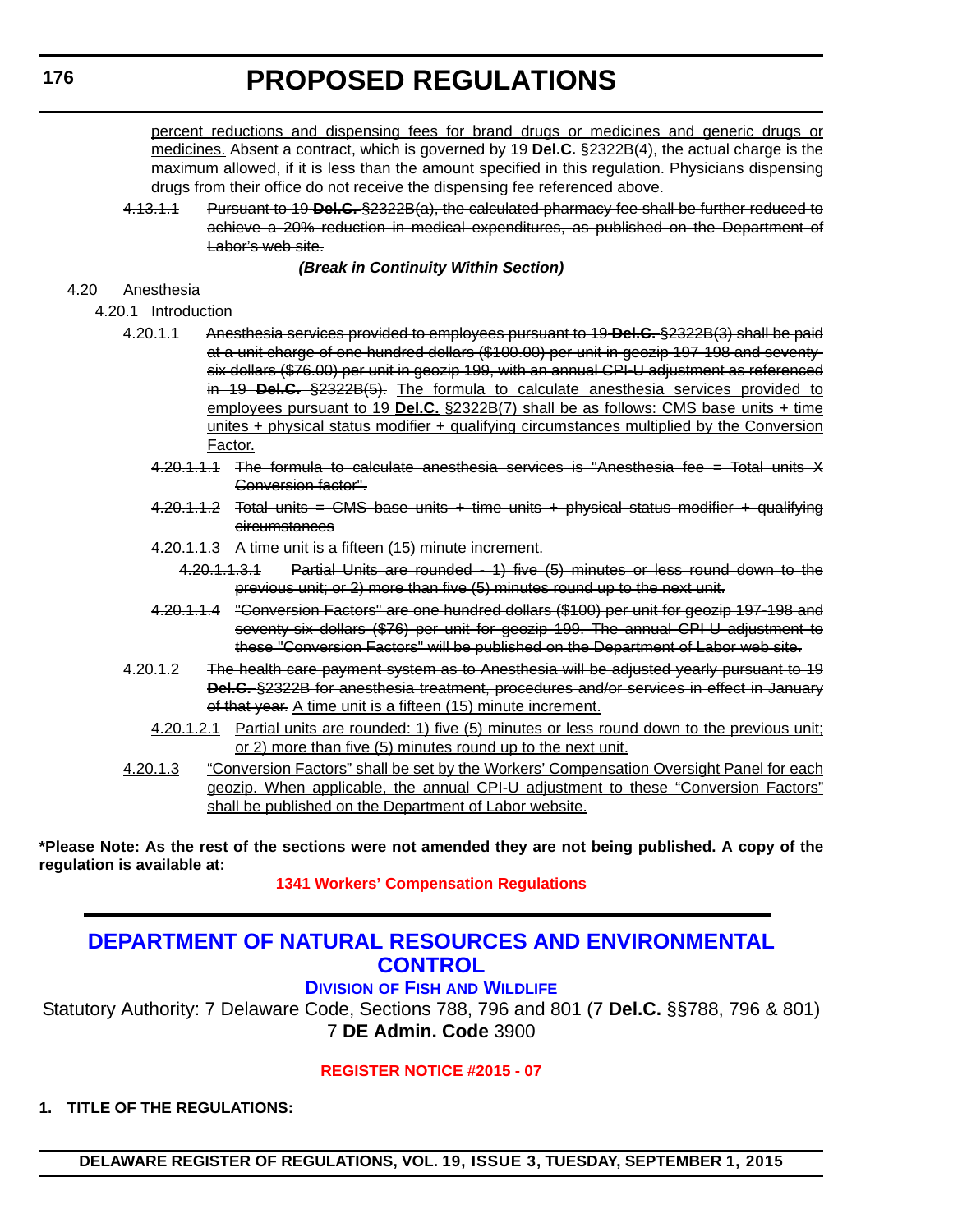<span id="page-24-0"></span>percent reductions and dispensing fees for brand drugs or medicines and generic drugs or medicines. Absent a contract, which is governed by 19 **Del.C.** §2322B(4), the actual charge is the maximum allowed, if it is less than the amount specified in this regulation. Physicians dispensing drugs from their office do not receive the dispensing fee referenced above.

4.13.1.1 Pursuant to 19 **Del.C.** §2322B(a), the calculated pharmacy fee shall be further reduced to achieve a 20% reduction in medical expenditures, as published on the Department of Labor's web site.

#### *(Break in Continuity Within Section)*

#### 4.20 Anesthesia

4.20.1 Introduction

- 4.20.1.1 Anesthesia services provided to employees pursuant to 19 **Del.C.** §2322B(3) shall be paid at a unit charge of one hundred dollars (\$100.00) per unit in geozip 197-198 and seventysix dollars (\$76.00) per unit in geozip 199, with an annual CPI-U adjustment as referenced in 19 **Del.C.** §2322B(5). The formula to calculate anesthesia services provided to employees pursuant to 19 **Del.C.** §2322B(7) shall be as follows: CMS base units + time unites + physical status modifier + qualifying circumstances multiplied by the Conversion Factor.
	- 4.20.1.1.1 The formula to calculate anesthesia services is "Anesthesia fee = Total units X Conversion factor".
	- 4.20.1.1.2 Total units = CMS base units + time units + physical status modifier + qualifying circumstances
	- 4.20.1.1.3 A time unit is a fifteen (15) minute increment.
		- 4.20.1.1.3.1 Partial Units are rounded 1) five (5) minutes or less round down to the previous unit; or 2) more than five (5) minutes round up to the next unit.
	- 4.20.1.1.4 "Conversion Factors" are one hundred dollars (\$100) per unit for geozip 197-198 and seventy-six dollars (\$76) per unit for geozip 199. The annual CPI-U adjustment to these "Conversion Factors" will be published on the Department of Labor web site.
- 4.20.1.2 The health care payment system as to Anesthesia will be adjusted yearly pursuant to 19 **Del.C.** §2322B for anesthesia treatment, procedures and/or services in effect in January of that year. A time unit is a fifteen (15) minute increment.
	- 4.20.1.2.1 Partial units are rounded: 1) five (5) minutes or less round down to the previous unit; or 2) more than five (5) minutes round up to the next unit.
- 4.20.1.3 "Conversion Factors" shall be set by the Workers' Compensation Oversight Panel for each geozip. When applicable, the annual CPI-U adjustment to these "Conversion Factors" shall be published on the Department of Labor website.

**\*Please Note: As the rest of the sections were not amended they are not being published. A copy of the regulation is available at:**

**[1341 Workers' Compensation Regulations](http://regulations.delaware.gov/register/september2015/proposed/19 DE Reg 175 09-01-15.htm)**

### **[DEPARTMENT OF NATURAL RESOURCES AND ENVIRONMENTAL](http://www.dnrec.delaware.gov/fw/Pages/DFW-Portal.aspx)  CONTROL**

#### **DIVISION OF FISH AND WILDLIFE**

Statutory Authority: 7 Delaware Code, Sections 788, 796 and 801 (7 **Del.C.** §§788, 796 & 801) 7 **DE Admin. Code** 3900

#### **[REGISTER NOTICE #2015 - 07](#page-3-0)**

**1. TITLE OF THE REGULATIONS:**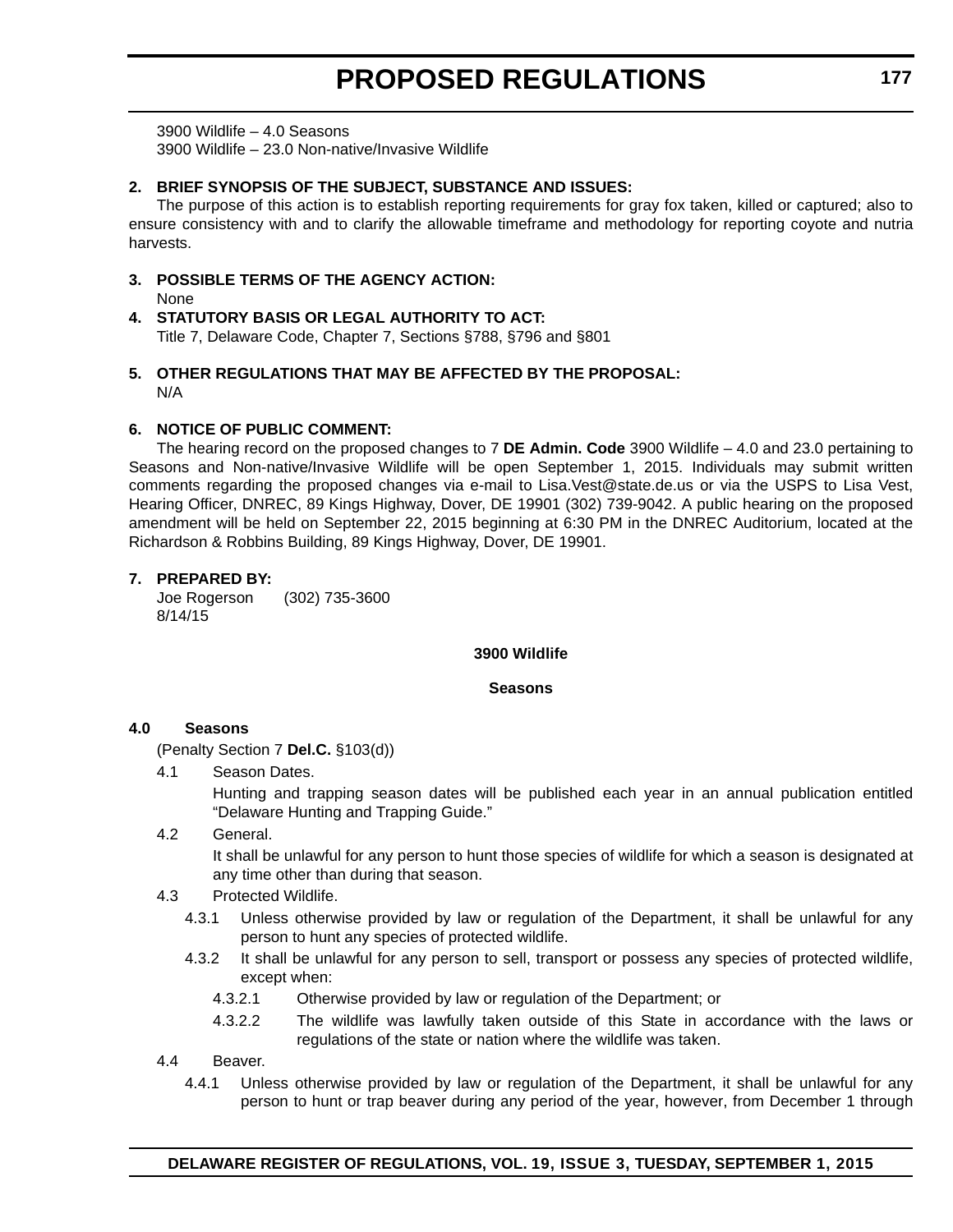3900 Wildlife – 4.0 Seasons 3900 Wildlife – 23.0 Non-native/Invasive Wildlife

#### **2. BRIEF SYNOPSIS OF THE SUBJECT, SUBSTANCE AND ISSUES:**

The purpose of this action is to establish reporting requirements for gray fox taken, killed or captured; also to ensure consistency with and to clarify the allowable timeframe and methodology for reporting coyote and nutria harvests.

**3. POSSIBLE TERMS OF THE AGENCY ACTION:**

None

- **4. STATUTORY BASIS OR LEGAL AUTHORITY TO ACT:** Title 7, Delaware Code, Chapter 7, Sections §788, §796 and §801
- **5. OTHER REGULATIONS THAT MAY BE AFFECTED BY THE PROPOSAL:** N/A

#### **6. NOTICE OF PUBLIC COMMENT:**

The hearing record on the proposed changes to 7 **DE Admin. Code** 3900 Wildlife – 4.0 and 23.0 pertaining to Seasons and Non-native/Invasive Wildlife will be open September 1, 2015. Individuals may submit written comments regarding the proposed changes via e-mail to Lisa.Vest@state.de.us or via the USPS to Lisa Vest, Hearing Officer, DNREC, 89 Kings Highway, Dover, DE 19901 (302) 739-9042. A public hearing on the proposed amendment will be held on September 22, 2015 beginning at 6:30 PM in the DNREC Auditorium, located at the Richardson & Robbins Building, 89 Kings Highway, Dover, DE 19901.

#### **7. PREPARED BY:**

Joe Rogerson (302) 735-3600 8/14/15

#### **3900 Wildlife**

#### **Seasons**

#### **4.0 Seasons**

(Penalty Section 7 **Del.C.** §103(d))

4.1 Season Dates.

Hunting and trapping season dates will be published each year in an annual publication entitled "Delaware Hunting and Trapping Guide."

4.2 General.

It shall be unlawful for any person to hunt those species of wildlife for which a season is designated at any time other than during that season.

- 4.3 Protected Wildlife.
	- 4.3.1 Unless otherwise provided by law or regulation of the Department, it shall be unlawful for any person to hunt any species of protected wildlife.
	- 4.3.2 It shall be unlawful for any person to sell, transport or possess any species of protected wildlife, except when:
		- 4.3.2.1 Otherwise provided by law or regulation of the Department; or
		- 4.3.2.2 The wildlife was lawfully taken outside of this State in accordance with the laws or regulations of the state or nation where the wildlife was taken.
- 4.4 Beaver.
	- 4.4.1 Unless otherwise provided by law or regulation of the Department, it shall be unlawful for any person to hunt or trap beaver during any period of the year, however, from December 1 through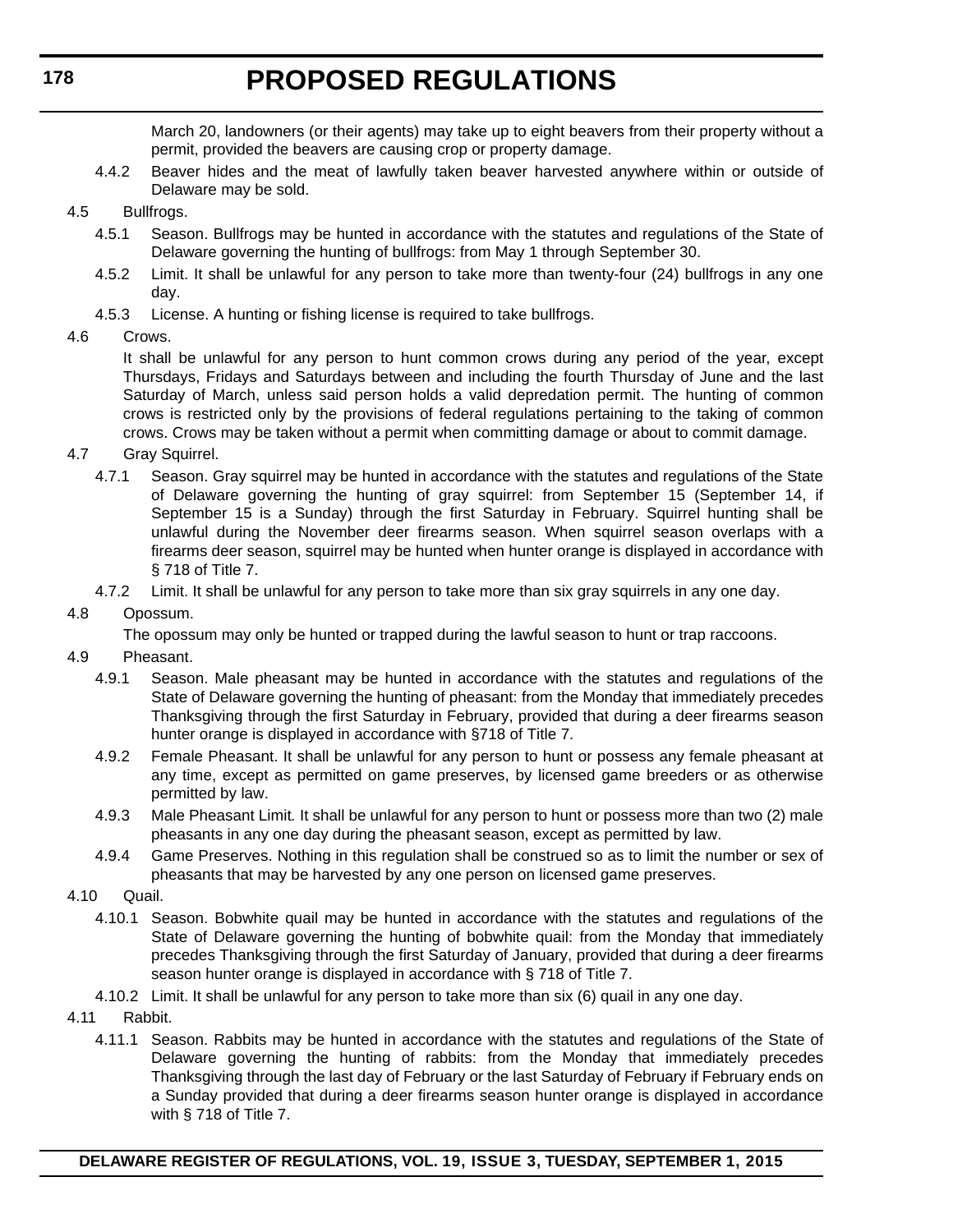March 20, landowners (or their agents) may take up to eight beavers from their property without a permit, provided the beavers are causing crop or property damage.

- 4.4.2 Beaver hides and the meat of lawfully taken beaver harvested anywhere within or outside of Delaware may be sold.
- 4.5 Bullfrogs.
	- 4.5.1 Season. Bullfrogs may be hunted in accordance with the statutes and regulations of the State of Delaware governing the hunting of bullfrogs: from May 1 through September 30.
	- 4.5.2 Limit. It shall be unlawful for any person to take more than twenty-four (24) bullfrogs in any one day.
	- 4.5.3 License. A hunting or fishing license is required to take bullfrogs.
- 4.6 Crows.

It shall be unlawful for any person to hunt common crows during any period of the year, except Thursdays, Fridays and Saturdays between and including the fourth Thursday of June and the last Saturday of March, unless said person holds a valid depredation permit. The hunting of common crows is restricted only by the provisions of federal regulations pertaining to the taking of common crows. Crows may be taken without a permit when committing damage or about to commit damage.

- 4.7 Gray Squirrel.
	- 4.7.1 Season. Gray squirrel may be hunted in accordance with the statutes and regulations of the State of Delaware governing the hunting of gray squirrel: from September 15 (September 14, if September 15 is a Sunday) through the first Saturday in February. Squirrel hunting shall be unlawful during the November deer firearms season. When squirrel season overlaps with a firearms deer season, squirrel may be hunted when hunter orange is displayed in accordance with § 718 of Title 7.
	- 4.7.2 Limit. It shall be unlawful for any person to take more than six gray squirrels in any one day.

### 4.8 Opossum.

The opossum may only be hunted or trapped during the lawful season to hunt or trap raccoons.

- 4.9 Pheasant.
	- 4.9.1 Season. Male pheasant may be hunted in accordance with the statutes and regulations of the State of Delaware governing the hunting of pheasant: from the Monday that immediately precedes Thanksgiving through the first Saturday in February, provided that during a deer firearms season hunter orange is displayed in accordance with §718 of Title 7.
	- 4.9.2 Female Pheasant. It shall be unlawful for any person to hunt or possess any female pheasant at any time, except as permitted on game preserves, by licensed game breeders or as otherwise permitted by law.
	- 4.9.3 Male Pheasant Limit*.* It shall be unlawful for any person to hunt or possess more than two (2) male pheasants in any one day during the pheasant season, except as permitted by law.
	- 4.9.4 Game Preserves. Nothing in this regulation shall be construed so as to limit the number or sex of pheasants that may be harvested by any one person on licensed game preserves.
- 4.10 Quail.
	- 4.10.1 Season. Bobwhite quail may be hunted in accordance with the statutes and regulations of the State of Delaware governing the hunting of bobwhite quail: from the Monday that immediately precedes Thanksgiving through the first Saturday of January, provided that during a deer firearms season hunter orange is displayed in accordance with § 718 of Title 7.
	- 4.10.2 Limit. It shall be unlawful for any person to take more than six (6) quail in any one day.
- 4.11 Rabbit.
	- 4.11.1 Season. Rabbits may be hunted in accordance with the statutes and regulations of the State of Delaware governing the hunting of rabbits: from the Monday that immediately precedes Thanksgiving through the last day of February or the last Saturday of February if February ends on a Sunday provided that during a deer firearms season hunter orange is displayed in accordance with § 718 of Title 7.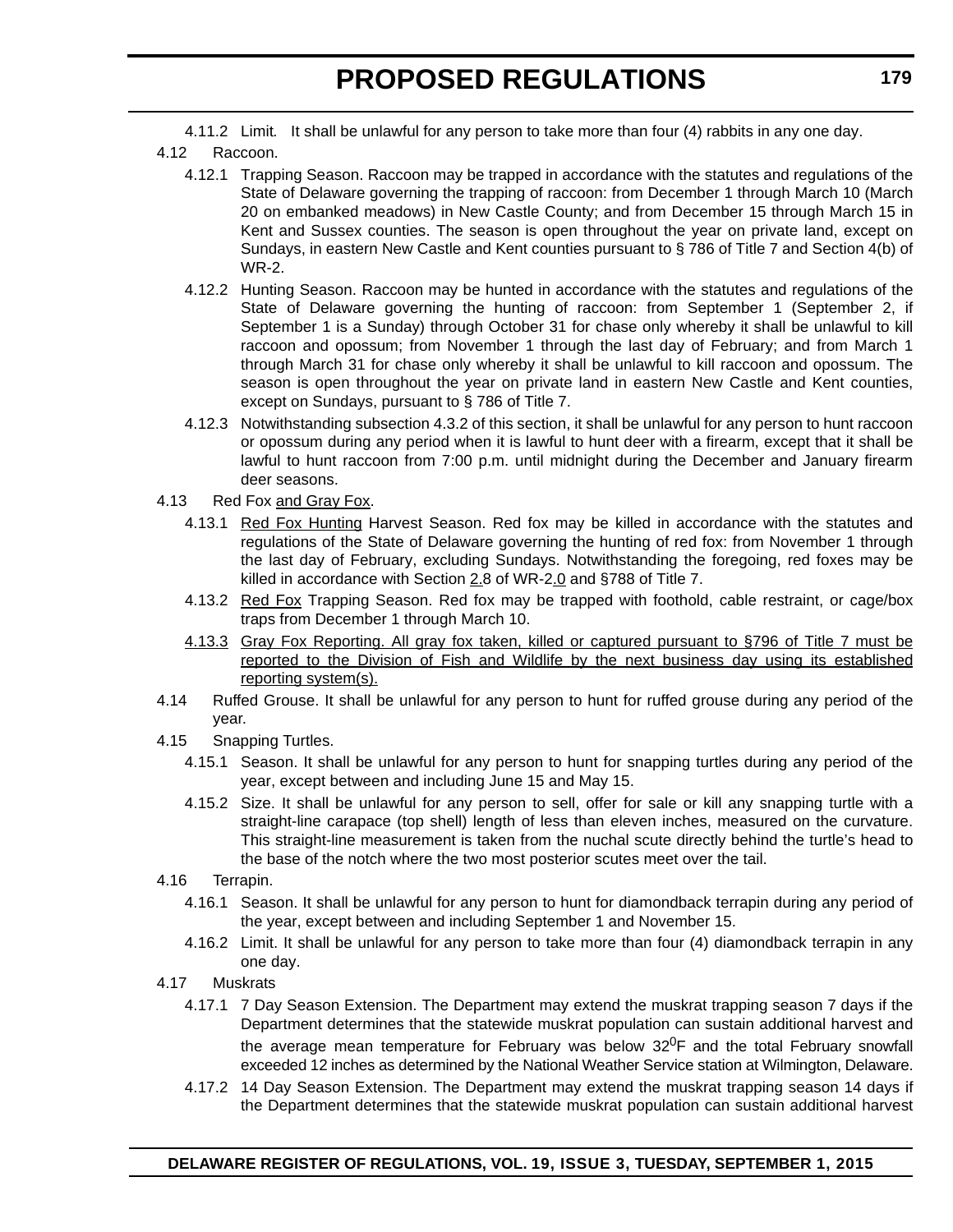4.11.2 Limit*.* It shall be unlawful for any person to take more than four (4) rabbits in any one day.

- 4.12 Raccoon.
	- 4.12.1 Trapping Season. Raccoon may be trapped in accordance with the statutes and regulations of the State of Delaware governing the trapping of raccoon: from December 1 through March 10 (March 20 on embanked meadows) in New Castle County; and from December 15 through March 15 in Kent and Sussex counties. The season is open throughout the year on private land, except on Sundays, in eastern New Castle and Kent counties pursuant to § 786 of Title 7 and Section 4(b) of WR-2.
	- 4.12.2 Hunting Season. Raccoon may be hunted in accordance with the statutes and regulations of the State of Delaware governing the hunting of raccoon: from September 1 (September 2, if September 1 is a Sunday) through October 31 for chase only whereby it shall be unlawful to kill raccoon and opossum; from November 1 through the last day of February; and from March 1 through March 31 for chase only whereby it shall be unlawful to kill raccoon and opossum. The season is open throughout the year on private land in eastern New Castle and Kent counties, except on Sundays, pursuant to § 786 of Title 7.
	- 4.12.3 Notwithstanding subsection 4.3.2 of this section, it shall be unlawful for any person to hunt raccoon or opossum during any period when it is lawful to hunt deer with a firearm, except that it shall be lawful to hunt raccoon from 7:00 p.m. until midnight during the December and January firearm deer seasons.
- 4.13 Red Fox and Gray Fox.
	- 4.13.1 Red Fox Hunting Harvest Season. Red fox may be killed in accordance with the statutes and regulations of the State of Delaware governing the hunting of red fox: from November 1 through the last day of February, excluding Sundays. Notwithstanding the foregoing, red foxes may be killed in accordance with Section  $2.8$  of WR-2.0 and §788 of Title 7.
	- 4.13.2 Red Fox Trapping Season. Red fox may be trapped with foothold, cable restraint, or cage/box traps from December 1 through March 10.
	- 4.13.3 Gray Fox Reporting. All gray fox taken, killed or captured pursuant to §796 of Title 7 must be reported to the Division of Fish and Wildlife by the next business day using its established reporting system(s).
- 4.14 Ruffed Grouse. It shall be unlawful for any person to hunt for ruffed grouse during any period of the year.
- 4.15 Snapping Turtles.
	- 4.15.1 Season. It shall be unlawful for any person to hunt for snapping turtles during any period of the year, except between and including June 15 and May 15.
	- 4.15.2 Size. It shall be unlawful for any person to sell, offer for sale or kill any snapping turtle with a straight-line carapace (top shell) length of less than eleven inches, measured on the curvature. This straight-line measurement is taken from the nuchal scute directly behind the turtle's head to the base of the notch where the two most posterior scutes meet over the tail.
- 4.16 Terrapin.
	- 4.16.1 Season. It shall be unlawful for any person to hunt for diamondback terrapin during any period of the year, except between and including September 1 and November 15.
	- 4.16.2 Limit. It shall be unlawful for any person to take more than four (4) diamondback terrapin in any one day.
- 4.17 Muskrats
	- 4.17.1 7 Day Season Extension. The Department may extend the muskrat trapping season 7 days if the Department determines that the statewide muskrat population can sustain additional harvest and the average mean temperature for February was below  $32^0$ F and the total February snowfall exceeded 12 inches as determined by the National Weather Service station at Wilmington, Delaware.
	- 4.17.2 14 Day Season Extension. The Department may extend the muskrat trapping season 14 days if the Department determines that the statewide muskrat population can sustain additional harvest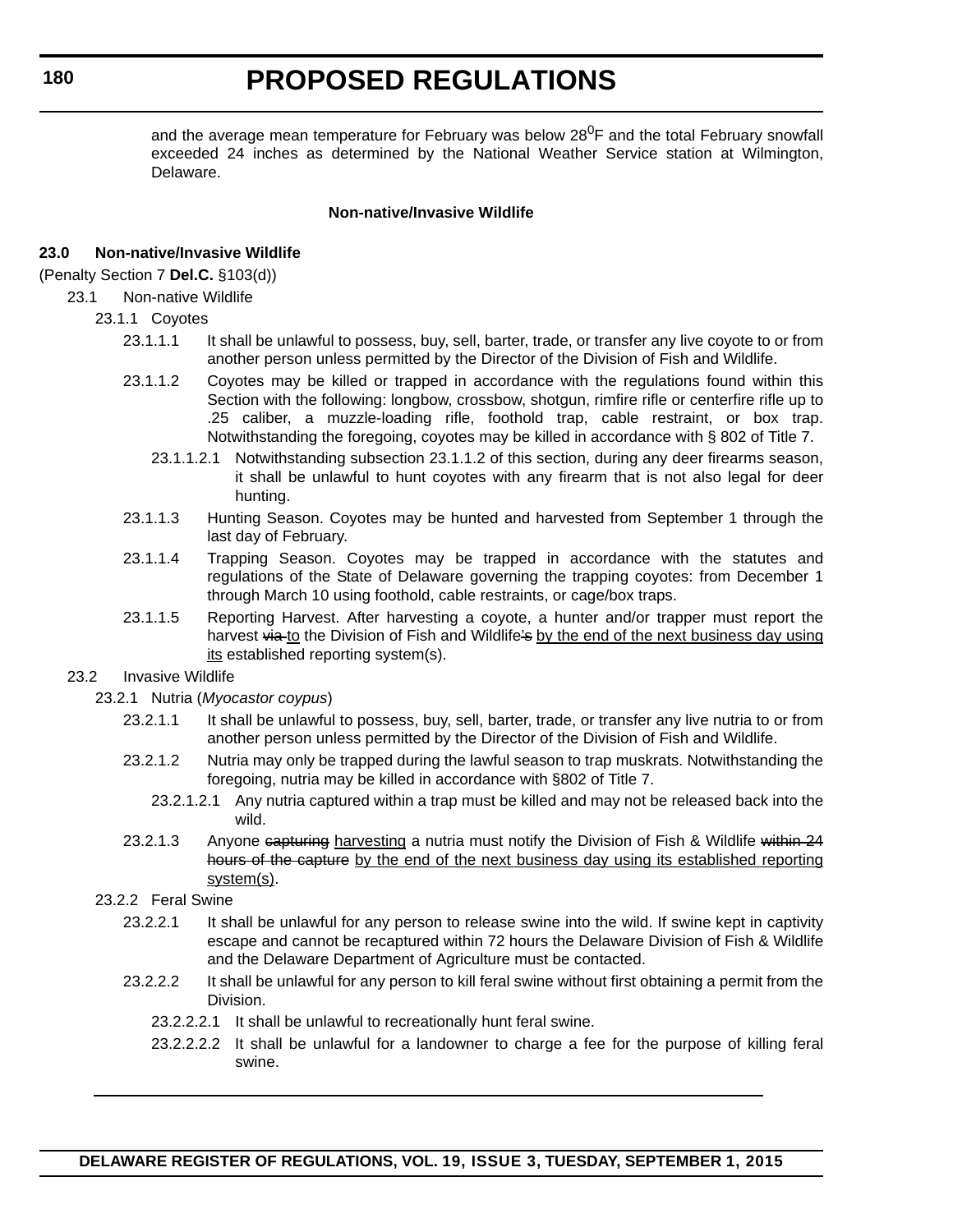and the average mean temperature for February was below  $28^{\circ}$ F and the total February snowfall exceeded 24 inches as determined by the National Weather Service station at Wilmington, Delaware.

#### **Non-native/Invasive Wildlife**

#### **23.0 Non-native/Invasive Wildlife**

#### (Penalty Section 7 **Del.C.** §103(d))

23.1 Non-native Wildlife

#### 23.1.1 Coyotes

- 23.1.1.1 It shall be unlawful to possess, buy, sell, barter, trade, or transfer any live coyote to or from another person unless permitted by the Director of the Division of Fish and Wildlife.
- 23.1.1.2 Coyotes may be killed or trapped in accordance with the regulations found within this Section with the following: longbow, crossbow, shotgun, rimfire rifle or centerfire rifle up to .25 caliber, a muzzle-loading rifle, foothold trap, cable restraint, or box trap. Notwithstanding the foregoing, coyotes may be killed in accordance with § 802 of Title 7.
	- 23.1.1.2.1 Notwithstanding subsection 23.1.1.2 of this section, during any deer firearms season, it shall be unlawful to hunt coyotes with any firearm that is not also legal for deer hunting.
- 23.1.1.3 Hunting Season. Coyotes may be hunted and harvested from September 1 through the last day of February.
- 23.1.1.4 Trapping Season. Coyotes may be trapped in accordance with the statutes and regulations of the State of Delaware governing the trapping coyotes: from December 1 through March 10 using foothold, cable restraints, or cage/box traps.
- 23.1.1.5 Reporting Harvest. After harvesting a coyote, a hunter and/or trapper must report the harvest via to the Division of Fish and Wildlife's by the end of the next business day using its established reporting system(s).

#### 23.2 Invasive Wildlife

- 23.2.1 Nutria (*Myocastor coypus*)
	- 23.2.1.1 It shall be unlawful to possess, buy, sell, barter, trade, or transfer any live nutria to or from another person unless permitted by the Director of the Division of Fish and Wildlife.
	- 23.2.1.2 Nutria may only be trapped during the lawful season to trap muskrats. Notwithstanding the foregoing, nutria may be killed in accordance with §802 of Title 7.
		- 23.2.1.2.1 Any nutria captured within a trap must be killed and may not be released back into the wild.
	- 23.2.1.3 Anyone capturing harvesting a nutria must notify the Division of Fish & Wildlife within 24 hours of the capture by the end of the next business day using its established reporting system(s).

#### 23.2.2 Feral Swine

- 23.2.2.1 It shall be unlawful for any person to release swine into the wild. If swine kept in captivity escape and cannot be recaptured within 72 hours the Delaware Division of Fish & Wildlife and the Delaware Department of Agriculture must be contacted.
- 23.2.2.2 It shall be unlawful for any person to kill feral swine without first obtaining a permit from the Division.
	- 23.2.2.2.1 It shall be unlawful to recreationally hunt feral swine.
	- 23.2.2.2.2 It shall be unlawful for a landowner to charge a fee for the purpose of killing feral swine.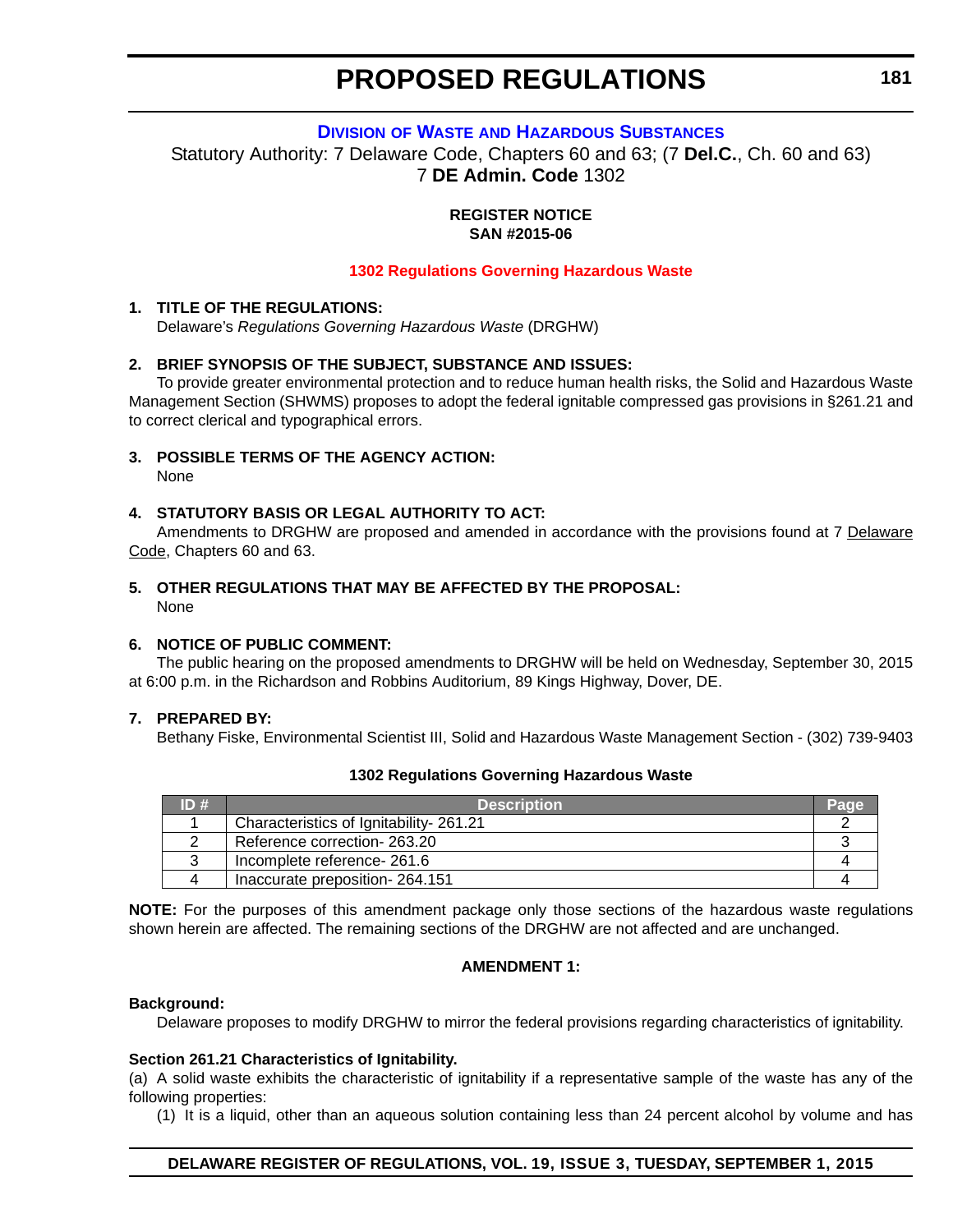#### **DIVISION OF WASTE [AND HAZARDOUS SUBSTANCES](http://www.dnrec.delaware.gov/dwhs/Pages/default.aspx)**

<span id="page-29-0"></span>Statutory Authority: 7 Delaware Code, Chapters 60 and 63; (7 **Del.C.**, Ch. 60 and 63) 7 **DE Admin. Code** 1302

> **REGISTER NOTICE SAN #2015-06**

#### **[1302 Regulations Governing Hazardous Waste](#page-3-0)**

#### **1. TITLE OF THE REGULATIONS:**

Delaware's *Regulations Governing Hazardous Waste* (DRGHW)

#### **2. BRIEF SYNOPSIS OF THE SUBJECT, SUBSTANCE AND ISSUES:**

To provide greater environmental protection and to reduce human health risks, the Solid and Hazardous Waste Management Section (SHWMS) proposes to adopt the federal ignitable compressed gas provisions in §261.21 and to correct clerical and typographical errors.

**3. POSSIBLE TERMS OF THE AGENCY ACTION:**

None

#### **4. STATUTORY BASIS OR LEGAL AUTHORITY TO ACT:**

Amendments to DRGHW are proposed and amended in accordance with the provisions found at 7 Delaware Code, Chapters 60 and 63.

### **5. OTHER REGULATIONS THAT MAY BE AFFECTED BY THE PROPOSAL:**

None

#### **6. NOTICE OF PUBLIC COMMENT:**

The public hearing on the proposed amendments to DRGHW will be held on Wednesday, September 30, 2015 at 6:00 p.m. in the Richardson and Robbins Auditorium, 89 Kings Highway, Dover, DE.

#### **7. PREPARED BY:**

Bethany Fiske, Environmental Scientist III, Solid and Hazardous Waste Management Section - (302) 739-9403

#### **1302 Regulations Governing Hazardous Waste**

| ID# | <b>Description</b>                     |  |
|-----|----------------------------------------|--|
|     | Characteristics of Ignitability-261.21 |  |
|     | Reference correction- 263.20           |  |
|     | Incomplete reference- 261.6            |  |
|     | Inaccurate preposition-264.151         |  |

**NOTE:** For the purposes of this amendment package only those sections of the hazardous waste regulations shown herein are affected. The remaining sections of the DRGHW are not affected and are unchanged.

#### **AMENDMENT 1:**

#### **Background:**

Delaware proposes to modify DRGHW to mirror the federal provisions regarding characteristics of ignitability.

#### **Section 261.21 Characteristics of Ignitability.**

(a) A solid waste exhibits the characteristic of ignitability if a representative sample of the waste has any of the following properties:

(1) It is a liquid, other than an aqueous solution containing less than 24 percent alcohol by volume and has

#### **DELAWARE REGISTER OF REGULATIONS, VOL. 19, ISSUE 3, TUESDAY, SEPTEMBER 1, 2015**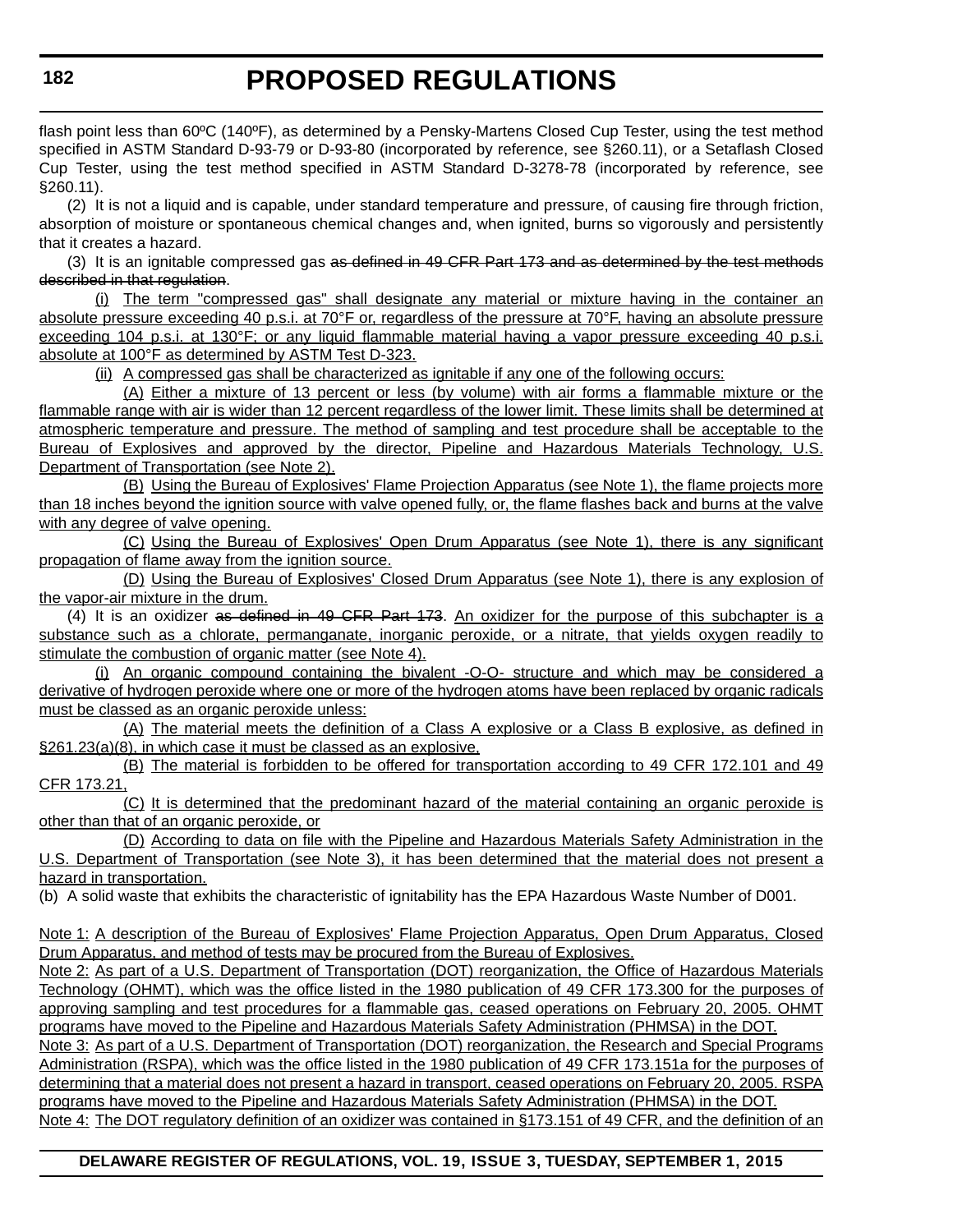flash point less than 60ºC (140ºF), as determined by a Pensky-Martens Closed Cup Tester, using the test method specified in ASTM Standard D-93-79 or D-93-80 (incorporated by reference, see §260.11), or a Setaflash Closed Cup Tester, using the test method specified in ASTM Standard D-3278-78 (incorporated by reference, see §260.11).

(2) It is not a liquid and is capable, under standard temperature and pressure, of causing fire through friction, absorption of moisture or spontaneous chemical changes and, when ignited, burns so vigorously and persistently that it creates a hazard.

(3) It is an ignitable compressed gas as defined in 49 CFR Part 173 and as determined by the test methods described in that regulation.

(i) The term "compressed gas" shall designate any material or mixture having in the container an absolute pressure exceeding 40 p.s.i. at 70°F or, regardless of the pressure at 70°F, having an absolute pressure exceeding 104 p.s.i. at 130°F; or any liquid flammable material having a vapor pressure exceeding 40 p.s.i. absolute at 100°F as determined by ASTM Test D-323.

(ii) A compressed gas shall be characterized as ignitable if any one of the following occurs:

(A) Either a mixture of 13 percent or less (by volume) with air forms a flammable mixture or the flammable range with air is wider than 12 percent regardless of the lower limit. These limits shall be determined at atmospheric temperature and pressure. The method of sampling and test procedure shall be acceptable to the Bureau of Explosives and approved by the director, Pipeline and Hazardous Materials Technology, U.S. Department of Transportation (see Note 2).

(B) Using the Bureau of Explosives' Flame Projection Apparatus (see Note 1), the flame projects more than 18 inches beyond the ignition source with valve opened fully, or, the flame flashes back and burns at the valve with any degree of valve opening.

(C) Using the Bureau of Explosives' Open Drum Apparatus (see Note 1), there is any significant propagation of flame away from the ignition source.

(D) Using the Bureau of Explosives' Closed Drum Apparatus (see Note 1), there is any explosion of the vapor-air mixture in the drum.

(4) It is an oxidizer as defined in 49 CFR Part 173. An oxidizer for the purpose of this subchapter is a substance such as a chlorate, permanganate, inorganic peroxide, or a nitrate, that yields oxygen readily to stimulate the combustion of organic matter (see Note 4).

(i) An organic compound containing the bivalent -O-O- structure and which may be considered a derivative of hydrogen peroxide where one or more of the hydrogen atoms have been replaced by organic radicals must be classed as an organic peroxide unless:

(A) The material meets the definition of a Class A explosive or a Class B explosive, as defined in §261.23(a)(8), in which case it must be classed as an explosive,

(B) The material is forbidden to be offered for transportation according to 49 CFR 172.101 and 49 CFR 173.21,

(C) It is determined that the predominant hazard of the material containing an organic peroxide is other than that of an organic peroxide, or

(D) According to data on file with the Pipeline and Hazardous Materials Safety Administration in the U.S. Department of Transportation (see Note 3), it has been determined that the material does not present a hazard in transportation.

(b) A solid waste that exhibits the characteristic of ignitability has the EPA Hazardous Waste Number of D001.

Note 1: A description of the Bureau of Explosives' Flame Projection Apparatus, Open Drum Apparatus, Closed Drum Apparatus, and method of tests may be procured from the Bureau of Explosives.

Note 2: As part of a U.S. Department of Transportation (DOT) reorganization, the Office of Hazardous Materials Technology (OHMT), which was the office listed in the 1980 publication of 49 CFR 173.300 for the purposes of approving sampling and test procedures for a flammable gas, ceased operations on February 20, 2005. OHMT programs have moved to the Pipeline and Hazardous Materials Safety Administration (PHMSA) in the DOT.

Note 3: As part of a U.S. Department of Transportation (DOT) reorganization, the Research and Special Programs Administration (RSPA), which was the office listed in the 1980 publication of 49 CFR 173.151a for the purposes of determining that a material does not present a hazard in transport, ceased operations on February 20, 2005. RSPA programs have moved to the Pipeline and Hazardous Materials Safety Administration (PHMSA) in the DOT.

Note 4: The DOT regulatory definition of an oxidizer was contained in §173.151 of 49 CFR, and the definition of an

#### **DELAWARE REGISTER OF REGULATIONS, VOL. 19, ISSUE 3, TUESDAY, SEPTEMBER 1, 2015**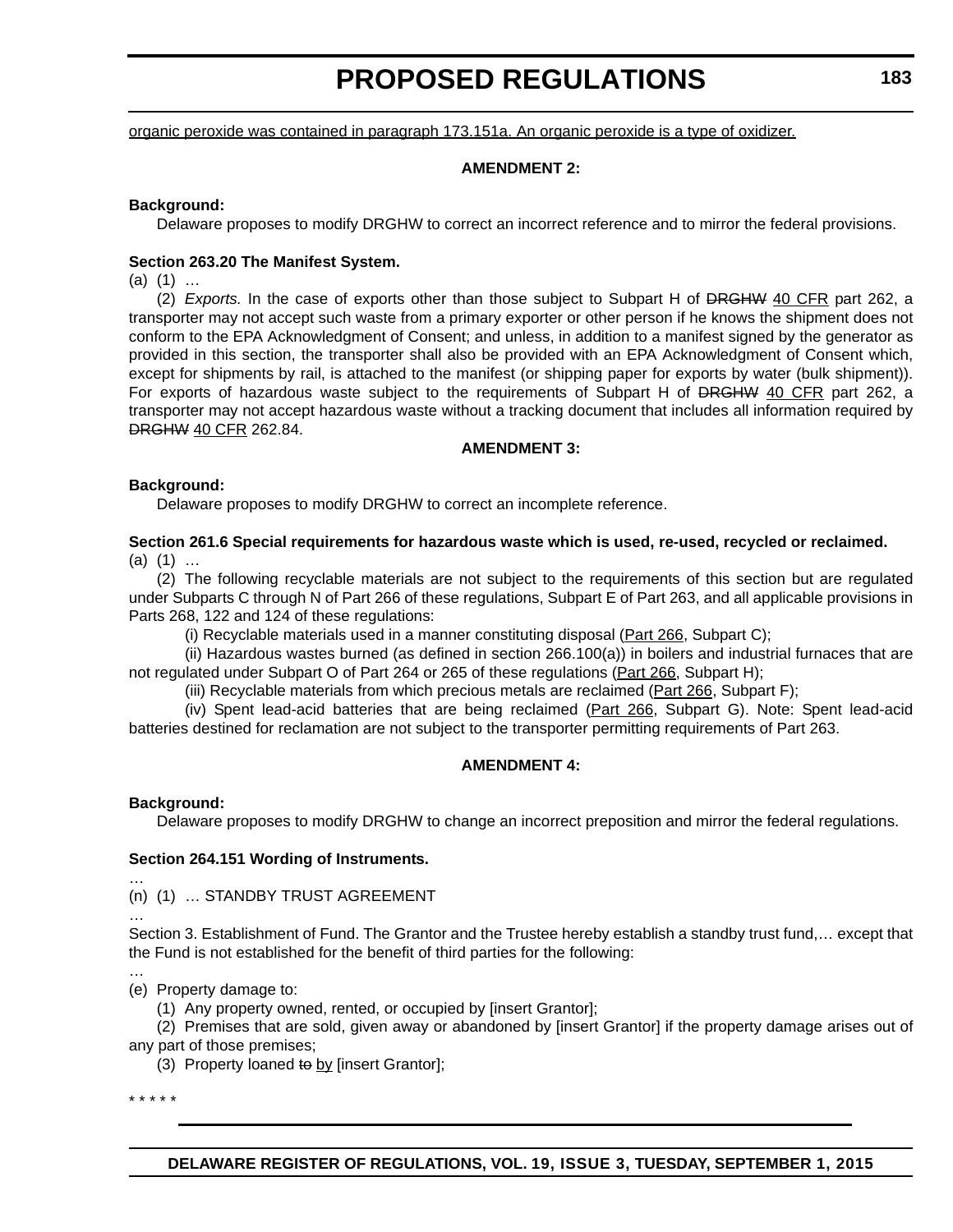organic peroxide was contained in paragraph 173.151a. An organic peroxide is a type of oxidizer.

#### **AMENDMENT 2:**

#### **Background:**

Delaware proposes to modify DRGHW to correct an incorrect reference and to mirror the federal provisions.

#### **Section 263.20 The Manifest System.**

(a) (1) …

(2) *Exports.* In the case of exports other than those subject to Subpart H of DRGHW 40 CFR part 262, a transporter may not accept such waste from a primary exporter or other person if he knows the shipment does not conform to the EPA Acknowledgment of Consent; and unless, in addition to a manifest signed by the generator as provided in this section, the transporter shall also be provided with an EPA Acknowledgment of Consent which, except for shipments by rail, is attached to the manifest (or shipping paper for exports by water (bulk shipment)). For exports of hazardous waste subject to the requirements of Subpart H of DRGHW 40 CFR part 262, a transporter may not accept hazardous waste without a tracking document that includes all information required by DRGHW 40 CFR 262.84.

#### **AMENDMENT 3:**

#### **Background:**

Delaware proposes to modify DRGHW to correct an incomplete reference.

#### **Section 261.6 Special requirements for hazardous waste which is used, re-used, recycled or reclaimed.**  $(a)$   $(1)$  ...

(2) The following recyclable materials are not subject to the requirements of this section but are regulated under Subparts C through N of Part 266 of these regulations, Subpart E of Part 263, and all applicable provisions in Parts 268, 122 and 124 of these regulations:

(i) Recyclable materials used in a manner constituting disposal (Part 266, Subpart C);

(ii) Hazardous wastes burned (as defined in section 266.100(a)) in boilers and industrial furnaces that are not regulated under Subpart O of Part 264 or 265 of these regulations (Part 266, Subpart H);

(iii) Recyclable materials from which precious metals are reclaimed (Part 266, Subpart F);

(iv) Spent lead-acid batteries that are being reclaimed (Part 266, Subpart G). Note: Spent lead-acid batteries destined for reclamation are not subject to the transporter permitting requirements of Part 263.

#### **AMENDMENT 4:**

#### **Background:**

…

…

…

Delaware proposes to modify DRGHW to change an incorrect preposition and mirror the federal regulations.

#### **Section 264.151 Wording of Instruments.**

(n) (1) … STANDBY TRUST AGREEMENT

Section 3. Establishment of Fund. The Grantor and the Trustee hereby establish a standby trust fund,… except that the Fund is not established for the benefit of third parties for the following:

(e) Property damage to:

(1) Any property owned, rented, or occupied by [insert Grantor];

(2) Premises that are sold, given away or abandoned by [insert Grantor] if the property damage arises out of any part of those premises;

(3) Property loaned to by [insert Grantor];

\* \* \* \* \*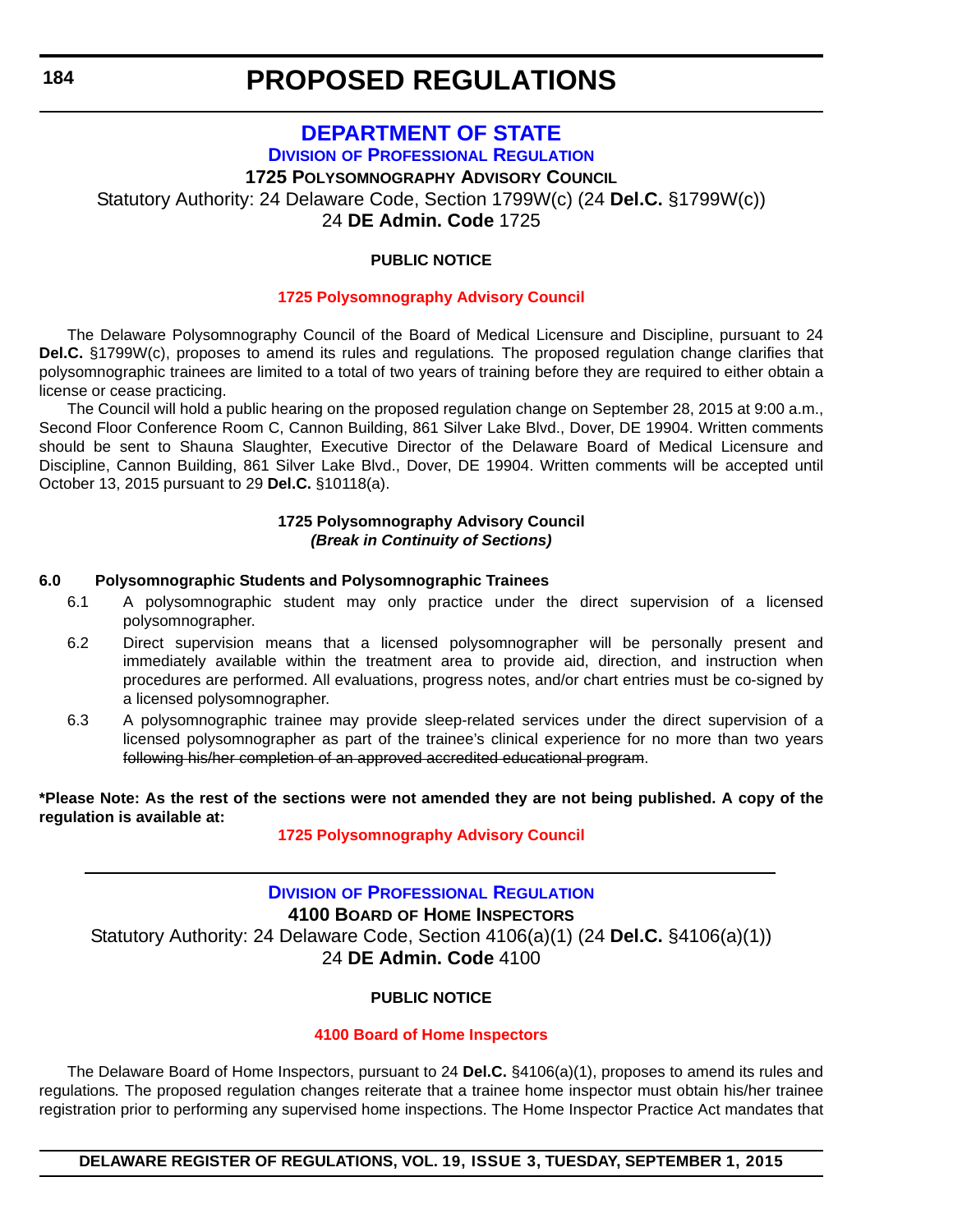### **[DEPARTMENT OF STATE](http://dpr.delaware.gov/) DIVISION OF PROFESSIONAL REGULATION**

<span id="page-32-0"></span>**1725 POLYSOMNOGRAPHY ADVISORY COUNCIL** Statutory Authority: 24 Delaware Code, Section 1799W(c) (24 **Del.C.** §1799W(c))

24 **DE Admin. Code** 1725

#### **PUBLIC NOTICE**

#### **[1725 Polysomnography Advisory Council](#page-3-0)**

The Delaware Polysomnography Council of the Board of Medical Licensure and Discipline, pursuant to 24 **Del.C.** §1799W(c), proposes to amend its rules and regulations*.* The proposed regulation change clarifies that polysomnographic trainees are limited to a total of two years of training before they are required to either obtain a license or cease practicing.

The Council will hold a public hearing on the proposed regulation change on September 28, 2015 at 9:00 a.m., Second Floor Conference Room C, Cannon Building, 861 Silver Lake Blvd., Dover, DE 19904. Written comments should be sent to Shauna Slaughter, Executive Director of the Delaware Board of Medical Licensure and Discipline, Cannon Building, 861 Silver Lake Blvd., Dover, DE 19904. Written comments will be accepted until October 13, 2015 pursuant to 29 **Del.C.** §10118(a).

#### **1725 Polysomnography Advisory Council** *(Break in Continuity of Sections)*

#### **6.0 Polysomnographic Students and Polysomnographic Trainees**

- 6.1 A polysomnographic student may only practice under the direct supervision of a licensed polysomnographer.
- 6.2 Direct supervision means that a licensed polysomnographer will be personally present and immediately available within the treatment area to provide aid, direction, and instruction when procedures are performed. All evaluations, progress notes, and/or chart entries must be co-signed by a licensed polysomnographer.
- 6.3 A polysomnographic trainee may provide sleep-related services under the direct supervision of a licensed polysomnographer as part of the trainee's clinical experience for no more than two years following his/her completion of an approved accredited educational program.

**\*Please Note: As the rest of the sections were not amended they are not being published. A copy of the regulation is available at:**

#### **[1725 Polysomnography Advisory Council](http://regulations.delaware.gov/register/september2015/proposed/19 DE Reg 184 09-01-15.htm)**

### **DIVISION [OF PROFESSIONAL REGULATION](http://dpr.delaware.gov/) 4100 BOARD OF HOME INSPECTORS** Statutory Authority: 24 Delaware Code, Section 4106(a)(1) (24 **Del.C.** §4106(a)(1)) 24 **DE Admin. Code** 4100

#### **PUBLIC NOTICE**

#### **[4100 Board of Home Inspectors](#page-3-0)**

The Delaware Board of Home Inspectors, pursuant to 24 **Del.C.** §4106(a)(1), proposes to amend its rules and regulations*.* The proposed regulation changes reiterate that a trainee home inspector must obtain his/her trainee registration prior to performing any supervised home inspections. The Home Inspector Practice Act mandates that

**DELAWARE REGISTER OF REGULATIONS, VOL. 19, ISSUE 3, TUESDAY, SEPTEMBER 1, 2015**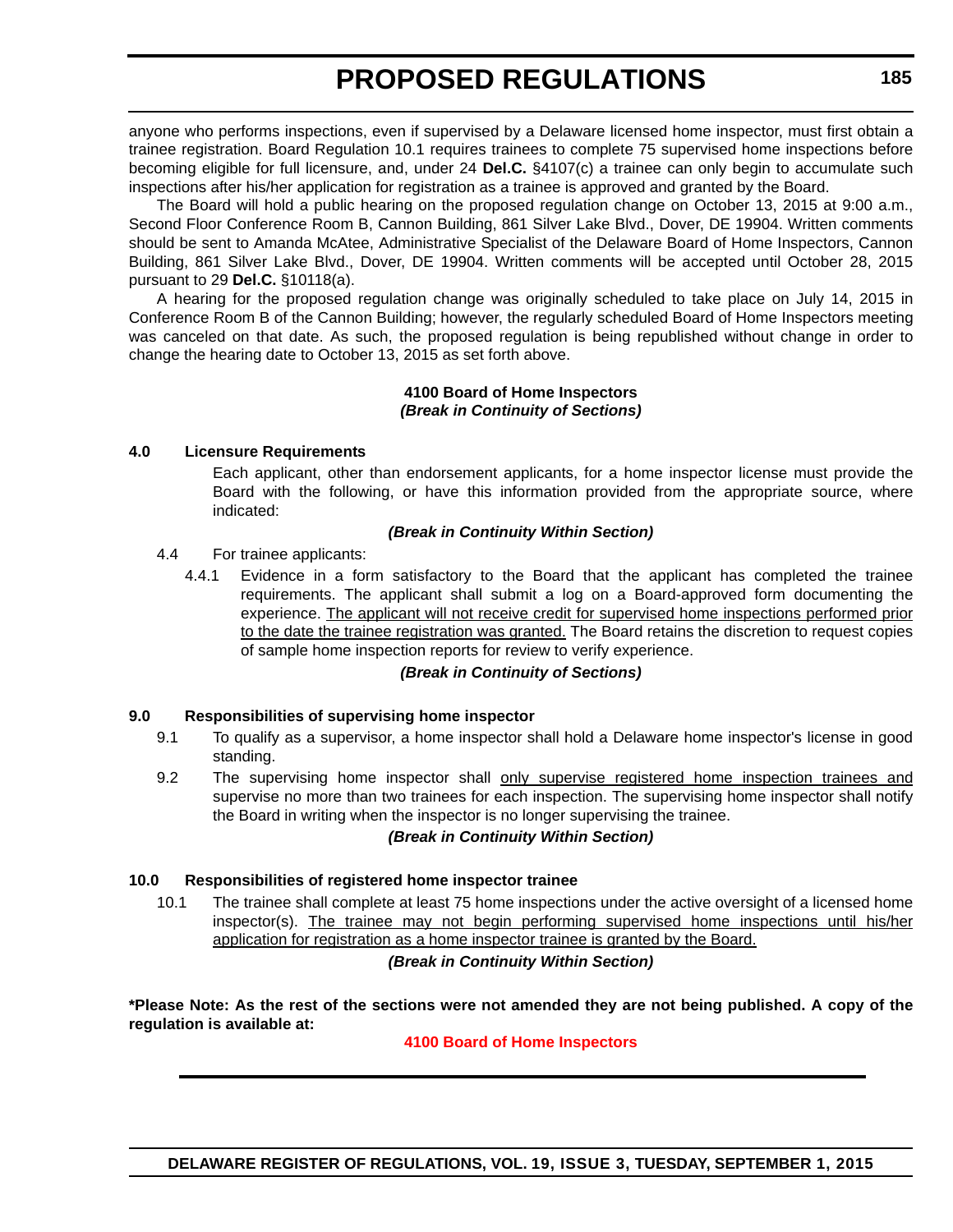anyone who performs inspections, even if supervised by a Delaware licensed home inspector, must first obtain a trainee registration. Board Regulation 10.1 requires trainees to complete 75 supervised home inspections before becoming eligible for full licensure, and, under 24 **Del.C.** §4107(c) a trainee can only begin to accumulate such inspections after his/her application for registration as a trainee is approved and granted by the Board.

The Board will hold a public hearing on the proposed regulation change on October 13, 2015 at 9:00 a.m., Second Floor Conference Room B, Cannon Building, 861 Silver Lake Blvd., Dover, DE 19904. Written comments should be sent to Amanda McAtee, Administrative Specialist of the Delaware Board of Home Inspectors, Cannon Building, 861 Silver Lake Blvd., Dover, DE 19904. Written comments will be accepted until October 28, 2015 pursuant to 29 **Del.C.** §10118(a).

A hearing for the proposed regulation change was originally scheduled to take place on July 14, 2015 in Conference Room B of the Cannon Building; however, the regularly scheduled Board of Home Inspectors meeting was canceled on that date. As such, the proposed regulation is being republished without change in order to change the hearing date to October 13, 2015 as set forth above.

#### **4100 Board of Home Inspectors** *(Break in Continuity of Sections)*

#### **4.0 Licensure Requirements**

Each applicant, other than endorsement applicants, for a home inspector license must provide the Board with the following, or have this information provided from the appropriate source, where indicated:

#### *(Break in Continuity Within Section)*

#### 4.4 For trainee applicants:

4.4.1 Evidence in a form satisfactory to the Board that the applicant has completed the trainee requirements. The applicant shall submit a log on a Board-approved form documenting the experience. The applicant will not receive credit for supervised home inspections performed prior to the date the trainee registration was granted. The Board retains the discretion to request copies of sample home inspection reports for review to verify experience.

#### *(Break in Continuity of Sections)*

#### **9.0 Responsibilities of supervising home inspector**

- 9.1 To qualify as a supervisor, a home inspector shall hold a Delaware home inspector's license in good standing.
- 9.2 The supervising home inspector shall only supervise registered home inspection trainees and supervise no more than two trainees for each inspection. The supervising home inspector shall notify the Board in writing when the inspector is no longer supervising the trainee.

#### *(Break in Continuity Within Section)*

#### **10.0 Responsibilities of registered home inspector trainee**

10.1 The trainee shall complete at least 75 home inspections under the active oversight of a licensed home inspector(s). The trainee may not begin performing supervised home inspections until his/her application for registration as a home inspector trainee is granted by the Board.

#### *(Break in Continuity Within Section)*

**\*Please Note: As the rest of the sections were not amended they are not being published. A copy of the regulation is available at:**

#### **[4100 Board of Home Inspectors](http://regulations.delaware.gov/register/september2015/proposed/19 DE Reg 184a 09-01-15.htm)**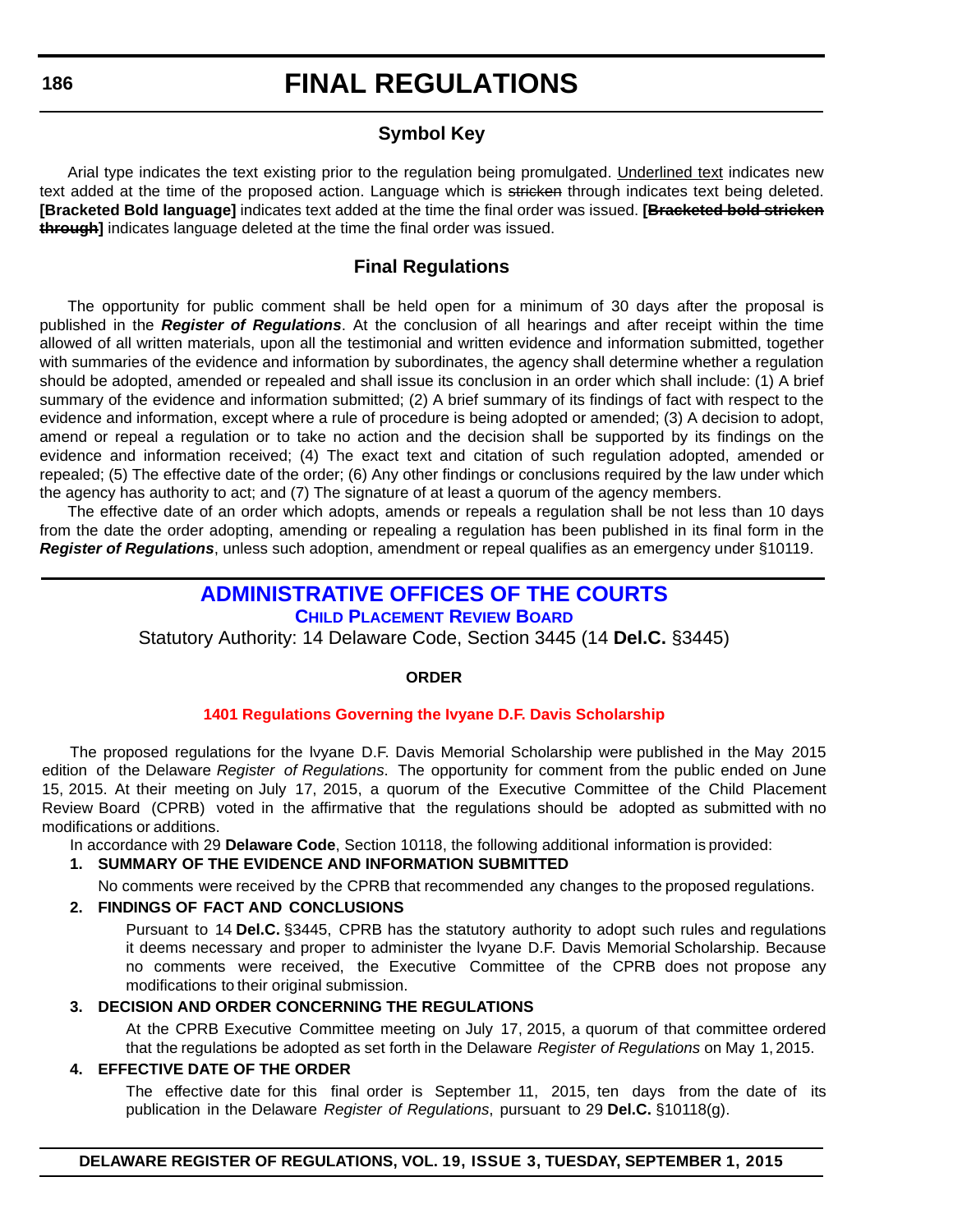#### **Symbol Key**

<span id="page-34-0"></span>Arial type indicates the text existing prior to the regulation being promulgated. Underlined text indicates new text added at the time of the proposed action. Language which is stricken through indicates text being deleted. **[Bracketed Bold language]** indicates text added at the time the final order was issued. **[Bracketed bold stricken through]** indicates language deleted at the time the final order was issued.

#### **Final Regulations**

The opportunity for public comment shall be held open for a minimum of 30 days after the proposal is published in the *Register of Regulations*. At the conclusion of all hearings and after receipt within the time allowed of all written materials, upon all the testimonial and written evidence and information submitted, together with summaries of the evidence and information by subordinates, the agency shall determine whether a regulation should be adopted, amended or repealed and shall issue its conclusion in an order which shall include: (1) A brief summary of the evidence and information submitted; (2) A brief summary of its findings of fact with respect to the evidence and information, except where a rule of procedure is being adopted or amended; (3) A decision to adopt, amend or repeal a regulation or to take no action and the decision shall be supported by its findings on the evidence and information received; (4) The exact text and citation of such regulation adopted, amended or repealed; (5) The effective date of the order; (6) Any other findings or conclusions required by the law under which the agency has authority to act; and (7) The signature of at least a quorum of the agency members.

The effective date of an order which adopts, amends or repeals a regulation shall be not less than 10 days from the date the order adopting, amending or repealing a regulation has been published in its final form in the *Register of Regulations*, unless such adoption, amendment or repeal qualifies as an emergency under §10119.

#### **[ADMINISTRATIVE OFFICES OF THE COURTS](http://courts.delaware.gov/cprb/) CHILD PLACEMENT REVIEW BOARD**

Statutory Authority: 14 Delaware Code, Section 3445 (14 **Del.C.** §3445)

#### **ORDER**

#### **[1401 Regulations Governing the Ivyane D.F. Davis Scholarship](#page-4-0)**

The proposed regulations for the lvyane D.F. Davis Memorial Scholarship were published in the May 2015 edition of the Delaware *Register of Regulations*. The opportunity for comment from the public ended on June 15, 2015. At their meeting on July 17, 2015, a quorum of the Executive Committee of the Child Placement Review Board (CPRB) voted in the affirmative that the regulations should be adopted as submitted with no modifications or additions.

In accordance with 29 **Delaware Code**, Section 10118, the following additional information is provided:

#### **1. SUMMARY OF THE EVIDENCE AND INFORMATION SUBMITTED**

No comments were received by the CPRB that recommended any changes to the proposed regulations.

#### **2. FINDINGS OF FACT AND CONCLUSIONS**

Pursuant to 14 **Del.C.** §3445, CPRB has the statutory authority to adopt such rules and regulations it deems necessary and proper to administer the lvyane D.F. Davis Memorial Scholarship. Because no comments were received, the Executive Committee of the CPRB does not propose any modifications to their original submission.

#### **3. DECISION AND ORDER CONCERNING THE REGULATIONS**

At the CPRB Executive Committee meeting on July 17, 2015, a quorum of that committee ordered that the regulations be adopted as set forth in the Delaware *Register of Regulations* on May 1, 2015.

#### **4. EFFECTIVE DATE OF THE ORDER**

The effective date for this final order is September 11, 2015, ten days from the date of its publication in the Delaware *Register of Regulations*, pursuant to 29 **Del.C.** §10118(g).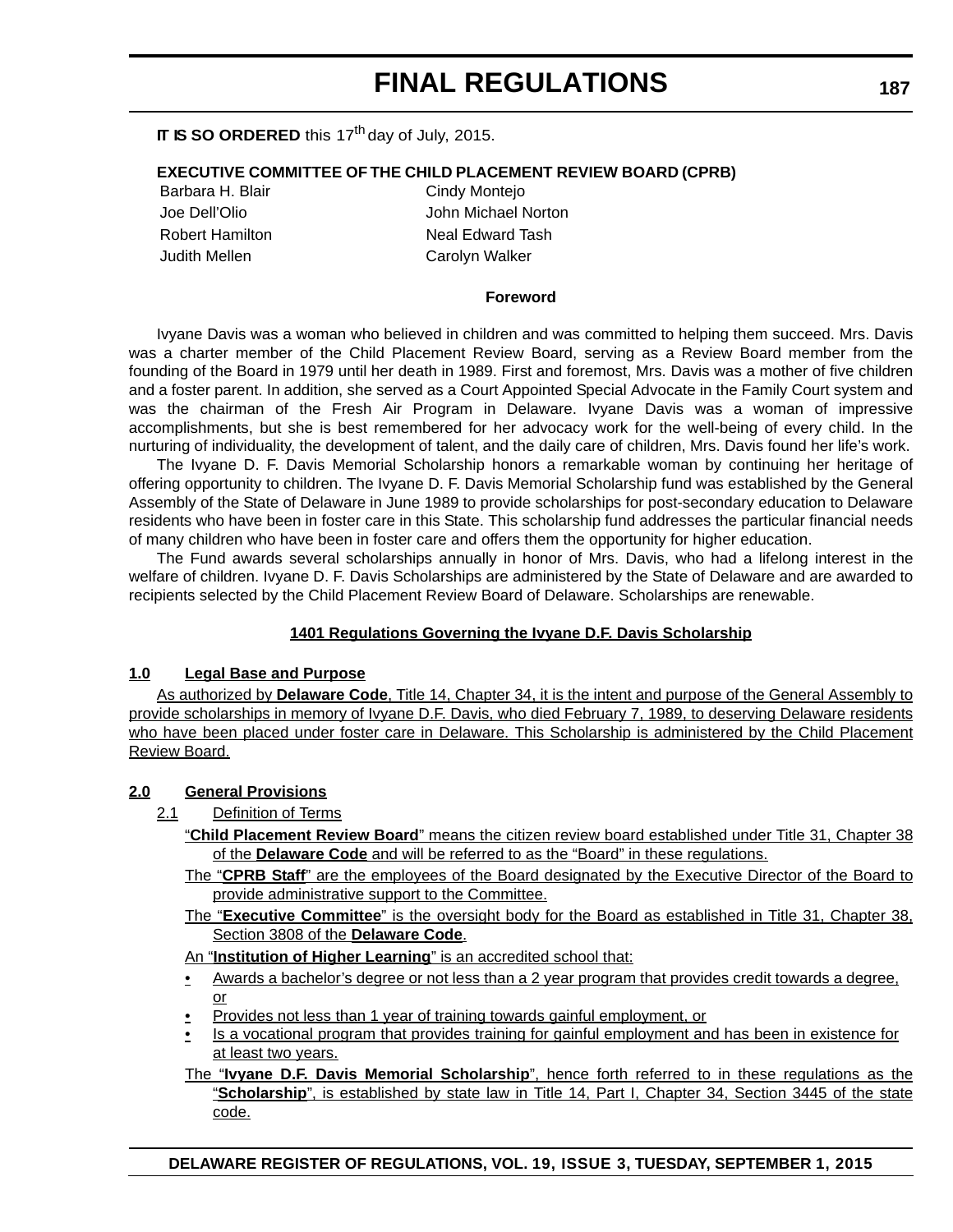#### **IT IS SO ORDERED** this 17<sup>th</sup> day of July, 2015.

#### **EXECUTIVE COMMITTEE OF THE CHILD PLACEMENT REVIEW BOARD (CPRB)**

Judith Mellen Carolyn Walker

Barbara H. Blair Cindy Monteio Joe Dell'Olio John Michael Norton Robert Hamilton Neal Edward Tash

#### **Foreword**

Ivyane Davis was a woman who believed in children and was committed to helping them succeed. Mrs. Davis was a charter member of the Child Placement Review Board, serving as a Review Board member from the founding of the Board in 1979 until her death in 1989. First and foremost, Mrs. Davis was a mother of five children and a foster parent. In addition, she served as a Court Appointed Special Advocate in the Family Court system and was the chairman of the Fresh Air Program in Delaware. Ivyane Davis was a woman of impressive accomplishments, but she is best remembered for her advocacy work for the well-being of every child. In the nurturing of individuality, the development of talent, and the daily care of children, Mrs. Davis found her life's work.

The Ivyane D. F. Davis Memorial Scholarship honors a remarkable woman by continuing her heritage of offering opportunity to children. The Ivyane D. F. Davis Memorial Scholarship fund was established by the General Assembly of the State of Delaware in June 1989 to provide scholarships for post-secondary education to Delaware residents who have been in foster care in this State. This scholarship fund addresses the particular financial needs of many children who have been in foster care and offers them the opportunity for higher education.

The Fund awards several scholarships annually in honor of Mrs. Davis, who had a lifelong interest in the welfare of children. Ivyane D. F. Davis Scholarships are administered by the State of Delaware and are awarded to recipients selected by the Child Placement Review Board of Delaware. Scholarships are renewable.

#### **1401 Regulations Governing the Ivyane D.F. Davis Scholarship**

#### **1.0 Legal Base and Purpose**

As authorized by **Delaware Code**, Title 14, Chapter 34, it is the intent and purpose of the General Assembly to provide scholarships in memory of Ivyane D.F. Davis, who died February 7, 1989, to deserving Delaware residents who have been placed under foster care in Delaware. This Scholarship is administered by the Child Placement Review Board.

#### **2.0 General Provisions**

- 2.1 Definition of Terms
	- "**Child Placement Review Board**" means the citizen review board established under Title 31, Chapter 38 of the **Delaware Code** and will be referred to as the "Board" in these regulations.
	- The "**CPRB Staff**" are the employees of the Board designated by the Executive Director of the Board to provide administrative support to the Committee.
	- The "**Executive Committee**" is the oversight body for the Board as established in Title 31, Chapter 38, Section 3808 of the **Delaware Code**.

An "**Institution of Higher Learning**" is an accredited school that:

- Awards a bachelor's degree or not less than a 2 year program that provides credit towards a degree, or
- Provides not less than 1 year of training towards gainful employment, or
- Is a vocational program that provides training for gainful employment and has been in existence for at least two years.
- The "**Ivyane D.F. Davis Memorial Scholarship**", hence forth referred to in these regulations as the "**Scholarship**", is established by state law in Title 14, Part I, Chapter 34, Section 3445 of the state code.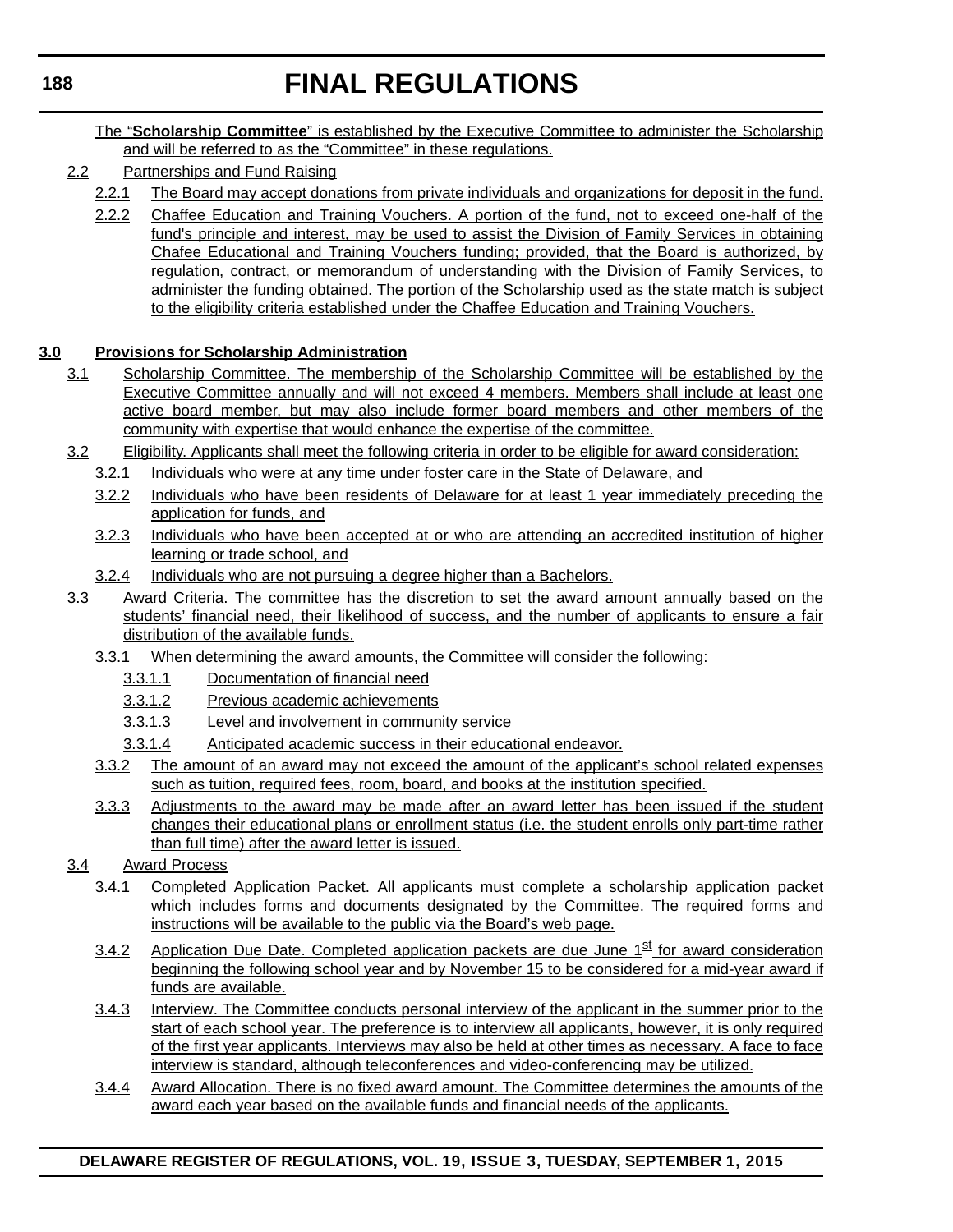- The "**Scholarship Committee**" is established by the Executive Committee to administer the Scholarship and will be referred to as the "Committee" in these regulations.
- 2.2 Partnerships and Fund Raising
	- 2.2.1 The Board may accept donations from private individuals and organizations for deposit in the fund.
	- 2.2.2 Chaffee Education and Training Vouchers. A portion of the fund, not to exceed one-half of the fund's principle and interest, may be used to assist the Division of Family Services in obtaining Chafee Educational and Training Vouchers funding; provided, that the Board is authorized, by regulation, contract, or memorandum of understanding with the Division of Family Services, to administer the funding obtained. The portion of the Scholarship used as the state match is subject to the eligibility criteria established under the Chaffee Education and Training Vouchers.

#### **3.0 Provisions for Scholarship Administration**

- 3.1 Scholarship Committee. The membership of the Scholarship Committee will be established by the Executive Committee annually and will not exceed 4 members. Members shall include at least one active board member, but may also include former board members and other members of the community with expertise that would enhance the expertise of the committee.
- 3.2 Eligibility. Applicants shall meet the following criteria in order to be eligible for award consideration:
	- 3.2.1 Individuals who were at any time under foster care in the State of Delaware, and
	- 3.2.2 Individuals who have been residents of Delaware for at least 1 year immediately preceding the application for funds, and
	- 3.2.3 Individuals who have been accepted at or who are attending an accredited institution of higher learning or trade school, and
	- 3.2.4 Individuals who are not pursuing a degree higher than a Bachelors.
- 3.3 Award Criteria. The committee has the discretion to set the award amount annually based on the students' financial need, their likelihood of success, and the number of applicants to ensure a fair distribution of the available funds.
	- 3.3.1 When determining the award amounts, the Committee will consider the following:
		- 3.3.1.1 Documentation of financial need
		- 3.3.1.2 Previous academic achievements
		- 3.3.1.3 Level and involvement in community service
		- 3.3.1.4 Anticipated academic success in their educational endeavor.
	- 3.3.2 The amount of an award may not exceed the amount of the applicant's school related expenses such as tuition, required fees, room, board, and books at the institution specified.
	- 3.3.3 Adjustments to the award may be made after an award letter has been issued if the student changes their educational plans or enrollment status (i.e. the student enrolls only part-time rather than full time) after the award letter is issued.
- 3.4 Award Process
	- 3.4.1 Completed Application Packet. All applicants must complete a scholarship application packet which includes forms and documents designated by the Committee. The required forms and instructions will be available to the public via the Board's web page.
	- $3.4.2$  Application Due Date. Completed application packets are due June  $1<sup>st</sup>$  for award consideration beginning the following school year and by November 15 to be considered for a mid-year award if funds are available.
	- 3.4.3 Interview. The Committee conducts personal interview of the applicant in the summer prior to the start of each school year. The preference is to interview all applicants, however, it is only required of the first year applicants. Interviews may also be held at other times as necessary. A face to face interview is standard, although teleconferences and video-conferencing may be utilized.
	- 3.4.4 Award Allocation. There is no fixed award amount. The Committee determines the amounts of the award each year based on the available funds and financial needs of the applicants.

#### **DELAWARE REGISTER OF REGULATIONS, VOL. 19, ISSUE 3, TUESDAY, SEPTEMBER 1, 2015**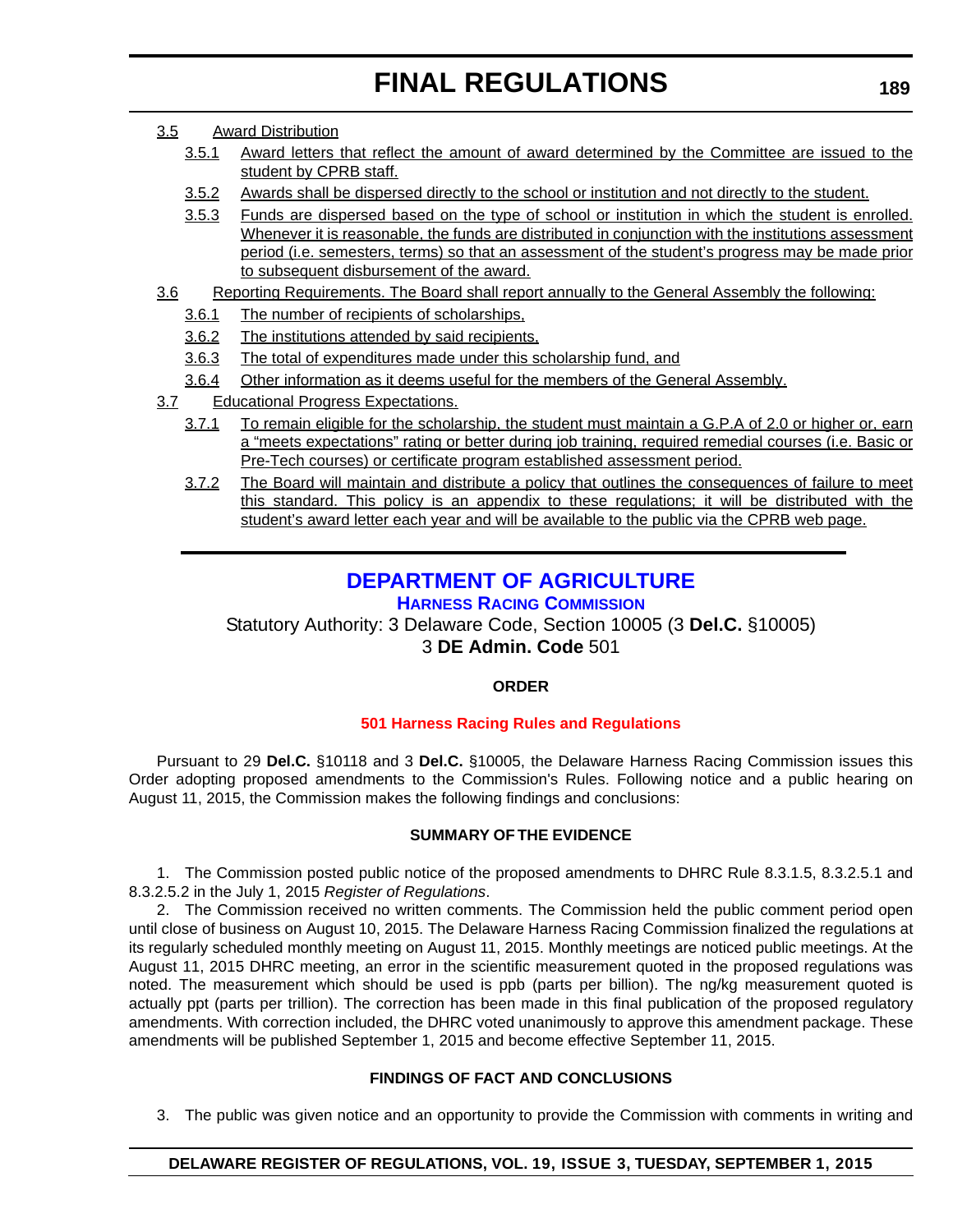- <span id="page-37-0"></span>3.5 Award Distribution
	- 3.5.1 Award letters that reflect the amount of award determined by the Committee are issued to the student by CPRB staff.
	- 3.5.2 Awards shall be dispersed directly to the school or institution and not directly to the student.
	- 3.5.3 Funds are dispersed based on the type of school or institution in which the student is enrolled. Whenever it is reasonable, the funds are distributed in conjunction with the institutions assessment period (i.e. semesters, terms) so that an assessment of the student's progress may be made prior to subsequent disbursement of the award.
- 3.6 Reporting Requirements. The Board shall report annually to the General Assembly the following:
	- 3.6.1 The number of recipients of scholarships,
	- 3.6.2 The institutions attended by said recipients,
	- 3.6.3 The total of expenditures made under this scholarship fund, and
	- 3.6.4 Other information as it deems useful for the members of the General Assembly.
- 3.7 Educational Progress Expectations.
	- 3.7.1 To remain eligible for the scholarship, the student must maintain a G.P.A of 2.0 or higher or, earn a "meets expectations" rating or better during job training, required remedial courses (i.e. Basic or Pre-Tech courses) or certificate program established assessment period.
	- 3.7.2 The Board will maintain and distribute a policy that outlines the consequences of failure to meet this standard. This policy is an appendix to these regulations; it will be distributed with the student's award letter each year and will be available to the public via the CPRB web page.

### **[DEPARTMENT OF AGRICULTURE](http://dda.delaware.gov/harness/index.shtml)**

#### **HARNESS RACING COMMISSION**

Statutory Authority: 3 Delaware Code, Section 10005 (3 **Del.C.** §10005) 3 **DE Admin. Code** 501

#### **ORDER**

#### **[501 Harness Racing Rules and Regulations](#page-4-0)**

Pursuant to 29 **Del.C.** §10118 and 3 **Del.C.** §10005, the Delaware Harness Racing Commission issues this Order adopting proposed amendments to the Commission's Rules. Following notice and a public hearing on August 11, 2015, the Commission makes the following findings and conclusions:

#### **SUMMARY OF THE EVIDENCE**

1. The Commission posted public notice of the proposed amendments to DHRC Rule 8.3.1.5, 8.3.2.5.1 and 8.3.2.5.2 in the July 1, 2015 *Register of Regulations*.

2. The Commission received no written comments. The Commission held the public comment period open until close of business on August 10, 2015. The Delaware Harness Racing Commission finalized the regulations at its regularly scheduled monthly meeting on August 11, 2015. Monthly meetings are noticed public meetings. At the August 11, 2015 DHRC meeting, an error in the scientific measurement quoted in the proposed regulations was noted. The measurement which should be used is ppb (parts per billion). The ng/kg measurement quoted is actually ppt (parts per trillion). The correction has been made in this final publication of the proposed regulatory amendments. With correction included, the DHRC voted unanimously to approve this amendment package. These amendments will be published September 1, 2015 and become effective September 11, 2015.

#### **FINDINGS OF FACT AND CONCLUSIONS**

3. The public was given notice and an opportunity to provide the Commission with comments in writing and

#### **DELAWARE REGISTER OF REGULATIONS, VOL. 19, ISSUE 3, TUESDAY, SEPTEMBER 1, 2015**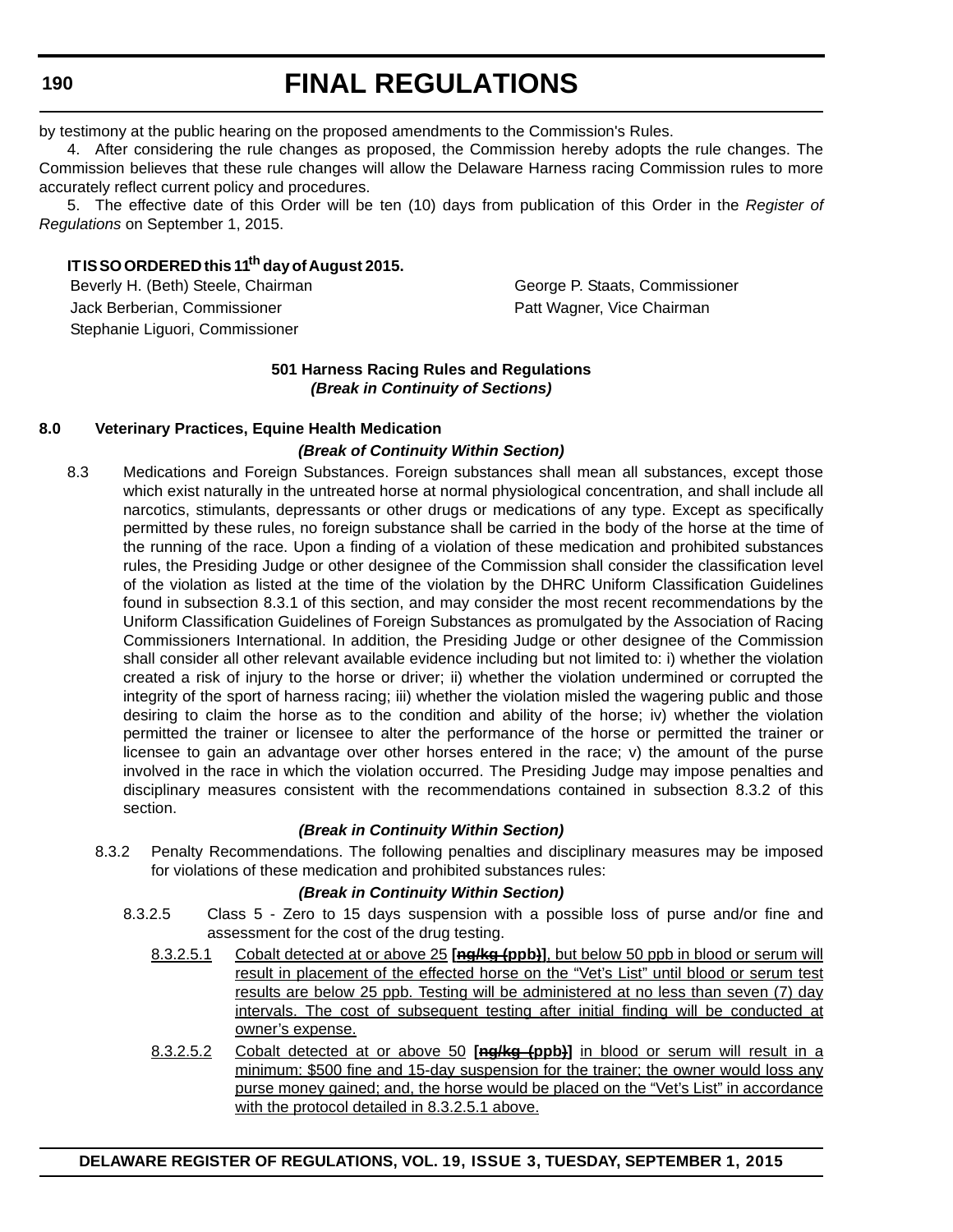**190**

# **FINAL REGULATIONS**

by testimony at the public hearing on the proposed amendments to the Commission's Rules.

4. After considering the rule changes as proposed, the Commission hereby adopts the rule changes. The Commission believes that these rule changes will allow the Delaware Harness racing Commission rules to more accurately reflect current policy and procedures.

5. The effective date of this Order will be ten (10) days from publication of this Order in the *Register of Regulations* on September 1, 2015.

#### **IT IS SO ORDERED this 11th day of August 2015.**

Jack Berberian, Commissioner **Patt Wagner, Vice Chairman** Stephanie Liguori, Commissioner

Beverly H. (Beth) Steele, Chairman George P. Staats, Commissioner

#### **501 Harness Racing Rules and Regulations** *(Break in Continuity of Sections)*

#### **8.0 Veterinary Practices, Equine Health Medication**

#### *(Break of Continuity Within Section)*

8.3 Medications and Foreign Substances. Foreign substances shall mean all substances, except those which exist naturally in the untreated horse at normal physiological concentration, and shall include all narcotics, stimulants, depressants or other drugs or medications of any type. Except as specifically permitted by these rules, no foreign substance shall be carried in the body of the horse at the time of the running of the race. Upon a finding of a violation of these medication and prohibited substances rules, the Presiding Judge or other designee of the Commission shall consider the classification level of the violation as listed at the time of the violation by the DHRC Uniform Classification Guidelines found in subsection 8.3.1 of this section, and may consider the most recent recommendations by the Uniform Classification Guidelines of Foreign Substances as promulgated by the Association of Racing Commissioners International. In addition, the Presiding Judge or other designee of the Commission shall consider all other relevant available evidence including but not limited to: i) whether the violation created a risk of injury to the horse or driver; ii) whether the violation undermined or corrupted the integrity of the sport of harness racing; iii) whether the violation misled the wagering public and those desiring to claim the horse as to the condition and ability of the horse; iv) whether the violation permitted the trainer or licensee to alter the performance of the horse or permitted the trainer or licensee to gain an advantage over other horses entered in the race; v) the amount of the purse involved in the race in which the violation occurred. The Presiding Judge may impose penalties and disciplinary measures consistent with the recommendations contained in subsection 8.3.2 of this section.

#### *(Break in Continuity Within Section)*

8.3.2 Penalty Recommendations. The following penalties and disciplinary measures may be imposed for violations of these medication and prohibited substances rules:

#### *(Break in Continuity Within Section)*

- 8.3.2.5 Class 5 Zero to 15 days suspension with a possible loss of purse and/or fine and assessment for the cost of the drug testing.
	- 8.3.2.5.1 Cobalt detected at or above 25 **[ng/kg (ppb)]**, but below 50 ppb in blood or serum will result in placement of the effected horse on the "Vet's List" until blood or serum test results are below 25 ppb. Testing will be administered at no less than seven (7) day intervals. The cost of subsequent testing after initial finding will be conducted at owner's expense.
	- 8.3.2.5.2 Cobalt detected at or above 50 **[ng/kg (ppb)]** in blood or serum will result in a minimum: \$500 fine and 15-day suspension for the trainer; the owner would loss any purse money gained; and, the horse would be placed on the "Vet's List" in accordance with the protocol detailed in 8.3.2.5.1 above.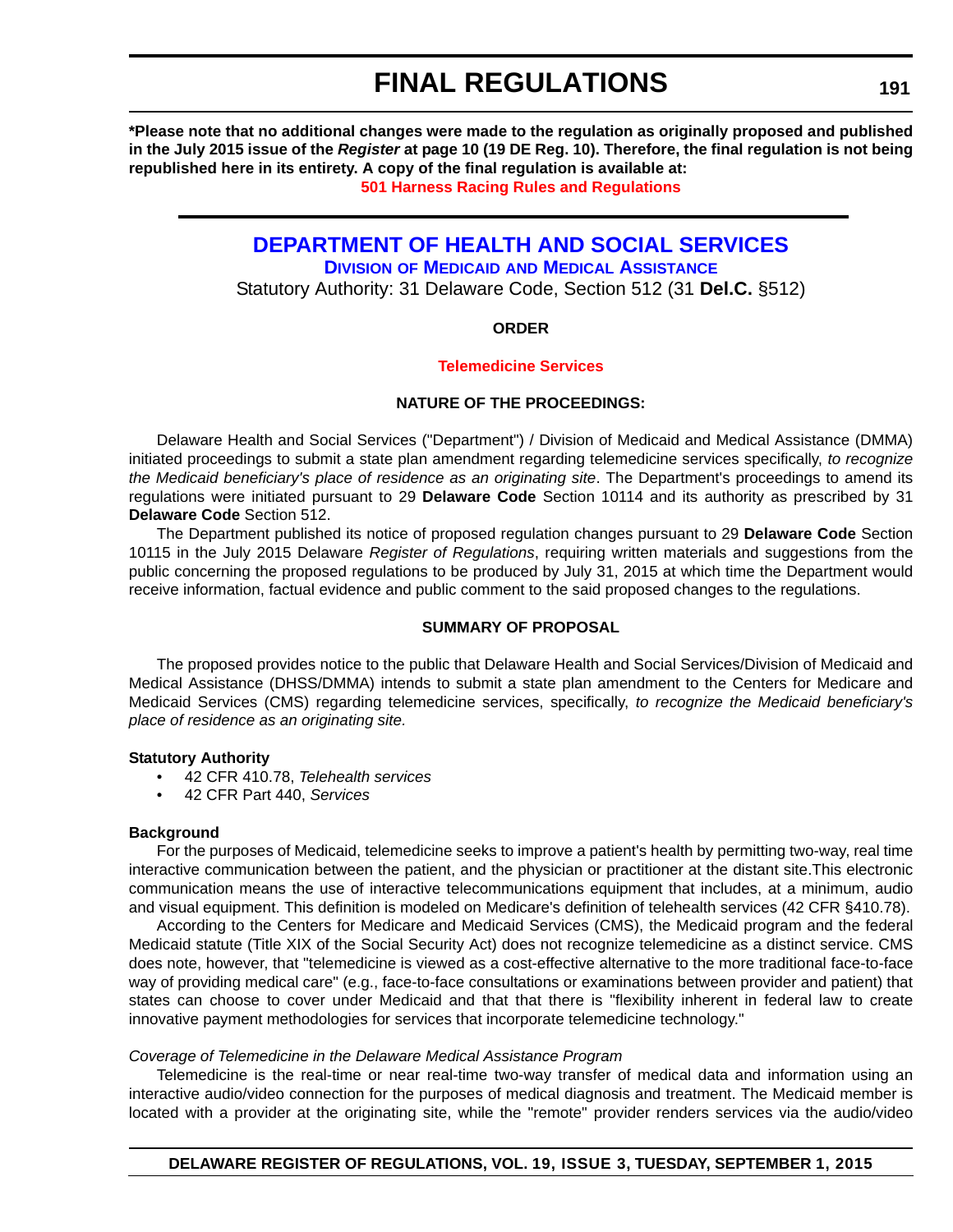<span id="page-39-0"></span>**\*Please note that no additional changes were made to the regulation as originally proposed and published in the July 2015 issue of the** *Register* **at page 10 (19 DE Reg. 10). Therefore, the final regulation is not being republished here in its entirety. A copy of the final regulation is available at:**

**[501 Harness Racing Rules and Regulations](http://regulations.delaware.gov/register/september2015/final/19 DE Reg 189 09-01-15.htm)**

### **[DEPARTMENT OF HEALTH AND SOCIAL SERVICES](http://www.dhss.delaware.gov/dhss/dmma/)**

**DIVISION OF MEDICAID AND MEDICAL ASSISTANCE**

Statutory Authority: 31 Delaware Code, Section 512 (31 **Del.C.** §512)

#### **ORDER**

#### **[Telemedicine Services](#page-4-0)**

#### **NATURE OF THE PROCEEDINGS:**

Delaware Health and Social Services ("Department") / Division of Medicaid and Medical Assistance (DMMA) initiated proceedings to submit a state plan amendment regarding telemedicine services specifically, *to recognize the Medicaid beneficiary's place of residence as an originating site*. The Department's proceedings to amend its regulations were initiated pursuant to 29 **Delaware Code** Section 10114 and its authority as prescribed by 31 **Delaware Code** Section 512.

The Department published its notice of proposed regulation changes pursuant to 29 **Delaware Code** Section 10115 in the July 2015 Delaware *Register of Regulations*, requiring written materials and suggestions from the public concerning the proposed regulations to be produced by July 31, 2015 at which time the Department would receive information, factual evidence and public comment to the said proposed changes to the regulations.

#### **SUMMARY OF PROPOSAL**

The proposed provides notice to the public that Delaware Health and Social Services/Division of Medicaid and Medical Assistance (DHSS/DMMA) intends to submit a state plan amendment to the Centers for Medicare and Medicaid Services (CMS) regarding telemedicine services, specifically, *to recognize the Medicaid beneficiary's place of residence as an originating site.*

#### **Statutory Authority**

- 42 CFR 410.78, *Telehealth services*
- 42 CFR Part 440, *Services*

#### **Background**

For the purposes of Medicaid, telemedicine seeks to improve a patient's health by permitting two-way, real time interactive communication between the patient, and the physician or practitioner at the distant site.This electronic communication means the use of interactive telecommunications equipment that includes, at a minimum, audio and visual equipment. This definition is modeled on Medicare's definition of telehealth services (42 CFR §410.78).

According to the Centers for Medicare and Medicaid Services (CMS), the Medicaid program and the federal Medicaid statute (Title XIX of the Social Security Act) does not recognize telemedicine as a distinct service. CMS does note, however, that "telemedicine is viewed as a cost-effective alternative to the more traditional face-to-face way of providing medical care" (e.g., face-to-face consultations or examinations between provider and patient) that states can choose to cover under Medicaid and that that there is "flexibility inherent in federal law to create innovative payment methodologies for services that incorporate telemedicine technology."

#### *Coverage of Telemedicine in the Delaware Medical Assistance Program*

Telemedicine is the real-time or near real-time two-way transfer of medical data and information using an interactive audio/video connection for the purposes of medical diagnosis and treatment. The Medicaid member is located with a provider at the originating site, while the "remote" provider renders services via the audio/video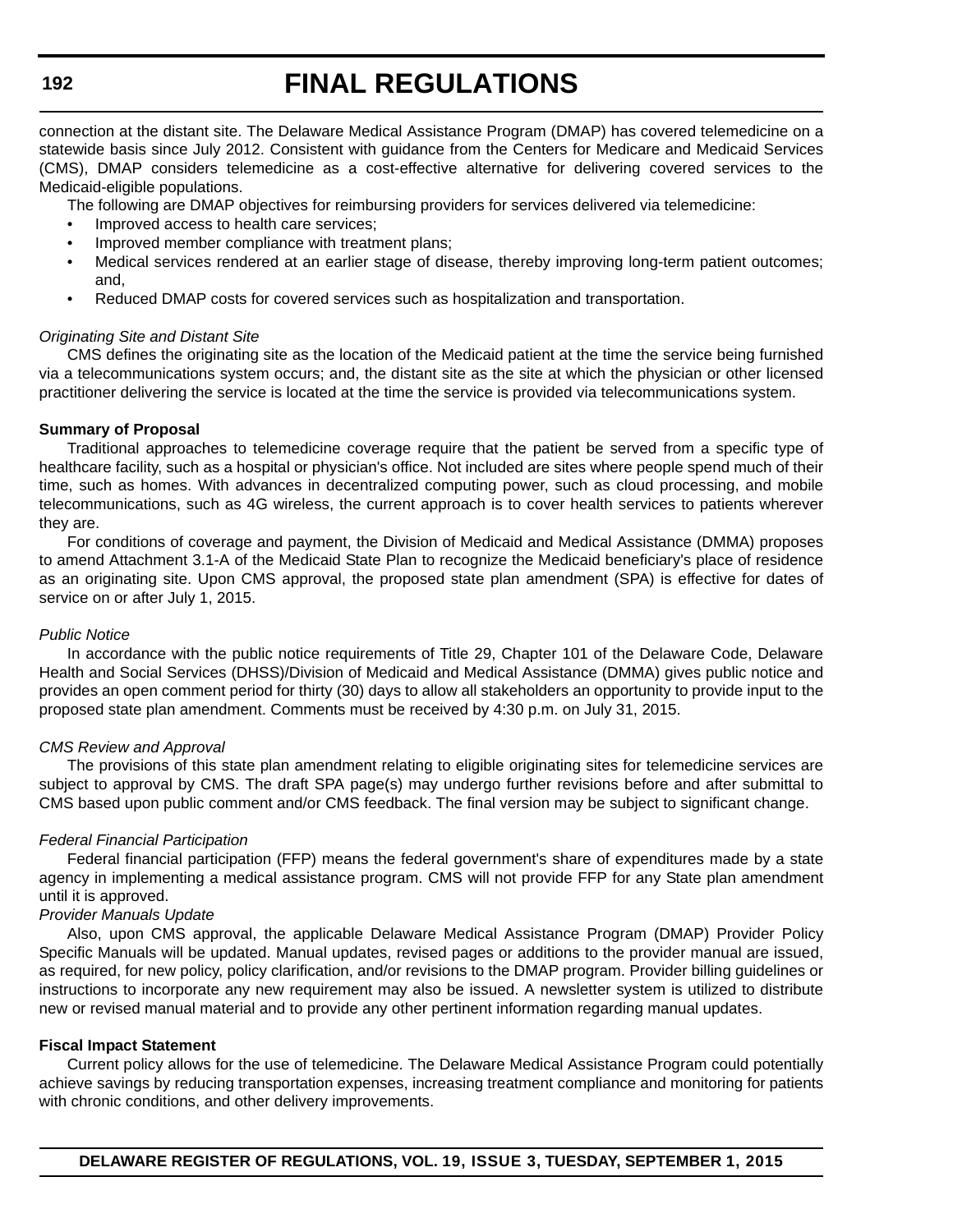connection at the distant site. The Delaware Medical Assistance Program (DMAP) has covered telemedicine on a statewide basis since July 2012. Consistent with guidance from the Centers for Medicare and Medicaid Services (CMS), DMAP considers telemedicine as a cost-effective alternative for delivering covered services to the Medicaid-eligible populations.

The following are DMAP objectives for reimbursing providers for services delivered via telemedicine:

- Improved access to health care services;
- Improved member compliance with treatment plans:
- Medical services rendered at an earlier stage of disease, thereby improving long-term patient outcomes; and,
- Reduced DMAP costs for covered services such as hospitalization and transportation.

#### *Originating Site and Distant Site*

CMS defines the originating site as the location of the Medicaid patient at the time the service being furnished via a telecommunications system occurs; and, the distant site as the site at which the physician or other licensed practitioner delivering the service is located at the time the service is provided via telecommunications system.

#### **Summary of Proposal**

Traditional approaches to telemedicine coverage require that the patient be served from a specific type of healthcare facility, such as a hospital or physician's office. Not included are sites where people spend much of their time, such as homes. With advances in decentralized computing power, such as cloud processing, and mobile telecommunications, such as 4G wireless, the current approach is to cover health services to patients wherever they are.

For conditions of coverage and payment, the Division of Medicaid and Medical Assistance (DMMA) proposes to amend Attachment 3.1-A of the Medicaid State Plan to recognize the Medicaid beneficiary's place of residence as an originating site. Upon CMS approval, the proposed state plan amendment (SPA) is effective for dates of service on or after July 1, 2015.

#### *Public Notice*

In accordance with the public notice requirements of Title 29, Chapter 101 of the Delaware Code, Delaware Health and Social Services (DHSS)/Division of Medicaid and Medical Assistance (DMMA) gives public notice and provides an open comment period for thirty (30) days to allow all stakeholders an opportunity to provide input to the proposed state plan amendment. Comments must be received by 4:30 p.m. on July 31, 2015.

#### *CMS Review and Approval*

The provisions of this state plan amendment relating to eligible originating sites for telemedicine services are subject to approval by CMS. The draft SPA page(s) may undergo further revisions before and after submittal to CMS based upon public comment and/or CMS feedback. The final version may be subject to significant change.

#### *Federal Financial Participation*

Federal financial participation (FFP) means the federal government's share of expenditures made by a state agency in implementing a medical assistance program. CMS will not provide FFP for any State plan amendment until it is approved.

#### *Provider Manuals Update*

Also, upon CMS approval, the applicable Delaware Medical Assistance Program (DMAP) Provider Policy Specific Manuals will be updated. Manual updates, revised pages or additions to the provider manual are issued, as required, for new policy, policy clarification, and/or revisions to the DMAP program. Provider billing guidelines or instructions to incorporate any new requirement may also be issued. A newsletter system is utilized to distribute new or revised manual material and to provide any other pertinent information regarding manual updates.

#### **Fiscal Impact Statement**

Current policy allows for the use of telemedicine. The Delaware Medical Assistance Program could potentially achieve savings by reducing transportation expenses, increasing treatment compliance and monitoring for patients with chronic conditions, and other delivery improvements.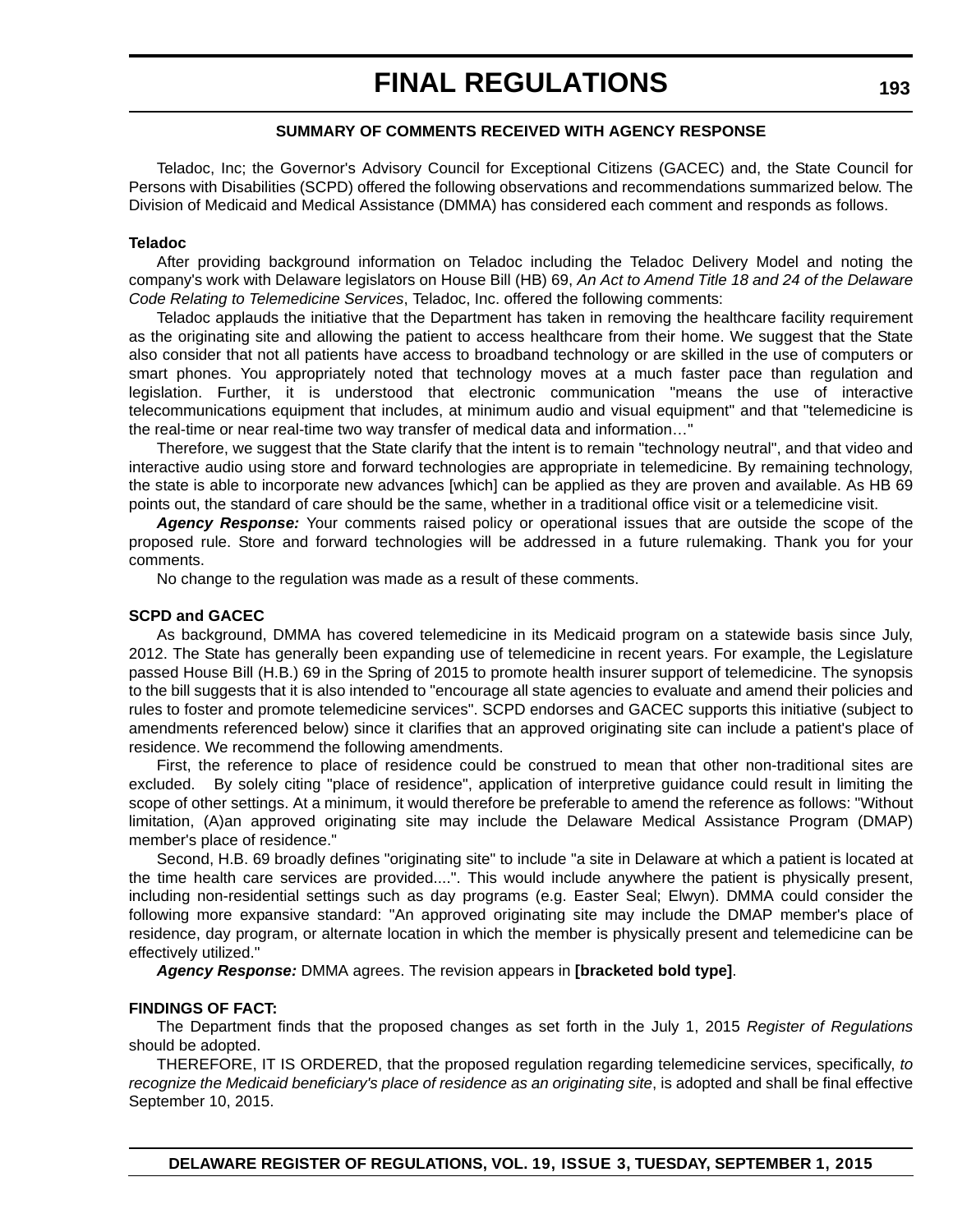#### **SUMMARY OF COMMENTS RECEIVED WITH AGENCY RESPONSE**

Teladoc, Inc; the Governor's Advisory Council for Exceptional Citizens (GACEC) and, the State Council for Persons with Disabilities (SCPD) offered the following observations and recommendations summarized below. The Division of Medicaid and Medical Assistance (DMMA) has considered each comment and responds as follows.

#### **Teladoc**

After providing background information on Teladoc including the Teladoc Delivery Model and noting the company's work with Delaware legislators on House Bill (HB) 69, *An Act to Amend Title 18 and 24 of the Delaware Code Relating to Telemedicine Services*, Teladoc, Inc. offered the following comments:

Teladoc applauds the initiative that the Department has taken in removing the healthcare facility requirement as the originating site and allowing the patient to access healthcare from their home. We suggest that the State also consider that not all patients have access to broadband technology or are skilled in the use of computers or smart phones. You appropriately noted that technology moves at a much faster pace than regulation and legislation. Further, it is understood that electronic communication "means the use of interactive telecommunications equipment that includes, at minimum audio and visual equipment" and that "telemedicine is the real-time or near real-time two way transfer of medical data and information…"

Therefore, we suggest that the State clarify that the intent is to remain "technology neutral", and that video and interactive audio using store and forward technologies are appropriate in telemedicine. By remaining technology, the state is able to incorporate new advances [which] can be applied as they are proven and available. As HB 69 points out, the standard of care should be the same, whether in a traditional office visit or a telemedicine visit.

*Agency Response:* Your comments raised policy or operational issues that are outside the scope of the proposed rule. Store and forward technologies will be addressed in a future rulemaking. Thank you for your comments.

No change to the regulation was made as a result of these comments.

#### **SCPD and GACEC**

As background, DMMA has covered telemedicine in its Medicaid program on a statewide basis since July, 2012. The State has generally been expanding use of telemedicine in recent years. For example, the Legislature passed House Bill (H.B.) 69 in the Spring of 2015 to promote health insurer support of telemedicine. The synopsis to the bill suggests that it is also intended to "encourage all state agencies to evaluate and amend their policies and rules to foster and promote telemedicine services". SCPD endorses and GACEC supports this initiative (subject to amendments referenced below) since it clarifies that an approved originating site can include a patient's place of residence. We recommend the following amendments.

First, the reference to place of residence could be construed to mean that other non-traditional sites are excluded. By solely citing "place of residence", application of interpretive guidance could result in limiting the scope of other settings. At a minimum, it would therefore be preferable to amend the reference as follows: "Without limitation, (A)an approved originating site may include the Delaware Medical Assistance Program (DMAP) member's place of residence."

Second, H.B. 69 broadly defines "originating site" to include "a site in Delaware at which a patient is located at the time health care services are provided....". This would include anywhere the patient is physically present, including non-residential settings such as day programs (e.g. Easter Seal; Elwyn). DMMA could consider the following more expansive standard: "An approved originating site may include the DMAP member's place of residence, day program, or alternate location in which the member is physically present and telemedicine can be effectively utilized."

*Agency Response:* DMMA agrees. The revision appears in **[bracketed bold type]**.

#### **FINDINGS OF FACT:**

The Department finds that the proposed changes as set forth in the July 1, 2015 *Register of Regulations* should be adopted.

THEREFORE, IT IS ORDERED, that the proposed regulation regarding telemedicine services, specifically, *to recognize the Medicaid beneficiary's place of residence as an originating site*, is adopted and shall be final effective September 10, 2015.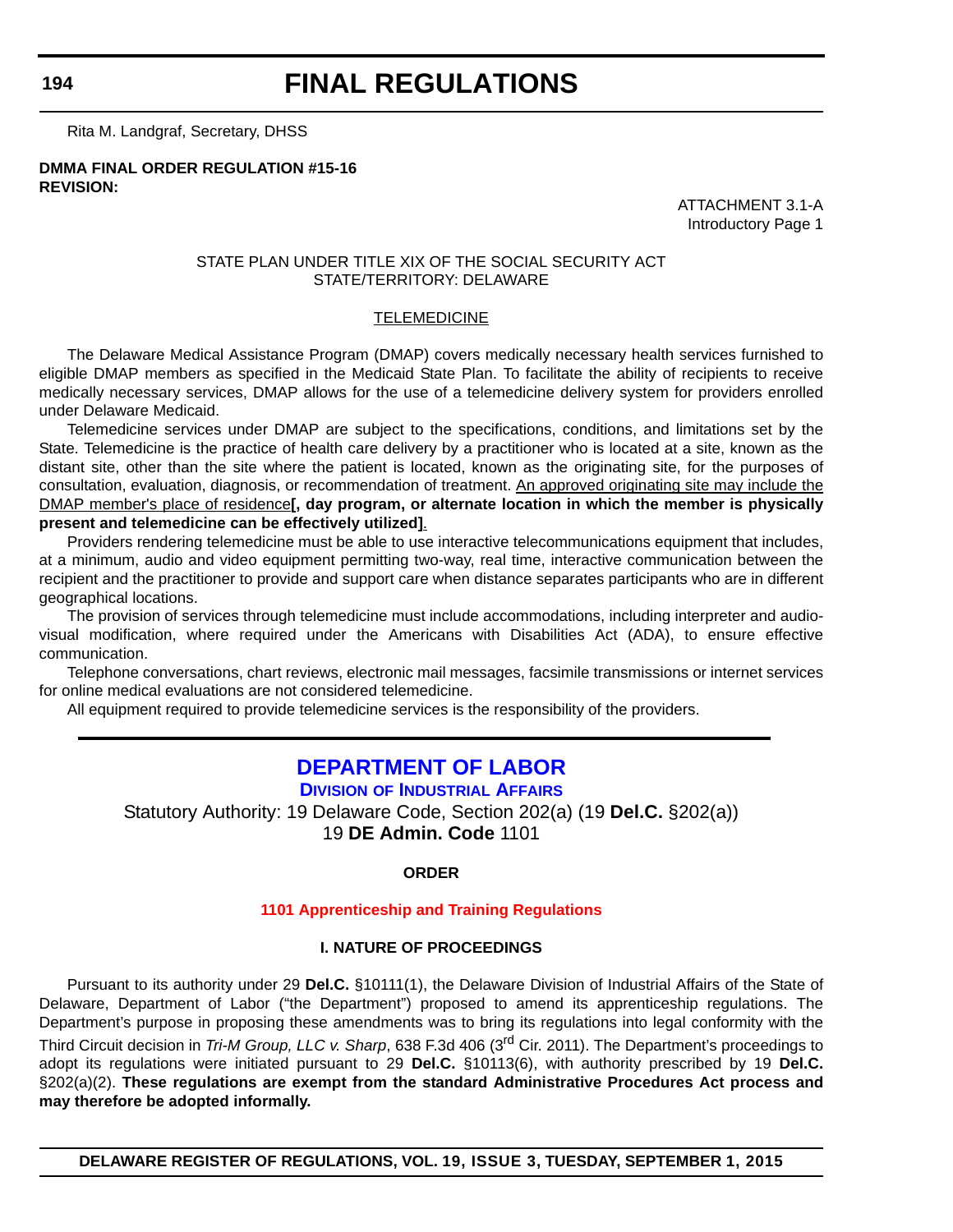<span id="page-42-0"></span>**194**

### **FINAL REGULATIONS**

Rita M. Landgraf, Secretary, DHSS

**DMMA FINAL ORDER REGULATION #15-16 REVISION:**

> ATTACHMENT 3.1-A Introductory Page 1

#### STATE PLAN UNDER TITLE XIX OF THE SOCIAL SECURITY ACT STATE/TERRITORY: DELAWARE

#### TELEMEDICINE

The Delaware Medical Assistance Program (DMAP) covers medically necessary health services furnished to eligible DMAP members as specified in the Medicaid State Plan. To facilitate the ability of recipients to receive medically necessary services, DMAP allows for the use of a telemedicine delivery system for providers enrolled under Delaware Medicaid.

Telemedicine services under DMAP are subject to the specifications, conditions, and limitations set by the State. Telemedicine is the practice of health care delivery by a practitioner who is located at a site, known as the distant site, other than the site where the patient is located, known as the originating site, for the purposes of consultation, evaluation, diagnosis, or recommendation of treatment. An approved originating site may include the DMAP member's place of residence**[, day program, or alternate location in which the member is physically present and telemedicine can be effectively utilized]**.

Providers rendering telemedicine must be able to use interactive telecommunications equipment that includes, at a minimum, audio and video equipment permitting two-way, real time, interactive communication between the recipient and the practitioner to provide and support care when distance separates participants who are in different geographical locations.

The provision of services through telemedicine must include accommodations, including interpreter and audiovisual modification, where required under the Americans with Disabilities Act (ADA), to ensure effective communication.

Telephone conversations, chart reviews, electronic mail messages, facsimile transmissions or internet services for online medical evaluations are not considered telemedicine.

All equipment required to provide telemedicine services is the responsibility of the providers.

#### **[DEPARTMENT OF LABOR](http://dia.delawareworks.com/)**

**DIVISION OF INDUSTRIAL AFFAIRS**

Statutory Authority: 19 Delaware Code, Section 202(a) (19 **Del.C.** §202(a)) 19 **DE Admin. Code** 1101

#### **ORDER**

#### **[1101 Apprenticeship and Training Regulations](#page-4-0)**

#### **I. NATURE OF PROCEEDINGS**

Pursuant to its authority under 29 **Del.C.** §10111(1), the Delaware Division of Industrial Affairs of the State of Delaware, Department of Labor ("the Department") proposed to amend its apprenticeship regulations. The Department's purpose in proposing these amendments was to bring its regulations into legal conformity with the Third Circuit decision in *Tri-M Group, LLC v. Sharp*, 638 F.3d 406 (3rd Cir. 2011). The Department's proceedings to adopt its regulations were initiated pursuant to 29 **Del.C.** §10113(6), with authority prescribed by 19 **Del.C.** §202(a)(2). **These regulations are exempt from the standard Administrative Procedures Act process and may therefore be adopted informally.**

**DELAWARE REGISTER OF REGULATIONS, VOL. 19, ISSUE 3, TUESDAY, SEPTEMBER 1, 2015**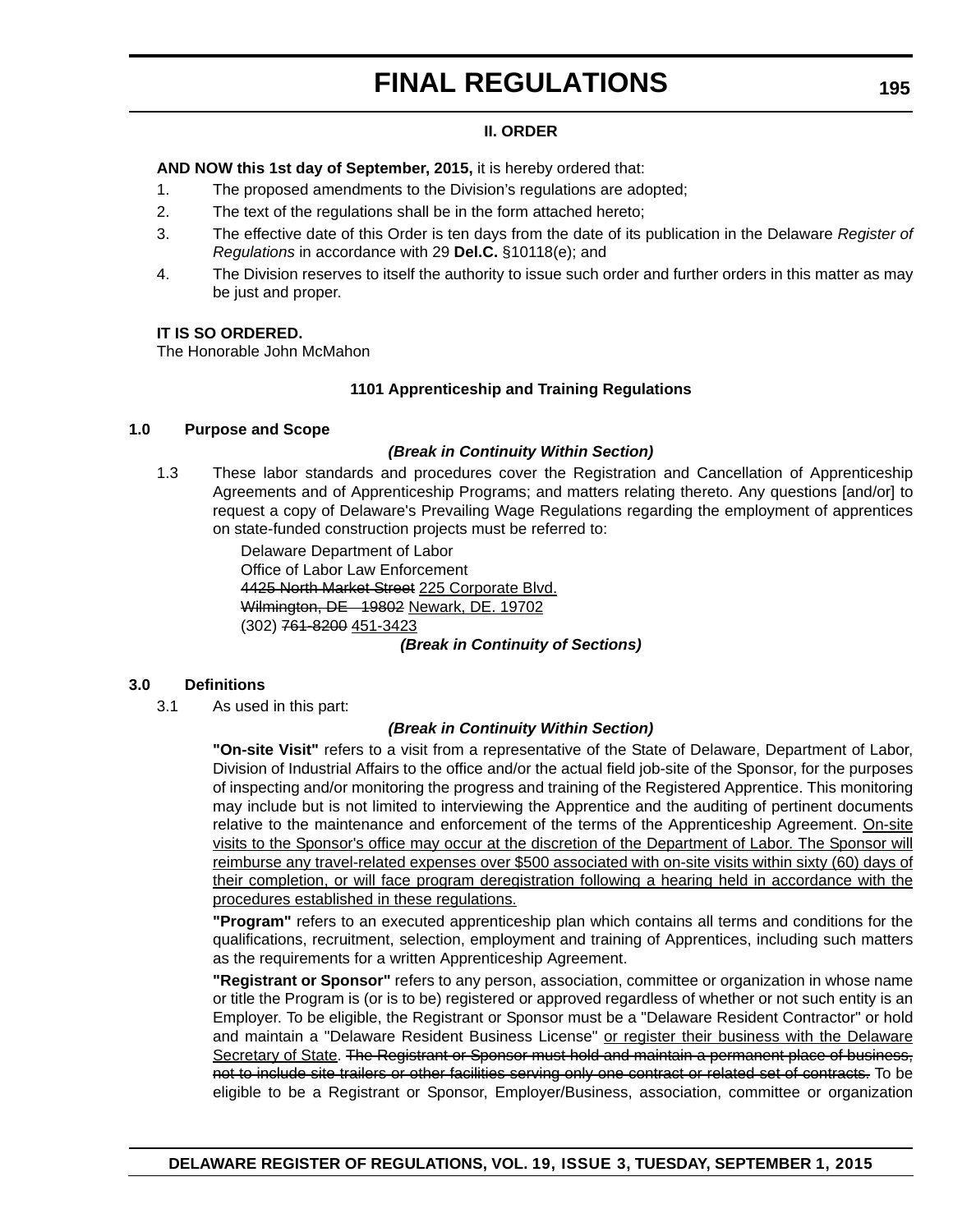#### **II. ORDER**

**AND NOW this 1st day of September, 2015,** it is hereby ordered that:

- 1. The proposed amendments to the Division's regulations are adopted;
- 2. The text of the regulations shall be in the form attached hereto;
- 3. The effective date of this Order is ten days from the date of its publication in the Delaware *Register of Regulations* in accordance with 29 **Del.C.** §10118(e); and
- 4. The Division reserves to itself the authority to issue such order and further orders in this matter as may be just and proper.

#### **IT IS SO ORDERED.**

The Honorable John McMahon

#### **1101 Apprenticeship and Training Regulations**

#### **1.0 Purpose and Scope**

#### *(Break in Continuity Within Section)*

1.3 These labor standards and procedures cover the Registration and Cancellation of Apprenticeship Agreements and of Apprenticeship Programs; and matters relating thereto. Any questions [and/or] to request a copy of Delaware's Prevailing Wage Regulations regarding the employment of apprentices on state-funded construction projects must be referred to:

> Delaware Department of Labor Office of Labor Law Enforcement 4425 North Market Street 225 Corporate Blvd. Wilmington, DE 19802 Newark, DE. 19702 (302) 761-8200 451-3423

#### *(Break in Continuity of Sections)*

#### **3.0 Definitions**

3.1 As used in this part:

#### *(Break in Continuity Within Section)*

**"On-site Visit"** refers to a visit from a representative of the State of Delaware, Department of Labor, Division of Industrial Affairs to the office and/or the actual field job-site of the Sponsor, for the purposes of inspecting and/or monitoring the progress and training of the Registered Apprentice. This monitoring may include but is not limited to interviewing the Apprentice and the auditing of pertinent documents relative to the maintenance and enforcement of the terms of the Apprenticeship Agreement. On-site visits to the Sponsor's office may occur at the discretion of the Department of Labor. The Sponsor will reimburse any travel-related expenses over \$500 associated with on-site visits within sixty (60) days of their completion, or will face program deregistration following a hearing held in accordance with the procedures established in these regulations.

**"Program"** refers to an executed apprenticeship plan which contains all terms and conditions for the qualifications, recruitment, selection, employment and training of Apprentices, including such matters as the requirements for a written Apprenticeship Agreement.

**"Registrant or Sponsor"** refers to any person, association, committee or organization in whose name or title the Program is (or is to be) registered or approved regardless of whether or not such entity is an Employer. To be eligible, the Registrant or Sponsor must be a "Delaware Resident Contractor" or hold and maintain a "Delaware Resident Business License" or register their business with the Delaware Secretary of State. The Registrant or Sponsor must hold and maintain a permanent place of business, not to include site trailers or other facilities serving only one contract or related set of contracts. To be eligible to be a Registrant or Sponsor, Employer/Business, association, committee or organization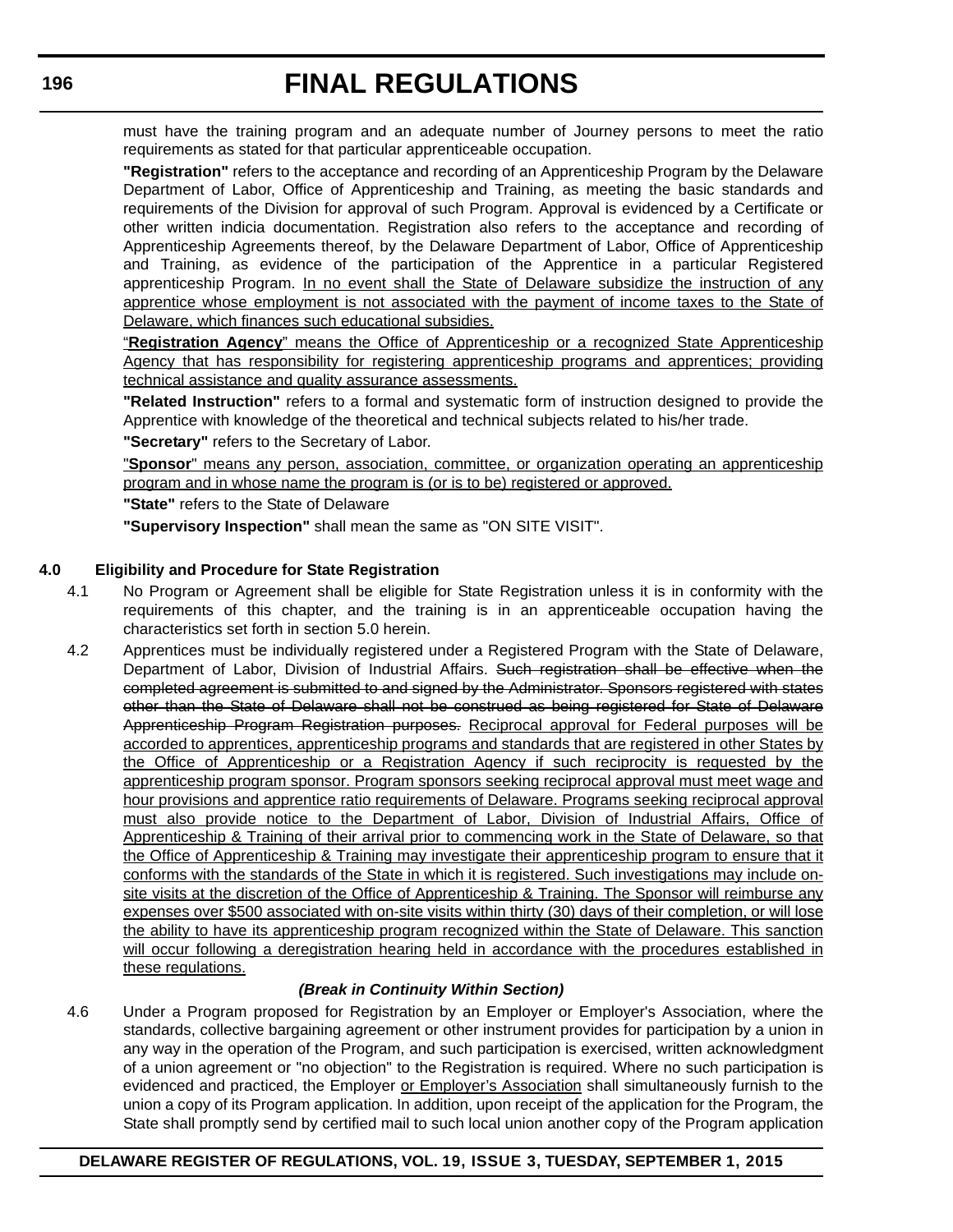must have the training program and an adequate number of Journey persons to meet the ratio requirements as stated for that particular apprenticeable occupation.

**"Registration"** refers to the acceptance and recording of an Apprenticeship Program by the Delaware Department of Labor, Office of Apprenticeship and Training, as meeting the basic standards and requirements of the Division for approval of such Program. Approval is evidenced by a Certificate or other written indicia documentation. Registration also refers to the acceptance and recording of Apprenticeship Agreements thereof, by the Delaware Department of Labor, Office of Apprenticeship and Training, as evidence of the participation of the Apprentice in a particular Registered apprenticeship Program. In no event shall the State of Delaware subsidize the instruction of any apprentice whose employment is not associated with the payment of income taxes to the State of Delaware, which finances such educational subsidies.

"**Registration Agency**" means the Office of Apprenticeship or a recognized State Apprenticeship Agency that has responsibility for registering apprenticeship programs and apprentices; providing technical assistance and quality assurance assessments.

**"Related Instruction"** refers to a formal and systematic form of instruction designed to provide the Apprentice with knowledge of the theoretical and technical subjects related to his/her trade.

**"Secretary"** refers to the Secretary of Labor.

"**Sponsor**" means any person, association, committee, or organization operating an apprenticeship program and in whose name the program is (or is to be) registered or approved.

**"State"** refers to the State of Delaware

**"Supervisory Inspection"** shall mean the same as "ON SITE VISIT".

#### **4.0 Eligibility and Procedure for State Registration**

- 4.1 No Program or Agreement shall be eligible for State Registration unless it is in conformity with the requirements of this chapter, and the training is in an apprenticeable occupation having the characteristics set forth in section 5.0 herein.
- 4.2 Apprentices must be individually registered under a Registered Program with the State of Delaware, Department of Labor, Division of Industrial Affairs. Such registration shall be effective when the completed agreement is submitted to and signed by the Administrator. Sponsors registered with states other than the State of Delaware shall not be construed as being registered for State of Delaware Apprenticeship Program Registration purposes. Reciprocal approval for Federal purposes will be accorded to apprentices, apprenticeship programs and standards that are registered in other States by the Office of Apprenticeship or a Registration Agency if such reciprocity is requested by the apprenticeship program sponsor. Program sponsors seeking reciprocal approval must meet wage and hour provisions and apprentice ratio requirements of Delaware. Programs seeking reciprocal approval must also provide notice to the Department of Labor, Division of Industrial Affairs, Office of Apprenticeship & Training of their arrival prior to commencing work in the State of Delaware, so that the Office of Apprenticeship & Training may investigate their apprenticeship program to ensure that it conforms with the standards of the State in which it is registered. Such investigations may include onsite visits at the discretion of the Office of Apprenticeship & Training. The Sponsor will reimburse any expenses over \$500 associated with on-site visits within thirty (30) days of their completion, or will lose the ability to have its apprenticeship program recognized within the State of Delaware. This sanction will occur following a deregistration hearing held in accordance with the procedures established in these regulations.

#### *(Break in Continuity Within Section)*

4.6 Under a Program proposed for Registration by an Employer or Employer's Association, where the standards, collective bargaining agreement or other instrument provides for participation by a union in any way in the operation of the Program, and such participation is exercised, written acknowledgment of a union agreement or "no objection" to the Registration is required. Where no such participation is evidenced and practiced, the Employer or Employer's Association shall simultaneously furnish to the union a copy of its Program application. In addition, upon receipt of the application for the Program, the State shall promptly send by certified mail to such local union another copy of the Program application

### **196**

#### **DELAWARE REGISTER OF REGULATIONS, VOL. 19, ISSUE 3, TUESDAY, SEPTEMBER 1, 2015**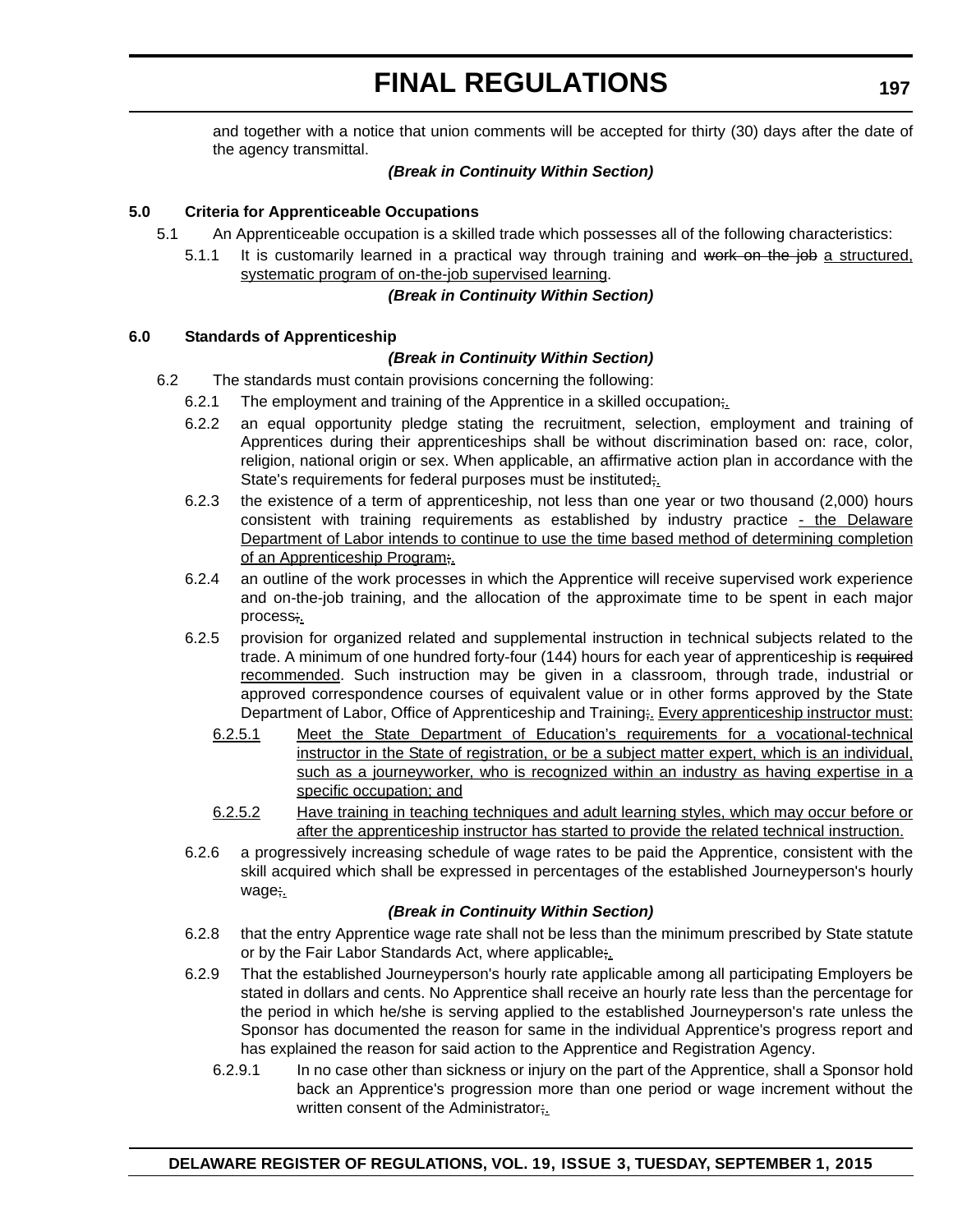and together with a notice that union comments will be accepted for thirty (30) days after the date of the agency transmittal.

#### *(Break in Continuity Within Section)*

#### **5.0 Criteria for Apprenticeable Occupations**

- 5.1 An Apprenticeable occupation is a skilled trade which possesses all of the following characteristics:
	- 5.1.1 It is customarily learned in a practical way through training and work on the job a structured, systematic program of on-the-job supervised learning.

#### *(Break in Continuity Within Section)*

#### **6.0 Standards of Apprenticeship**

#### *(Break in Continuity Within Section)*

- 6.2 The standards must contain provisions concerning the following:
	- 6.2.1 The employment and training of the Apprentice in a skilled occupation;
		- 6.2.2 an equal opportunity pledge stating the recruitment, selection, employment and training of Apprentices during their apprenticeships shall be without discrimination based on: race, color, religion, national origin or sex. When applicable, an affirmative action plan in accordance with the State's requirements for federal purposes must be instituted;
		- 6.2.3 the existence of a term of apprenticeship, not less than one year or two thousand (2,000) hours consistent with training requirements as established by industry practice  $\frac{\cdot}{\cdot}$  the Delaware Department of Labor intends to continue to use the time based method of determining completion of an Apprenticeship Program;.
		- 6.2.4 an outline of the work processes in which the Apprentice will receive supervised work experience and on-the-job training, and the allocation of the approximate time to be spent in each major process;.
		- 6.2.5 provision for organized related and supplemental instruction in technical subjects related to the trade. A minimum of one hundred forty-four (144) hours for each year of apprenticeship is required recommended. Such instruction may be given in a classroom, through trade, industrial or approved correspondence courses of equivalent value or in other forms approved by the State Department of Labor, Office of Apprenticeship and Training; Every apprenticeship instructor must:
			- 6.2.5.1 Meet the State Department of Education's requirements for a vocational-technical instructor in the State of registration, or be a subject matter expert, which is an individual, such as a journeyworker, who is recognized within an industry as having expertise in a specific occupation; and
			- 6.2.5.2 Have training in teaching techniques and adult learning styles, which may occur before or after the apprenticeship instructor has started to provide the related technical instruction.
		- 6.2.6 a progressively increasing schedule of wage rates to be paid the Apprentice, consistent with the skill acquired which shall be expressed in percentages of the established Journeyperson's hourly wage;.

#### *(Break in Continuity Within Section)*

- 6.2.8 that the entry Apprentice wage rate shall not be less than the minimum prescribed by State statute or by the Fair Labor Standards Act, where applicable;
- 6.2.9 That the established Journeyperson's hourly rate applicable among all participating Employers be stated in dollars and cents. No Apprentice shall receive an hourly rate less than the percentage for the period in which he/she is serving applied to the established Journeyperson's rate unless the Sponsor has documented the reason for same in the individual Apprentice's progress report and has explained the reason for said action to the Apprentice and Registration Agency.
	- 6.2.9.1 In no case other than sickness or injury on the part of the Apprentice, shall a Sponsor hold back an Apprentice's progression more than one period or wage increment without the written consent of the Administrator;.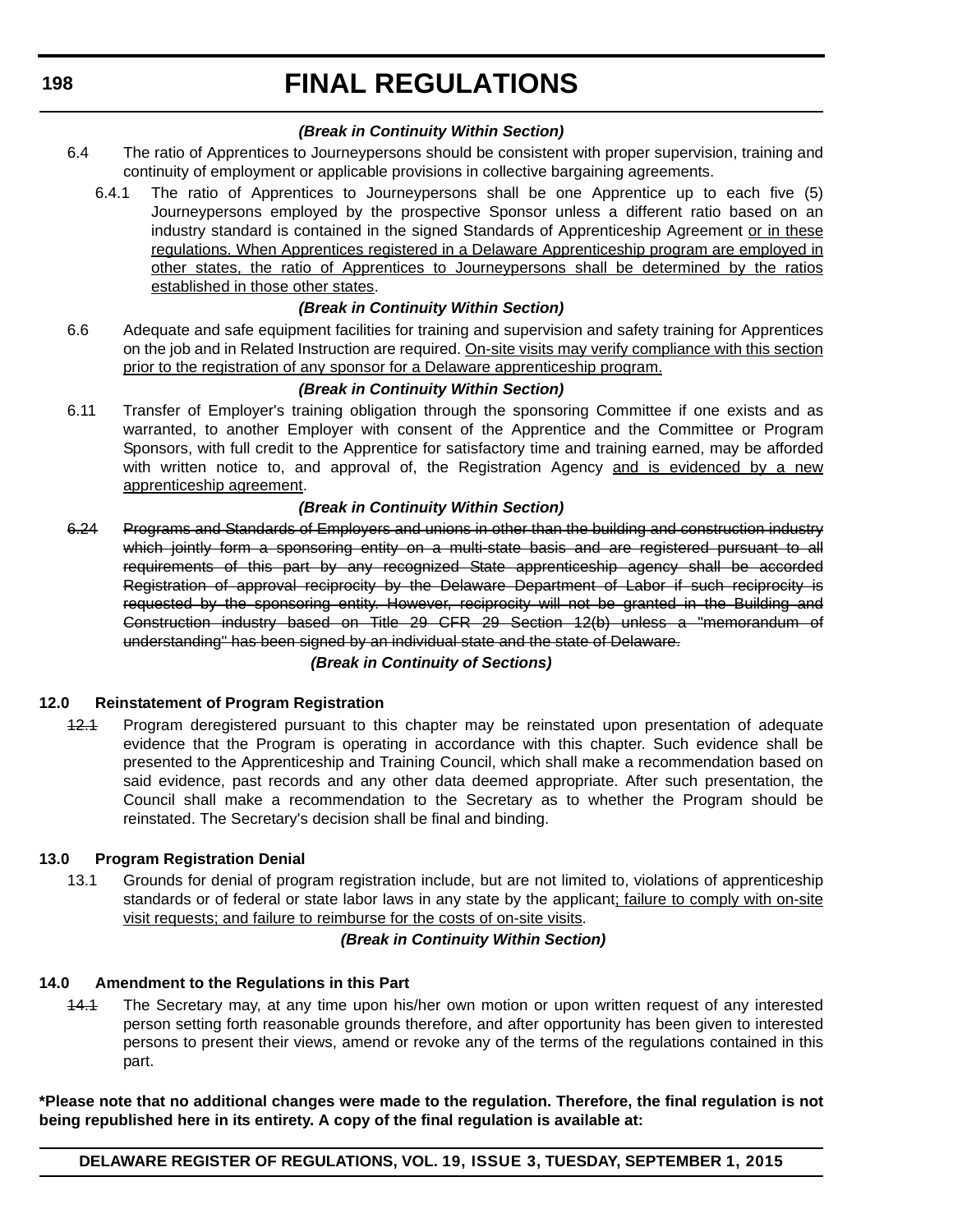**198**

# **FINAL REGULATIONS**

#### *(Break in Continuity Within Section)*

- 6.4 The ratio of Apprentices to Journeypersons should be consistent with proper supervision, training and continuity of employment or applicable provisions in collective bargaining agreements.
	- 6.4.1 The ratio of Apprentices to Journeypersons shall be one Apprentice up to each five (5) Journeypersons employed by the prospective Sponsor unless a different ratio based on an industry standard is contained in the signed Standards of Apprenticeship Agreement or in these regulations. When Apprentices registered in a Delaware Apprenticeship program are employed in other states, the ratio of Apprentices to Journeypersons shall be determined by the ratios established in those other states.

#### *(Break in Continuity Within Section)*

6.6 Adequate and safe equipment facilities for training and supervision and safety training for Apprentices on the job and in Related Instruction are required. On-site visits may verify compliance with this section prior to the registration of any sponsor for a Delaware apprenticeship program.

#### *(Break in Continuity Within Section)*

6.11 Transfer of Employer's training obligation through the sponsoring Committee if one exists and as warranted, to another Employer with consent of the Apprentice and the Committee or Program Sponsors, with full credit to the Apprentice for satisfactory time and training earned, may be afforded with written notice to, and approval of, the Registration Agency and is evidenced by a new apprenticeship agreement.

#### *(Break in Continuity Within Section)*

6.24 Programs and Standards of Employers and unions in other than the building and construction industry which jointly form a sponsoring entity on a multi-state basis and are registered pursuant to all requirements of this part by any recognized State apprenticeship agency shall be accorded Registration of approval reciprocity by the Delaware Department of Labor if such reciprocity is requested by the sponsoring entity. However, reciprocity will not be granted in the Building and Construction industry based on Title 29 CFR 29 Section 12(b) unless a "memorandum of understanding" has been signed by an individual state and the state of Delaware.

#### *(Break in Continuity of Sections)*

#### **12.0 Reinstatement of Program Registration**

42.4 Program deregistered pursuant to this chapter may be reinstated upon presentation of adequate evidence that the Program is operating in accordance with this chapter. Such evidence shall be presented to the Apprenticeship and Training Council, which shall make a recommendation based on said evidence, past records and any other data deemed appropriate. After such presentation, the Council shall make a recommendation to the Secretary as to whether the Program should be reinstated. The Secretary's decision shall be final and binding.

#### **13.0 Program Registration Denial**

13.1 Grounds for denial of program registration include, but are not limited to, violations of apprenticeship standards or of federal or state labor laws in any state by the applicant; failure to comply with on-site visit requests; and failure to reimburse for the costs of on-site visits.

#### *(Break in Continuity Within Section)*

#### **14.0 Amendment to the Regulations in this Part**

14.1 The Secretary may, at any time upon his/her own motion or upon written request of any interested person setting forth reasonable grounds therefore, and after opportunity has been given to interested persons to present their views, amend or revoke any of the terms of the regulations contained in this part.

**\*Please note that no additional changes were made to the regulation. Therefore, the final regulation is not being republished here in its entirety. A copy of the final regulation is available at:**

#### **DELAWARE REGISTER OF REGULATIONS, VOL. 19, ISSUE 3, TUESDAY, SEPTEMBER 1, 2015**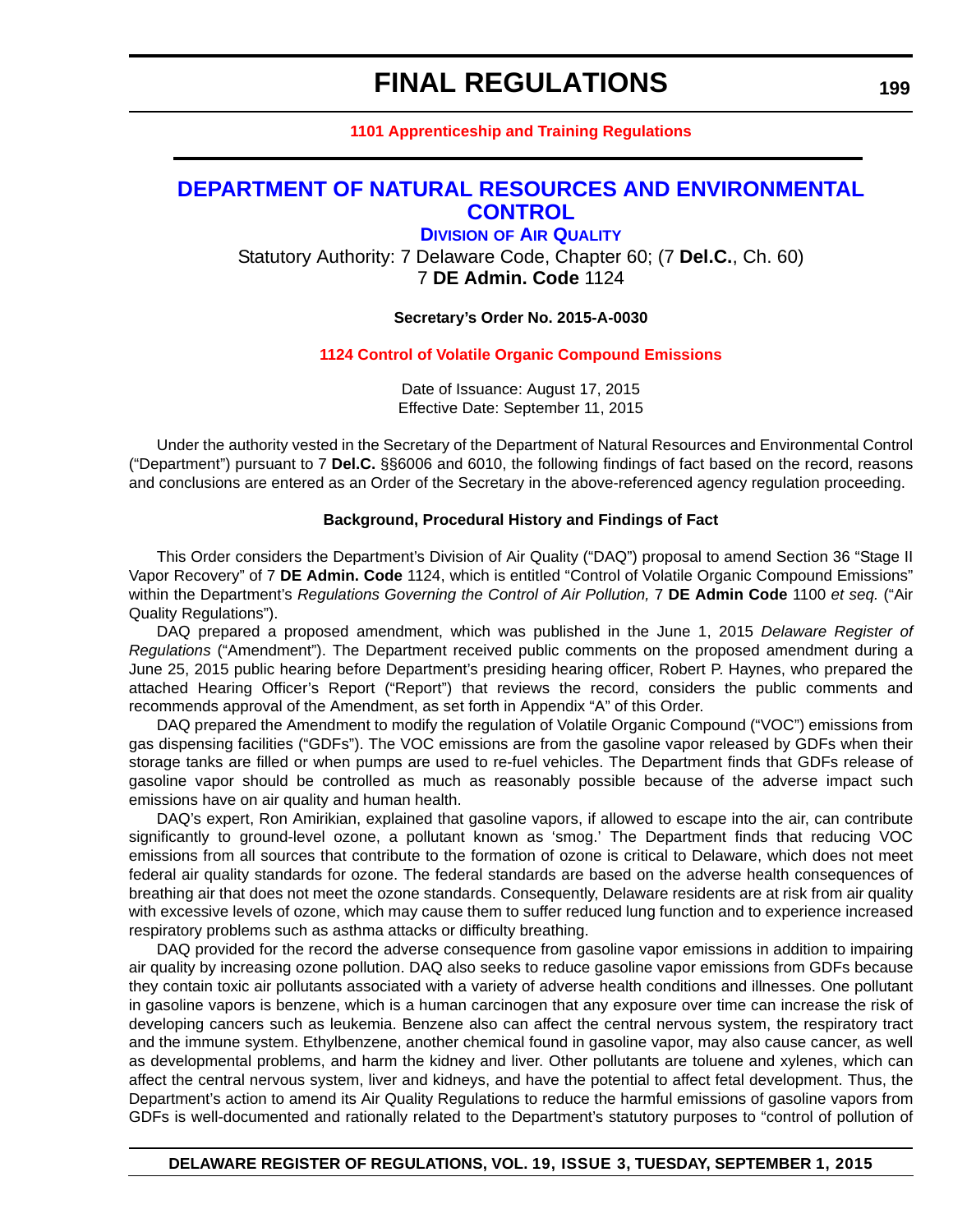#### **[1101 Apprenticeship and Training Regulations](http://regulations.delaware.gov/register/september2015/final/19 DE Reg 194 09-01-15.htm)**

#### <span id="page-47-0"></span>**[DEPARTMENT OF NATURAL RESOURCES AND ENVIRONMENTAL](http://www.dnrec.delaware.gov/air/Pages/Default.aspx)  CONTROL**

**DIVISION OF AIR QUALITY** Statutory Authority: 7 Delaware Code, Chapter 60; (7 **Del.C.**, Ch. 60) 7 **DE Admin. Code** 1124

#### **Secretary's Order No. 2015-A-0030**

#### **[1124 Control of Volatile Organic Compound Emissions](#page-4-0)**

Date of Issuance: August 17, 2015 Effective Date: September 11, 2015

Under the authority vested in the Secretary of the Department of Natural Resources and Environmental Control ("Department") pursuant to 7 **Del.C.** §§6006 and 6010, the following findings of fact based on the record, reasons and conclusions are entered as an Order of the Secretary in the above-referenced agency regulation proceeding.

#### **Background, Procedural History and Findings of Fact**

This Order considers the Department's Division of Air Quality ("DAQ") proposal to amend Section 36 "Stage II Vapor Recovery" of 7 **DE Admin. Code** 1124, which is entitled "Control of Volatile Organic Compound Emissions" within the Department's *Regulations Governing the Control of Air Pollution,* 7 **DE Admin Code** 1100 *et seq.* ("Air Quality Regulations").

DAQ prepared a proposed amendment, which was published in the June 1, 2015 *Delaware Register of Regulations* ("Amendment"). The Department received public comments on the proposed amendment during a June 25, 2015 public hearing before Department's presiding hearing officer, Robert P. Haynes, who prepared the attached Hearing Officer's Report ("Report") that reviews the record, considers the public comments and recommends approval of the Amendment, as set forth in Appendix "A" of this Order.

DAQ prepared the Amendment to modify the regulation of Volatile Organic Compound ("VOC") emissions from gas dispensing facilities ("GDFs"). The VOC emissions are from the gasoline vapor released by GDFs when their storage tanks are filled or when pumps are used to re-fuel vehicles. The Department finds that GDFs release of gasoline vapor should be controlled as much as reasonably possible because of the adverse impact such emissions have on air quality and human health.

DAQ's expert, Ron Amirikian, explained that gasoline vapors, if allowed to escape into the air, can contribute significantly to ground-level ozone, a pollutant known as 'smog.' The Department finds that reducing VOC emissions from all sources that contribute to the formation of ozone is critical to Delaware, which does not meet federal air quality standards for ozone. The federal standards are based on the adverse health consequences of breathing air that does not meet the ozone standards. Consequently, Delaware residents are at risk from air quality with excessive levels of ozone, which may cause them to suffer reduced lung function and to experience increased respiratory problems such as asthma attacks or difficulty breathing.

DAQ provided for the record the adverse consequence from gasoline vapor emissions in addition to impairing air quality by increasing ozone pollution. DAQ also seeks to reduce gasoline vapor emissions from GDFs because they contain toxic air pollutants associated with a variety of adverse health conditions and illnesses. One pollutant in gasoline vapors is benzene, which is a human carcinogen that any exposure over time can increase the risk of developing cancers such as leukemia. Benzene also can affect the central nervous system, the respiratory tract and the immune system. Ethylbenzene, another chemical found in gasoline vapor, may also cause cancer, as well as developmental problems, and harm the kidney and liver. Other pollutants are toluene and xylenes, which can affect the central nervous system, liver and kidneys, and have the potential to affect fetal development. Thus, the Department's action to amend its Air Quality Regulations to reduce the harmful emissions of gasoline vapors from GDFs is well-documented and rationally related to the Department's statutory purposes to "control of pollution of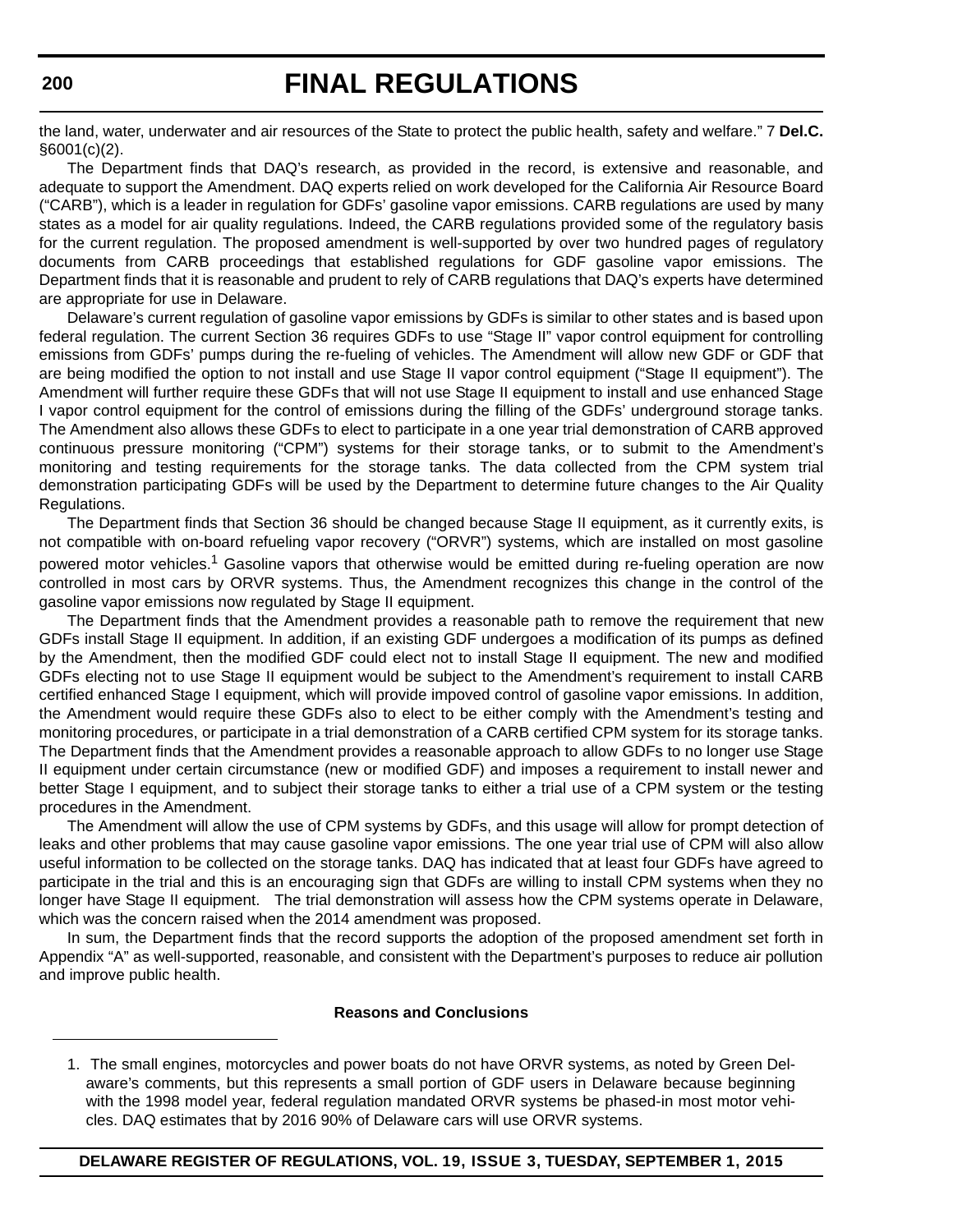the land, water, underwater and air resources of the State to protect the public health, safety and welfare." 7 **Del.C.** §6001(c)(2).

The Department finds that DAQ's research, as provided in the record, is extensive and reasonable, and adequate to support the Amendment. DAQ experts relied on work developed for the California Air Resource Board ("CARB"), which is a leader in regulation for GDFs' gasoline vapor emissions. CARB regulations are used by many states as a model for air quality regulations. Indeed, the CARB regulations provided some of the regulatory basis for the current regulation. The proposed amendment is well-supported by over two hundred pages of regulatory documents from CARB proceedings that established regulations for GDF gasoline vapor emissions. The Department finds that it is reasonable and prudent to rely of CARB regulations that DAQ's experts have determined are appropriate for use in Delaware.

Delaware's current regulation of gasoline vapor emissions by GDFs is similar to other states and is based upon federal regulation. The current Section 36 requires GDFs to use "Stage II" vapor control equipment for controlling emissions from GDFs' pumps during the re-fueling of vehicles. The Amendment will allow new GDF or GDF that are being modified the option to not install and use Stage II vapor control equipment ("Stage II equipment"). The Amendment will further require these GDFs that will not use Stage II equipment to install and use enhanced Stage I vapor control equipment for the control of emissions during the filling of the GDFs' underground storage tanks. The Amendment also allows these GDFs to elect to participate in a one year trial demonstration of CARB approved continuous pressure monitoring ("CPM") systems for their storage tanks, or to submit to the Amendment's monitoring and testing requirements for the storage tanks. The data collected from the CPM system trial demonstration participating GDFs will be used by the Department to determine future changes to the Air Quality Regulations.

The Department finds that Section 36 should be changed because Stage II equipment, as it currently exits, is not compatible with on-board refueling vapor recovery ("ORVR") systems, which are installed on most gasoline powered motor vehicles.<sup>1</sup> Gasoline vapors that otherwise would be emitted during re-fueling operation are now controlled in most cars by ORVR systems. Thus, the Amendment recognizes this change in the control of the gasoline vapor emissions now regulated by Stage II equipment.

The Department finds that the Amendment provides a reasonable path to remove the requirement that new GDFs install Stage II equipment. In addition, if an existing GDF undergoes a modification of its pumps as defined by the Amendment, then the modified GDF could elect not to install Stage II equipment. The new and modified GDFs electing not to use Stage II equipment would be subject to the Amendment's requirement to install CARB certified enhanced Stage I equipment, which will provide impoved control of gasoline vapor emissions. In addition, the Amendment would require these GDFs also to elect to be either comply with the Amendment's testing and monitoring procedures, or participate in a trial demonstration of a CARB certified CPM system for its storage tanks. The Department finds that the Amendment provides a reasonable approach to allow GDFs to no longer use Stage II equipment under certain circumstance (new or modified GDF) and imposes a requirement to install newer and better Stage I equipment, and to subject their storage tanks to either a trial use of a CPM system or the testing procedures in the Amendment.

The Amendment will allow the use of CPM systems by GDFs, and this usage will allow for prompt detection of leaks and other problems that may cause gasoline vapor emissions. The one year trial use of CPM will also allow useful information to be collected on the storage tanks. DAQ has indicated that at least four GDFs have agreed to participate in the trial and this is an encouraging sign that GDFs are willing to install CPM systems when they no longer have Stage II equipment. The trial demonstration will assess how the CPM systems operate in Delaware, which was the concern raised when the 2014 amendment was proposed.

In sum, the Department finds that the record supports the adoption of the proposed amendment set forth in Appendix "A" as well-supported, reasonable, and consistent with the Department's purposes to reduce air pollution and improve public health.

#### **Reasons and Conclusions**

<sup>1.</sup> The small engines, motorcycles and power boats do not have ORVR systems, as noted by Green Delaware's comments, but this represents a small portion of GDF users in Delaware because beginning with the 1998 model year, federal regulation mandated ORVR systems be phased-in most motor vehicles. DAQ estimates that by 2016 90% of Delaware cars will use ORVR systems.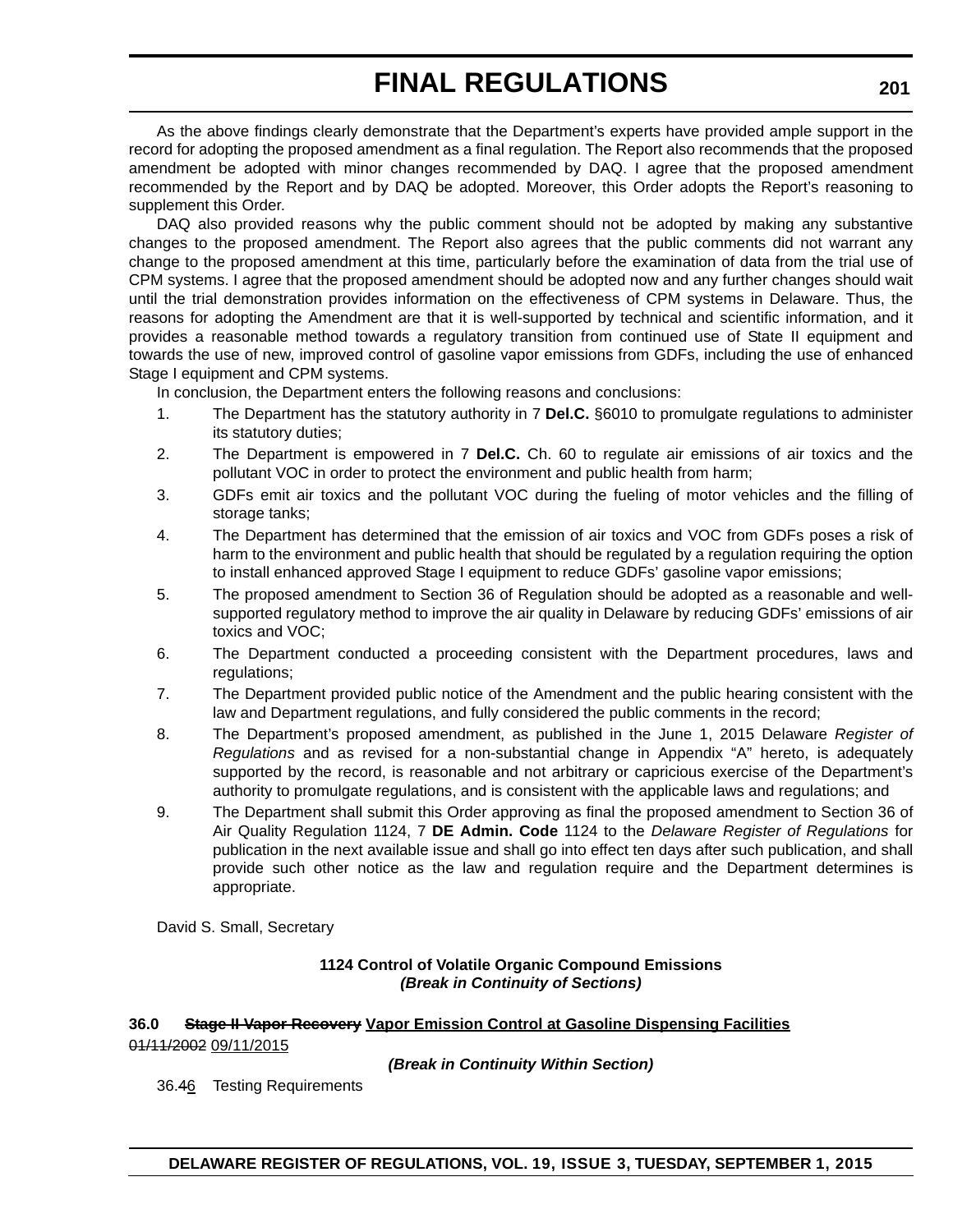As the above findings clearly demonstrate that the Department's experts have provided ample support in the record for adopting the proposed amendment as a final regulation. The Report also recommends that the proposed amendment be adopted with minor changes recommended by DAQ. I agree that the proposed amendment recommended by the Report and by DAQ be adopted. Moreover, this Order adopts the Report's reasoning to supplement this Order.

DAQ also provided reasons why the public comment should not be adopted by making any substantive changes to the proposed amendment. The Report also agrees that the public comments did not warrant any change to the proposed amendment at this time, particularly before the examination of data from the trial use of CPM systems. I agree that the proposed amendment should be adopted now and any further changes should wait until the trial demonstration provides information on the effectiveness of CPM systems in Delaware. Thus, the reasons for adopting the Amendment are that it is well-supported by technical and scientific information, and it provides a reasonable method towards a regulatory transition from continued use of State II equipment and towards the use of new, improved control of gasoline vapor emissions from GDFs, including the use of enhanced Stage I equipment and CPM systems.

In conclusion, the Department enters the following reasons and conclusions:

- 1. The Department has the statutory authority in 7 **Del.C.** §6010 to promulgate regulations to administer its statutory duties;
- 2. The Department is empowered in 7 **Del.C.** Ch. 60 to regulate air emissions of air toxics and the pollutant VOC in order to protect the environment and public health from harm;
- 3. GDFs emit air toxics and the pollutant VOC during the fueling of motor vehicles and the filling of storage tanks;
- 4. The Department has determined that the emission of air toxics and VOC from GDFs poses a risk of harm to the environment and public health that should be regulated by a regulation requiring the option to install enhanced approved Stage I equipment to reduce GDFs' gasoline vapor emissions;
- 5. The proposed amendment to Section 36 of Regulation should be adopted as a reasonable and wellsupported regulatory method to improve the air quality in Delaware by reducing GDFs' emissions of air toxics and VOC;
- 6. The Department conducted a proceeding consistent with the Department procedures, laws and regulations;
- 7. The Department provided public notice of the Amendment and the public hearing consistent with the law and Department regulations, and fully considered the public comments in the record;
- 8. The Department's proposed amendment, as published in the June 1, 2015 Delaware *Register of Regulations* and as revised for a non-substantial change in Appendix "A" hereto, is adequately supported by the record, is reasonable and not arbitrary or capricious exercise of the Department's authority to promulgate regulations, and is consistent with the applicable laws and regulations; and
- 9. The Department shall submit this Order approving as final the proposed amendment to Section 36 of Air Quality Regulation 1124, 7 **DE Admin. Code** 1124 to the *Delaware Register of Regulations* for publication in the next available issue and shall go into effect ten days after such publication, and shall provide such other notice as the law and regulation require and the Department determines is appropriate.

David S. Small, Secretary

#### **1124 Control of Volatile Organic Compound Emissions** *(Break in Continuity of Sections)*

#### **36.0 Stage II Vapor Recovery Vapor Emission Control at Gasoline Dispensing Facilities** 01/11/2002 09/11/2015

*(Break in Continuity Within Section)*

36.46 Testing Requirements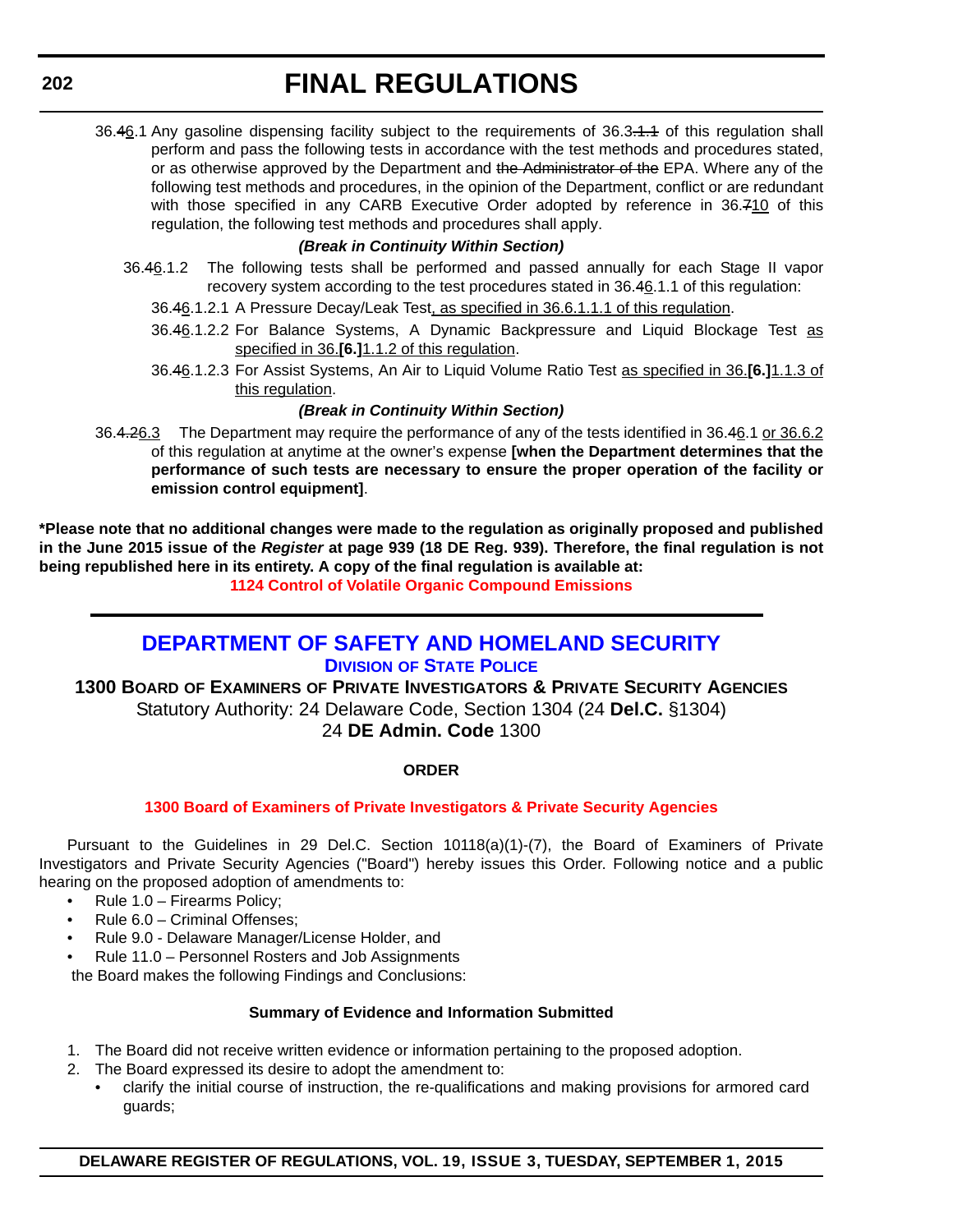<span id="page-50-0"></span>36.46.1 Any gasoline dispensing facility subject to the requirements of 36.3.1.1 of this regulation shall perform and pass the following tests in accordance with the test methods and procedures stated, or as otherwise approved by the Department and the Administrator of the EPA. Where any of the following test methods and procedures, in the opinion of the Department, conflict or are redundant with those specified in any CARB Executive Order adopted by reference in 36.710 of this regulation, the following test methods and procedures shall apply.

#### *(Break in Continuity Within Section)*

- 36.46.1.2 The following tests shall be performed and passed annually for each Stage II vapor recovery system according to the test procedures stated in 36.46.1.1 of this regulation:
	- 36.46.1.2.1 A Pressure Decay/Leak Test, as specified in 36.6.1.1.1 of this regulation.
	- 36.46.1.2.2 For Balance Systems, A Dynamic Backpressure and Liquid Blockage Test as specified in 36.**[6.]**1.1.2 of this regulation.
	- 36.46.1.2.3 For Assist Systems, An Air to Liquid Volume Ratio Test as specified in 36.**[6.]**1.1.3 of this regulation.

#### *(Break in Continuity Within Section)*

36.4.26.3 The Department may require the performance of any of the tests identified in 36.46.1 or 36.6.2 of this regulation at anytime at the owner's expense **[when the Department determines that the performance of such tests are necessary to ensure the proper operation of the facility or emission control equipment]**.

**\*Please note that no additional changes were made to the regulation as originally proposed and published in the June 2015 issue of the** *Register* **at page 939 (18 DE Reg. 939). Therefore, the final regulation is not being republished here in its entirety. A copy of the final regulation is available at: [1124 Control of Volatile Organic Compound Emissions](http://regulations.delaware.gov/register/september2015/final/19 DE Reg 199 09-01-15.htm)**

### **[DEPARTMENT OF SAFETY AND HOMELAND SECURITY](http://dsp.delaware.gov/) DIVISION OF STATE POLICE**

**1300 BOARD OF EXAMINERS OF PRIVATE INVESTIGATORS & PRIVATE SECURITY AGENCIES** Statutory Authority: 24 Delaware Code, Section 1304 (24 **Del.C.** §1304) 24 **DE Admin. Code** 1300

#### **ORDER**

#### **[1300 Board of Examiners of Private Investigators & Private Security Agencies](#page-4-0)**

Pursuant to the Guidelines in 29 Del.C. Section 10118(a)(1)-(7), the Board of Examiners of Private Investigators and Private Security Agencies ("Board") hereby issues this Order. Following notice and a public hearing on the proposed adoption of amendments to:

- Rule 1.0 Firearms Policy;
- Rule 6.0 Criminal Offenses;
- Rule 9.0 Delaware Manager/License Holder, and
- Rule 11.0 Personnel Rosters and Job Assignments

the Board makes the following Findings and Conclusions:

#### **Summary of Evidence and Information Submitted**

- 1. The Board did not receive written evidence or information pertaining to the proposed adoption.
- 2. The Board expressed its desire to adopt the amendment to:
	- clarify the initial course of instruction, the re-qualifications and making provisions for armored card guards;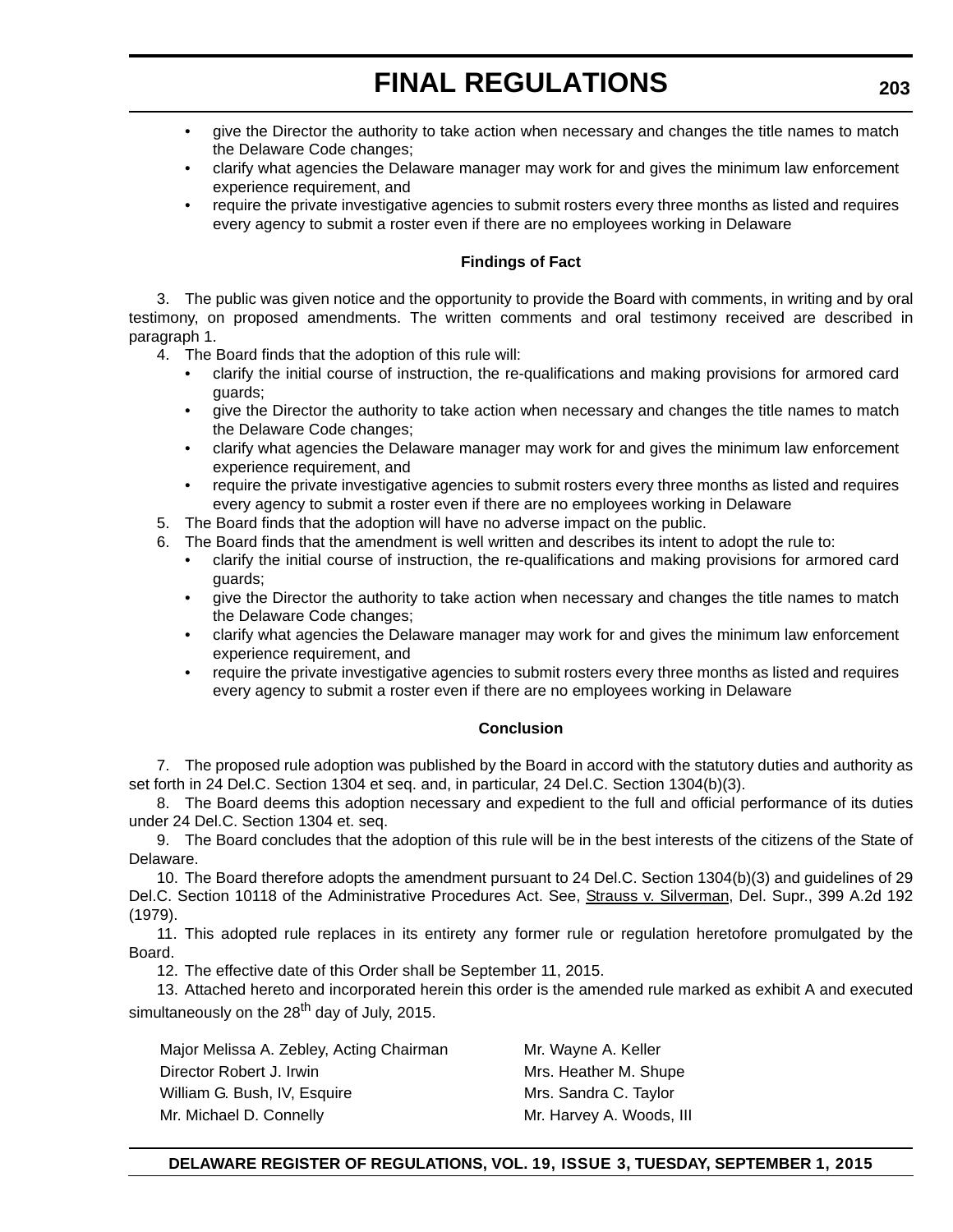- give the Director the authority to take action when necessary and changes the title names to match the Delaware Code changes;
- clarify what agencies the Delaware manager may work for and gives the minimum law enforcement experience requirement, and
- require the private investigative agencies to submit rosters every three months as listed and requires every agency to submit a roster even if there are no employees working in Delaware

#### **Findings of Fact**

3. The public was given notice and the opportunity to provide the Board with comments, in writing and by oral testimony, on proposed amendments. The written comments and oral testimony received are described in paragraph 1.

- 4. The Board finds that the adoption of this rule will:
	- clarify the initial course of instruction, the re-qualifications and making provisions for armored card guards;
	- give the Director the authority to take action when necessary and changes the title names to match the Delaware Code changes;
	- clarify what agencies the Delaware manager may work for and gives the minimum law enforcement experience requirement, and
	- require the private investigative agencies to submit rosters every three months as listed and requires every agency to submit a roster even if there are no employees working in Delaware
- 5. The Board finds that the adoption will have no adverse impact on the public.
- 6. The Board finds that the amendment is well written and describes its intent to adopt the rule to:
	- clarify the initial course of instruction, the re-qualifications and making provisions for armored card guards;
	- give the Director the authority to take action when necessary and changes the title names to match the Delaware Code changes;
	- clarify what agencies the Delaware manager may work for and gives the minimum law enforcement experience requirement, and
	- require the private investigative agencies to submit rosters every three months as listed and requires every agency to submit a roster even if there are no employees working in Delaware

#### **Conclusion**

7. The proposed rule adoption was published by the Board in accord with the statutory duties and authority as set forth in 24 Del.C. Section 1304 et seq. and, in particular, 24 Del.C. Section 1304(b)(3).

8. The Board deems this adoption necessary and expedient to the full and official performance of its duties under 24 Del.C. Section 1304 et. seq.

9. The Board concludes that the adoption of this rule will be in the best interests of the citizens of the State of Delaware.

10. The Board therefore adopts the amendment pursuant to 24 Del.C. Section 1304(b)(3) and guidelines of 29 Del.C. Section 10118 of the Administrative Procedures Act. See, Strauss v. Silverman, Del. Supr., 399 A.2d 192 (1979).

11. This adopted rule replaces in its entirety any former rule or regulation heretofore promulgated by the Board.

12. The effective date of this Order shall be September 11, 2015.

13. Attached hereto and incorporated herein this order is the amended rule marked as exhibit A and executed simultaneously on the 28<sup>th</sup> day of July, 2015.

Major Melissa A. Zebley, Acting Chairman Mr. Wayne A. Keller Director Robert J. Irwin Mrs. Heather M. Shupe William G. Bush, IV, Esquire Music Sandra C. Taylor Mr. Michael D. Connelly Mr. Harvey A. Woods, III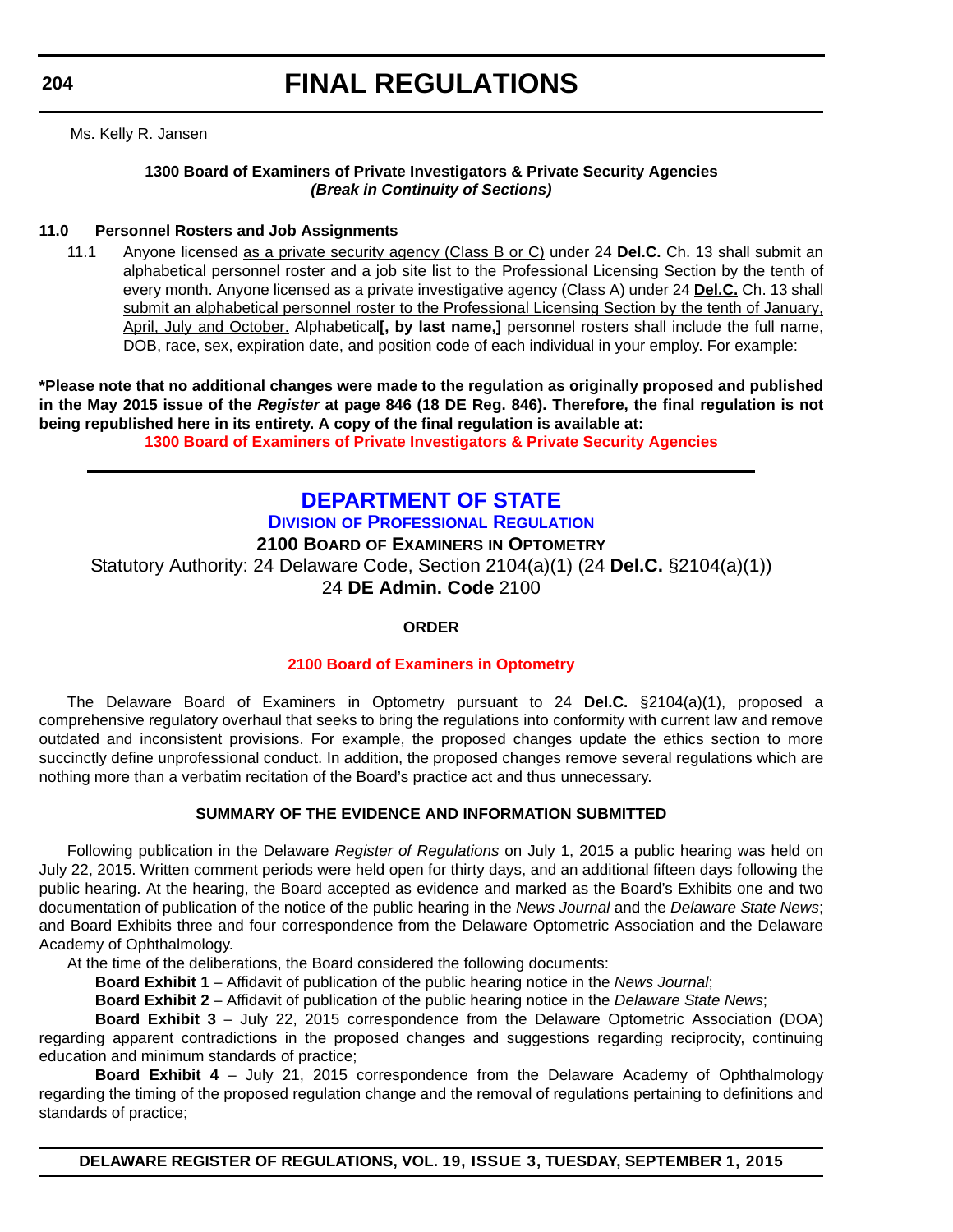<span id="page-52-0"></span>**204**

Ms. Kelly R. Jansen

#### **1300 Board of Examiners of Private Investigators & Private Security Agencies** *(Break in Continuity of Sections)*

#### **11.0 Personnel Rosters and Job Assignments**

11.1 Anyone licensed as a private security agency (Class B or C) under 24 **Del.C.** Ch. 13 shall submit an alphabetical personnel roster and a job site list to the Professional Licensing Section by the tenth of every month. Anyone licensed as a private investigative agency (Class A) under 24 **Del.C.** Ch. 13 shall submit an alphabetical personnel roster to the Professional Licensing Section by the tenth of January, April, July and October. Alphabetical**[, by last name,]** personnel rosters shall include the full name, DOB, race, sex, expiration date, and position code of each individual in your employ. For example:

**\*Please note that no additional changes were made to the regulation as originally proposed and published in the May 2015 issue of the** *Register* **at page 846 (18 DE Reg. 846). Therefore, the final regulation is not being republished here in its entirety. A copy of the final regulation is available at:**

**[1300 Board of Examiners of Private Investigators & Private Security Agencies](http://regulations.delaware.gov/register/september2015/final/19 DE Reg 202 09-01-15.htm)**

### **[DEPARTMENT OF STATE](http://dpr.delaware.gov/) DIVISION OF PROFESSIONAL REGULATION 2100 BOARD OF EXAMINERS IN OPTOMETRY** Statutory Authority: 24 Delaware Code, Section 2104(a)(1) (24 **Del.C.** §2104(a)(1)) 24 **DE Admin. Code** 2100

#### **ORDER**

#### **[2100 Board of Examiners in Optometry](#page-4-0)**

The Delaware Board of Examiners in Optometry pursuant to 24 **Del.C.** §2104(a)(1), proposed a comprehensive regulatory overhaul that seeks to bring the regulations into conformity with current law and remove outdated and inconsistent provisions. For example, the proposed changes update the ethics section to more succinctly define unprofessional conduct. In addition, the proposed changes remove several regulations which are nothing more than a verbatim recitation of the Board's practice act and thus unnecessary.

#### **SUMMARY OF THE EVIDENCE AND INFORMATION SUBMITTED**

Following publication in the Delaware *Register of Regulations* on July 1, 2015 a public hearing was held on July 22, 2015. Written comment periods were held open for thirty days, and an additional fifteen days following the public hearing. At the hearing, the Board accepted as evidence and marked as the Board's Exhibits one and two documentation of publication of the notice of the public hearing in the *News Journal* and the *Delaware State News*; and Board Exhibits three and four correspondence from the Delaware Optometric Association and the Delaware Academy of Ophthalmology.

At the time of the deliberations, the Board considered the following documents:

**Board Exhibit 1** – Affidavit of publication of the public hearing notice in the *News Journal*;

**Board Exhibit 2** – Affidavit of publication of the public hearing notice in the *Delaware State News*;

**Board Exhibit 3** – July 22, 2015 correspondence from the Delaware Optometric Association (DOA)

regarding apparent contradictions in the proposed changes and suggestions regarding reciprocity, continuing education and minimum standards of practice;

**Board Exhibit 4** – July 21, 2015 correspondence from the Delaware Academy of Ophthalmology regarding the timing of the proposed regulation change and the removal of regulations pertaining to definitions and standards of practice;

**DELAWARE REGISTER OF REGULATIONS, VOL. 19, ISSUE 3, TUESDAY, SEPTEMBER 1, 2015**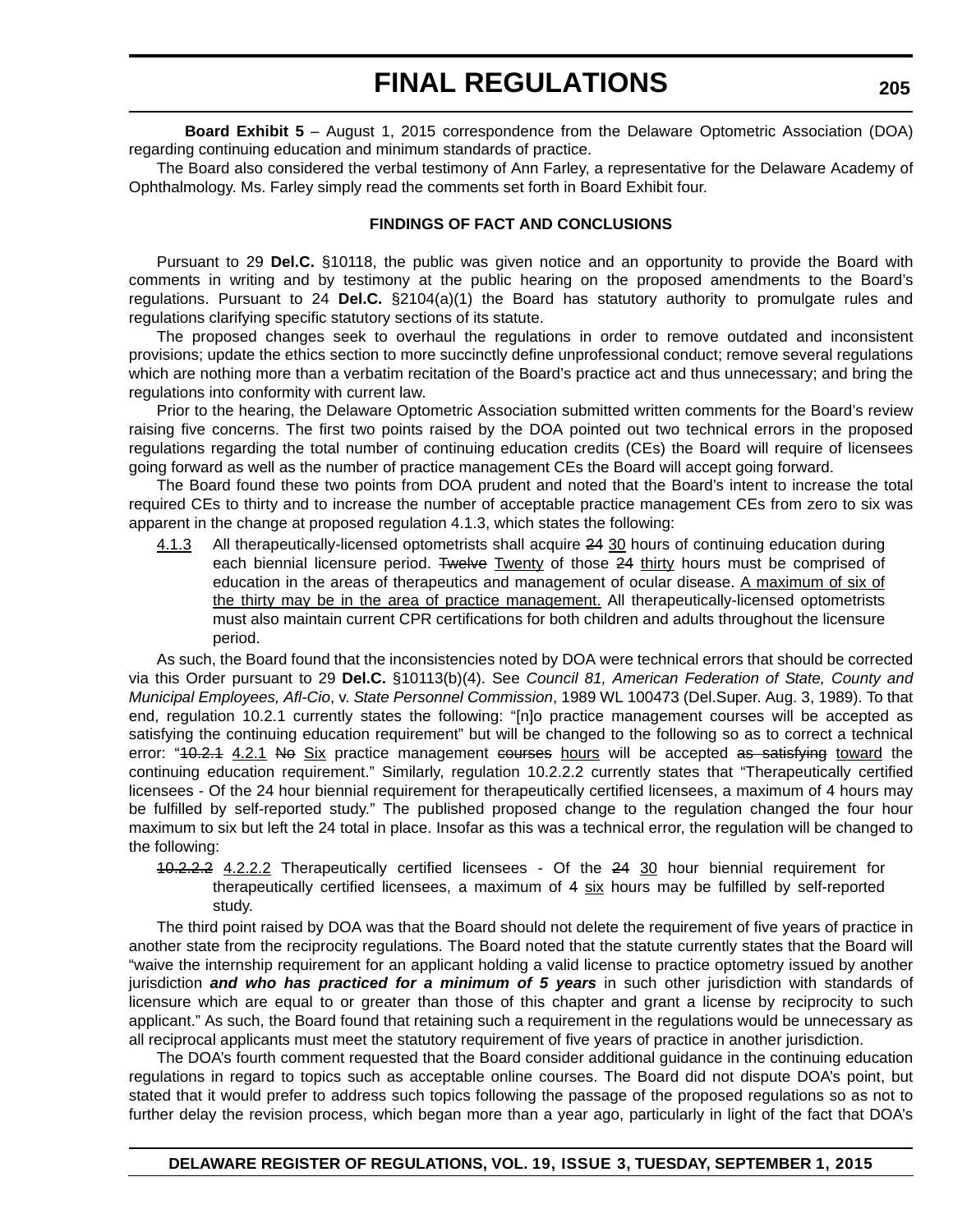**Board Exhibit 5** – August 1, 2015 correspondence from the Delaware Optometric Association (DOA) regarding continuing education and minimum standards of practice.

The Board also considered the verbal testimony of Ann Farley, a representative for the Delaware Academy of Ophthalmology. Ms. Farley simply read the comments set forth in Board Exhibit four.

#### **FINDINGS OF FACT AND CONCLUSIONS**

Pursuant to 29 **Del.C.** §10118, the public was given notice and an opportunity to provide the Board with comments in writing and by testimony at the public hearing on the proposed amendments to the Board's regulations. Pursuant to 24 **Del.C.** §2104(a)(1) the Board has statutory authority to promulgate rules and regulations clarifying specific statutory sections of its statute.

The proposed changes seek to overhaul the regulations in order to remove outdated and inconsistent provisions; update the ethics section to more succinctly define unprofessional conduct; remove several regulations which are nothing more than a verbatim recitation of the Board's practice act and thus unnecessary; and bring the regulations into conformity with current law.

Prior to the hearing, the Delaware Optometric Association submitted written comments for the Board's review raising five concerns. The first two points raised by the DOA pointed out two technical errors in the proposed regulations regarding the total number of continuing education credits (CEs) the Board will require of licensees going forward as well as the number of practice management CEs the Board will accept going forward.

The Board found these two points from DOA prudent and noted that the Board's intent to increase the total required CEs to thirty and to increase the number of acceptable practice management CEs from zero to six was apparent in the change at proposed regulation 4.1.3, which states the following:

4.1.3 All therapeutically-licensed optometrists shall acquire 24 30 hours of continuing education during each biennial licensure period. Twelve Twenty of those 24 thirty hours must be comprised of education in the areas of therapeutics and management of ocular disease. A maximum of six of the thirty may be in the area of practice management. All therapeutically-licensed optometrists must also maintain current CPR certifications for both children and adults throughout the licensure period.

As such, the Board found that the inconsistencies noted by DOA were technical errors that should be corrected via this Order pursuant to 29 **Del.C.** §10113(b)(4). See *Council 81, American Federation of State, County and Municipal Employees, Afl-Cio*, v. *State Personnel Commission*, 1989 WL 100473 (Del.Super. Aug. 3, 1989). To that end, regulation 10.2.1 currently states the following: "[n]o practice management courses will be accepted as satisfying the continuing education requirement" but will be changed to the following so as to correct a technical error: "40.2.1 4.2.1 No Six practice management courses hours will be accepted as satisfying toward the continuing education requirement." Similarly, regulation 10.2.2.2 currently states that "Therapeutically certified licensees - Of the 24 hour biennial requirement for therapeutically certified licensees, a maximum of 4 hours may be fulfilled by self-reported study." The published proposed change to the regulation changed the four hour maximum to six but left the 24 total in place. Insofar as this was a technical error, the regulation will be changed to the following:

10.2.2.2 4.2.2.2 Therapeutically certified licensees - Of the 24 30 hour biennial requirement for therapeutically certified licensees, a maximum of 4 six hours may be fulfilled by self-reported study.

The third point raised by DOA was that the Board should not delete the requirement of five years of practice in another state from the reciprocity regulations. The Board noted that the statute currently states that the Board will "waive the internship requirement for an applicant holding a valid license to practice optometry issued by another jurisdiction *and who has practiced for a minimum of 5 years* in such other jurisdiction with standards of licensure which are equal to or greater than those of this chapter and grant a license by reciprocity to such applicant." As such, the Board found that retaining such a requirement in the regulations would be unnecessary as all reciprocal applicants must meet the statutory requirement of five years of practice in another jurisdiction.

The DOA's fourth comment requested that the Board consider additional guidance in the continuing education regulations in regard to topics such as acceptable online courses. The Board did not dispute DOA's point, but stated that it would prefer to address such topics following the passage of the proposed regulations so as not to further delay the revision process, which began more than a year ago, particularly in light of the fact that DOA's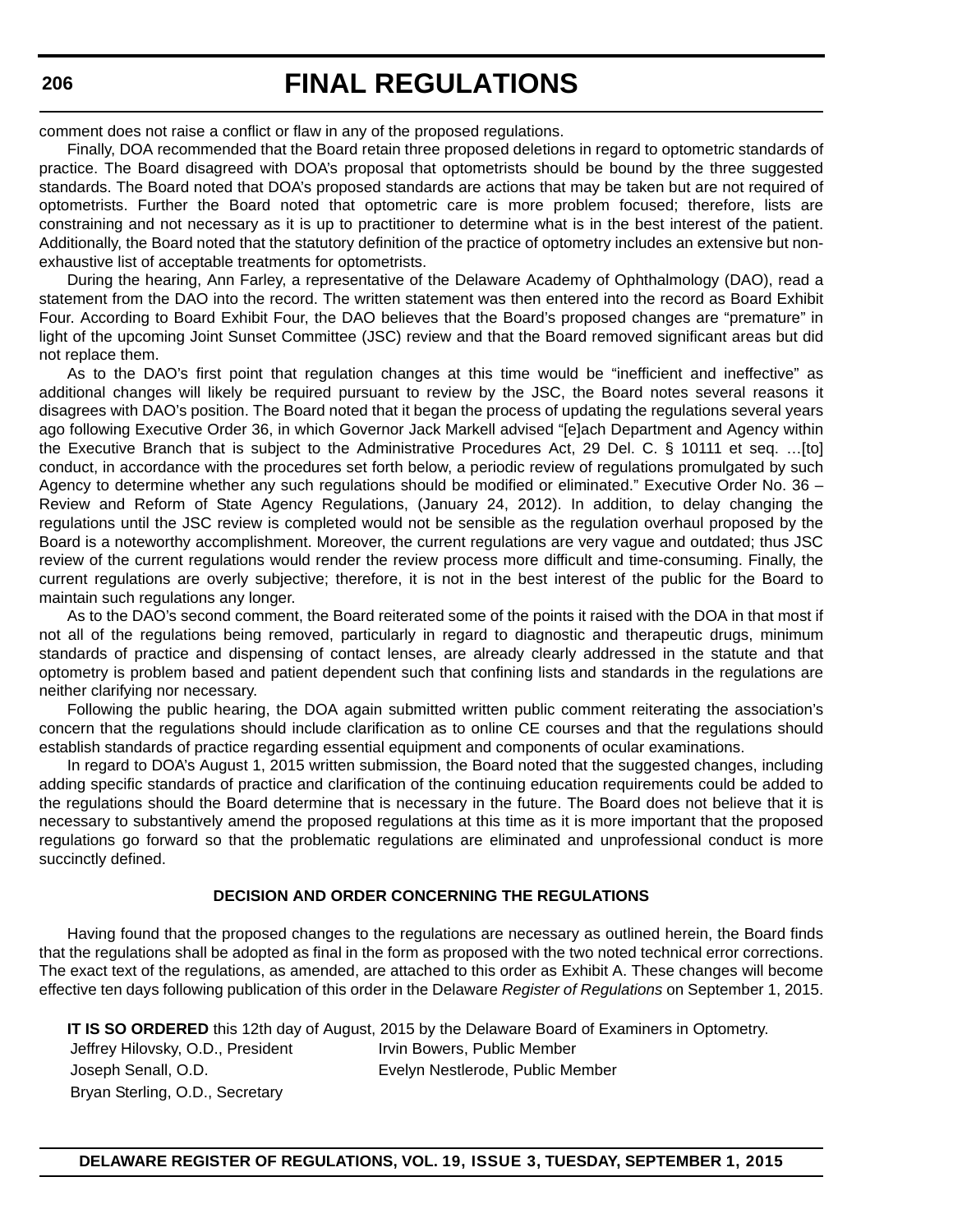comment does not raise a conflict or flaw in any of the proposed regulations.

Finally, DOA recommended that the Board retain three proposed deletions in regard to optometric standards of practice. The Board disagreed with DOA's proposal that optometrists should be bound by the three suggested standards. The Board noted that DOA's proposed standards are actions that may be taken but are not required of optometrists. Further the Board noted that optometric care is more problem focused; therefore, lists are constraining and not necessary as it is up to practitioner to determine what is in the best interest of the patient. Additionally, the Board noted that the statutory definition of the practice of optometry includes an extensive but nonexhaustive list of acceptable treatments for optometrists.

During the hearing, Ann Farley, a representative of the Delaware Academy of Ophthalmology (DAO), read a statement from the DAO into the record. The written statement was then entered into the record as Board Exhibit Four. According to Board Exhibit Four, the DAO believes that the Board's proposed changes are "premature" in light of the upcoming Joint Sunset Committee (JSC) review and that the Board removed significant areas but did not replace them.

As to the DAO's first point that regulation changes at this time would be "inefficient and ineffective" as additional changes will likely be required pursuant to review by the JSC, the Board notes several reasons it disagrees with DAO's position. The Board noted that it began the process of updating the regulations several years ago following Executive Order 36, in which Governor Jack Markell advised "[e]ach Department and Agency within the Executive Branch that is subject to the Administrative Procedures Act, 29 Del. C. § 10111 et seq. …[to] conduct, in accordance with the procedures set forth below, a periodic review of regulations promulgated by such Agency to determine whether any such regulations should be modified or eliminated." Executive Order No. 36 – Review and Reform of State Agency Regulations, (January 24, 2012). In addition, to delay changing the regulations until the JSC review is completed would not be sensible as the regulation overhaul proposed by the Board is a noteworthy accomplishment. Moreover, the current regulations are very vague and outdated; thus JSC review of the current regulations would render the review process more difficult and time-consuming. Finally, the current regulations are overly subjective; therefore, it is not in the best interest of the public for the Board to maintain such regulations any longer.

As to the DAO's second comment, the Board reiterated some of the points it raised with the DOA in that most if not all of the regulations being removed, particularly in regard to diagnostic and therapeutic drugs, minimum standards of practice and dispensing of contact lenses, are already clearly addressed in the statute and that optometry is problem based and patient dependent such that confining lists and standards in the regulations are neither clarifying nor necessary.

Following the public hearing, the DOA again submitted written public comment reiterating the association's concern that the regulations should include clarification as to online CE courses and that the regulations should establish standards of practice regarding essential equipment and components of ocular examinations.

In regard to DOA's August 1, 2015 written submission, the Board noted that the suggested changes, including adding specific standards of practice and clarification of the continuing education requirements could be added to the regulations should the Board determine that is necessary in the future. The Board does not believe that it is necessary to substantively amend the proposed regulations at this time as it is more important that the proposed regulations go forward so that the problematic regulations are eliminated and unprofessional conduct is more succinctly defined.

#### **DECISION AND ORDER CONCERNING THE REGULATIONS**

Having found that the proposed changes to the regulations are necessary as outlined herein, the Board finds that the regulations shall be adopted as final in the form as proposed with the two noted technical error corrections. The exact text of the regulations, as amended, are attached to this order as Exhibit A. These changes will become effective ten days following publication of this order in the Delaware *Register of Regulations* on September 1, 2015.

**IT IS SO ORDERED** this 12th day of August, 2015 by the Delaware Board of Examiners in Optometry. Jeffrey Hilovsky, O.D., President Irvin Bowers, Public Member Joseph Senall, O.D. Evelyn Nestlerode, Public Member Bryan Sterling, O.D., Secretary

**DELAWARE REGISTER OF REGULATIONS, VOL. 19, ISSUE 3, TUESDAY, SEPTEMBER 1, 2015**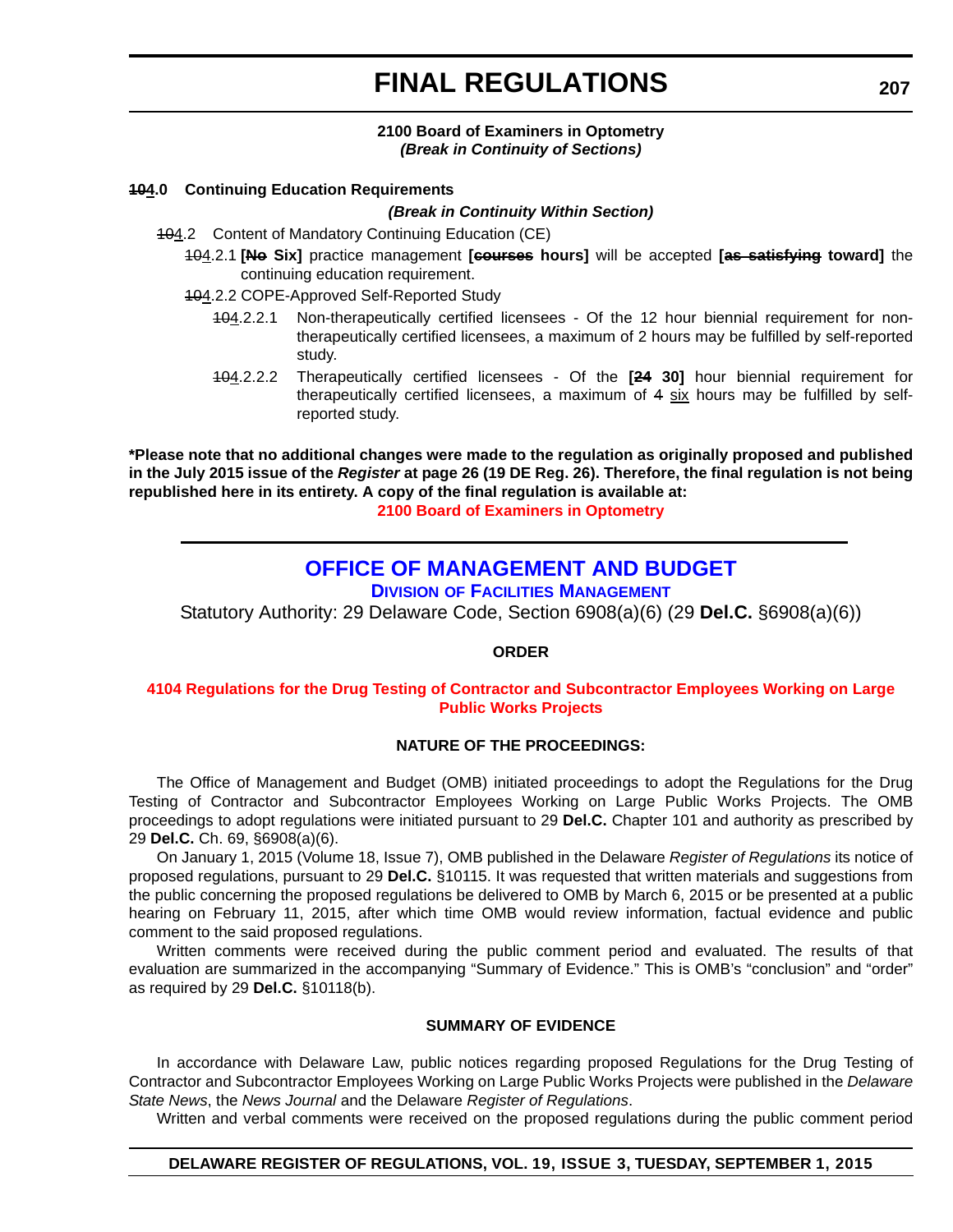#### **2100 Board of Examiners in Optometry** *(Break in Continuity of Sections)*

#### <span id="page-55-0"></span>**104.0 Continuing Education Requirements**

#### *(Break in Continuity Within Section)*

- 104.2 Content of Mandatory Continuing Education (CE)
	- 104.2.1 **[No Six]** practice management **[courses hours]** will be accepted **[as satisfying toward]** the continuing education requirement.
	- 104.2.2 COPE-Approved Self-Reported Study
		- 104.2.2.1 Non-therapeutically certified licensees Of the 12 hour biennial requirement for nontherapeutically certified licensees, a maximum of 2 hours may be fulfilled by self-reported study.
		- 104.2.2.2 Therapeutically certified licensees Of the **[24 30]** hour biennial requirement for therapeutically certified licensees, a maximum of  $4 \times \frac{1}{2}$  hours may be fulfilled by selfreported study.

**\*Please note that no additional changes were made to the regulation as originally proposed and published in the July 2015 issue of the** *Register* **at page 26 (19 DE Reg. 26). Therefore, the final regulation is not being republished here in its entirety. A copy of the final regulation is available at:**

**[2100 Board of Examiners in Optometry](http://regulations.delaware.gov/register/september2015/final/19 DE Reg 204 09-01-15.htm)**

### **[OFFICE OF MANAGEMENT AND BUDGET](http://dfm.delaware.gov/)**

**DIVISION OF FACILITIES MANAGEMENT**

Statutory Authority: 29 Delaware Code, Section 6908(a)(6) (29 **Del.C.** §6908(a)(6))

#### **ORDER**

#### **[4104 Regulations for the Drug Testing of Contractor and Subcontractor Employees Working on Large](#page-4-0)  Public Works Projects**

#### **NATURE OF THE PROCEEDINGS:**

The Office of Management and Budget (OMB) initiated proceedings to adopt the Regulations for the Drug Testing of Contractor and Subcontractor Employees Working on Large Public Works Projects. The OMB proceedings to adopt regulations were initiated pursuant to 29 **Del.C.** Chapter 101 and authority as prescribed by 29 **Del.C.** Ch. 69, §6908(a)(6).

On January 1, 2015 (Volume 18, Issue 7), OMB published in the Delaware *Register of Regulations* its notice of proposed regulations, pursuant to 29 **Del.C.** §10115. It was requested that written materials and suggestions from the public concerning the proposed regulations be delivered to OMB by March 6, 2015 or be presented at a public hearing on February 11, 2015, after which time OMB would review information, factual evidence and public comment to the said proposed regulations.

Written comments were received during the public comment period and evaluated. The results of that evaluation are summarized in the accompanying "Summary of Evidence." This is OMB's "conclusion" and "order" as required by 29 **Del.C.** §10118(b).

#### **SUMMARY OF EVIDENCE**

In accordance with Delaware Law, public notices regarding proposed Regulations for the Drug Testing of Contractor and Subcontractor Employees Working on Large Public Works Projects were published in the *Delaware State News*, the *News Journal* and the Delaware *Register of Regulations*.

Written and verbal comments were received on the proposed regulations during the public comment period

#### **DELAWARE REGISTER OF REGULATIONS, VOL. 19, ISSUE 3, TUESDAY, SEPTEMBER 1, 2015**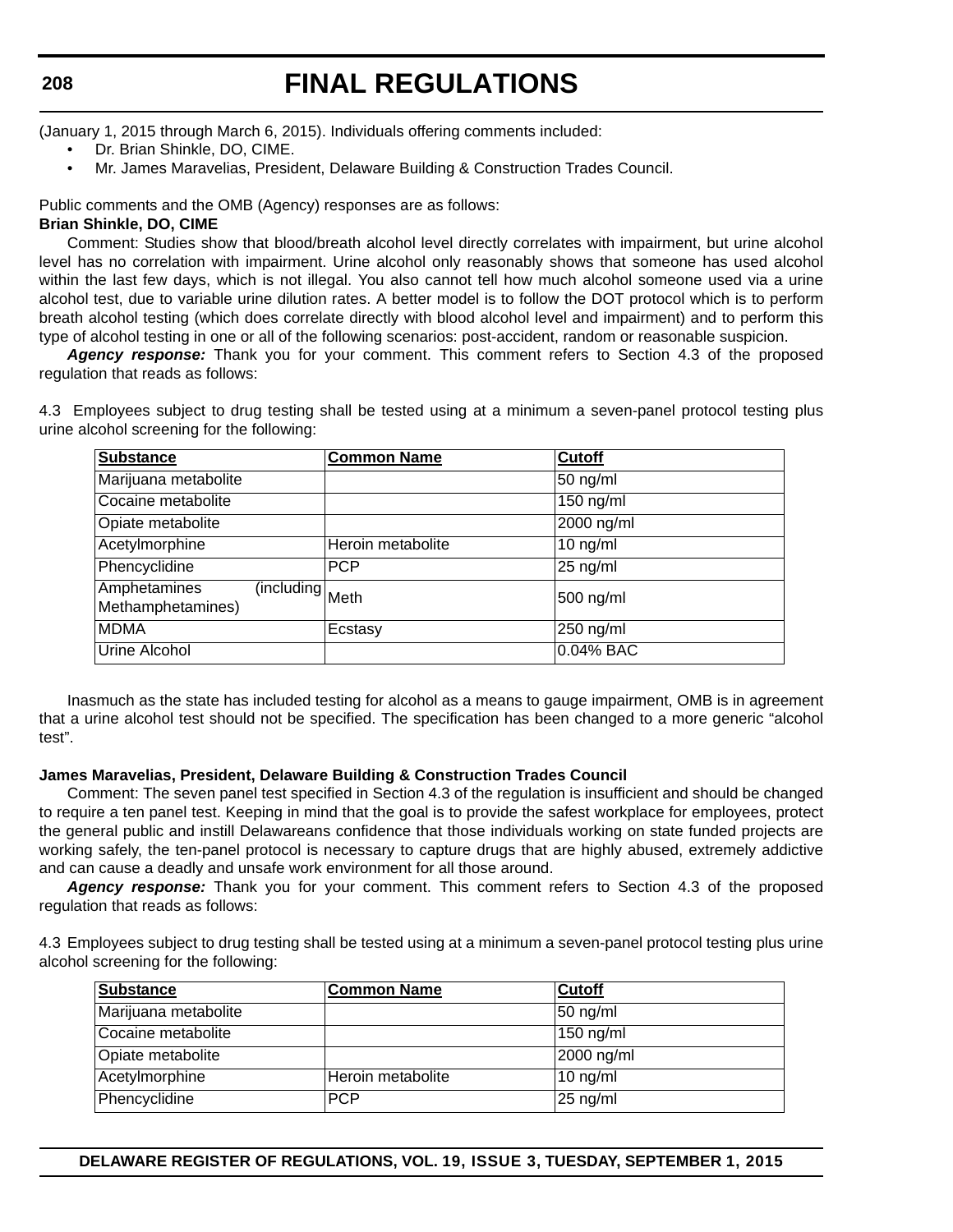#### **208**

# **FINAL REGULATIONS**

(January 1, 2015 through March 6, 2015). Individuals offering comments included:

- Dr. Brian Shinkle, DO, CIME.
- Mr. James Maravelias, President, Delaware Building & Construction Trades Council.

Public comments and the OMB (Agency) responses are as follows:

#### **Brian Shinkle, DO, CIME**

Comment: Studies show that blood/breath alcohol level directly correlates with impairment, but urine alcohol level has no correlation with impairment. Urine alcohol only reasonably shows that someone has used alcohol within the last few days, which is not illegal. You also cannot tell how much alcohol someone used via a urine alcohol test, due to variable urine dilution rates. A better model is to follow the DOT protocol which is to perform breath alcohol testing (which does correlate directly with blood alcohol level and impairment) and to perform this type of alcohol testing in one or all of the following scenarios: post-accident, random or reasonable suspicion.

*Agency response:* Thank you for your comment. This comment refers to Section 4.3 of the proposed regulation that reads as follows:

4.3 Employees subject to drug testing shall be tested using at a minimum a seven-panel protocol testing plus urine alcohol screening for the following:

| <b>Substance</b>                                     | <b>Common Name</b> | <b>Cutoff</b> |
|------------------------------------------------------|--------------------|---------------|
| Marijuana metabolite                                 |                    | $50$ ng/ml    |
| Cocaine metabolite                                   |                    | $150$ ng/ml   |
| Opiate metabolite                                    |                    | 2000 ng/ml    |
| Acetylmorphine                                       | Heroin metabolite  | $10$ ng/ml    |
| Phencyclidine                                        | <b>PCP</b>         | $25$ ng/ml    |
| Amphetamines<br>(including Meth<br>Methamphetamines) |                    | 500 ng/ml     |
| <b>MDMA</b>                                          | Ecstasy            | 250 ng/ml     |
| Urine Alcohol                                        |                    | 0.04% BAC     |

Inasmuch as the state has included testing for alcohol as a means to gauge impairment, OMB is in agreement that a urine alcohol test should not be specified. The specification has been changed to a more generic "alcohol test".

#### **James Maravelias, President, Delaware Building & Construction Trades Council**

Comment: The seven panel test specified in Section 4.3 of the regulation is insufficient and should be changed to require a ten panel test. Keeping in mind that the goal is to provide the safest workplace for employees, protect the general public and instill Delawareans confidence that those individuals working on state funded projects are working safely, the ten-panel protocol is necessary to capture drugs that are highly abused, extremely addictive and can cause a deadly and unsafe work environment for all those around.

*Agency response:* Thank you for your comment. This comment refers to Section 4.3 of the proposed regulation that reads as follows:

4.3 Employees subject to drug testing shall be tested using at a minimum a seven-panel protocol testing plus urine alcohol screening for the following:

| <b>Substance</b>     | <b>Common Name</b> | <b>Cutoff</b> |
|----------------------|--------------------|---------------|
| Marijuana metabolite |                    | $50$ ng/ml    |
| Cocaine metabolite   |                    | $150$ ng/ml   |
| Opiate metabolite    |                    | 2000 ng/ml    |
| Acetylmorphine       | Heroin metabolite  | $10$ ng/ml    |
| Phencyclidine        | <b>PCP</b>         | $25$ ng/ml    |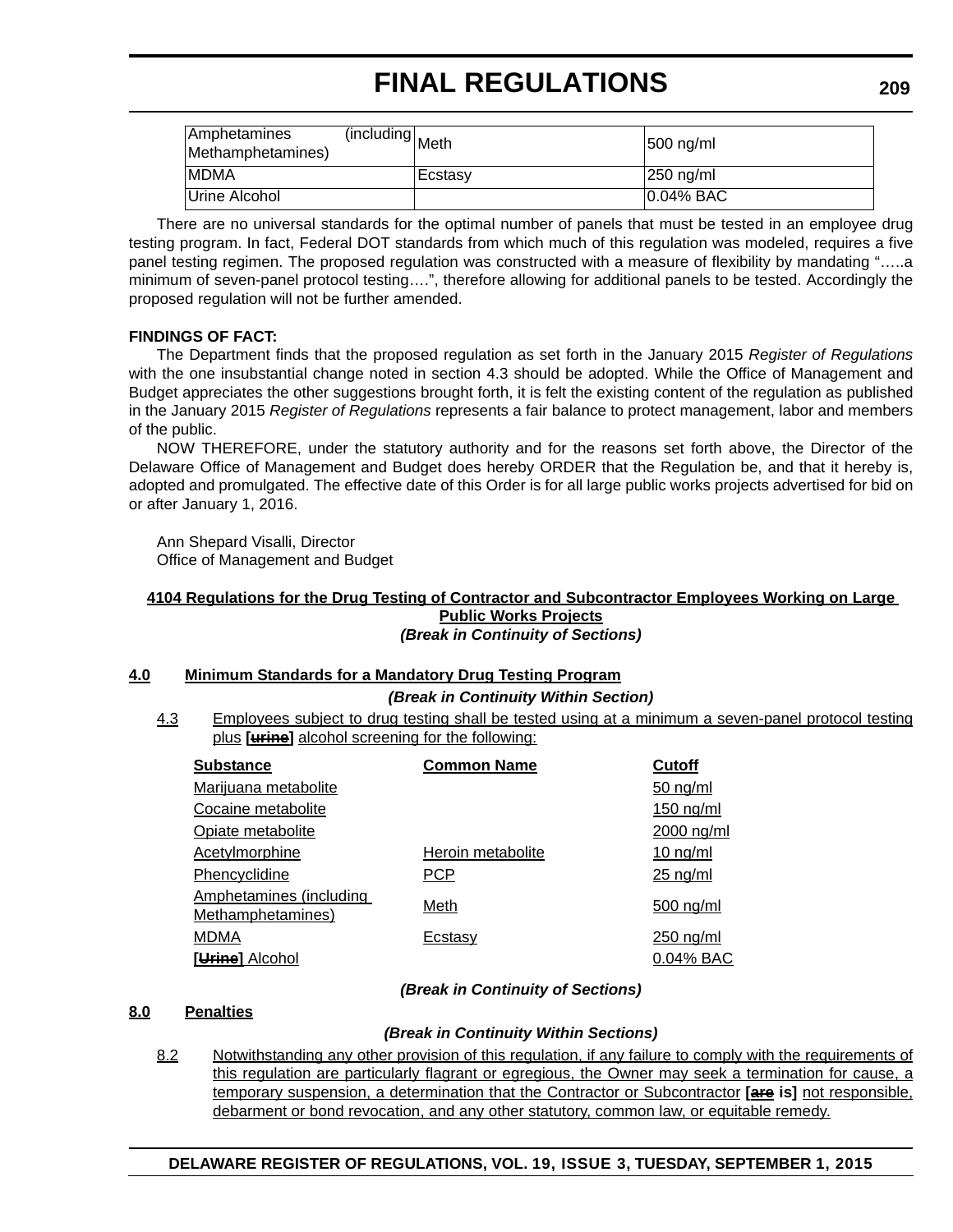| <b>Amphetamines</b><br>Methamphetamines) | including Meth | $ 500 \rangle$ ng/ml |
|------------------------------------------|----------------|----------------------|
| <b>IMDMA</b>                             | <b>Ecstasv</b> | 250 ng/ml            |
| Urine Alcohol                            |                | $10.04\%$ BAC        |

There are no universal standards for the optimal number of panels that must be tested in an employee drug testing program. In fact, Federal DOT standards from which much of this regulation was modeled, requires a five panel testing regimen. The proposed regulation was constructed with a measure of flexibility by mandating "…..a minimum of seven-panel protocol testing….", therefore allowing for additional panels to be tested. Accordingly the proposed regulation will not be further amended.

#### **FINDINGS OF FACT:**

The Department finds that the proposed regulation as set forth in the January 2015 *Register of Regulations* with the one insubstantial change noted in section 4.3 should be adopted. While the Office of Management and Budget appreciates the other suggestions brought forth, it is felt the existing content of the regulation as published in the January 2015 *Register of Regulations* represents a fair balance to protect management, labor and members of the public.

NOW THEREFORE, under the statutory authority and for the reasons set forth above, the Director of the Delaware Office of Management and Budget does hereby ORDER that the Regulation be, and that it hereby is, adopted and promulgated. The effective date of this Order is for all large public works projects advertised for bid on or after January 1, 2016.

Ann Shepard Visalli, Director Office of Management and Budget

#### **4104 Regulations for the Drug Testing of Contractor and Subcontractor Employees Working on Large Public Works Projects**

*(Break in Continuity of Sections)*

#### **4.0 Minimum Standards for a Mandatory Drug Testing Program**

*(Break in Continuity Within Section)*

4.3 Employees subject to drug testing shall be tested using at a minimum a seven-panel protocol testing plus **[urine]** alcohol screening for the following:

| <b>Substance</b>                                    | <b>Common Name</b> | <b>Cutoff</b> |
|-----------------------------------------------------|--------------------|---------------|
| Marijuana metabolite                                |                    | $50$ ng/ml    |
| Cocaine metabolite                                  |                    | $150$ ng/ml   |
| Opiate metabolite                                   |                    | 2000 ng/ml    |
| <b>Acetylmorphine</b>                               | Heroin metabolite  | $10$ ng/ml    |
| Phencyclidine                                       | <b>PCP</b>         | $25$ ng/ml    |
| <b>Amphetamines (including</b><br>Methamphetamines) | Meth               | $500$ ng/ml   |
| <b>MDMA</b>                                         | Ecstasy            | $250$ ng/ml   |
| [Urine] Alcohol                                     |                    | 0.04% BAC     |

#### *(Break in Continuity of Sections)*

#### **8.0 Penalties**

#### *(Break in Continuity Within Sections)*

8.2 Notwithstanding any other provision of this regulation, if any failure to comply with the requirements of this regulation are particularly flagrant or egregious, the Owner may seek a termination for cause, a temporary suspension, a determination that the Contractor or Subcontractor **[are is]** not responsible, debarment or bond revocation, and any other statutory, common law, or equitable remedy.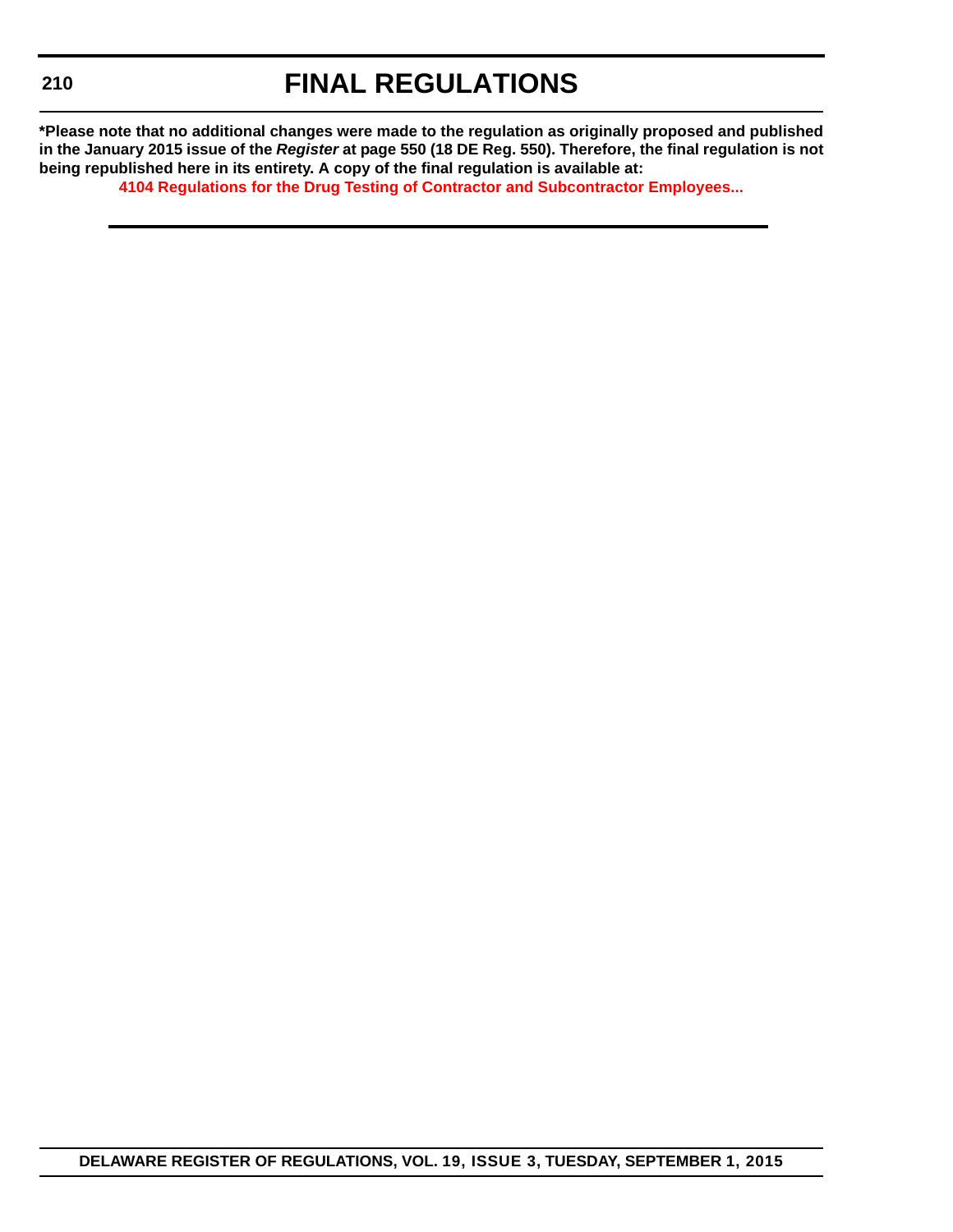**\*Please note that no additional changes were made to the regulation as originally proposed and published in the January 2015 issue of the** *Register* **at page 550 (18 DE Reg. 550). Therefore, the final regulation is not being republished here in its entirety. A copy of the final regulation is available at:**

**[4104 Regulations for the Drug Testing of Contractor and Subcontractor Employees...](http://regulations.delaware.gov/register/september2015/final/19 DE Reg 207 09-01-15.htm)**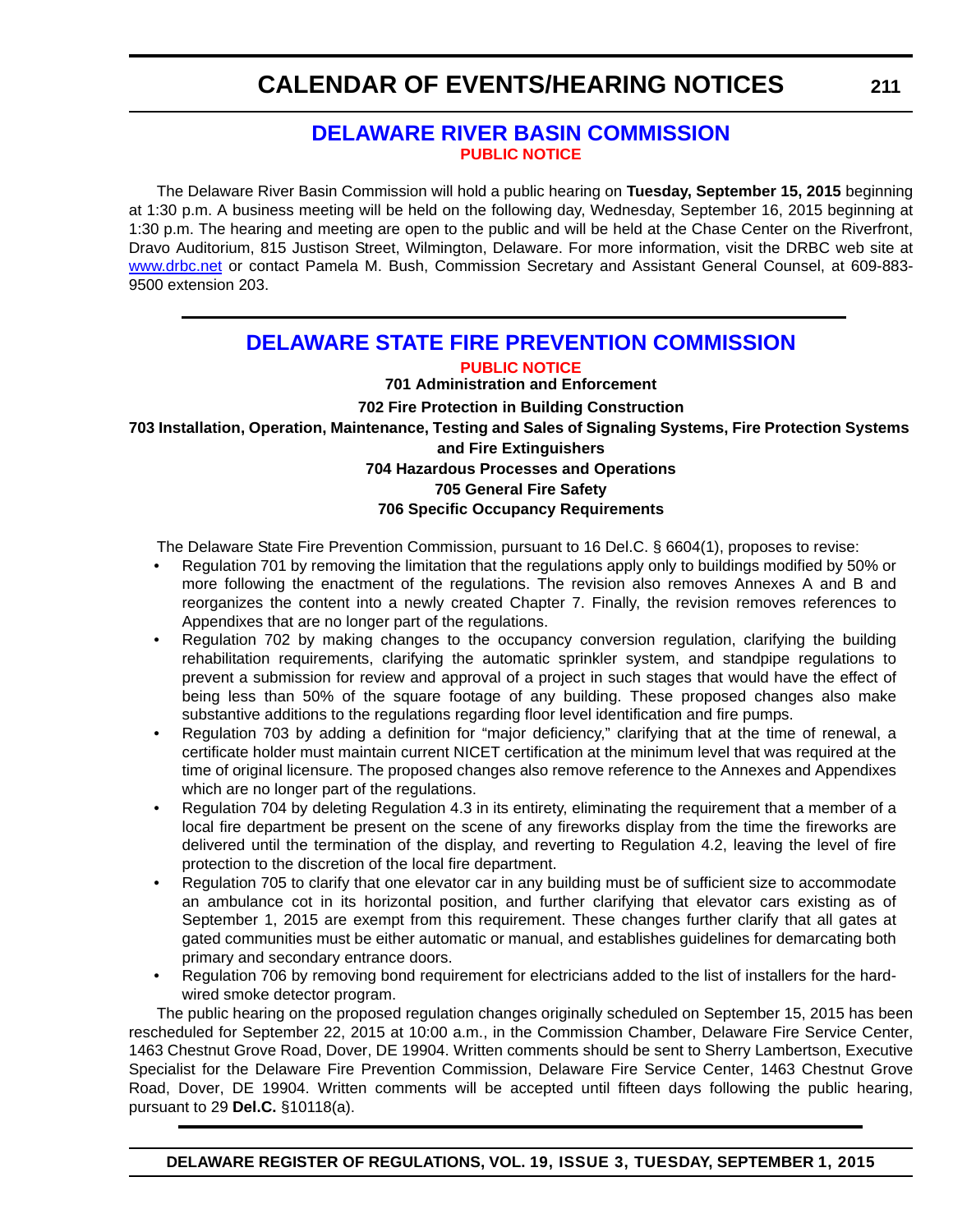### **[DELAWARE RIVER BASIN COMMISSION](http://www.state.nj.us/drbc/) [PUBLIC NOTICE](#page-4-0)**

<span id="page-59-0"></span>The Delaware River Basin Commission will hold a public hearing on **Tuesday, September 15, 2015** beginning at 1:30 p.m. A business meeting will be held on the following day, Wednesday, September 16, 2015 beginning at 1:30 p.m. The hearing and meeting are open to the public and will be held at the Chase Center on the Riverfront, Dravo Auditorium, 815 Justison Street, Wilmington, Delaware. For more information, visit the DRBC web site at [www.drbc.net](http://www.drbc.net) or contact Pamela M. Bush, Commission Secretary and Assistant General Counsel, at 609-883- 9500 extension 203.

### **[DELAWARE STATE FIRE PREVENTION COMMISSION](http://statefirecommission.delaware.gov/)**

#### **[PUBLIC NOTICE](#page-4-0)**

**701 Administration and Enforcement**

#### **702 Fire Protection in Building Construction**

**703 Installation, Operation, Maintenance, Testing and Sales of Signaling Systems, Fire Protection Systems** 

#### **and Fire Extinguishers**

#### **704 Hazardous Processes and Operations**

#### **705 General Fire Safety**

#### **706 Specific Occupancy Requirements**

The Delaware State Fire Prevention Commission, pursuant to 16 Del.C. § 6604(1), proposes to revise:

- Regulation 701 by removing the limitation that the regulations apply only to buildings modified by 50% or more following the enactment of the regulations. The revision also removes Annexes A and B and reorganizes the content into a newly created Chapter 7. Finally, the revision removes references to Appendixes that are no longer part of the regulations.
- Regulation 702 by making changes to the occupancy conversion regulation, clarifying the building rehabilitation requirements, clarifying the automatic sprinkler system, and standpipe regulations to prevent a submission for review and approval of a project in such stages that would have the effect of being less than 50% of the square footage of any building. These proposed changes also make substantive additions to the regulations regarding floor level identification and fire pumps.
- Regulation 703 by adding a definition for "major deficiency," clarifying that at the time of renewal, a certificate holder must maintain current NICET certification at the minimum level that was required at the time of original licensure. The proposed changes also remove reference to the Annexes and Appendixes which are no longer part of the regulations.
- Regulation 704 by deleting Regulation 4.3 in its entirety, eliminating the requirement that a member of a local fire department be present on the scene of any fireworks display from the time the fireworks are delivered until the termination of the display, and reverting to Regulation 4.2, leaving the level of fire protection to the discretion of the local fire department.
- Regulation 705 to clarify that one elevator car in any building must be of sufficient size to accommodate an ambulance cot in its horizontal position, and further clarifying that elevator cars existing as of September 1, 2015 are exempt from this requirement. These changes further clarify that all gates at gated communities must be either automatic or manual, and establishes guidelines for demarcating both primary and secondary entrance doors.
- Regulation 706 by removing bond requirement for electricians added to the list of installers for the hardwired smoke detector program.

The public hearing on the proposed regulation changes originally scheduled on September 15, 2015 has been rescheduled for September 22, 2015 at 10:00 a.m., in the Commission Chamber, Delaware Fire Service Center, 1463 Chestnut Grove Road, Dover, DE 19904. Written comments should be sent to Sherry Lambertson, Executive Specialist for the Delaware Fire Prevention Commission, Delaware Fire Service Center, 1463 Chestnut Grove Road, Dover, DE 19904. Written comments will be accepted until fifteen days following the public hearing, pursuant to 29 **Del.C.** §10118(a).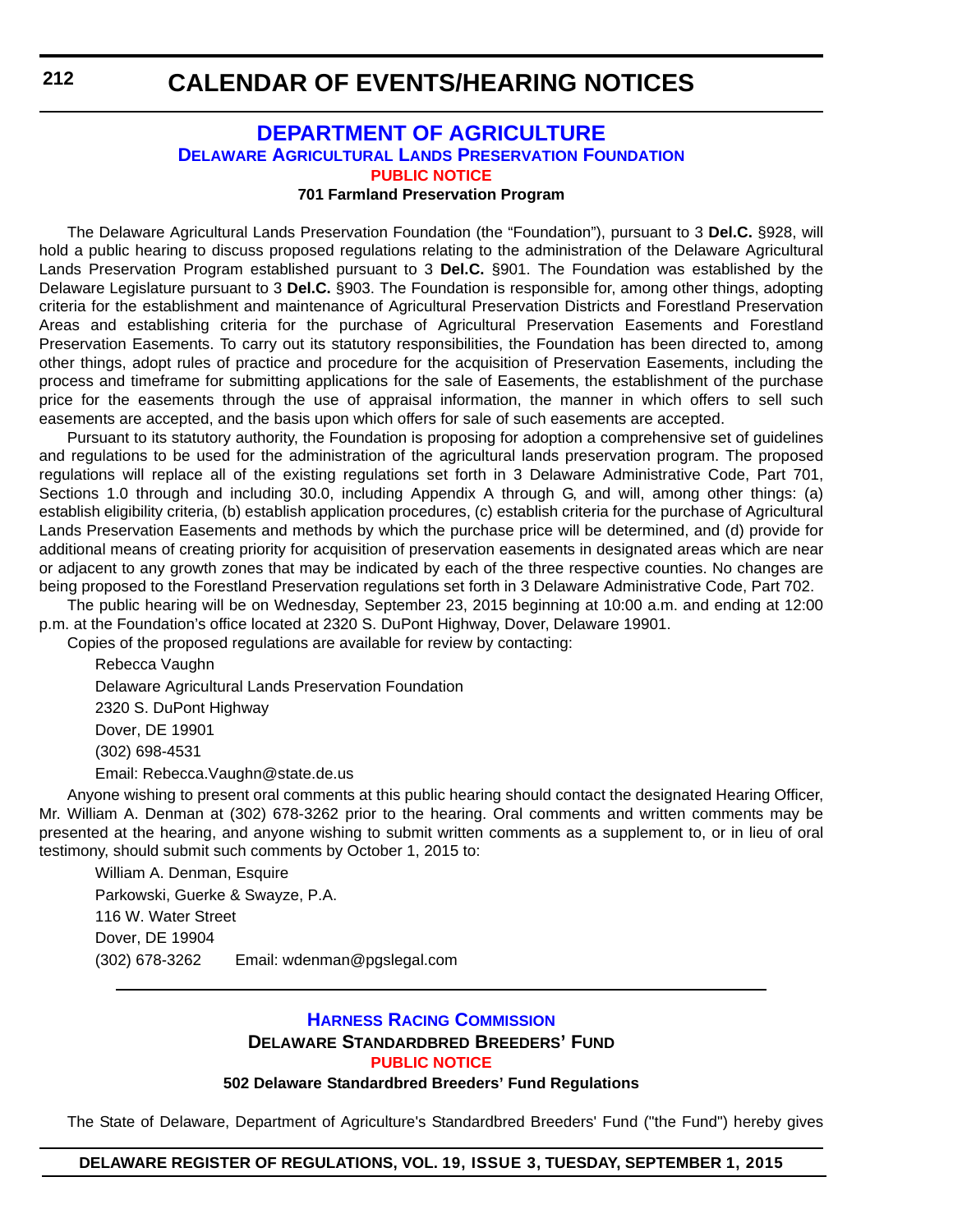### <span id="page-60-0"></span>**DEPARTMENT OF AGRICULTURE [DELAWARE AGRICULTURAL LANDS PRESERVATION FOUNDATION](http://dda.delaware.gov/aglands/index.shtml) [PUBLIC NOTICE](#page-4-0)**

#### **701 Farmland Preservation Program**

The Delaware Agricultural Lands Preservation Foundation (the "Foundation"), pursuant to 3 **Del.C.** §928, will hold a public hearing to discuss proposed regulations relating to the administration of the Delaware Agricultural Lands Preservation Program established pursuant to 3 **Del.C.** §901. The Foundation was established by the Delaware Legislature pursuant to 3 **Del.C.** §903. The Foundation is responsible for, among other things, adopting criteria for the establishment and maintenance of Agricultural Preservation Districts and Forestland Preservation Areas and establishing criteria for the purchase of Agricultural Preservation Easements and Forestland Preservation Easements. To carry out its statutory responsibilities, the Foundation has been directed to, among other things, adopt rules of practice and procedure for the acquisition of Preservation Easements, including the process and timeframe for submitting applications for the sale of Easements, the establishment of the purchase price for the easements through the use of appraisal information, the manner in which offers to sell such easements are accepted, and the basis upon which offers for sale of such easements are accepted.

Pursuant to its statutory authority, the Foundation is proposing for adoption a comprehensive set of guidelines and regulations to be used for the administration of the agricultural lands preservation program. The proposed regulations will replace all of the existing regulations set forth in 3 Delaware Administrative Code, Part 701, Sections 1.0 through and including 30.0, including Appendix A through G, and will, among other things: (a) establish eligibility criteria, (b) establish application procedures, (c) establish criteria for the purchase of Agricultural Lands Preservation Easements and methods by which the purchase price will be determined, and (d) provide for additional means of creating priority for acquisition of preservation easements in designated areas which are near or adjacent to any growth zones that may be indicated by each of the three respective counties. No changes are being proposed to the Forestland Preservation regulations set forth in 3 Delaware Administrative Code, Part 702.

The public hearing will be on Wednesday, September 23, 2015 beginning at 10:00 a.m. and ending at 12:00 p.m. at the Foundation's office located at 2320 S. DuPont Highway, Dover, Delaware 19901.

Copies of the proposed regulations are available for review by contacting:

Rebecca Vaughn Delaware Agricultural Lands Preservation Foundation 2320 S. DuPont Highway Dover, DE 19901 (302) 698-4531 Email: Rebecca.Vaughn@state.de.us

Anyone wishing to present oral comments at this public hearing should contact the designated Hearing Officer, Mr. William A. Denman at (302) 678-3262 prior to the hearing. Oral comments and written comments may be presented at the hearing, and anyone wishing to submit written comments as a supplement to, or in lieu of oral testimony, should submit such comments by October 1, 2015 to:

William A. Denman, Esquire Parkowski, Guerke & Swayze, P.A. 116 W. Water Street Dover, DE 19904 (302) 678-3262 Email: wdenman@pgslegal.com

#### **[HARNESS RACING COMMISSION](http://desbf.delaware.gov/) DELAWARE STANDARDBRED BREEDERS' FUND [PUBLIC NOTICE](#page-4-0)**

#### **502 Delaware Standardbred Breeders' Fund Regulations**

The State of Delaware, Department of Agriculture's Standardbred Breeders' Fund ("the Fund") hereby gives

#### **DELAWARE REGISTER OF REGULATIONS, VOL. 19, ISSUE 3, TUESDAY, SEPTEMBER 1, 2015**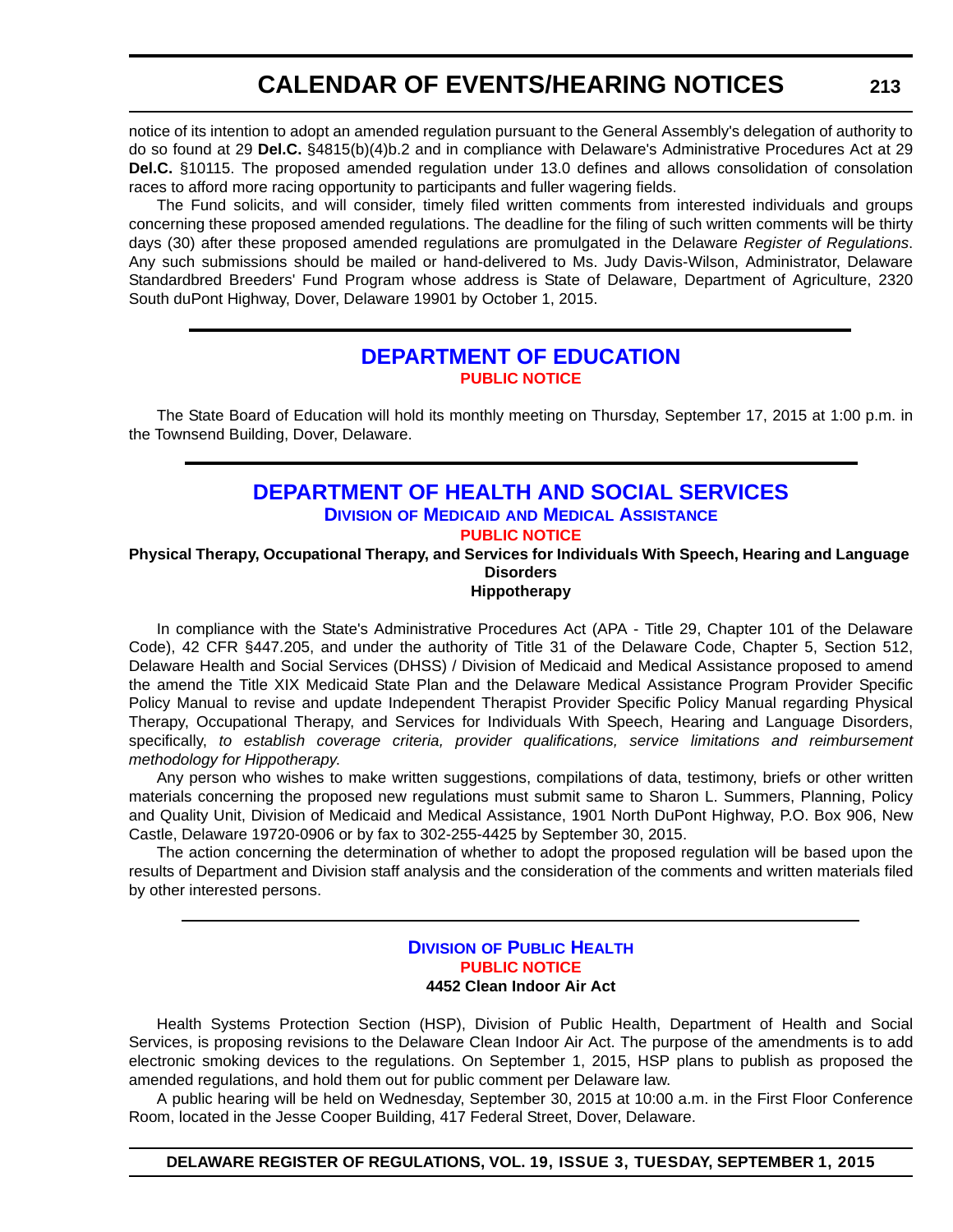<span id="page-61-0"></span>notice of its intention to adopt an amended regulation pursuant to the General Assembly's delegation of authority to do so found at 29 **Del.C.** §4815(b)(4)b.2 and in compliance with Delaware's Administrative Procedures Act at 29 **Del.C.** §10115. The proposed amended regulation under 13.0 defines and allows consolidation of consolation races to afford more racing opportunity to participants and fuller wagering fields.

The Fund solicits, and will consider, timely filed written comments from interested individuals and groups concerning these proposed amended regulations. The deadline for the filing of such written comments will be thirty days (30) after these proposed amended regulations are promulgated in the Delaware *Register of Regulations*. Any such submissions should be mailed or hand-delivered to Ms. Judy Davis-Wilson, Administrator, Delaware Standardbred Breeders' Fund Program whose address is State of Delaware, Department of Agriculture, 2320 South duPont Highway, Dover, Delaware 19901 by October 1, 2015.

#### **[DEPARTMENT OF EDUCATION](http://www.doe.k12.de.us/site/default.aspx?PageID=1) [PUBLIC NOTICE](#page-4-0)**

The State Board of Education will hold its monthly meeting on Thursday, September 17, 2015 at 1:00 p.m. in the Townsend Building, Dover, Delaware.

#### **[DEPARTMENT OF HEALTH AND SOCIAL SERVICES](http://www.dhss.delaware.gov/dhss/dmma/) DIVISION OF MEDICAID AND MEDICAL ASSISTANCE [PUBLIC NOTICE](#page-4-0)**

**Physical Therapy, Occupational Therapy, and Services for Individuals With Speech, Hearing and Language Disorders Hippotherapy**

In compliance with the State's Administrative Procedures Act (APA - Title 29, Chapter 101 of the Delaware Code), 42 CFR §447.205, and under the authority of Title 31 of the Delaware Code, Chapter 5, Section 512, Delaware Health and Social Services (DHSS) / Division of Medicaid and Medical Assistance proposed to amend the amend the Title XIX Medicaid State Plan and the Delaware Medical Assistance Program Provider Specific Policy Manual to revise and update Independent Therapist Provider Specific Policy Manual regarding Physical Therapy, Occupational Therapy, and Services for Individuals With Speech, Hearing and Language Disorders, specifically, *to establish coverage criteria, provider qualifications, service limitations and reimbursement methodology for Hippotherapy*.

Any person who wishes to make written suggestions, compilations of data, testimony, briefs or other written materials concerning the proposed new regulations must submit same to Sharon L. Summers, Planning, Policy and Quality Unit, Division of Medicaid and Medical Assistance, 1901 North DuPont Highway, P.O. Box 906, New Castle, Delaware 19720-0906 or by fax to 302-255-4425 by September 30, 2015.

The action concerning the determination of whether to adopt the proposed regulation will be based upon the results of Department and Division staff analysis and the consideration of the comments and written materials filed by other interested persons.

#### **DIVISION [OF PUBLIC HEALTH](http://www.dhss.delaware.gov/dhss/dph/index.html) [PUBLIC NOTICE](#page-4-0) 4452 Clean Indoor Air Act**

Health Systems Protection Section (HSP), Division of Public Health, Department of Health and Social Services, is proposing revisions to the Delaware Clean Indoor Air Act. The purpose of the amendments is to add electronic smoking devices to the regulations. On September 1, 2015, HSP plans to publish as proposed the amended regulations, and hold them out for public comment per Delaware law.

A public hearing will be held on Wednesday, September 30, 2015 at 10:00 a.m. in the First Floor Conference Room, located in the Jesse Cooper Building, 417 Federal Street, Dover, Delaware.

**DELAWARE REGISTER OF REGULATIONS, VOL. 19, ISSUE 3, TUESDAY, SEPTEMBER 1, 2015**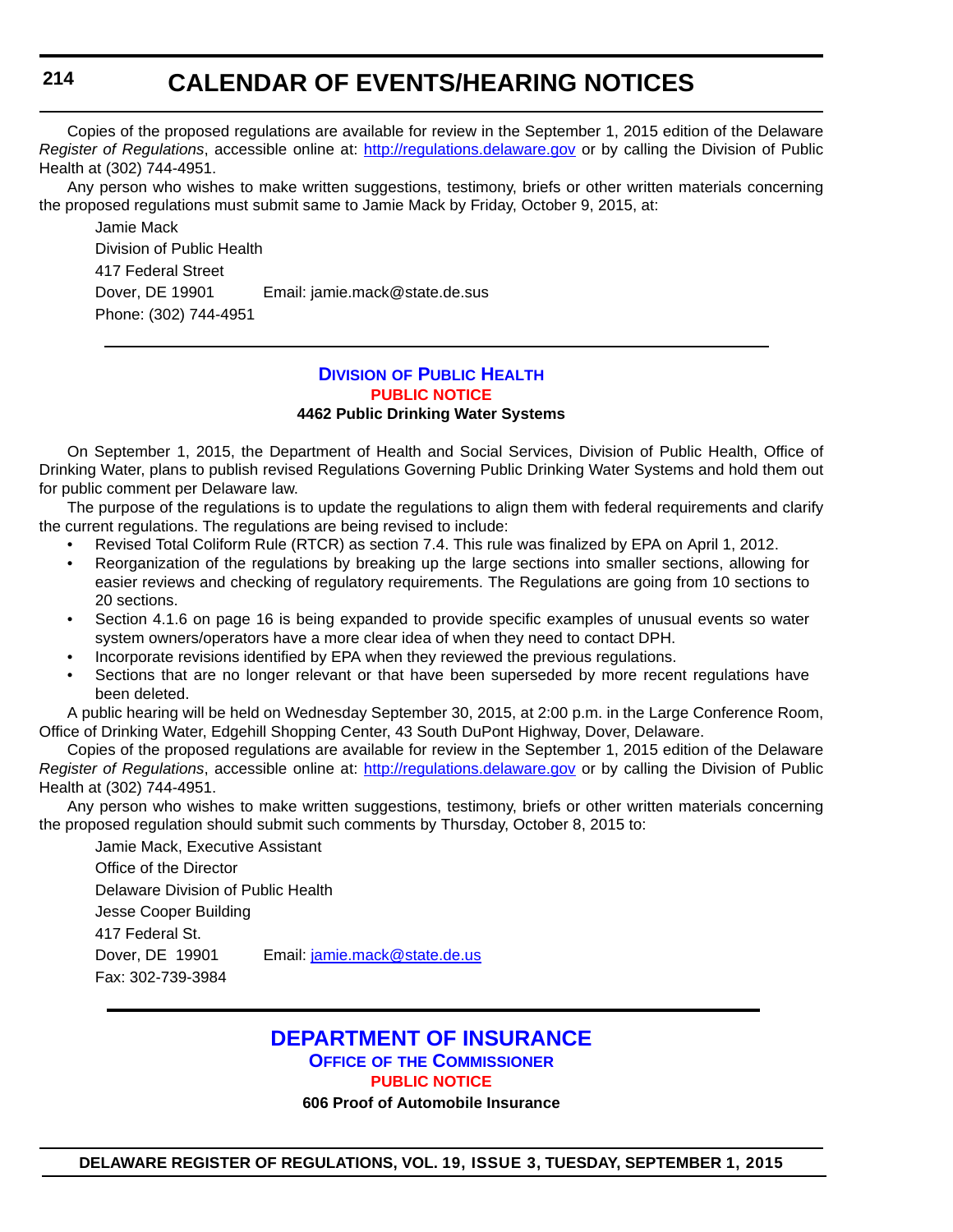Copies of the proposed regulations are available for review in the September 1, 2015 edition of the Delaware *Register of Regulations*, accessible online at: <http://regulations.delaware.gov> or by calling the Division of Public Health at (302) 744-4951.

Any person who wishes to make written suggestions, testimony, briefs or other written materials concerning the proposed regulations must submit same to Jamie Mack by Friday, October 9, 2015, at:

Jamie Mack Division of Public Health 417 Federal Street Dover, DE 19901 Email: jamie.mack@state.de.sus Phone: (302) 744-4951

#### **DIVISION [OF PUBLIC HEALTH](http://www.dhss.delaware.gov/dhss/dph/index.html) [PUBLIC NOTICE](#page-4-0) 4462 Public Drinking Water Systems**

On September 1, 2015, the Department of Health and Social Services, Division of Public Health, Office of Drinking Water, plans to publish revised Regulations Governing Public Drinking Water Systems and hold them out for public comment per Delaware law.

The purpose of the regulations is to update the regulations to align them with federal requirements and clarify the current regulations. The regulations are being revised to include:

- Revised Total Coliform Rule (RTCR) as section 7.4. This rule was finalized by EPA on April 1, 2012.
- Reorganization of the regulations by breaking up the large sections into smaller sections, allowing for easier reviews and checking of regulatory requirements. The Regulations are going from 10 sections to 20 sections.
- Section 4.1.6 on page 16 is being expanded to provide specific examples of unusual events so water system owners/operators have a more clear idea of when they need to contact DPH.
- Incorporate revisions identified by EPA when they reviewed the previous regulations.
- Sections that are no longer relevant or that have been superseded by more recent regulations have been deleted.

A public hearing will be held on Wednesday September 30, 2015, at 2:00 p.m. in the Large Conference Room, Office of Drinking Water, Edgehill Shopping Center, 43 South DuPont Highway, Dover, Delaware.

Copies of the proposed regulations are available for review in the September 1, 2015 edition of the Delaware *Register of Regulations*, accessible online at: http://regulations.delaware.gov or by calling the Division of Public Health at (302) 744-4951.

Any person who wishes to make written suggestions, testimony, briefs or other written materials concerning the proposed regulation should submit such comments by Thursday, October 8, 2015 to:

Jamie Mack, Executive Assistant Office of the Director Delaware Division of Public Health Jesse Cooper Building 417 Federal St. Dover, DE 19901 Email: [jamie.mack@state.de.us](mailto:jamie.mack@state.de.us) Fax: 302-739-3984

#### **[DEPARTMENT OF INSURANCE](http://www.delawareinsurance.gov/) OFFICE OF THE COMMISSIONER**

**[PUBLIC NOTICE](#page-4-0)**

**606 Proof of Automobile Insurance**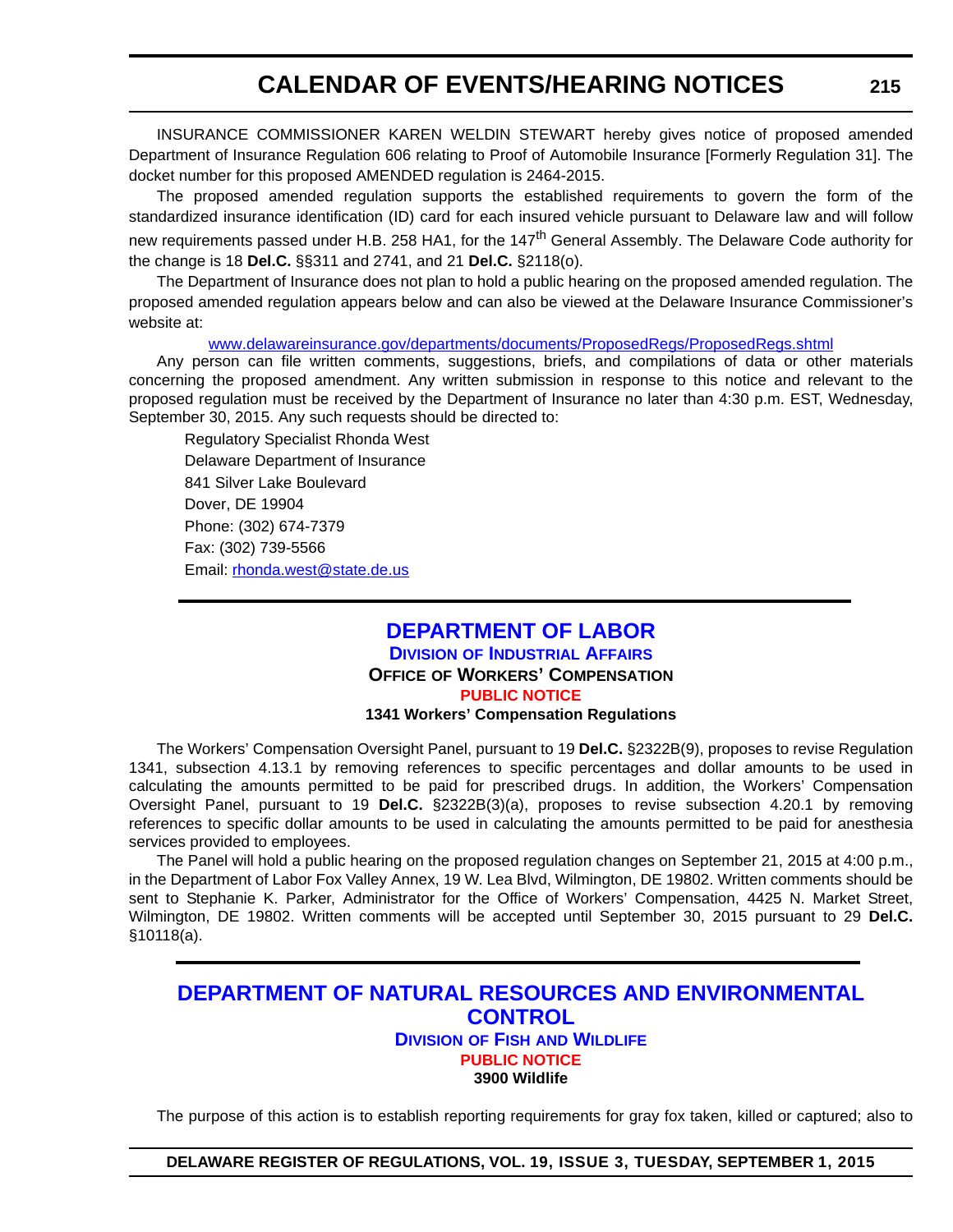<span id="page-63-0"></span>INSURANCE COMMISSIONER KAREN WELDIN STEWART hereby gives notice of proposed amended Department of Insurance Regulation 606 relating to Proof of Automobile Insurance [Formerly Regulation 31]. The docket number for this proposed AMENDED regulation is 2464-2015.

The proposed amended regulation supports the established requirements to govern the form of the standardized insurance identification (ID) card for each insured vehicle pursuant to Delaware law and will follow new requirements passed under H.B. 258 HA1, for the 147<sup>th</sup> General Assembly. The Delaware Code authority for the change is 18 **Del.C.** §§311 and 2741, and 21 **Del.C.** §2118(o).

The Department of Insurance does not plan to hold a public hearing on the proposed amended regulation. The proposed amended regulation appears below and can also be viewed at the Delaware Insurance Commissioner's website at:

[www.delawareinsurance.gov/departments/documents/ProposedRegs/ProposedRegs.shtml](http://www.delawareinsurance.gov/departments/documents/ProposedRegs/ProposedRegs.shtml)

Any person can file written comments, suggestions, briefs, and compilations of data or other materials concerning the proposed amendment. Any written submission in response to this notice and relevant to the proposed regulation must be received by the Department of Insurance no later than 4:30 p.m. EST, Wednesday, September 30, 2015. Any such requests should be directed to:

Regulatory Specialist Rhonda West Delaware Department of Insurance 841 Silver Lake Boulevard Dover, DE 19904 Phone: (302) 674-7379 Fax: (302) 739-5566 Email: r[honda.west@state.de.us](mailto:rhonda.west@state.de.us)

#### **[DEPARTMENT OF LABOR](http://dia.delawareworks.com/workers-comp/) DIVISION OF INDUSTRIAL AFFAIRS OFFICE OF WORKERS' COMPENSATION [PUBLIC NOTICE](#page-4-0) 1341 Workers' Compensation Regulations**

The Workers' Compensation Oversight Panel, pursuant to 19 **Del.C.** §2322B(9), proposes to revise Regulation 1341, subsection 4.13.1 by removing references to specific percentages and dollar amounts to be used in calculating the amounts permitted to be paid for prescribed drugs. In addition, the Workers' Compensation Oversight Panel, pursuant to 19 **Del.C.** §2322B(3)(a), proposes to revise subsection 4.20.1 by removing references to specific dollar amounts to be used in calculating the amounts permitted to be paid for anesthesia services provided to employees.

The Panel will hold a public hearing on the proposed regulation changes on September 21, 2015 at 4:00 p.m., in the Department of Labor Fox Valley Annex, 19 W. Lea Blvd, Wilmington, DE 19802. Written comments should be sent to Stephanie K. Parker, Administrator for the Office of Workers' Compensation, 4425 N. Market Street, Wilmington, DE 19802. Written comments will be accepted until September 30, 2015 pursuant to 29 **Del.C.** §10118(a).

#### **[DEPARTMENT OF NATURAL RESOURCES AND ENVIRONMENTAL](http://www.dnrec.delaware.gov/fw/Pages/DFW-Portal.aspx)  CONTROL DIVISION OF FISH AND WILDLIFE [PUBLIC NOTICE](#page-4-0) 3900 Wildlife**

The purpose of this action is to establish reporting requirements for gray fox taken, killed or captured; also to

**DELAWARE REGISTER OF REGULATIONS, VOL. 19, ISSUE 3, TUESDAY, SEPTEMBER 1, 2015**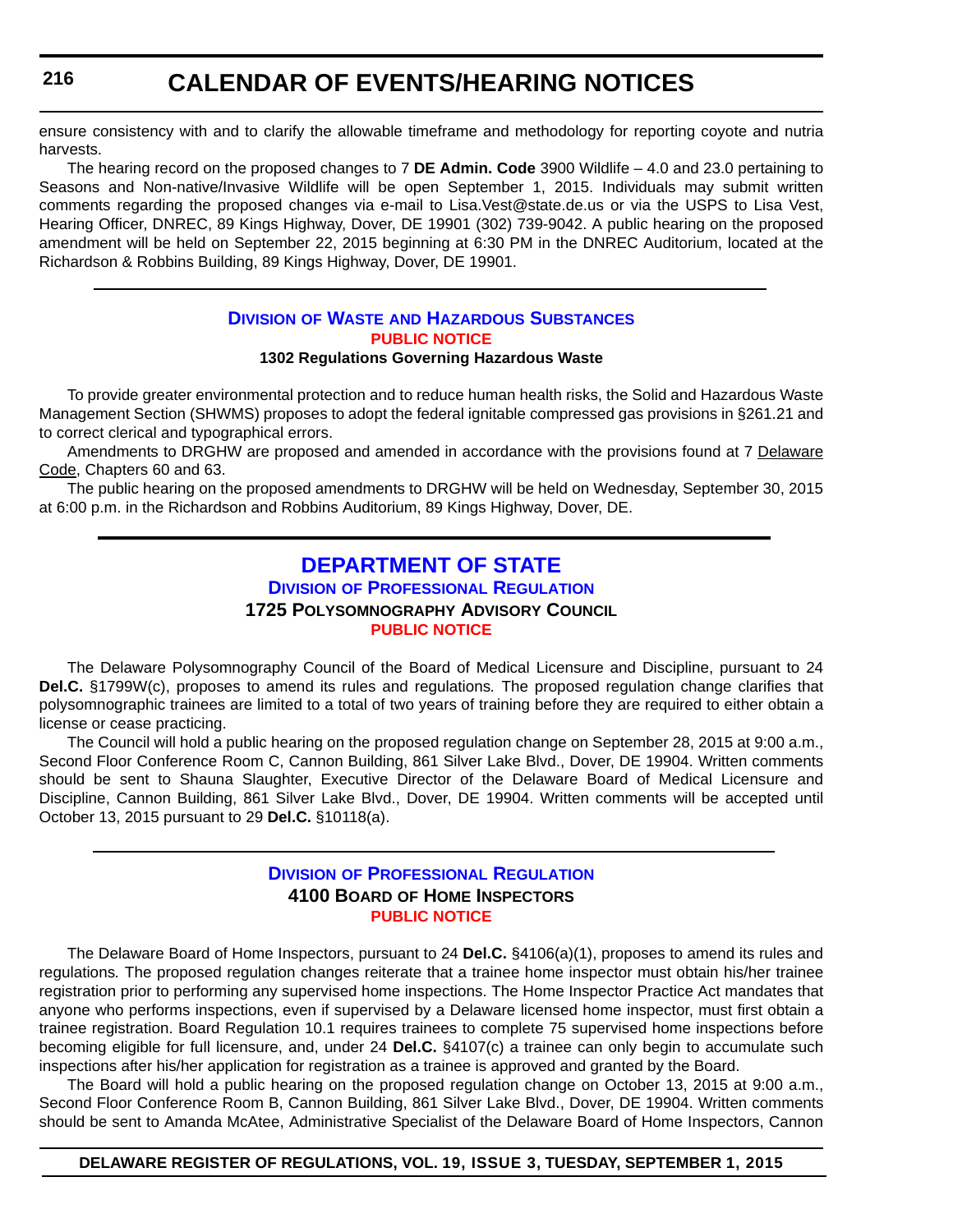<span id="page-64-0"></span>ensure consistency with and to clarify the allowable timeframe and methodology for reporting coyote and nutria harvests.

The hearing record on the proposed changes to 7 **DE Admin. Code** 3900 Wildlife – 4.0 and 23.0 pertaining to Seasons and Non-native/Invasive Wildlife will be open September 1, 2015. Individuals may submit written comments regarding the proposed changes via e-mail to Lisa.Vest@state.de.us or via the USPS to Lisa Vest, Hearing Officer, DNREC, 89 Kings Highway, Dover, DE 19901 (302) 739-9042. A public hearing on the proposed amendment will be held on September 22, 2015 beginning at 6:30 PM in the DNREC Auditorium, located at the Richardson & Robbins Building, 89 Kings Highway, Dover, DE 19901.

#### **DIVISION OF WASTE [AND HAZARDOUS SUBSTANCES](http://www.dnrec.delaware.gov/dwhs/Pages/default.aspx) [PUBLIC NOTICE](#page-4-0)**

#### **1302 Regulations Governing Hazardous Waste**

To provide greater environmental protection and to reduce human health risks, the Solid and Hazardous Waste Management Section (SHWMS) proposes to adopt the federal ignitable compressed gas provisions in §261.21 and to correct clerical and typographical errors.

Amendments to DRGHW are proposed and amended in accordance with the provisions found at 7 Delaware Code, Chapters 60 and 63.

The public hearing on the proposed amendments to DRGHW will be held on Wednesday, September 30, 2015 at 6:00 p.m. in the Richardson and Robbins Auditorium, 89 Kings Highway, Dover, DE.

### **[DEPARTMENT OF STATE](http://dpr.delaware.gov/) DIVISION OF PROFESSIONAL REGULATION 1725 POLYSOMNOGRAPHY ADVISORY COUNCIL [PUBLIC NOTICE](#page-4-0)**

The Delaware Polysomnography Council of the Board of Medical Licensure and Discipline, pursuant to 24 **Del.C.** §1799W(c), proposes to amend its rules and regulations*.* The proposed regulation change clarifies that polysomnographic trainees are limited to a total of two years of training before they are required to either obtain a license or cease practicing.

The Council will hold a public hearing on the proposed regulation change on September 28, 2015 at 9:00 a.m., Second Floor Conference Room C, Cannon Building, 861 Silver Lake Blvd., Dover, DE 19904. Written comments should be sent to Shauna Slaughter, Executive Director of the Delaware Board of Medical Licensure and Discipline, Cannon Building, 861 Silver Lake Blvd., Dover, DE 19904. Written comments will be accepted until October 13, 2015 pursuant to 29 **Del.C.** §10118(a).

#### **DIVISION [OF PROFESSIONAL REGULATION](http://dpr.delaware.gov/) 4100 BOARD OF HOME INSPECTORS [PUBLIC NOTICE](#page-4-0)**

The Delaware Board of Home Inspectors, pursuant to 24 **Del.C.** §4106(a)(1), proposes to amend its rules and regulations*.* The proposed regulation changes reiterate that a trainee home inspector must obtain his/her trainee registration prior to performing any supervised home inspections. The Home Inspector Practice Act mandates that anyone who performs inspections, even if supervised by a Delaware licensed home inspector, must first obtain a trainee registration. Board Regulation 10.1 requires trainees to complete 75 supervised home inspections before becoming eligible for full licensure, and, under 24 **Del.C.** §4107(c) a trainee can only begin to accumulate such inspections after his/her application for registration as a trainee is approved and granted by the Board.

The Board will hold a public hearing on the proposed regulation change on October 13, 2015 at 9:00 a.m., Second Floor Conference Room B, Cannon Building, 861 Silver Lake Blvd., Dover, DE 19904. Written comments should be sent to Amanda McAtee, Administrative Specialist of the Delaware Board of Home Inspectors, Cannon

#### **DELAWARE REGISTER OF REGULATIONS, VOL. 19, ISSUE 3, TUESDAY, SEPTEMBER 1, 2015**